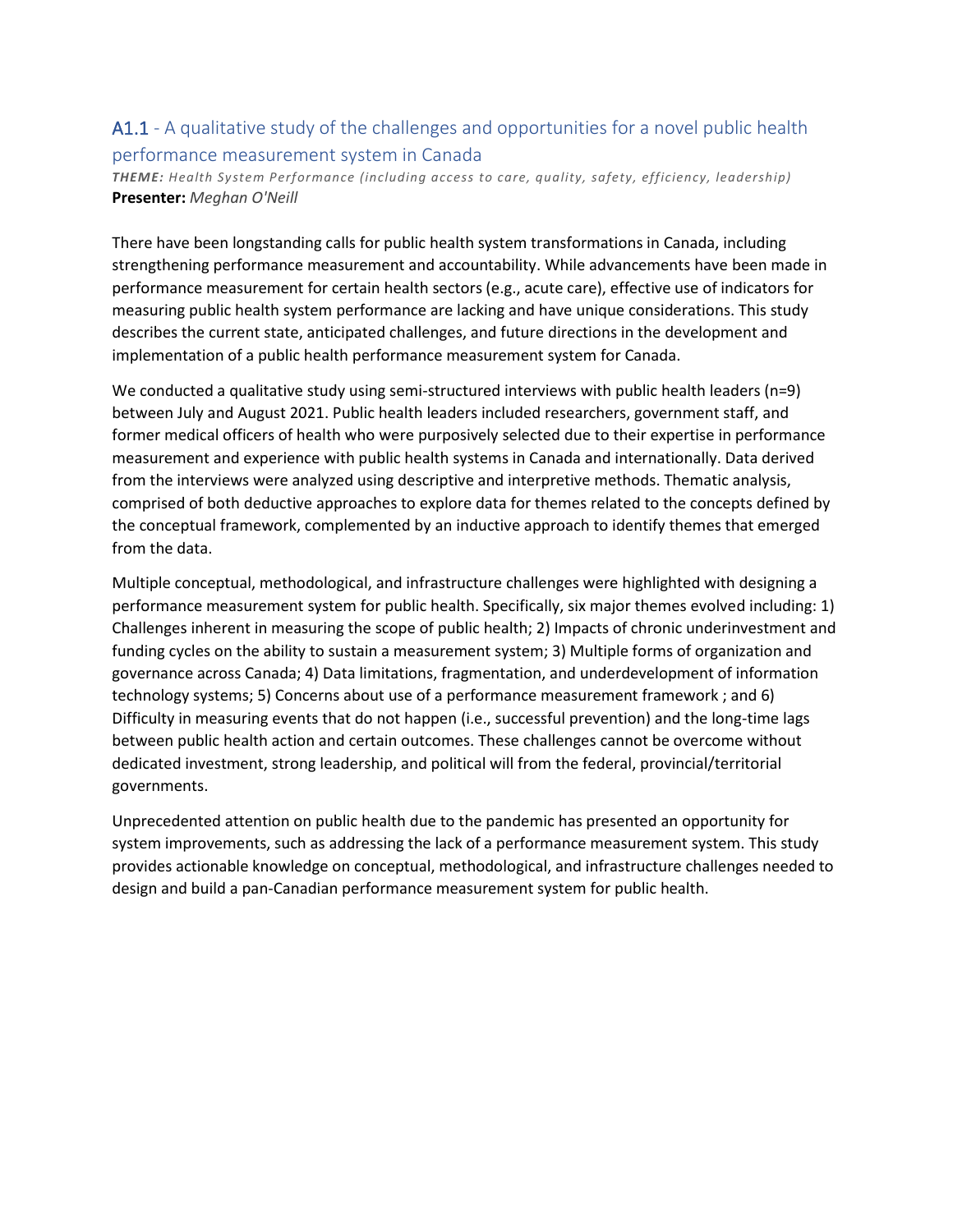### A1.1 - A qualitative study of the challenges and opportunities for a novel public health performance measurement system in Canada

*THEME: Health System Performance (including access to care, quality, safety, efficiency, leadership)* **Presenter:** *Meghan O'Neill*

There have been longstanding calls for public health system transformations in Canada, including strengthening performance measurement and accountability. While advancements have been made in performance measurement for certain health sectors (e.g., acute care), effective use of indicators for measuring public health system performance are lacking and have unique considerations. This study describes the current state, anticipated challenges, and future directions in the development and implementation of a public health performance measurement system for Canada.

We conducted a qualitative study using semi-structured interviews with public health leaders (n=9) between July and August 2021. Public health leaders included researchers, government staff, and former medical officers of health who were purposively selected due to their expertise in performance measurement and experience with public health systems in Canada and internationally. Data derived from the interviews were analyzed using descriptive and interpretive methods. Thematic analysis, comprised of both deductive approaches to explore data for themes related to the concepts defined by the conceptual framework, complemented by an inductive approach to identify themes that emerged from the data.

Multiple conceptual, methodological, and infrastructure challenges were highlighted with designing a performance measurement system for public health. Specifically, six major themes evolved including: 1) Challenges inherent in measuring the scope of public health; 2) Impacts of chronic underinvestment and funding cycles on the ability to sustain a measurement system; 3) Multiple forms of organization and governance across Canada; 4) Data limitations, fragmentation, and underdevelopment of information technology systems; 5) Concerns about use of a performance measurement framework ; and 6) Difficulty in measuring events that do not happen (i.e., successful prevention) and the long-time lags between public health action and certain outcomes. These challenges cannot be overcome without dedicated investment, strong leadership, and political will from the federal, provincial/territorial governments.

Unprecedented attention on public health due to the pandemic has presented an opportunity for system improvements, such as addressing the lack of a performance measurement system. This study provides actionable knowledge on conceptual, methodological, and infrastructure challenges needed to design and build a pan-Canadian performance measurement system for public health.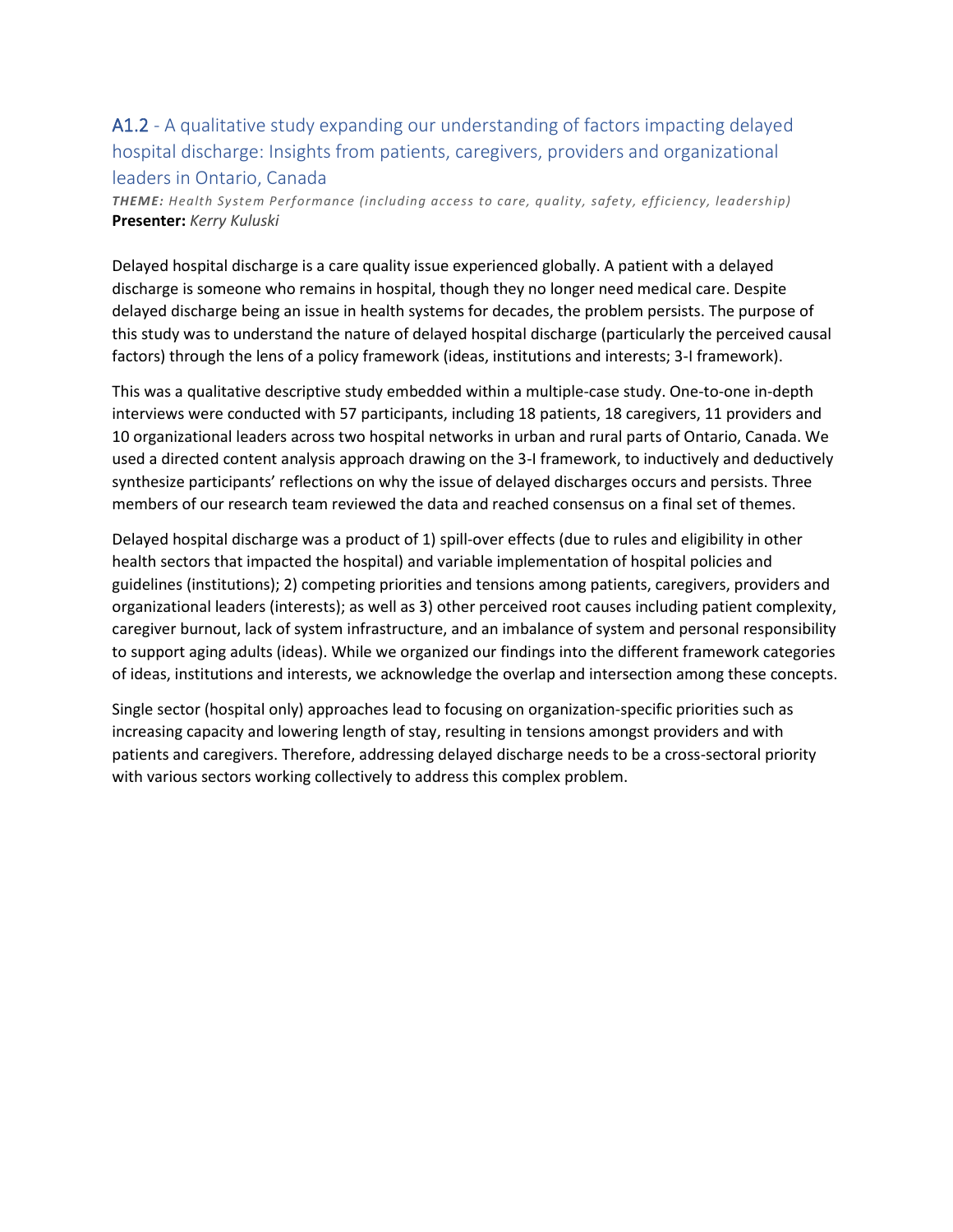## A1.2 - A qualitative study expanding our understanding of factors impacting delayed hospital discharge: Insights from patients, caregivers, providers and organizational leaders in Ontario, Canada

*THEME: Health System Performance (including access to care, quality, safety, efficiency, leadership)* **Presenter:** *Kerry Kuluski*

Delayed hospital discharge is a care quality issue experienced globally. A patient with a delayed discharge is someone who remains in hospital, though they no longer need medical care. Despite delayed discharge being an issue in health systems for decades, the problem persists. The purpose of this study was to understand the nature of delayed hospital discharge (particularly the perceived causal factors) through the lens of a policy framework (ideas, institutions and interests; 3-I framework).

This was a qualitative descriptive study embedded within a multiple-case study. One-to-one in-depth interviews were conducted with 57 participants, including 18 patients, 18 caregivers, 11 providers and 10 organizational leaders across two hospital networks in urban and rural parts of Ontario, Canada. We used a directed content analysis approach drawing on the 3-I framework, to inductively and deductively synthesize participants' reflections on why the issue of delayed discharges occurs and persists. Three members of our research team reviewed the data and reached consensus on a final set of themes.

Delayed hospital discharge was a product of 1) spill-over effects (due to rules and eligibility in other health sectors that impacted the hospital) and variable implementation of hospital policies and guidelines (institutions); 2) competing priorities and tensions among patients, caregivers, providers and organizational leaders (interests); as well as 3) other perceived root causes including patient complexity, caregiver burnout, lack of system infrastructure, and an imbalance of system and personal responsibility to support aging adults (ideas). While we organized our findings into the different framework categories of ideas, institutions and interests, we acknowledge the overlap and intersection among these concepts.

Single sector (hospital only) approaches lead to focusing on organization-specific priorities such as increasing capacity and lowering length of stay, resulting in tensions amongst providers and with patients and caregivers. Therefore, addressing delayed discharge needs to be a cross-sectoral priority with various sectors working collectively to address this complex problem.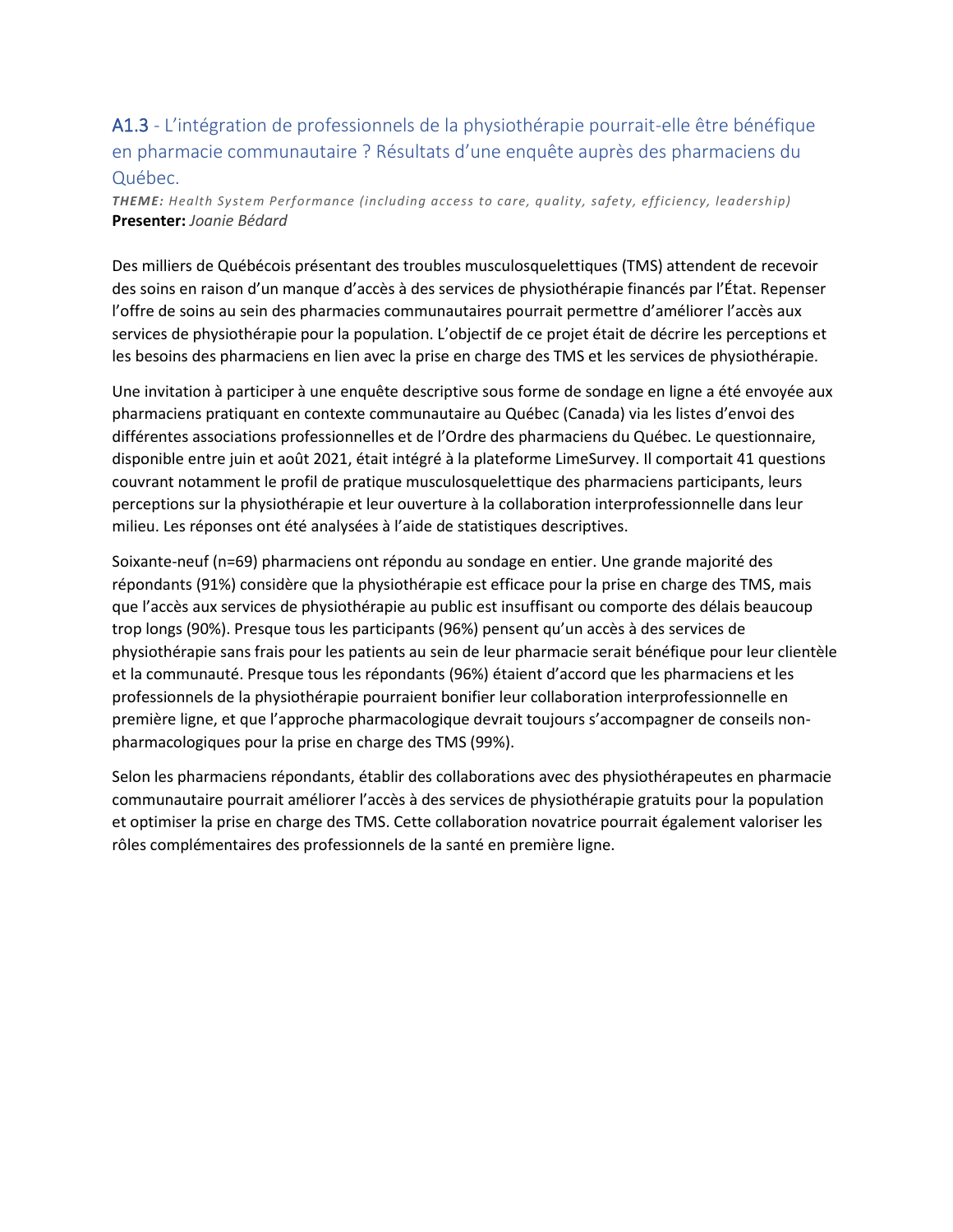## A1.3 - L'intégration de professionnels de la physiothérapie pourrait-elle être bénéfique en pharmacie communautaire ? Résultats d'une enquête auprès des pharmaciens du Québec.

*THEME: Health System Performance (including access to care, quality, safety, efficiency, leadership)* **Presenter:** *Joanie Bédard*

Des milliers de Québécois présentant des troubles musculosquelettiques (TMS) attendent de recevoir des soins en raison d'un manque d'accès à des services de physiothérapie financés par l'État. Repenser l'offre de soins au sein des pharmacies communautaires pourrait permettre d'améliorer l'accès aux services de physiothérapie pour la population. L'objectif de ce projet était de décrire les perceptions et les besoins des pharmaciens en lien avec la prise en charge des TMS et les services de physiothérapie.

Une invitation à participer à une enquête descriptive sous forme de sondage en ligne a été envoyée aux pharmaciens pratiquant en contexte communautaire au Québec (Canada) via les listes d'envoi des différentes associations professionnelles et de l'Ordre des pharmaciens du Québec. Le questionnaire, disponible entre juin et août 2021, était intégré à la plateforme LimeSurvey. Il comportait 41 questions couvrant notamment le profil de pratique musculosquelettique des pharmaciens participants, leurs perceptions sur la physiothérapie et leur ouverture à la collaboration interprofessionnelle dans leur milieu. Les réponses ont été analysées à l'aide de statistiques descriptives.

Soixante-neuf (n=69) pharmaciens ont répondu au sondage en entier. Une grande majorité des répondants (91%) considère que la physiothérapie est efficace pour la prise en charge des TMS, mais que l'accès aux services de physiothérapie au public est insuffisant ou comporte des délais beaucoup trop longs (90%). Presque tous les participants (96%) pensent qu'un accès à des services de physiothérapie sans frais pour les patients au sein de leur pharmacie serait bénéfique pour leur clientèle et la communauté. Presque tous les répondants (96%) étaient d'accord que les pharmaciens et les professionnels de la physiothérapie pourraient bonifier leur collaboration interprofessionnelle en première ligne, et que l'approche pharmacologique devrait toujours s'accompagner de conseils nonpharmacologiques pour la prise en charge des TMS (99%).

Selon les pharmaciens répondants, établir des collaborations avec des physiothérapeutes en pharmacie communautaire pourrait améliorer l'accès à des services de physiothérapie gratuits pour la population et optimiser la prise en charge des TMS. Cette collaboration novatrice pourrait également valoriser les rôles complémentaires des professionnels de la santé en première ligne.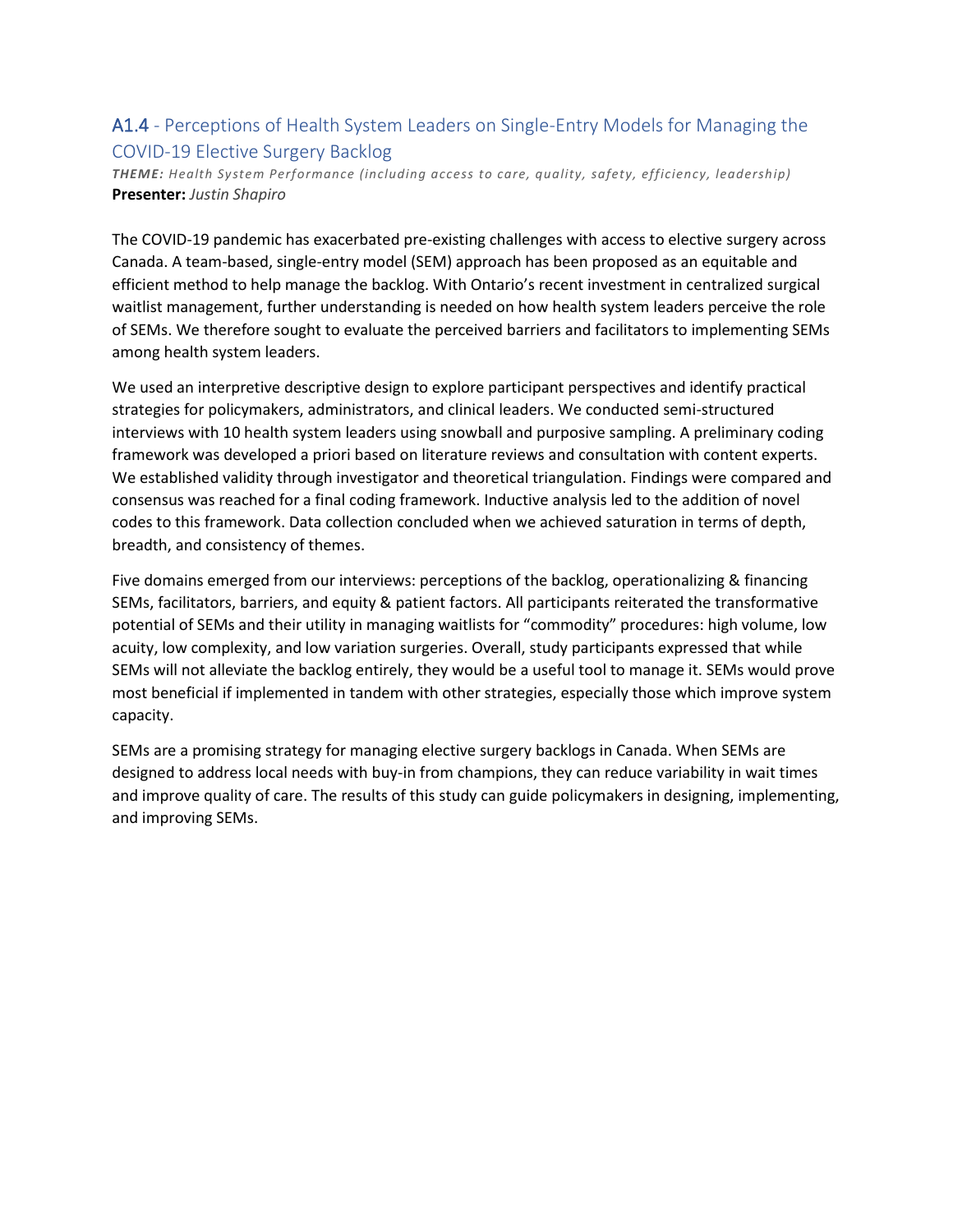### A1.4 - Perceptions of Health System Leaders on Single-Entry Models for Managing the COVID-19 Elective Surgery Backlog

*THEME: Health System Performance (including access to care, quality, safety, efficiency, leadership)* **Presenter:** *Justin Shapiro*

The COVID-19 pandemic has exacerbated pre-existing challenges with access to elective surgery across Canada. A team-based, single-entry model (SEM) approach has been proposed as an equitable and efficient method to help manage the backlog. With Ontario's recent investment in centralized surgical waitlist management, further understanding is needed on how health system leaders perceive the role of SEMs. We therefore sought to evaluate the perceived barriers and facilitators to implementing SEMs among health system leaders.

We used an interpretive descriptive design to explore participant perspectives and identify practical strategies for policymakers, administrators, and clinical leaders. We conducted semi-structured interviews with 10 health system leaders using snowball and purposive sampling. A preliminary coding framework was developed a priori based on literature reviews and consultation with content experts. We established validity through investigator and theoretical triangulation. Findings were compared and consensus was reached for a final coding framework. Inductive analysis led to the addition of novel codes to this framework. Data collection concluded when we achieved saturation in terms of depth, breadth, and consistency of themes.

Five domains emerged from our interviews: perceptions of the backlog, operationalizing & financing SEMs, facilitators, barriers, and equity & patient factors. All participants reiterated the transformative potential of SEMs and their utility in managing waitlists for "commodity" procedures: high volume, low acuity, low complexity, and low variation surgeries. Overall, study participants expressed that while SEMs will not alleviate the backlog entirely, they would be a useful tool to manage it. SEMs would prove most beneficial if implemented in tandem with other strategies, especially those which improve system capacity.

SEMs are a promising strategy for managing elective surgery backlogs in Canada. When SEMs are designed to address local needs with buy-in from champions, they can reduce variability in wait times and improve quality of care. The results of this study can guide policymakers in designing, implementing, and improving SEMs.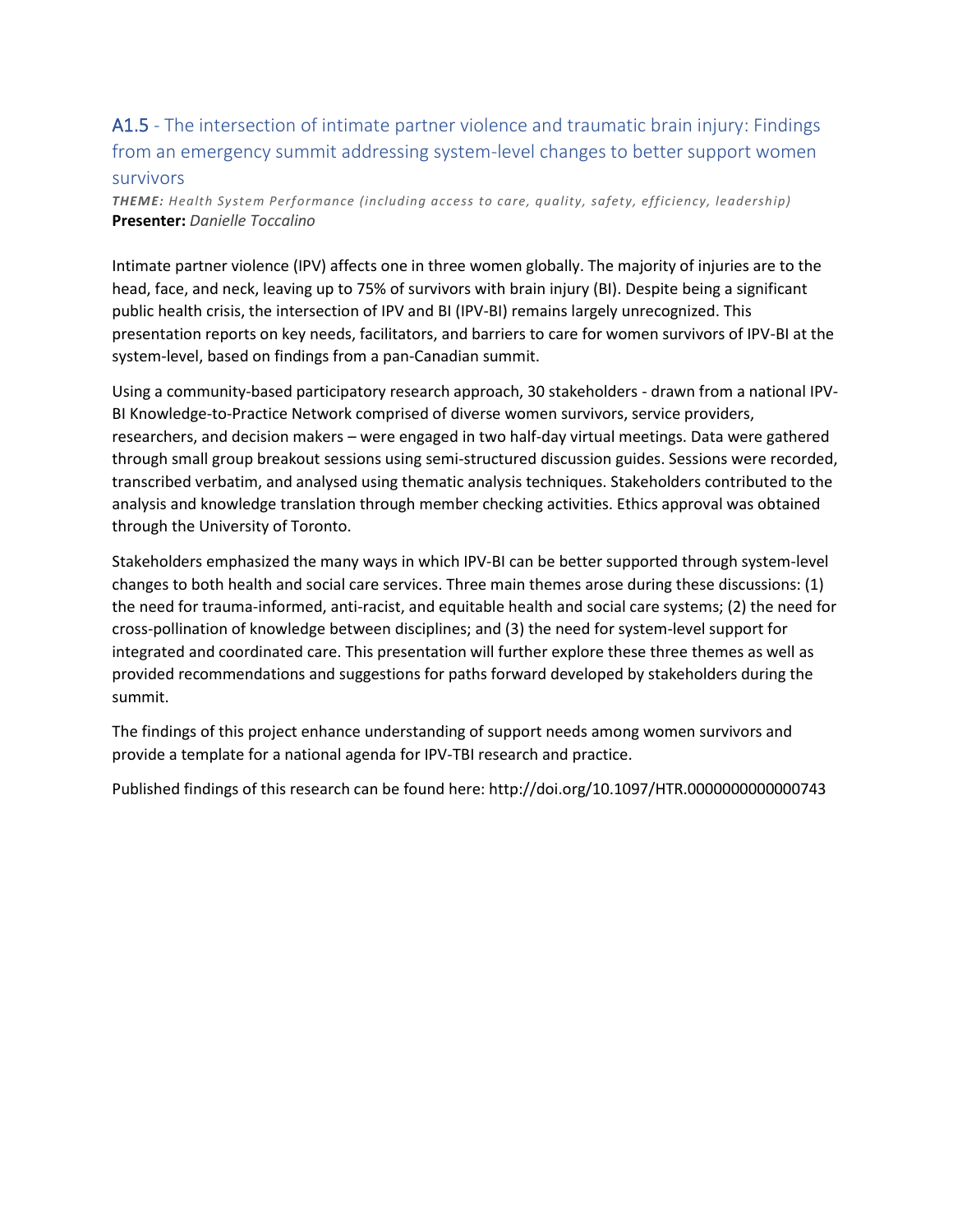### A1.5 - The intersection of intimate partner violence and traumatic brain injury: Findings from an emergency summit addressing system-level changes to better support women survivors

*THEME: Health System Performance (including access to care, quality, safety, efficiency, leadership)* **Presenter:** *Danielle Toccalino*

Intimate partner violence (IPV) affects one in three women globally. The majority of injuries are to the head, face, and neck, leaving up to 75% of survivors with brain injury (BI). Despite being a significant public health crisis, the intersection of IPV and BI (IPV-BI) remains largely unrecognized. This presentation reports on key needs, facilitators, and barriers to care for women survivors of IPV-BI at the system-level, based on findings from a pan-Canadian summit.

Using a community-based participatory research approach, 30 stakeholders - drawn from a national IPV-BI Knowledge-to-Practice Network comprised of diverse women survivors, service providers, researchers, and decision makers – were engaged in two half-day virtual meetings. Data were gathered through small group breakout sessions using semi-structured discussion guides. Sessions were recorded, transcribed verbatim, and analysed using thematic analysis techniques. Stakeholders contributed to the analysis and knowledge translation through member checking activities. Ethics approval was obtained through the University of Toronto.

Stakeholders emphasized the many ways in which IPV-BI can be better supported through system-level changes to both health and social care services. Three main themes arose during these discussions: (1) the need for trauma-informed, anti-racist, and equitable health and social care systems; (2) the need for cross-pollination of knowledge between disciplines; and (3) the need for system-level support for integrated and coordinated care. This presentation will further explore these three themes as well as provided recommendations and suggestions for paths forward developed by stakeholders during the summit.

The findings of this project enhance understanding of support needs among women survivors and provide a template for a national agenda for IPV-TBI research and practice.

Published findings of this research can be found here: http://doi.org/10.1097/HTR.0000000000000743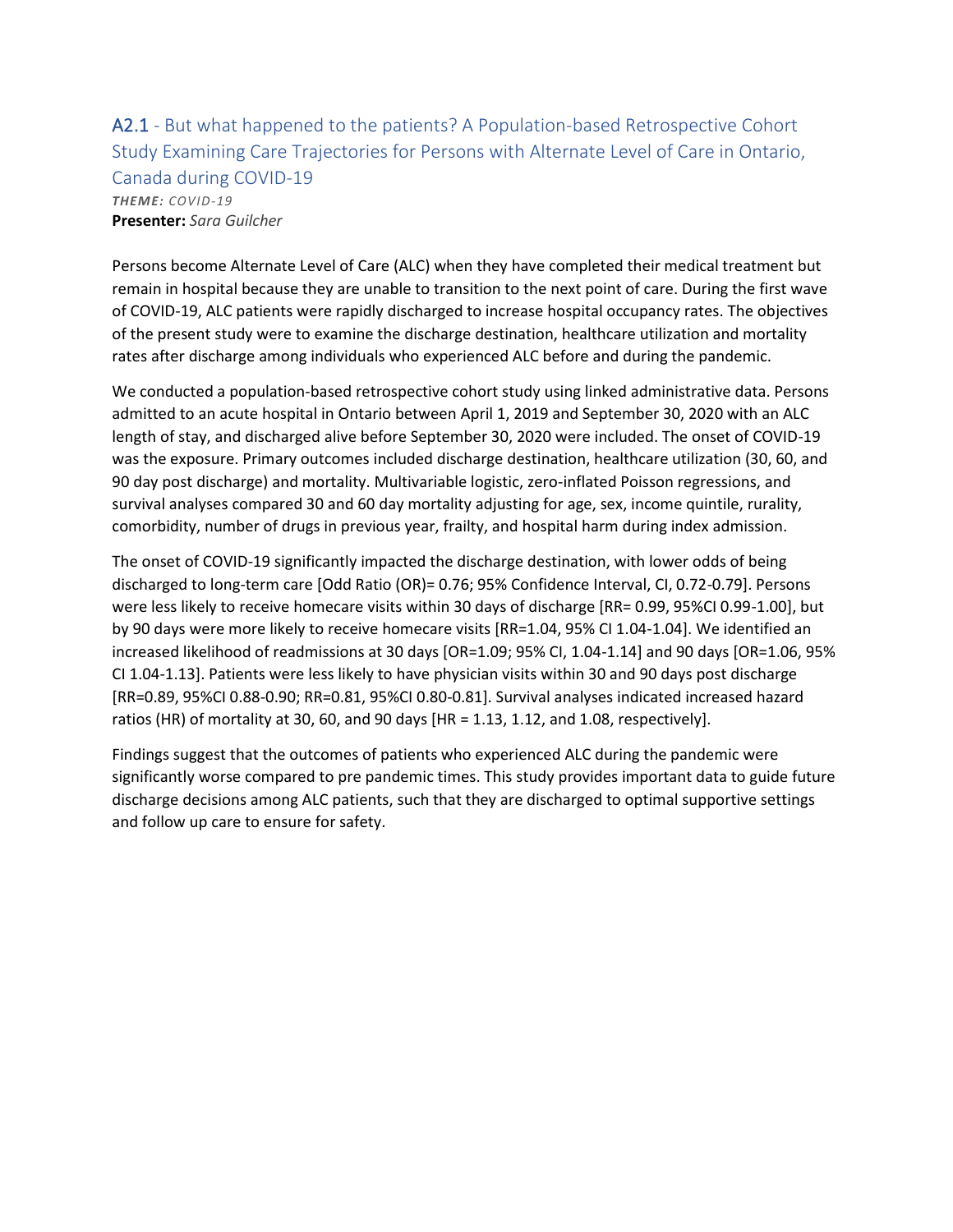### A2.1 - But what happened to the patients? A Population-based Retrospective Cohort Study Examining Care Trajectories for Persons with Alternate Level of Care in Ontario, Canada during COVID-19 *THEME: COVID-19*

**Presenter:** *Sara Guilcher*

Persons become Alternate Level of Care (ALC) when they have completed their medical treatment but remain in hospital because they are unable to transition to the next point of care. During the first wave of COVID-19, ALC patients were rapidly discharged to increase hospital occupancy rates. The objectives of the present study were to examine the discharge destination, healthcare utilization and mortality rates after discharge among individuals who experienced ALC before and during the pandemic.

We conducted a population-based retrospective cohort study using linked administrative data. Persons admitted to an acute hospital in Ontario between April 1, 2019 and September 30, 2020 with an ALC length of stay, and discharged alive before September 30, 2020 were included. The onset of COVID-19 was the exposure. Primary outcomes included discharge destination, healthcare utilization (30, 60, and 90 day post discharge) and mortality. Multivariable logistic, zero-inflated Poisson regressions, and survival analyses compared 30 and 60 day mortality adjusting for age, sex, income quintile, rurality, comorbidity, number of drugs in previous year, frailty, and hospital harm during index admission.

The onset of COVID-19 significantly impacted the discharge destination, with lower odds of being discharged to long-term care [Odd Ratio (OR)= 0.76; 95% Confidence Interval, CI, 0.72-0.79]. Persons were less likely to receive homecare visits within 30 days of discharge [RR= 0.99, 95%CI 0.99-1.00], but by 90 days were more likely to receive homecare visits [RR=1.04, 95% CI 1.04-1.04]. We identified an increased likelihood of readmissions at 30 days [OR=1.09; 95% CI, 1.04-1.14] and 90 days [OR=1.06, 95% CI 1.04-1.13]. Patients were less likely to have physician visits within 30 and 90 days post discharge [RR=0.89, 95%CI 0.88-0.90; RR=0.81, 95%CI 0.80-0.81]. Survival analyses indicated increased hazard ratios (HR) of mortality at 30, 60, and 90 days [HR = 1.13, 1.12, and 1.08, respectively].

Findings suggest that the outcomes of patients who experienced ALC during the pandemic were significantly worse compared to pre pandemic times. This study provides important data to guide future discharge decisions among ALC patients, such that they are discharged to optimal supportive settings and follow up care to ensure for safety.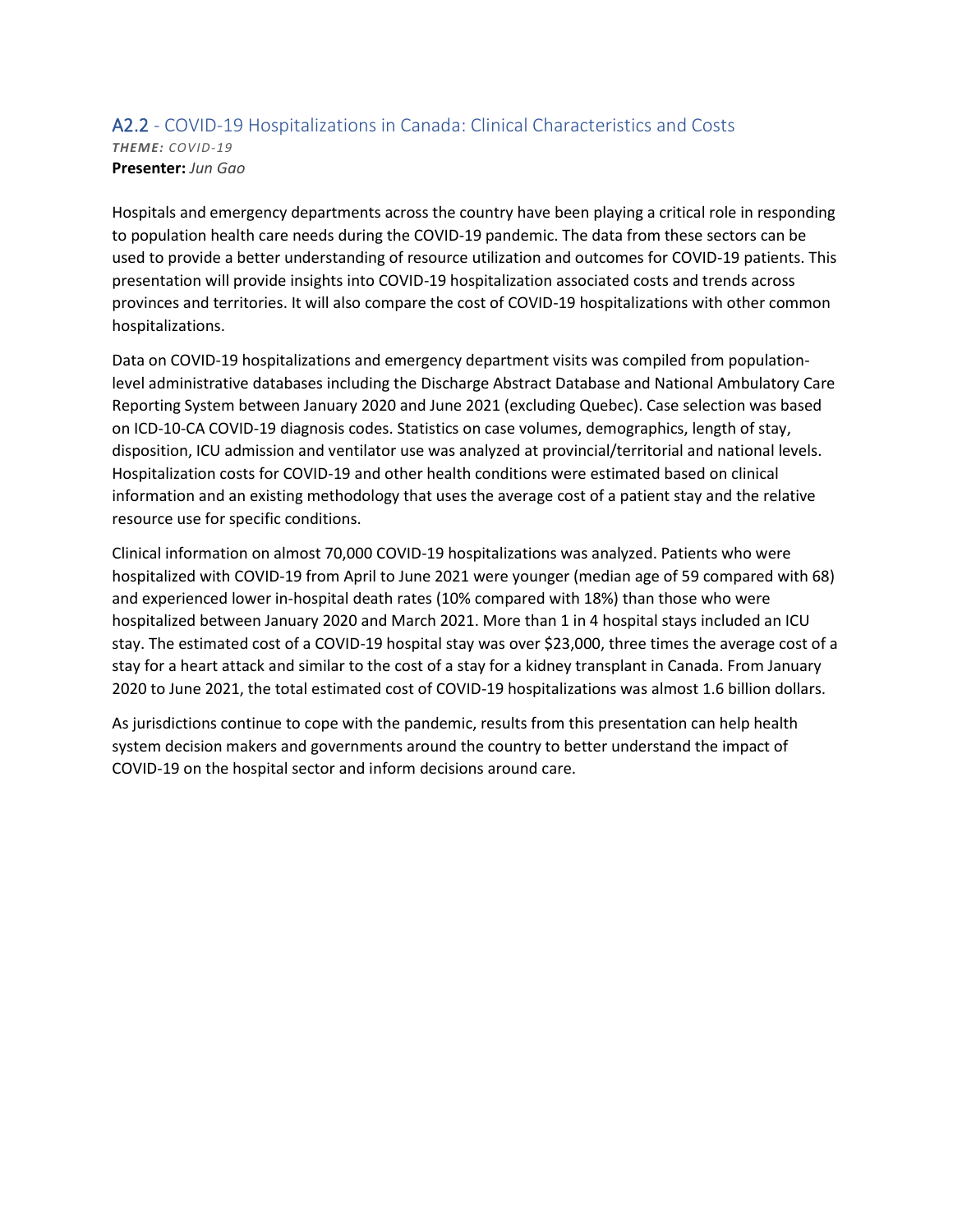### A2.2 - COVID-19 Hospitalizations in Canada: Clinical Characteristics and Costs *THEME: COVID-19* **Presenter:** *Jun Gao*

Hospitals and emergency departments across the country have been playing a critical role in responding to population health care needs during the COVID-19 pandemic. The data from these sectors can be used to provide a better understanding of resource utilization and outcomes for COVID-19 patients. This presentation will provide insights into COVID-19 hospitalization associated costs and trends across provinces and territories. It will also compare the cost of COVID-19 hospitalizations with other common hospitalizations.

Data on COVID-19 hospitalizations and emergency department visits was compiled from populationlevel administrative databases including the Discharge Abstract Database and National Ambulatory Care Reporting System between January 2020 and June 2021 (excluding Quebec). Case selection was based on ICD-10-CA COVID-19 diagnosis codes. Statistics on case volumes, demographics, length of stay, disposition, ICU admission and ventilator use was analyzed at provincial/territorial and national levels. Hospitalization costs for COVID-19 and other health conditions were estimated based on clinical information and an existing methodology that uses the average cost of a patient stay and the relative resource use for specific conditions.

Clinical information on almost 70,000 COVID-19 hospitalizations was analyzed. Patients who were hospitalized with COVID-19 from April to June 2021 were younger (median age of 59 compared with 68) and experienced lower in-hospital death rates (10% compared with 18%) than those who were hospitalized between January 2020 and March 2021. More than 1 in 4 hospital stays included an ICU stay. The estimated cost of a COVID-19 hospital stay was over \$23,000, three times the average cost of a stay for a heart attack and similar to the cost of a stay for a kidney transplant in Canada. From January 2020 to June 2021, the total estimated cost of COVID-19 hospitalizations was almost 1.6 billion dollars.

As jurisdictions continue to cope with the pandemic, results from this presentation can help health system decision makers and governments around the country to better understand the impact of COVID-19 on the hospital sector and inform decisions around care.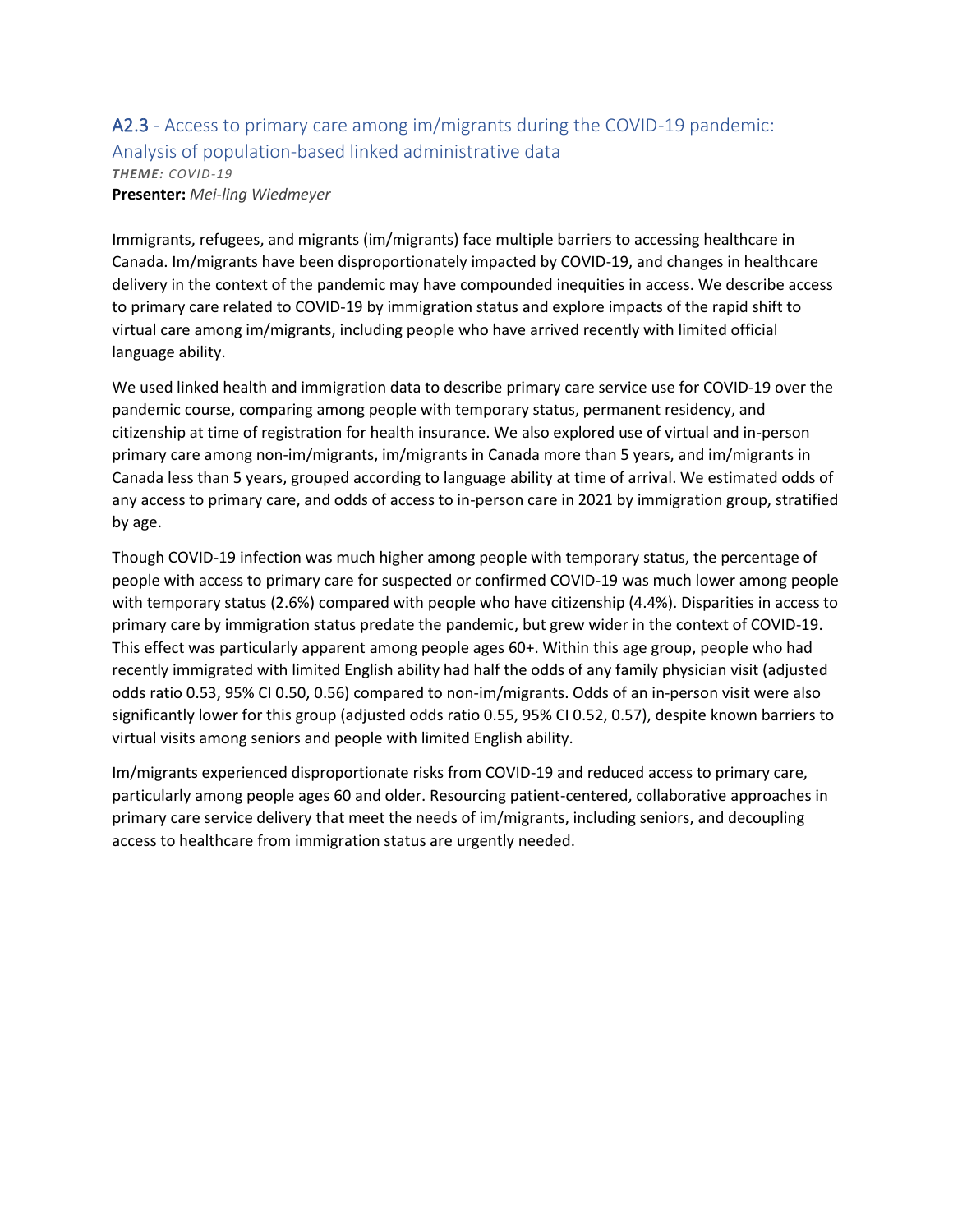### A2.3 - Access to primary care among im/migrants during the COVID-19 pandemic: Analysis of population-based linked administrative data *THEME: COVID-19* **Presenter:** *Mei-ling Wiedmeyer*

Immigrants, refugees, and migrants (im/migrants) face multiple barriers to accessing healthcare in Canada. Im/migrants have been disproportionately impacted by COVID-19, and changes in healthcare delivery in the context of the pandemic may have compounded inequities in access. We describe access to primary care related to COVID-19 by immigration status and explore impacts of the rapid shift to virtual care among im/migrants, including people who have arrived recently with limited official language ability.

We used linked health and immigration data to describe primary care service use for COVID-19 over the pandemic course, comparing among people with temporary status, permanent residency, and citizenship at time of registration for health insurance. We also explored use of virtual and in-person primary care among non-im/migrants, im/migrants in Canada more than 5 years, and im/migrants in Canada less than 5 years, grouped according to language ability at time of arrival. We estimated odds of any access to primary care, and odds of access to in-person care in 2021 by immigration group, stratified by age.

Though COVID-19 infection was much higher among people with temporary status, the percentage of people with access to primary care for suspected or confirmed COVID-19 was much lower among people with temporary status (2.6%) compared with people who have citizenship (4.4%). Disparities in access to primary care by immigration status predate the pandemic, but grew wider in the context of COVID-19. This effect was particularly apparent among people ages 60+. Within this age group, people who had recently immigrated with limited English ability had half the odds of any family physician visit (adjusted odds ratio 0.53, 95% CI 0.50, 0.56) compared to non-im/migrants. Odds of an in-person visit were also significantly lower for this group (adjusted odds ratio 0.55, 95% CI 0.52, 0.57), despite known barriers to virtual visits among seniors and people with limited English ability.

Im/migrants experienced disproportionate risks from COVID-19 and reduced access to primary care, particularly among people ages 60 and older. Resourcing patient-centered, collaborative approaches in primary care service delivery that meet the needs of im/migrants, including seniors, and decoupling access to healthcare from immigration status are urgently needed.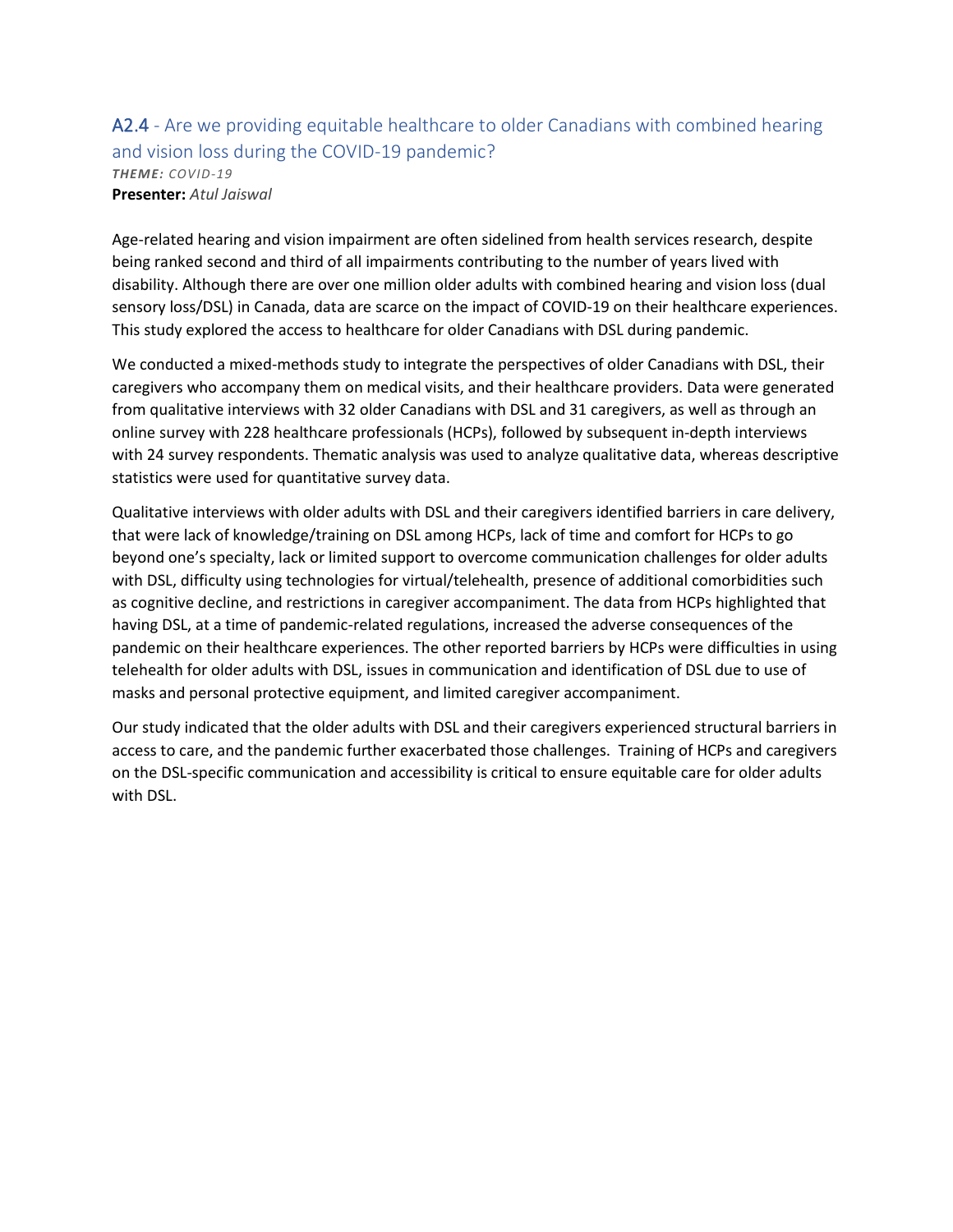### A2.4 - Are we providing equitable healthcare to older Canadians with combined hearing and vision loss during the COVID-19 pandemic? *THEME: COVID-19* **Presenter:** *Atul Jaiswal*

Age-related hearing and vision impairment are often sidelined from health services research, despite being ranked second and third of all impairments contributing to the number of years lived with disability. Although there are over one million older adults with combined hearing and vision loss (dual sensory loss/DSL) in Canada, data are scarce on the impact of COVID-19 on their healthcare experiences. This study explored the access to healthcare for older Canadians with DSL during pandemic.

We conducted a mixed-methods study to integrate the perspectives of older Canadians with DSL, their caregivers who accompany them on medical visits, and their healthcare providers. Data were generated from qualitative interviews with 32 older Canadians with DSL and 31 caregivers, as well as through an online survey with 228 healthcare professionals (HCPs), followed by subsequent in-depth interviews with 24 survey respondents. Thematic analysis was used to analyze qualitative data, whereas descriptive statistics were used for quantitative survey data.

Qualitative interviews with older adults with DSL and their caregivers identified barriers in care delivery, that were lack of knowledge/training on DSL among HCPs, lack of time and comfort for HCPs to go beyond one's specialty, lack or limited support to overcome communication challenges for older adults with DSL, difficulty using technologies for virtual/telehealth, presence of additional comorbidities such as cognitive decline, and restrictions in caregiver accompaniment. The data from HCPs highlighted that having DSL, at a time of pandemic-related regulations, increased the adverse consequences of the pandemic on their healthcare experiences. The other reported barriers by HCPs were difficulties in using telehealth for older adults with DSL, issues in communication and identification of DSL due to use of masks and personal protective equipment, and limited caregiver accompaniment.

Our study indicated that the older adults with DSL and their caregivers experienced structural barriers in access to care, and the pandemic further exacerbated those challenges. Training of HCPs and caregivers on the DSL-specific communication and accessibility is critical to ensure equitable care for older adults with DSL.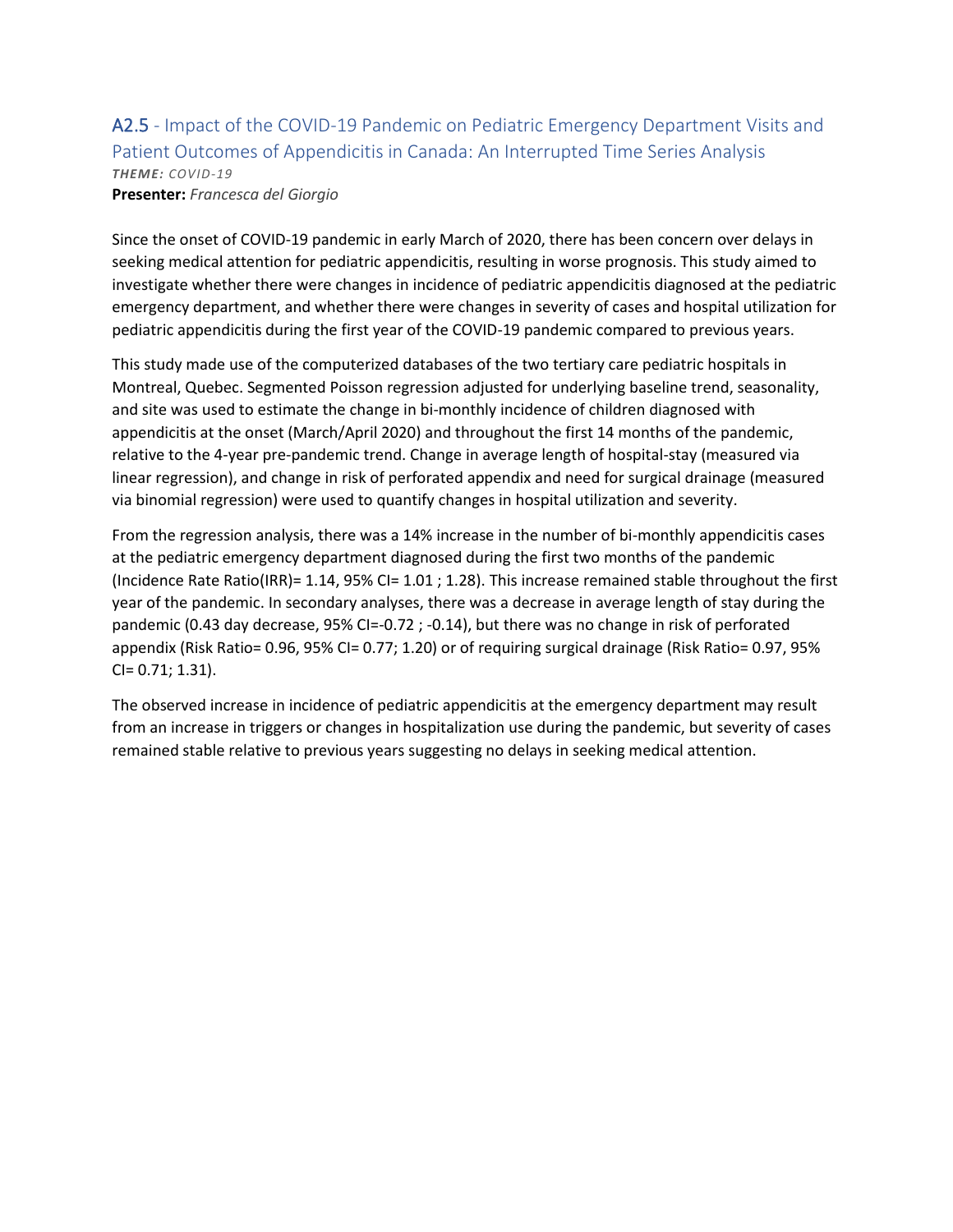# A2.5 - Impact of the COVID-19 Pandemic on Pediatric Emergency Department Visits and Patient Outcomes of Appendicitis in Canada: An Interrupted Time Series Analysis *THEME: COVID-19*

**Presenter:** *Francesca del Giorgio*

Since the onset of COVID-19 pandemic in early March of 2020, there has been concern over delays in seeking medical attention for pediatric appendicitis, resulting in worse prognosis. This study aimed to investigate whether there were changes in incidence of pediatric appendicitis diagnosed at the pediatric emergency department, and whether there were changes in severity of cases and hospital utilization for pediatric appendicitis during the first year of the COVID-19 pandemic compared to previous years.

This study made use of the computerized databases of the two tertiary care pediatric hospitals in Montreal, Quebec. Segmented Poisson regression adjusted for underlying baseline trend, seasonality, and site was used to estimate the change in bi-monthly incidence of children diagnosed with appendicitis at the onset (March/April 2020) and throughout the first 14 months of the pandemic, relative to the 4-year pre-pandemic trend. Change in average length of hospital-stay (measured via linear regression), and change in risk of perforated appendix and need for surgical drainage (measured via binomial regression) were used to quantify changes in hospital utilization and severity.

From the regression analysis, there was a 14% increase in the number of bi-monthly appendicitis cases at the pediatric emergency department diagnosed during the first two months of the pandemic (Incidence Rate Ratio(IRR)= 1.14, 95% CI= 1.01 ; 1.28). This increase remained stable throughout the first year of the pandemic. In secondary analyses, there was a decrease in average length of stay during the pandemic (0.43 day decrease, 95% CI=-0.72 ; -0.14), but there was no change in risk of perforated appendix (Risk Ratio= 0.96, 95% CI= 0.77; 1.20) or of requiring surgical drainage (Risk Ratio= 0.97, 95% CI= 0.71; 1.31).

The observed increase in incidence of pediatric appendicitis at the emergency department may result from an increase in triggers or changes in hospitalization use during the pandemic, but severity of cases remained stable relative to previous years suggesting no delays in seeking medical attention.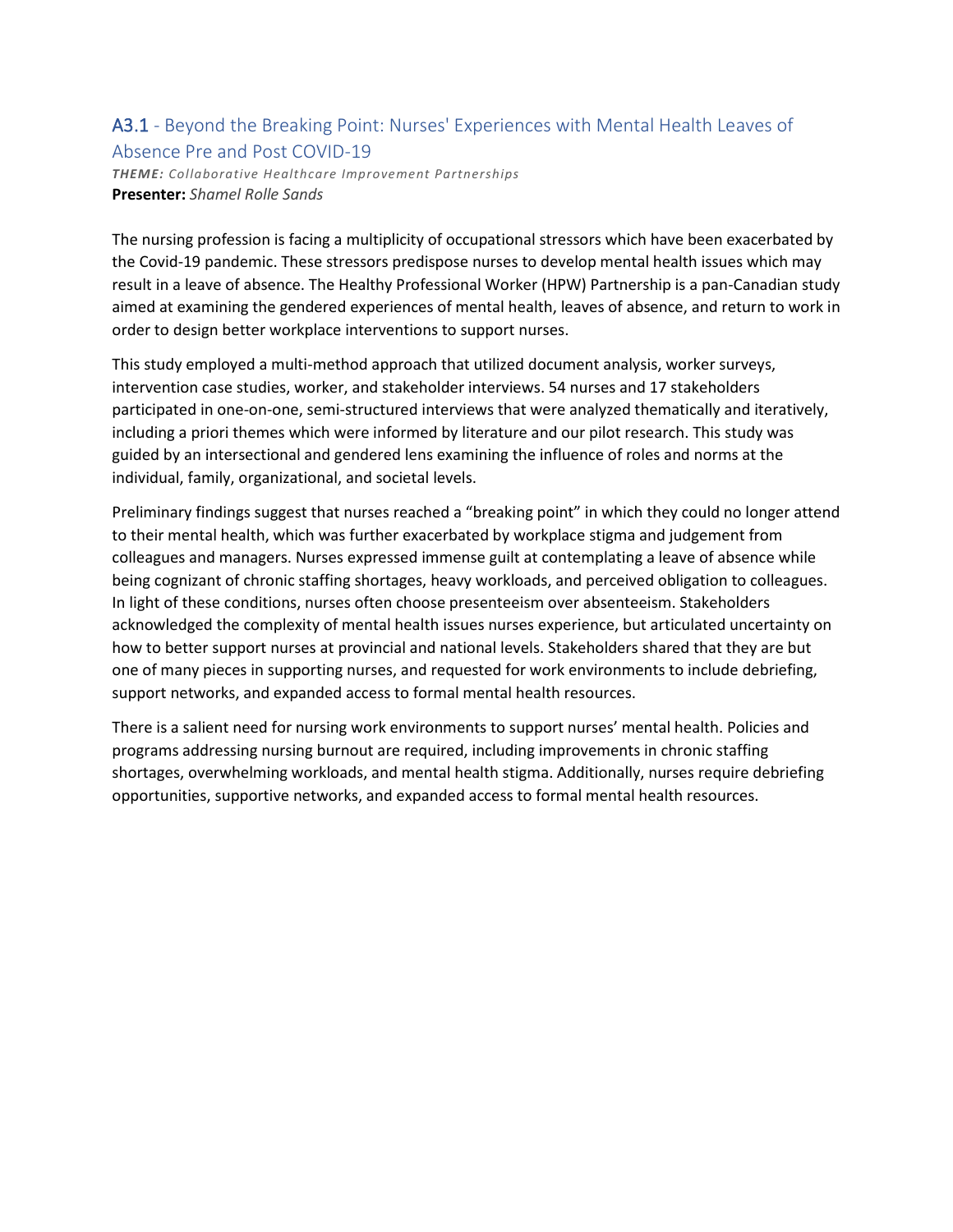### A3.1 - Beyond the Breaking Point: Nurses' Experiences with Mental Health Leaves of Absence Pre and Post COVID-19

*THEME: Collaborative Healthcare Improvement Partnerships* **Presenter:** *Shamel Rolle Sands*

The nursing profession is facing a multiplicity of occupational stressors which have been exacerbated by the Covid-19 pandemic. These stressors predispose nurses to develop mental health issues which may result in a leave of absence. The Healthy Professional Worker (HPW) Partnership is a pan-Canadian study aimed at examining the gendered experiences of mental health, leaves of absence, and return to work in order to design better workplace interventions to support nurses.

This study employed a multi-method approach that utilized document analysis, worker surveys, intervention case studies, worker, and stakeholder interviews. 54 nurses and 17 stakeholders participated in one-on-one, semi-structured interviews that were analyzed thematically and iteratively, including a priori themes which were informed by literature and our pilot research. This study was guided by an intersectional and gendered lens examining the influence of roles and norms at the individual, family, organizational, and societal levels.

Preliminary findings suggest that nurses reached a "breaking point" in which they could no longer attend to their mental health, which was further exacerbated by workplace stigma and judgement from colleagues and managers. Nurses expressed immense guilt at contemplating a leave of absence while being cognizant of chronic staffing shortages, heavy workloads, and perceived obligation to colleagues. In light of these conditions, nurses often choose presenteeism over absenteeism. Stakeholders acknowledged the complexity of mental health issues nurses experience, but articulated uncertainty on how to better support nurses at provincial and national levels. Stakeholders shared that they are but one of many pieces in supporting nurses, and requested for work environments to include debriefing, support networks, and expanded access to formal mental health resources.

There is a salient need for nursing work environments to support nurses' mental health. Policies and programs addressing nursing burnout are required, including improvements in chronic staffing shortages, overwhelming workloads, and mental health stigma. Additionally, nurses require debriefing opportunities, supportive networks, and expanded access to formal mental health resources.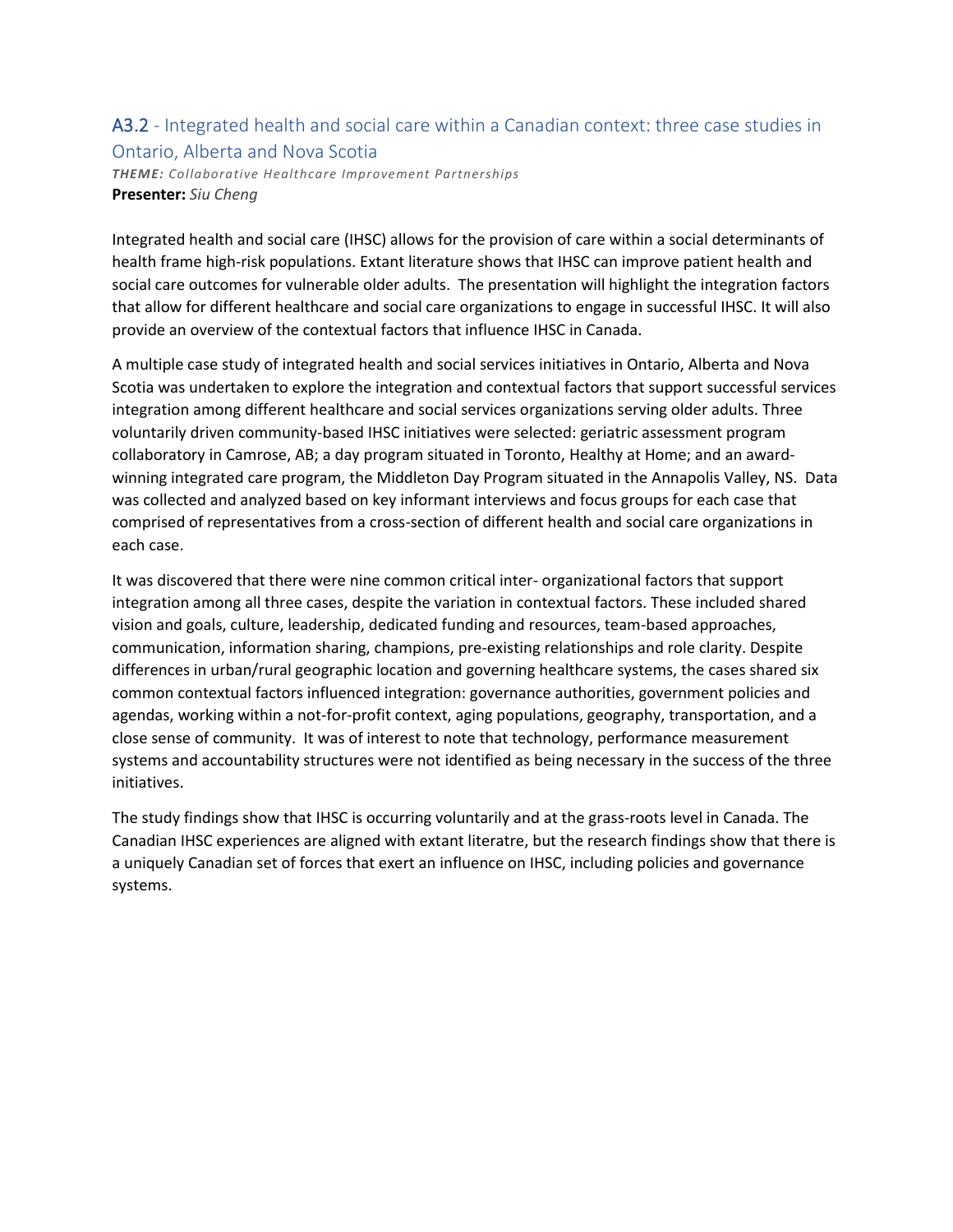### A3.2 - Integrated health and social care within a Canadian context: three case studies in Ontario, Alberta and Nova Scotia

*THEME: Collaborative Healthcare Improvement Partnerships* **Presenter:** *Siu Cheng*

Integrated health and social care (IHSC) allows for the provision of care within a social determinants of health frame high-risk populations. Extant literature shows that IHSC can improve patient health and social care outcomes for vulnerable older adults. The presentation will highlight the integration factors that allow for different healthcare and social care organizations to engage in successful IHSC. It will also provide an overview of the contextual factors that influence IHSC in Canada.

A multiple case study of integrated health and social services initiatives in Ontario, Alberta and Nova Scotia was undertaken to explore the integration and contextual factors that support successful services integration among different healthcare and social services organizations serving older adults. Three voluntarily driven community-based IHSC initiatives were selected: geriatric assessment program collaboratory in Camrose, AB; a day program situated in Toronto, Healthy at Home; and an awardwinning integrated care program, the Middleton Day Program situated in the Annapolis Valley, NS. Data was collected and analyzed based on key informant interviews and focus groups for each case that comprised of representatives from a cross-section of different health and social care organizations in each case.

It was discovered that there were nine common critical inter- organizational factors that support integration among all three cases, despite the variation in contextual factors. These included shared vision and goals, culture, leadership, dedicated funding and resources, team-based approaches, communication, information sharing, champions, pre-existing relationships and role clarity. Despite differences in urban/rural geographic location and governing healthcare systems, the cases shared six common contextual factors influenced integration: governance authorities, government policies and agendas, working within a not-for-profit context, aging populations, geography, transportation, and a close sense of community. It was of interest to note that technology, performance measurement systems and accountability structures were not identified as being necessary in the success of the three initiatives.

The study findings show that IHSC is occurring voluntarily and at the grass-roots level in Canada. The Canadian IHSC experiences are aligned with extant literatre, but the research findings show that there is a uniquely Canadian set of forces that exert an influence on IHSC, including policies and governance systems.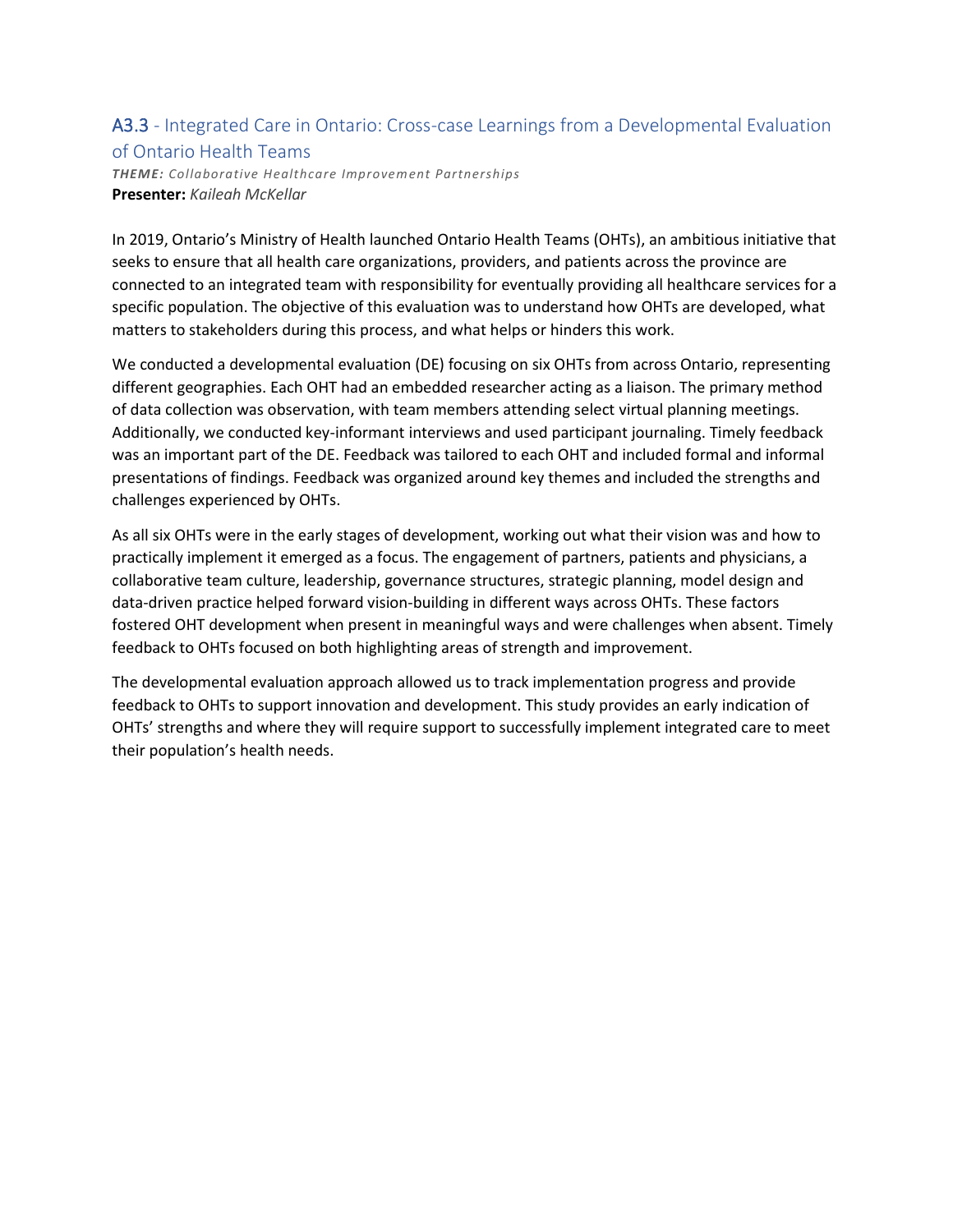### A3.3 - Integrated Care in Ontario: Cross-case Learnings from a Developmental Evaluation of Ontario Health Teams

*THEME: Collaborative Healthcare Improvement Partnerships* **Presenter:** *Kaileah McKellar*

In 2019, Ontario's Ministry of Health launched Ontario Health Teams (OHTs), an ambitious initiative that seeks to ensure that all health care organizations, providers, and patients across the province are connected to an integrated team with responsibility for eventually providing all healthcare services for a specific population. The objective of this evaluation was to understand how OHTs are developed, what matters to stakeholders during this process, and what helps or hinders this work.

We conducted a developmental evaluation (DE) focusing on six OHTs from across Ontario, representing different geographies. Each OHT had an embedded researcher acting as a liaison. The primary method of data collection was observation, with team members attending select virtual planning meetings. Additionally, we conducted key-informant interviews and used participant journaling. Timely feedback was an important part of the DE. Feedback was tailored to each OHT and included formal and informal presentations of findings. Feedback was organized around key themes and included the strengths and challenges experienced by OHTs.

As all six OHTs were in the early stages of development, working out what their vision was and how to practically implement it emerged as a focus. The engagement of partners, patients and physicians, a collaborative team culture, leadership, governance structures, strategic planning, model design and data-driven practice helped forward vision-building in different ways across OHTs. These factors fostered OHT development when present in meaningful ways and were challenges when absent. Timely feedback to OHTs focused on both highlighting areas of strength and improvement.

The developmental evaluation approach allowed us to track implementation progress and provide feedback to OHTs to support innovation and development. This study provides an early indication of OHTs' strengths and where they will require support to successfully implement integrated care to meet their population's health needs.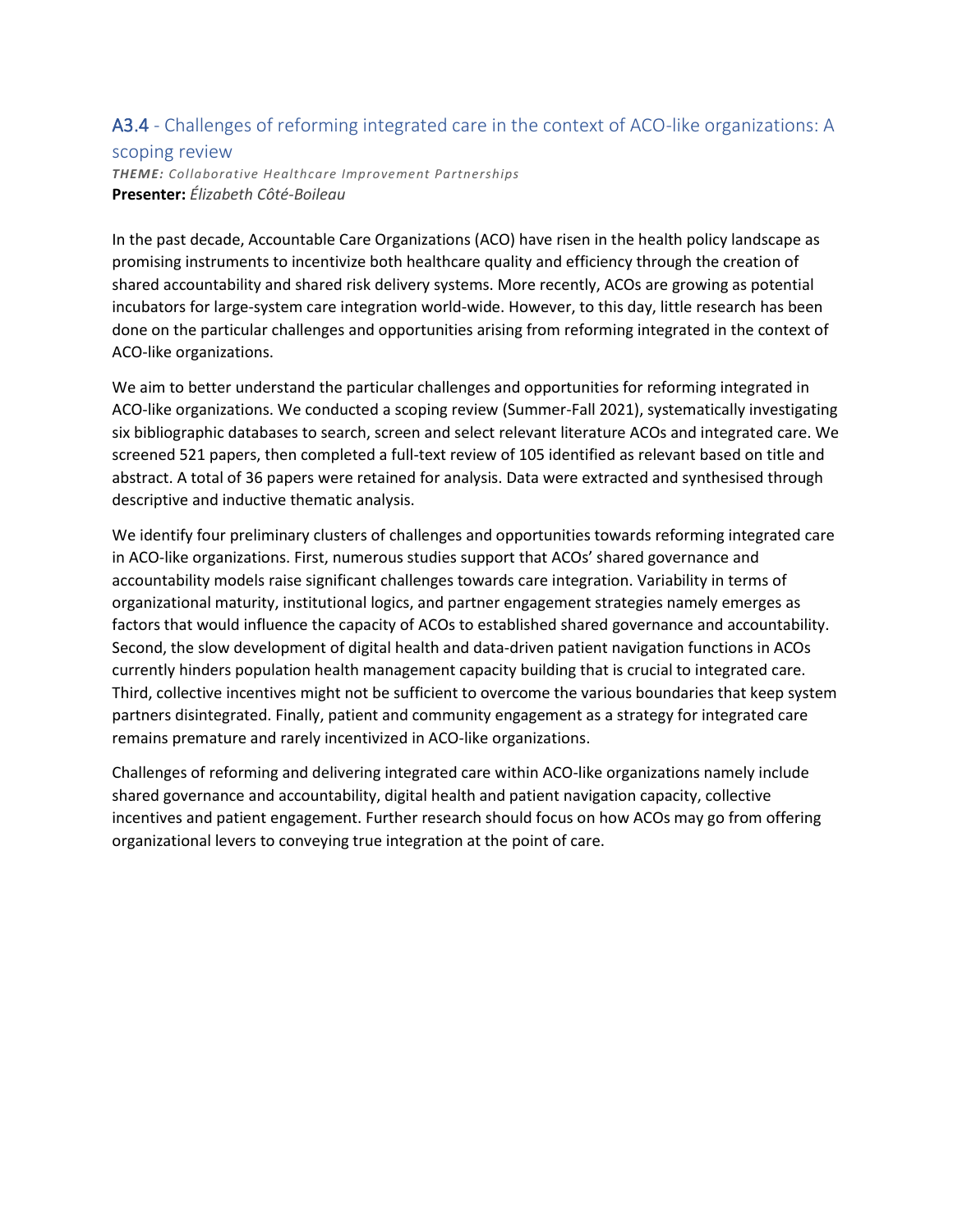## A3.4 - Challenges of reforming integrated care in the context of ACO-like organizations: A

#### scoping review

*THEME: Collaborative Healthcare Improvement Partnerships* **Presenter:** *Élizabeth Côté-Boileau*

In the past decade, Accountable Care Organizations (ACO) have risen in the health policy landscape as promising instruments to incentivize both healthcare quality and efficiency through the creation of shared accountability and shared risk delivery systems. More recently, ACOs are growing as potential incubators for large-system care integration world-wide. However, to this day, little research has been done on the particular challenges and opportunities arising from reforming integrated in the context of ACO-like organizations.

We aim to better understand the particular challenges and opportunities for reforming integrated in ACO-like organizations. We conducted a scoping review (Summer-Fall 2021), systematically investigating six bibliographic databases to search, screen and select relevant literature ACOs and integrated care. We screened 521 papers, then completed a full-text review of 105 identified as relevant based on title and abstract. A total of 36 papers were retained for analysis. Data were extracted and synthesised through descriptive and inductive thematic analysis.

We identify four preliminary clusters of challenges and opportunities towards reforming integrated care in ACO-like organizations. First, numerous studies support that ACOs' shared governance and accountability models raise significant challenges towards care integration. Variability in terms of organizational maturity, institutional logics, and partner engagement strategies namely emerges as factors that would influence the capacity of ACOs to established shared governance and accountability. Second, the slow development of digital health and data-driven patient navigation functions in ACOs currently hinders population health management capacity building that is crucial to integrated care. Third, collective incentives might not be sufficient to overcome the various boundaries that keep system partners disintegrated. Finally, patient and community engagement as a strategy for integrated care remains premature and rarely incentivized in ACO-like organizations.

Challenges of reforming and delivering integrated care within ACO-like organizations namely include shared governance and accountability, digital health and patient navigation capacity, collective incentives and patient engagement. Further research should focus on how ACOs may go from offering organizational levers to conveying true integration at the point of care.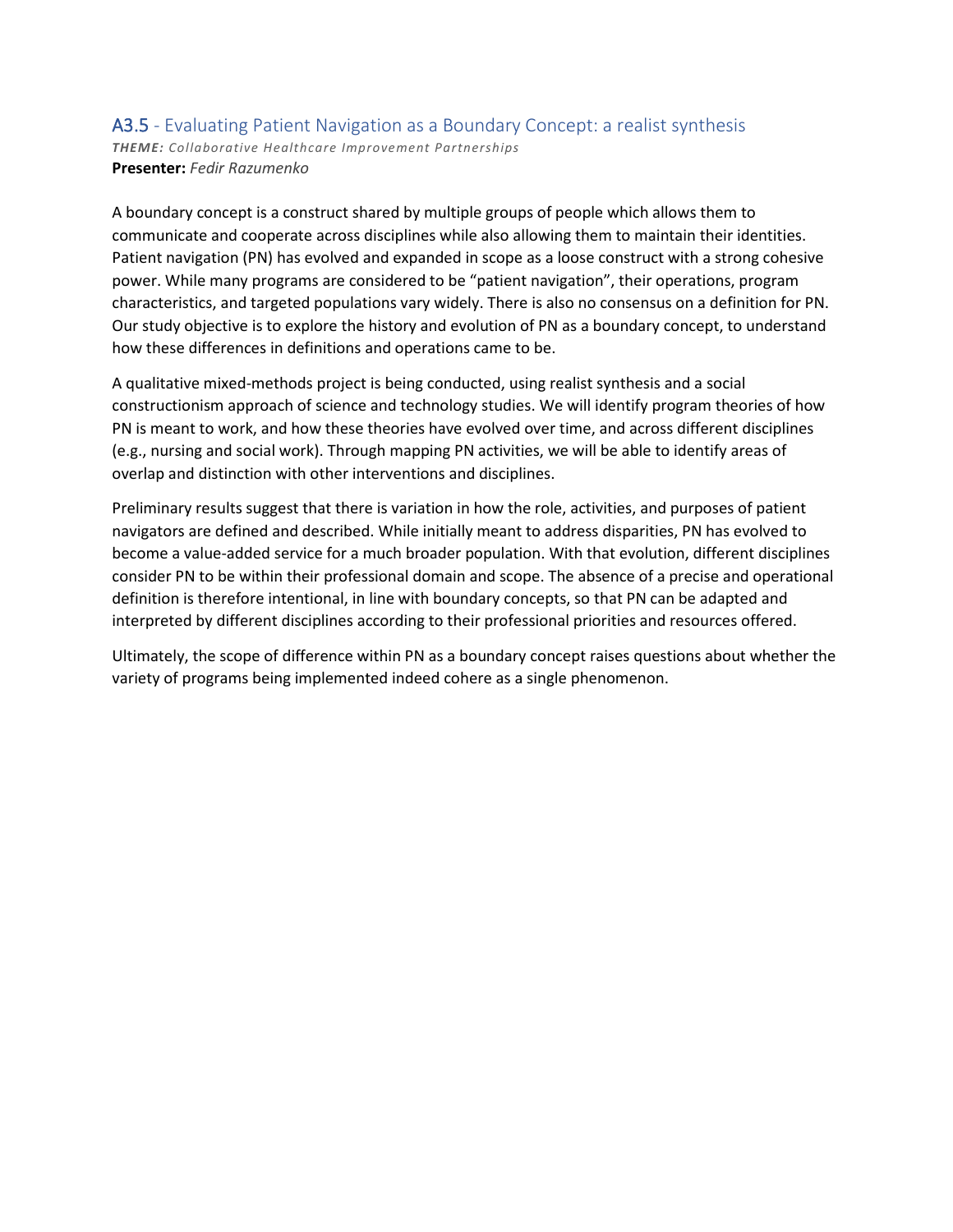#### A3.5 - Evaluating Patient Navigation as a Boundary Concept: a realist synthesis *THEME: Collaborative Healthcare Improvement Partnerships* **Presenter:** *Fedir Razumenko*

A boundary concept is a construct shared by multiple groups of people which allows them to communicate and cooperate across disciplines while also allowing them to maintain their identities. Patient navigation (PN) has evolved and expanded in scope as a loose construct with a strong cohesive power. While many programs are considered to be "patient navigation", their operations, program characteristics, and targeted populations vary widely. There is also no consensus on a definition for PN. Our study objective is to explore the history and evolution of PN as a boundary concept, to understand how these differences in definitions and operations came to be.

A qualitative mixed-methods project is being conducted, using realist synthesis and a social constructionism approach of science and technology studies. We will identify program theories of how PN is meant to work, and how these theories have evolved over time, and across different disciplines (e.g., nursing and social work). Through mapping PN activities, we will be able to identify areas of overlap and distinction with other interventions and disciplines.

Preliminary results suggest that there is variation in how the role, activities, and purposes of patient navigators are defined and described. While initially meant to address disparities, PN has evolved to become a value-added service for a much broader population. With that evolution, different disciplines consider PN to be within their professional domain and scope. The absence of a precise and operational definition is therefore intentional, in line with boundary concepts, so that PN can be adapted and interpreted by different disciplines according to their professional priorities and resources offered.

Ultimately, the scope of difference within PN as a boundary concept raises questions about whether the variety of programs being implemented indeed cohere as a single phenomenon.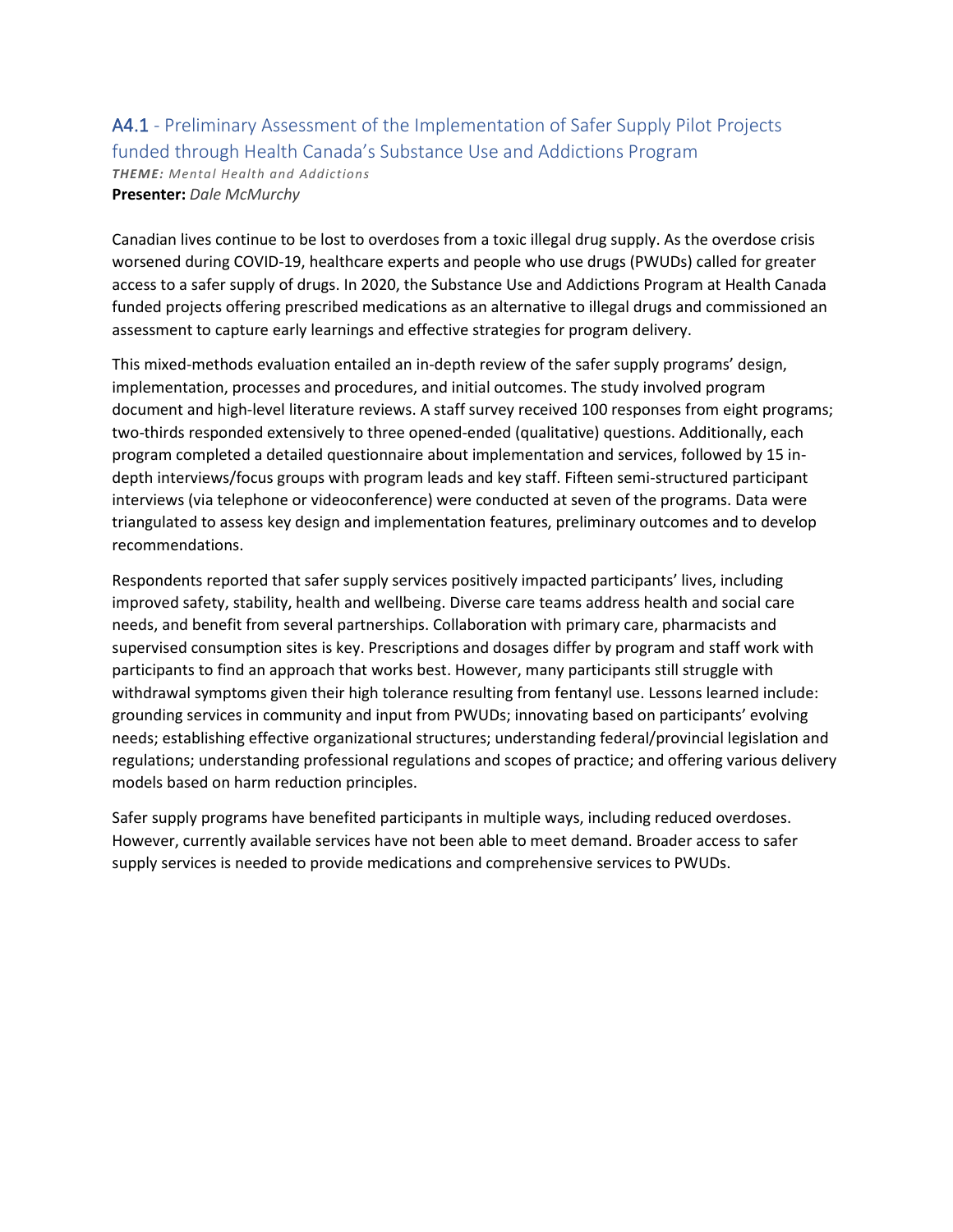#### A4.1 - Preliminary Assessment of the Implementation of Safer Supply Pilot Projects funded through Health Canada's Substance Use and Addictions Program *THEME: Mental Health and Addictions* **Presenter:** *Dale McMurchy*

Canadian lives continue to be lost to overdoses from a toxic illegal drug supply. As the overdose crisis worsened during COVID-19, healthcare experts and people who use drugs (PWUDs) called for greater access to a safer supply of drugs. In 2020, the Substance Use and Addictions Program at Health Canada funded projects offering prescribed medications as an alternative to illegal drugs and commissioned an assessment to capture early learnings and effective strategies for program delivery.

This mixed-methods evaluation entailed an in-depth review of the safer supply programs' design, implementation, processes and procedures, and initial outcomes. The study involved program document and high-level literature reviews. A staff survey received 100 responses from eight programs; two-thirds responded extensively to three opened-ended (qualitative) questions. Additionally, each program completed a detailed questionnaire about implementation and services, followed by 15 indepth interviews/focus groups with program leads and key staff. Fifteen semi-structured participant interviews (via telephone or videoconference) were conducted at seven of the programs. Data were triangulated to assess key design and implementation features, preliminary outcomes and to develop recommendations.

Respondents reported that safer supply services positively impacted participants' lives, including improved safety, stability, health and wellbeing. Diverse care teams address health and social care needs, and benefit from several partnerships. Collaboration with primary care, pharmacists and supervised consumption sites is key. Prescriptions and dosages differ by program and staff work with participants to find an approach that works best. However, many participants still struggle with withdrawal symptoms given their high tolerance resulting from fentanyl use. Lessons learned include: grounding services in community and input from PWUDs; innovating based on participants' evolving needs; establishing effective organizational structures; understanding federal/provincial legislation and regulations; understanding professional regulations and scopes of practice; and offering various delivery models based on harm reduction principles.

Safer supply programs have benefited participants in multiple ways, including reduced overdoses. However, currently available services have not been able to meet demand. Broader access to safer supply services is needed to provide medications and comprehensive services to PWUDs.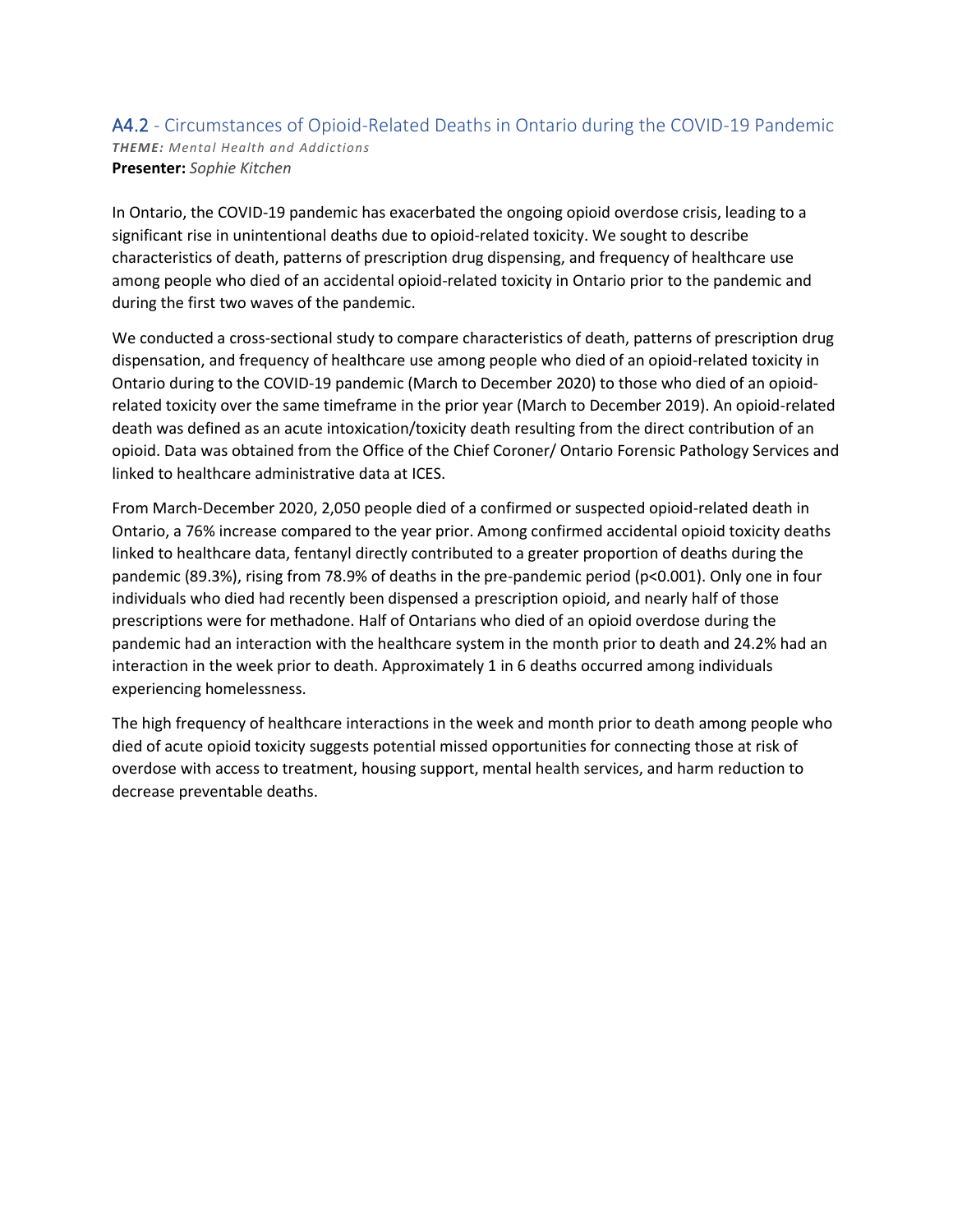#### A4.2 - Circumstances of Opioid-Related Deaths in Ontario during the COVID-19 Pandemic *THEME: Mental Health and Addictions* **Presenter:** *Sophie Kitchen*

In Ontario, the COVID-19 pandemic has exacerbated the ongoing opioid overdose crisis, leading to a significant rise in unintentional deaths due to opioid-related toxicity. We sought to describe characteristics of death, patterns of prescription drug dispensing, and frequency of healthcare use among people who died of an accidental opioid-related toxicity in Ontario prior to the pandemic and during the first two waves of the pandemic.

We conducted a cross-sectional study to compare characteristics of death, patterns of prescription drug dispensation, and frequency of healthcare use among people who died of an opioid-related toxicity in Ontario during to the COVID-19 pandemic (March to December 2020) to those who died of an opioidrelated toxicity over the same timeframe in the prior year (March to December 2019). An opioid-related death was defined as an acute intoxication/toxicity death resulting from the direct contribution of an opioid. Data was obtained from the Office of the Chief Coroner/ Ontario Forensic Pathology Services and linked to healthcare administrative data at ICES.

From March-December 2020, 2,050 people died of a confirmed or suspected opioid-related death in Ontario, a 76% increase compared to the year prior. Among confirmed accidental opioid toxicity deaths linked to healthcare data, fentanyl directly contributed to a greater proportion of deaths during the pandemic (89.3%), rising from 78.9% of deaths in the pre-pandemic period (p<0.001). Only one in four individuals who died had recently been dispensed a prescription opioid, and nearly half of those prescriptions were for methadone. Half of Ontarians who died of an opioid overdose during the pandemic had an interaction with the healthcare system in the month prior to death and 24.2% had an interaction in the week prior to death. Approximately 1 in 6 deaths occurred among individuals experiencing homelessness.

The high frequency of healthcare interactions in the week and month prior to death among people who died of acute opioid toxicity suggests potential missed opportunities for connecting those at risk of overdose with access to treatment, housing support, mental health services, and harm reduction to decrease preventable deaths.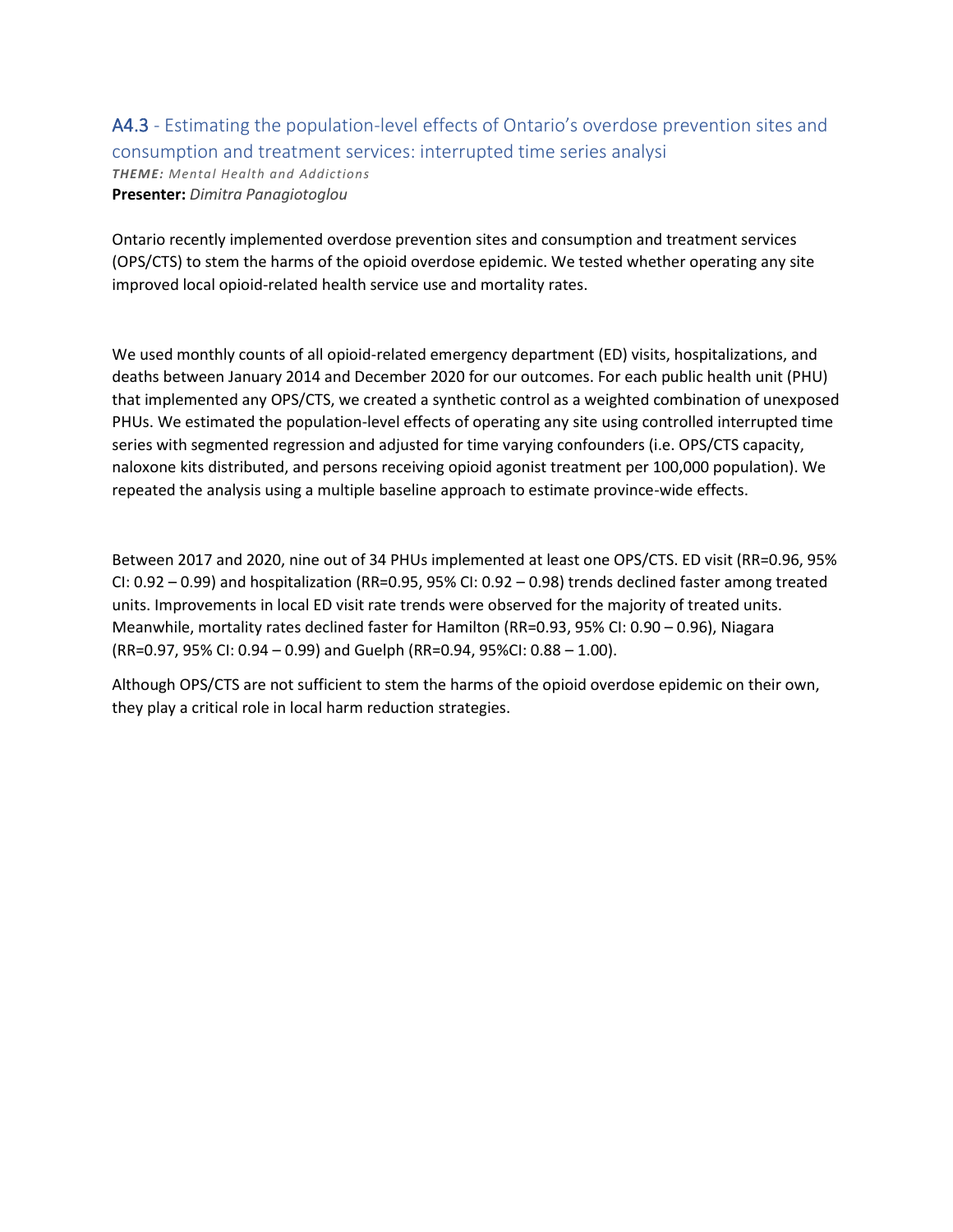A4.3 - Estimating the population-level effects of Ontario's overdose prevention sites and consumption and treatment services: interrupted time series analysi *THEME: Mental Health and Addictions* **Presenter:** *Dimitra Panagiotoglou*

Ontario recently implemented overdose prevention sites and consumption and treatment services (OPS/CTS) to stem the harms of the opioid overdose epidemic. We tested whether operating any site improved local opioid-related health service use and mortality rates.

We used monthly counts of all opioid-related emergency department (ED) visits, hospitalizations, and deaths between January 2014 and December 2020 for our outcomes. For each public health unit (PHU) that implemented any OPS/CTS, we created a synthetic control as a weighted combination of unexposed PHUs. We estimated the population-level effects of operating any site using controlled interrupted time series with segmented regression and adjusted for time varying confounders (i.e. OPS/CTS capacity, naloxone kits distributed, and persons receiving opioid agonist treatment per 100,000 population). We repeated the analysis using a multiple baseline approach to estimate province-wide effects.

Between 2017 and 2020, nine out of 34 PHUs implemented at least one OPS/CTS. ED visit (RR=0.96, 95% CI:  $0.92 - 0.99$ ) and hospitalization (RR=0.95, 95% CI:  $0.92 - 0.98$ ) trends declined faster among treated units. Improvements in local ED visit rate trends were observed for the majority of treated units. Meanwhile, mortality rates declined faster for Hamilton (RR=0.93, 95% CI: 0.90 – 0.96), Niagara (RR=0.97, 95% CI: 0.94 – 0.99) and Guelph (RR=0.94, 95%CI: 0.88 – 1.00).

Although OPS/CTS are not sufficient to stem the harms of the opioid overdose epidemic on their own, they play a critical role in local harm reduction strategies.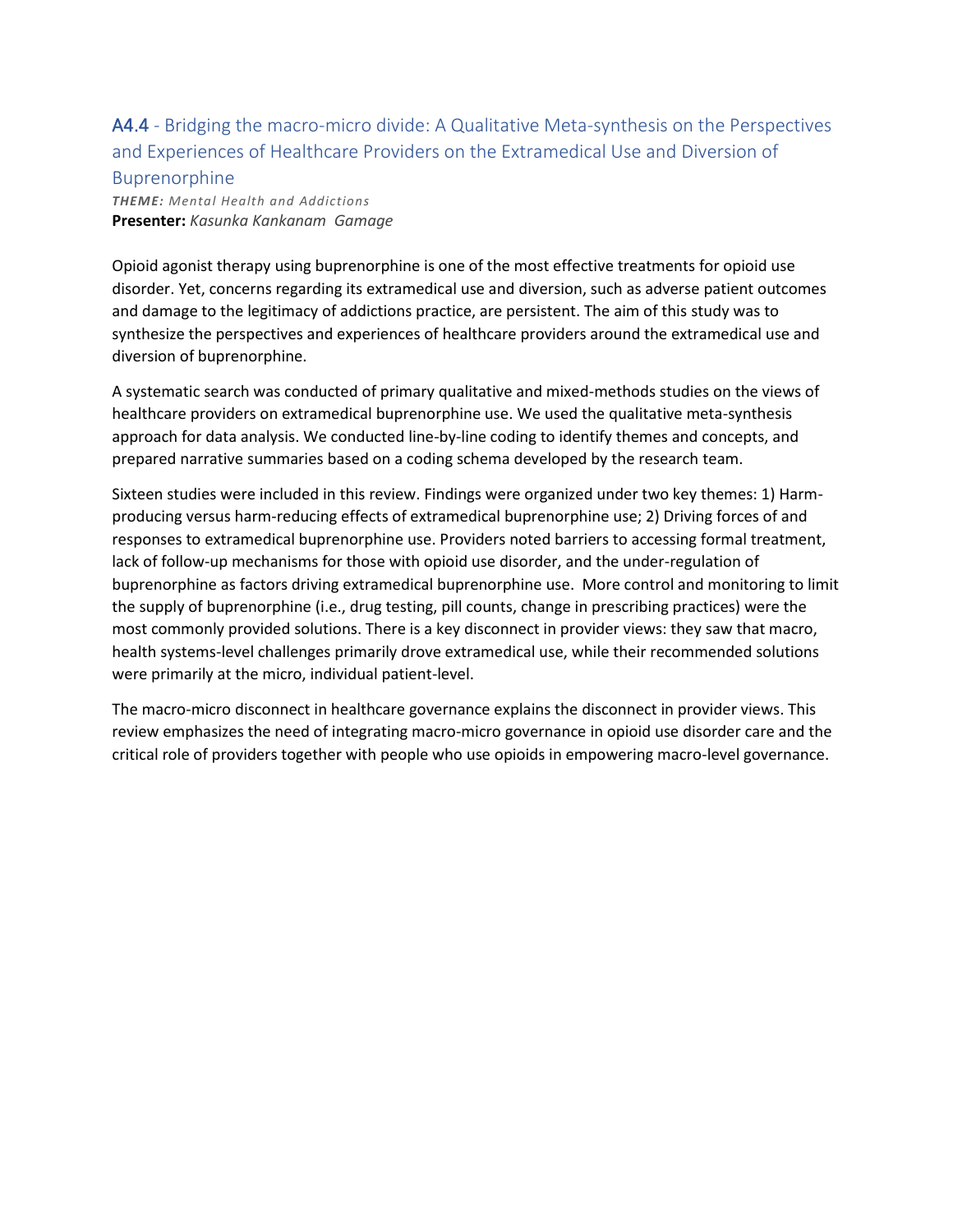### A4.4 - Bridging the macro-micro divide: A Qualitative Meta-synthesis on the Perspectives and Experiences of Healthcare Providers on the Extramedical Use and Diversion of Buprenorphine

*THEME: Mental Health and Addictions* **Presenter:** *Kasunka Kankanam Gamage*

Opioid agonist therapy using buprenorphine is one of the most effective treatments for opioid use disorder. Yet, concerns regarding its extramedical use and diversion, such as adverse patient outcomes and damage to the legitimacy of addictions practice, are persistent. The aim of this study was to synthesize the perspectives and experiences of healthcare providers around the extramedical use and diversion of buprenorphine.

A systematic search was conducted of primary qualitative and mixed-methods studies on the views of healthcare providers on extramedical buprenorphine use. We used the qualitative meta-synthesis approach for data analysis. We conducted line-by-line coding to identify themes and concepts, and prepared narrative summaries based on a coding schema developed by the research team.

Sixteen studies were included in this review. Findings were organized under two key themes: 1) Harmproducing versus harm-reducing effects of extramedical buprenorphine use; 2) Driving forces of and responses to extramedical buprenorphine use. Providers noted barriers to accessing formal treatment, lack of follow-up mechanisms for those with opioid use disorder, and the under-regulation of buprenorphine as factors driving extramedical buprenorphine use. More control and monitoring to limit the supply of buprenorphine (i.e., drug testing, pill counts, change in prescribing practices) were the most commonly provided solutions. There is a key disconnect in provider views: they saw that macro, health systems-level challenges primarily drove extramedical use, while their recommended solutions were primarily at the micro, individual patient-level.

The macro-micro disconnect in healthcare governance explains the disconnect in provider views. This review emphasizes the need of integrating macro-micro governance in opioid use disorder care and the critical role of providers together with people who use opioids in empowering macro-level governance.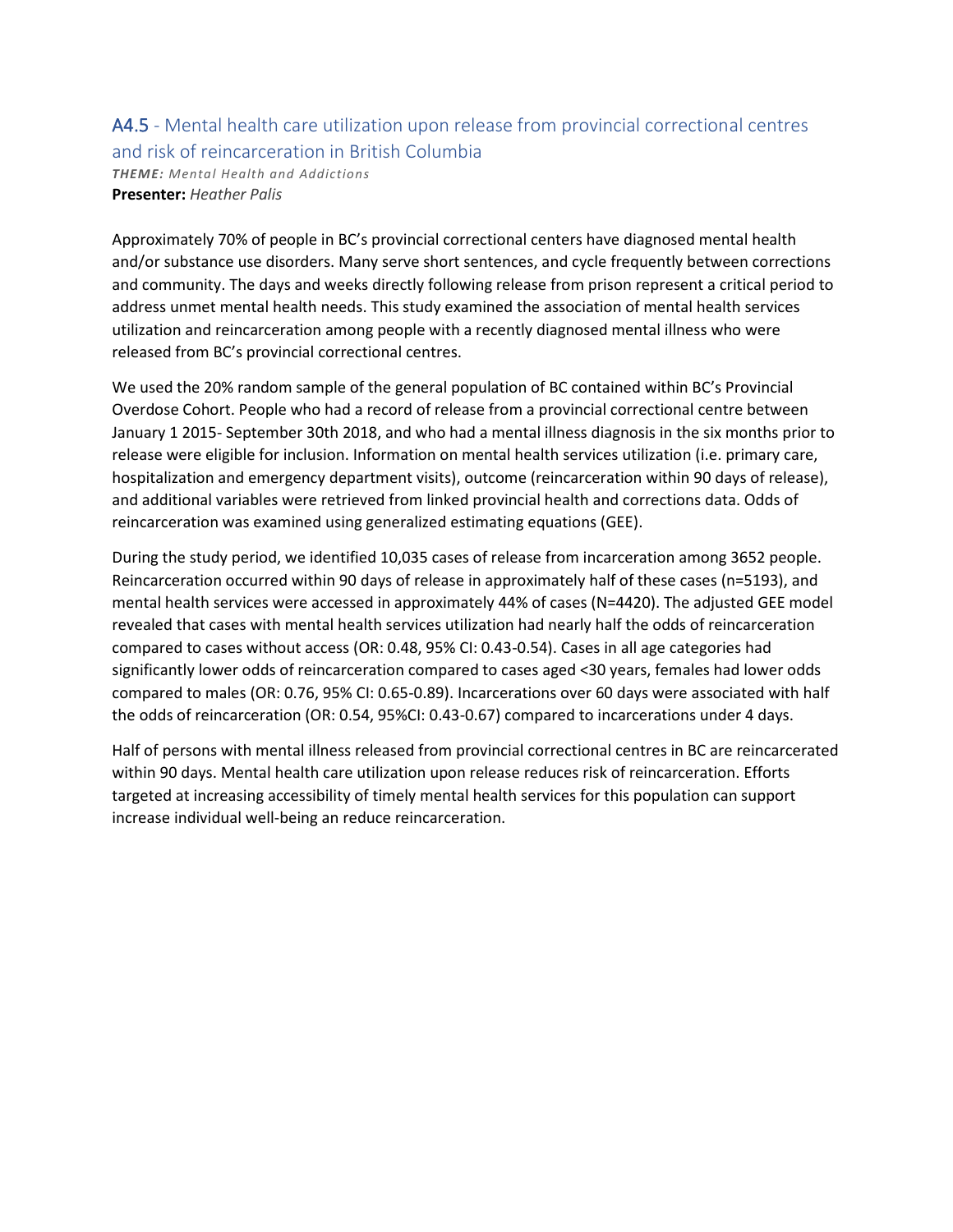### A4.5 - Mental health care utilization upon release from provincial correctional centres and risk of reincarceration in British Columbia

*THEME: Mental Health and Addictions* **Presenter:** *Heather Palis*

Approximately 70% of people in BC's provincial correctional centers have diagnosed mental health and/or substance use disorders. Many serve short sentences, and cycle frequently between corrections and community. The days and weeks directly following release from prison represent a critical period to address unmet mental health needs. This study examined the association of mental health services utilization and reincarceration among people with a recently diagnosed mental illness who were released from BC's provincial correctional centres.

We used the 20% random sample of the general population of BC contained within BC's Provincial Overdose Cohort. People who had a record of release from a provincial correctional centre between January 1 2015- September 30th 2018, and who had a mental illness diagnosis in the six months prior to release were eligible for inclusion. Information on mental health services utilization (i.e. primary care, hospitalization and emergency department visits), outcome (reincarceration within 90 days of release), and additional variables were retrieved from linked provincial health and corrections data. Odds of reincarceration was examined using generalized estimating equations (GEE).

During the study period, we identified 10,035 cases of release from incarceration among 3652 people. Reincarceration occurred within 90 days of release in approximately half of these cases (n=5193), and mental health services were accessed in approximately 44% of cases (N=4420). The adjusted GEE model revealed that cases with mental health services utilization had nearly half the odds of reincarceration compared to cases without access (OR: 0.48, 95% CI: 0.43-0.54). Cases in all age categories had significantly lower odds of reincarceration compared to cases aged <30 years, females had lower odds compared to males (OR: 0.76, 95% CI: 0.65-0.89). Incarcerations over 60 days were associated with half the odds of reincarceration (OR: 0.54, 95%CI: 0.43-0.67) compared to incarcerations under 4 days.

Half of persons with mental illness released from provincial correctional centres in BC are reincarcerated within 90 days. Mental health care utilization upon release reduces risk of reincarceration. Efforts targeted at increasing accessibility of timely mental health services for this population can support increase individual well-being an reduce reincarceration.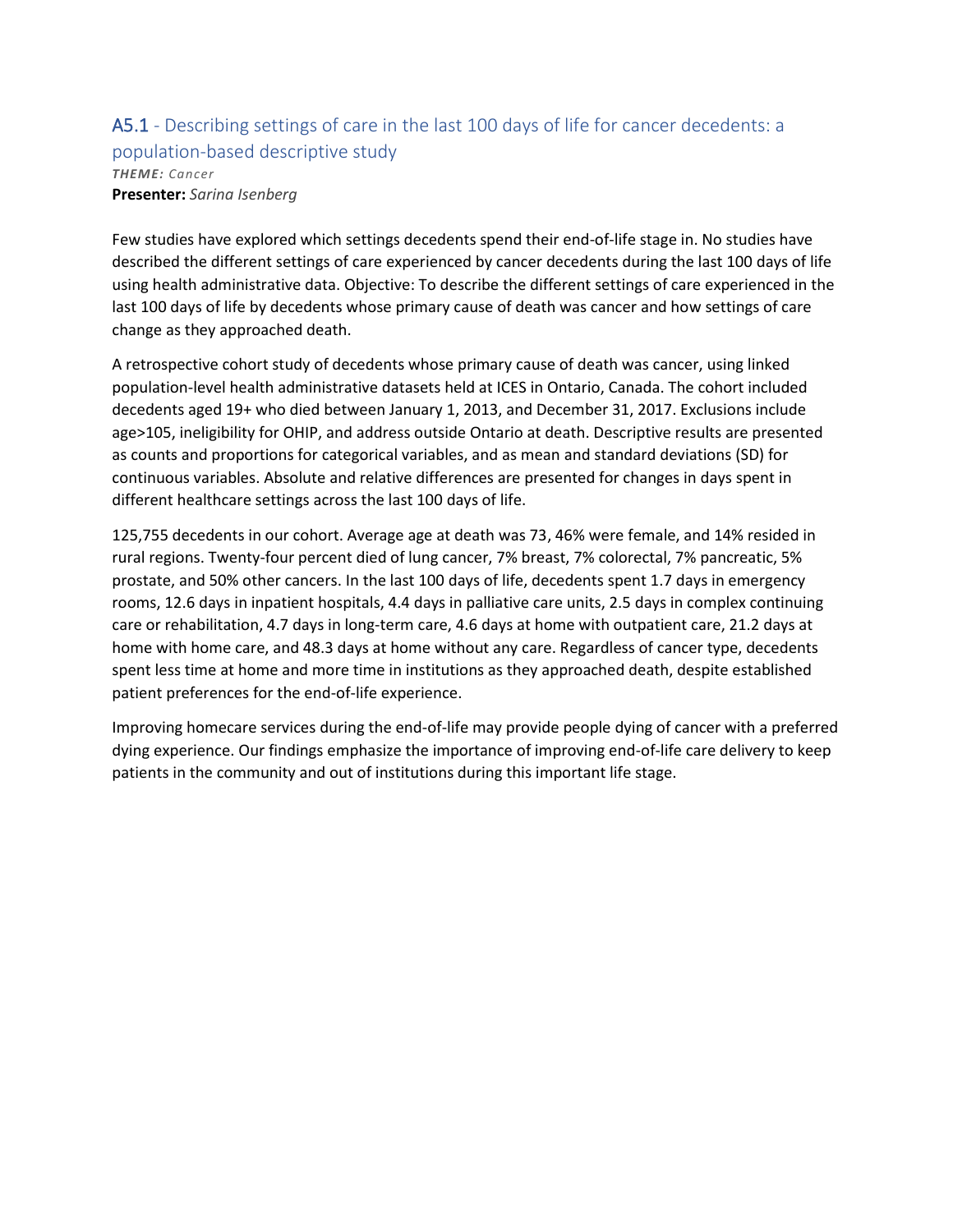### A5.1 - Describing settings of care in the last 100 days of life for cancer decedents: a population-based descriptive study *THEME: Cancer* **Presenter:** *Sarina Isenberg*

Few studies have explored which settings decedents spend their end-of-life stage in. No studies have described the different settings of care experienced by cancer decedents during the last 100 days of life using health administrative data. Objective: To describe the different settings of care experienced in the last 100 days of life by decedents whose primary cause of death was cancer and how settings of care change as they approached death.

A retrospective cohort study of decedents whose primary cause of death was cancer, using linked population-level health administrative datasets held at ICES in Ontario, Canada. The cohort included decedents aged 19+ who died between January 1, 2013, and December 31, 2017. Exclusions include age>105, ineligibility for OHIP, and address outside Ontario at death. Descriptive results are presented as counts and proportions for categorical variables, and as mean and standard deviations (SD) for continuous variables. Absolute and relative differences are presented for changes in days spent in different healthcare settings across the last 100 days of life.

125,755 decedents in our cohort. Average age at death was 73, 46% were female, and 14% resided in rural regions. Twenty-four percent died of lung cancer, 7% breast, 7% colorectal, 7% pancreatic, 5% prostate, and 50% other cancers. In the last 100 days of life, decedents spent 1.7 days in emergency rooms, 12.6 days in inpatient hospitals, 4.4 days in palliative care units, 2.5 days in complex continuing care or rehabilitation, 4.7 days in long-term care, 4.6 days at home with outpatient care, 21.2 days at home with home care, and 48.3 days at home without any care. Regardless of cancer type, decedents spent less time at home and more time in institutions as they approached death, despite established patient preferences for the end-of-life experience.

Improving homecare services during the end-of-life may provide people dying of cancer with a preferred dying experience. Our findings emphasize the importance of improving end-of-life care delivery to keep patients in the community and out of institutions during this important life stage.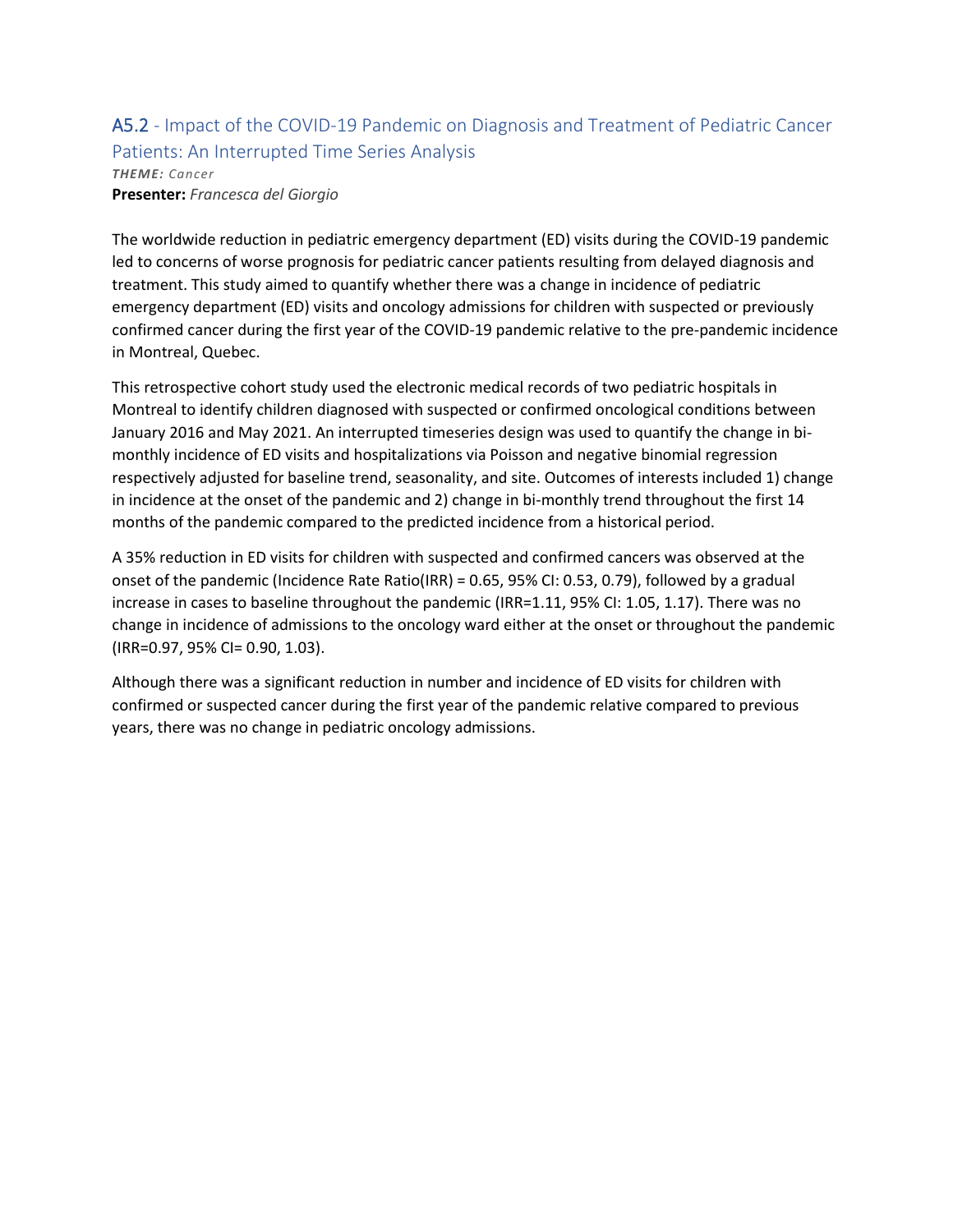### A5.2 - Impact of the COVID-19 Pandemic on Diagnosis and Treatment of Pediatric Cancer Patients: An Interrupted Time Series Analysis *THEME: Cancer* **Presenter:** *Francesca del Giorgio*

The worldwide reduction in pediatric emergency department (ED) visits during the COVID-19 pandemic led to concerns of worse prognosis for pediatric cancer patients resulting from delayed diagnosis and treatment. This study aimed to quantify whether there was a change in incidence of pediatric emergency department (ED) visits and oncology admissions for children with suspected or previously confirmed cancer during the first year of the COVID-19 pandemic relative to the pre-pandemic incidence in Montreal, Quebec.

This retrospective cohort study used the electronic medical records of two pediatric hospitals in Montreal to identify children diagnosed with suspected or confirmed oncological conditions between January 2016 and May 2021. An interrupted timeseries design was used to quantify the change in bimonthly incidence of ED visits and hospitalizations via Poisson and negative binomial regression respectively adjusted for baseline trend, seasonality, and site. Outcomes of interests included 1) change in incidence at the onset of the pandemic and 2) change in bi-monthly trend throughout the first 14 months of the pandemic compared to the predicted incidence from a historical period.

A 35% reduction in ED visits for children with suspected and confirmed cancers was observed at the onset of the pandemic (Incidence Rate Ratio(IRR) = 0.65, 95% CI: 0.53, 0.79), followed by a gradual increase in cases to baseline throughout the pandemic (IRR=1.11, 95% CI: 1.05, 1.17). There was no change in incidence of admissions to the oncology ward either at the onset or throughout the pandemic (IRR=0.97, 95% CI= 0.90, 1.03).

Although there was a significant reduction in number and incidence of ED visits for children with confirmed or suspected cancer during the first year of the pandemic relative compared to previous years, there was no change in pediatric oncology admissions.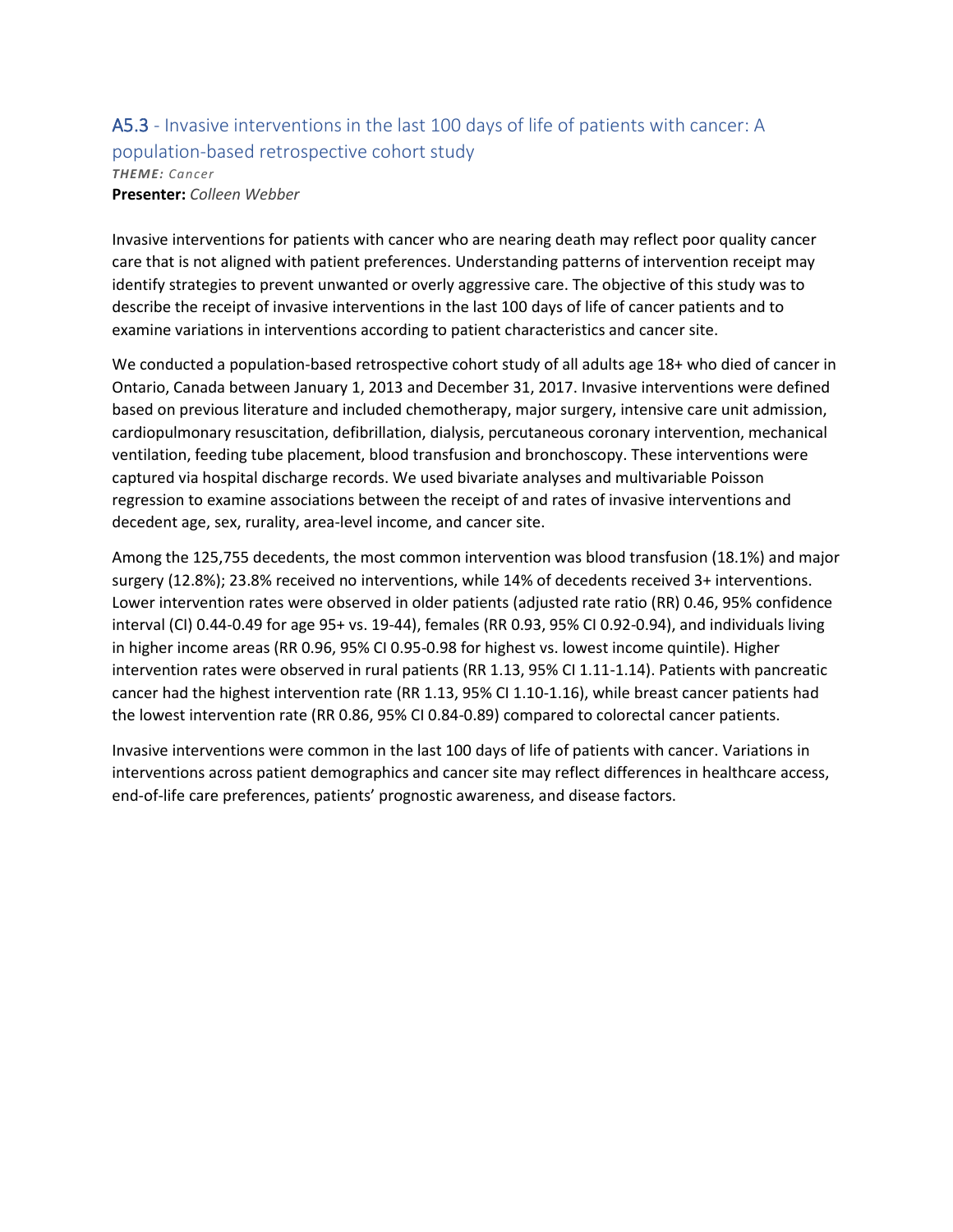#### A5.3 - Invasive interventions in the last 100 days of life of patients with cancer: A population-based retrospective cohort study *THEME: Cancer* **Presenter:** *Colleen Webber*

Invasive interventions for patients with cancer who are nearing death may reflect poor quality cancer care that is not aligned with patient preferences. Understanding patterns of intervention receipt may identify strategies to prevent unwanted or overly aggressive care. The objective of this study was to describe the receipt of invasive interventions in the last 100 days of life of cancer patients and to examine variations in interventions according to patient characteristics and cancer site.

We conducted a population-based retrospective cohort study of all adults age 18+ who died of cancer in Ontario, Canada between January 1, 2013 and December 31, 2017. Invasive interventions were defined based on previous literature and included chemotherapy, major surgery, intensive care unit admission, cardiopulmonary resuscitation, defibrillation, dialysis, percutaneous coronary intervention, mechanical ventilation, feeding tube placement, blood transfusion and bronchoscopy. These interventions were captured via hospital discharge records. We used bivariate analyses and multivariable Poisson regression to examine associations between the receipt of and rates of invasive interventions and decedent age, sex, rurality, area-level income, and cancer site.

Among the 125,755 decedents, the most common intervention was blood transfusion (18.1%) and major surgery (12.8%); 23.8% received no interventions, while 14% of decedents received 3+ interventions. Lower intervention rates were observed in older patients (adjusted rate ratio (RR) 0.46, 95% confidence interval (CI) 0.44-0.49 for age 95+ vs. 19-44), females (RR 0.93, 95% CI 0.92-0.94), and individuals living in higher income areas (RR 0.96, 95% CI 0.95-0.98 for highest vs. lowest income quintile). Higher intervention rates were observed in rural patients (RR 1.13, 95% CI 1.11-1.14). Patients with pancreatic cancer had the highest intervention rate (RR 1.13, 95% CI 1.10-1.16), while breast cancer patients had the lowest intervention rate (RR 0.86, 95% CI 0.84-0.89) compared to colorectal cancer patients.

Invasive interventions were common in the last 100 days of life of patients with cancer. Variations in interventions across patient demographics and cancer site may reflect differences in healthcare access, end-of-life care preferences, patients' prognostic awareness, and disease factors.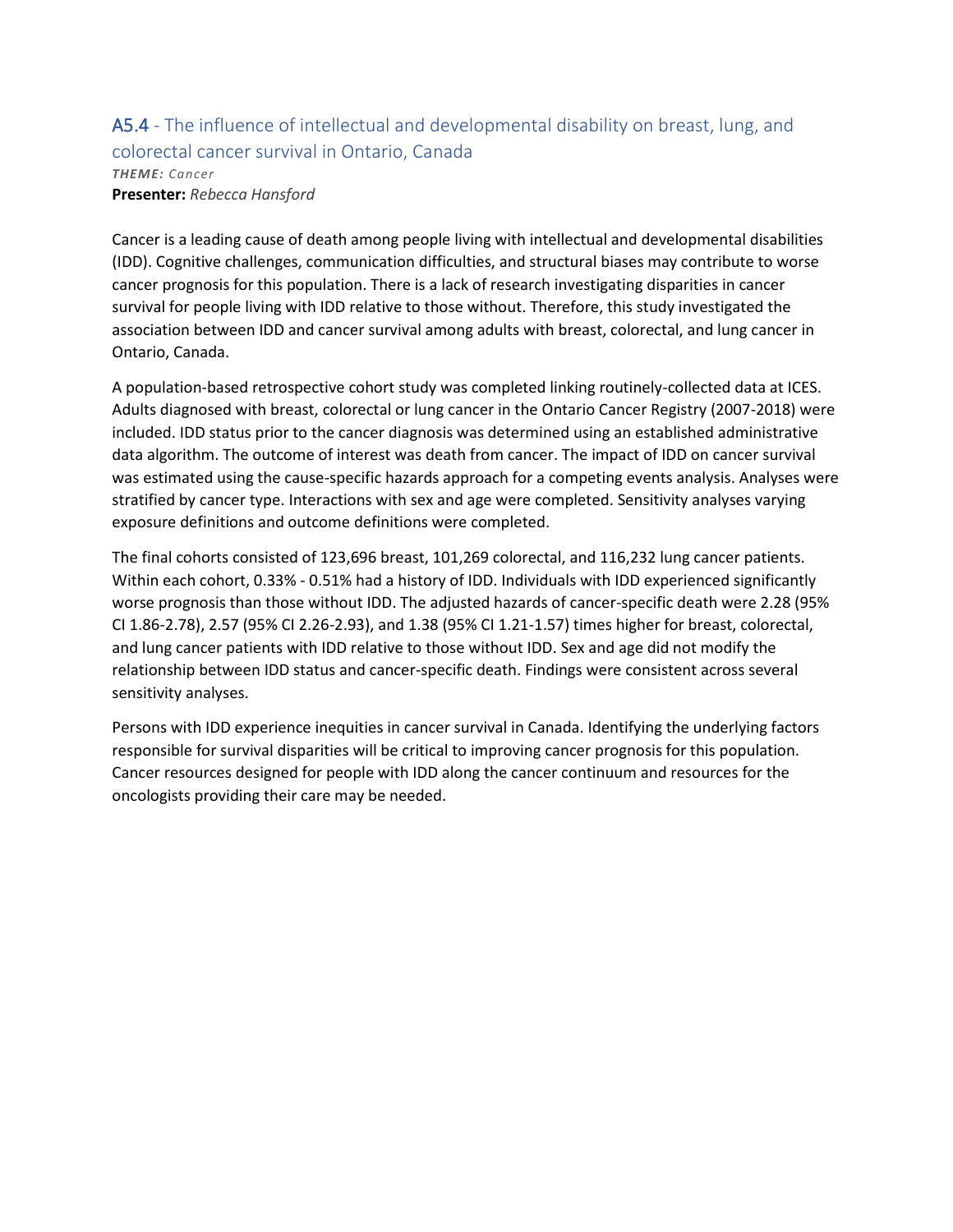### A5.4 - The influence of intellectual and developmental disability on breast, lung, and colorectal cancer survival in Ontario, Canada *THEME: Cancer* **Presenter:** *Rebecca Hansford*

Cancer is a leading cause of death among people living with intellectual and developmental disabilities (IDD). Cognitive challenges, communication difficulties, and structural biases may contribute to worse cancer prognosis for this population. There is a lack of research investigating disparities in cancer survival for people living with IDD relative to those without. Therefore, this study investigated the association between IDD and cancer survival among adults with breast, colorectal, and lung cancer in Ontario, Canada.

A population-based retrospective cohort study was completed linking routinely-collected data at ICES. Adults diagnosed with breast, colorectal or lung cancer in the Ontario Cancer Registry (2007-2018) were included. IDD status prior to the cancer diagnosis was determined using an established administrative data algorithm. The outcome of interest was death from cancer. The impact of IDD on cancer survival was estimated using the cause-specific hazards approach for a competing events analysis. Analyses were stratified by cancer type. Interactions with sex and age were completed. Sensitivity analyses varying exposure definitions and outcome definitions were completed.

The final cohorts consisted of 123,696 breast, 101,269 colorectal, and 116,232 lung cancer patients. Within each cohort, 0.33% - 0.51% had a history of IDD. Individuals with IDD experienced significantly worse prognosis than those without IDD. The adjusted hazards of cancer-specific death were 2.28 (95% CI 1.86-2.78), 2.57 (95% CI 2.26-2.93), and 1.38 (95% CI 1.21-1.57) times higher for breast, colorectal, and lung cancer patients with IDD relative to those without IDD. Sex and age did not modify the relationship between IDD status and cancer-specific death. Findings were consistent across several sensitivity analyses.

Persons with IDD experience inequities in cancer survival in Canada. Identifying the underlying factors responsible for survival disparities will be critical to improving cancer prognosis for this population. Cancer resources designed for people with IDD along the cancer continuum and resources for the oncologists providing their care may be needed.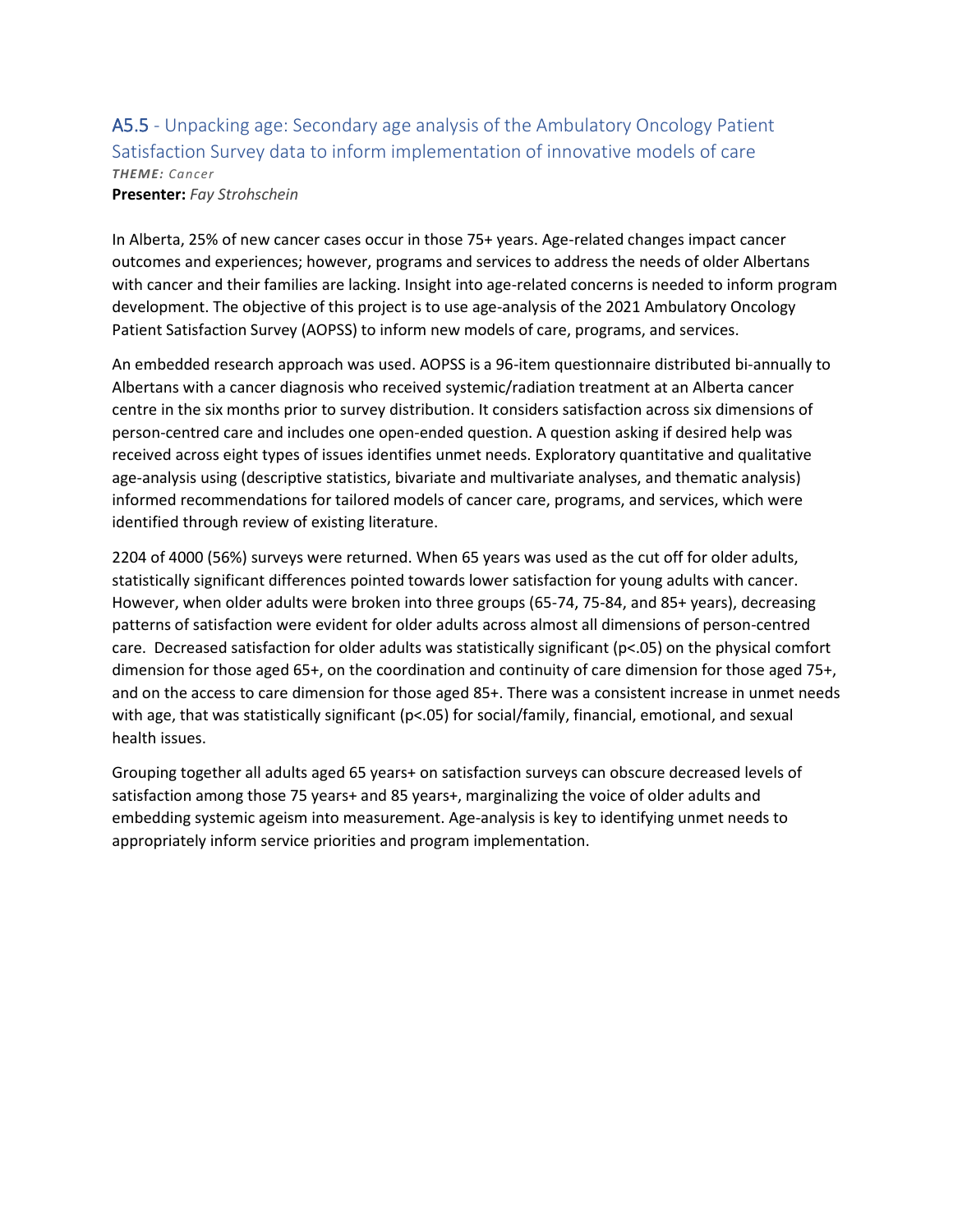## A5.5 - Unpacking age: Secondary age analysis of the Ambulatory Oncology Patient Satisfaction Survey data to inform implementation of innovative models of care *THEME: Cancer*

**Presenter:** *Fay Strohschein*

In Alberta, 25% of new cancer cases occur in those 75+ years. Age-related changes impact cancer outcomes and experiences; however, programs and services to address the needs of older Albertans with cancer and their families are lacking. Insight into age-related concerns is needed to inform program development. The objective of this project is to use age-analysis of the 2021 Ambulatory Oncology Patient Satisfaction Survey (AOPSS) to inform new models of care, programs, and services.

An embedded research approach was used. AOPSS is a 96-item questionnaire distributed bi-annually to Albertans with a cancer diagnosis who received systemic/radiation treatment at an Alberta cancer centre in the six months prior to survey distribution. It considers satisfaction across six dimensions of person-centred care and includes one open-ended question. A question asking if desired help was received across eight types of issues identifies unmet needs. Exploratory quantitative and qualitative age-analysis using (descriptive statistics, bivariate and multivariate analyses, and thematic analysis) informed recommendations for tailored models of cancer care, programs, and services, which were identified through review of existing literature.

2204 of 4000 (56%) surveys were returned. When 65 years was used as the cut off for older adults, statistically significant differences pointed towards lower satisfaction for young adults with cancer. However, when older adults were broken into three groups (65-74, 75-84, and 85+ years), decreasing patterns of satisfaction were evident for older adults across almost all dimensions of person-centred care. Decreased satisfaction for older adults was statistically significant (p<.05) on the physical comfort dimension for those aged 65+, on the coordination and continuity of care dimension for those aged 75+, and on the access to care dimension for those aged 85+. There was a consistent increase in unmet needs with age, that was statistically significant (p<.05) for social/family, financial, emotional, and sexual health issues.

Grouping together all adults aged 65 years+ on satisfaction surveys can obscure decreased levels of satisfaction among those 75 years+ and 85 years+, marginalizing the voice of older adults and embedding systemic ageism into measurement. Age-analysis is key to identifying unmet needs to appropriately inform service priorities and program implementation.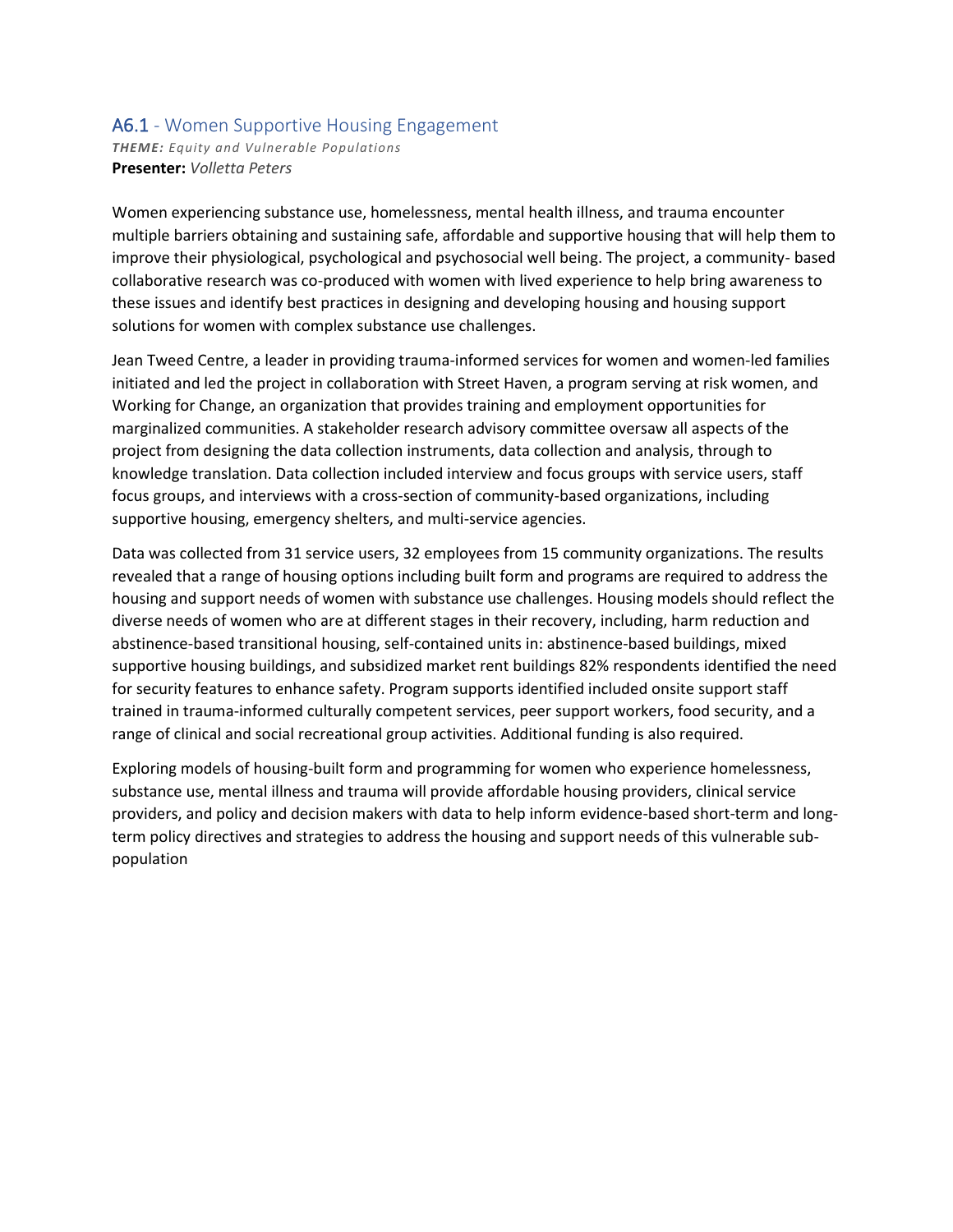### A6.1 - Women Supportive Housing Engagement

*THEME: Equity and Vulnerable Populations* **Presenter:** *Volletta Peters*

Women experiencing substance use, homelessness, mental health illness, and trauma encounter multiple barriers obtaining and sustaining safe, affordable and supportive housing that will help them to improve their physiological, psychological and psychosocial well being. The project, a community- based collaborative research was co-produced with women with lived experience to help bring awareness to these issues and identify best practices in designing and developing housing and housing support solutions for women with complex substance use challenges.

Jean Tweed Centre, a leader in providing trauma-informed services for women and women-led families initiated and led the project in collaboration with Street Haven, a program serving at risk women, and Working for Change, an organization that provides training and employment opportunities for marginalized communities. A stakeholder research advisory committee oversaw all aspects of the project from designing the data collection instruments, data collection and analysis, through to knowledge translation. Data collection included interview and focus groups with service users, staff focus groups, and interviews with a cross-section of community-based organizations, including supportive housing, emergency shelters, and multi-service agencies.

Data was collected from 31 service users, 32 employees from 15 community organizations. The results revealed that a range of housing options including built form and programs are required to address the housing and support needs of women with substance use challenges. Housing models should reflect the diverse needs of women who are at different stages in their recovery, including, harm reduction and abstinence-based transitional housing, self-contained units in: abstinence-based buildings, mixed supportive housing buildings, and subsidized market rent buildings 82% respondents identified the need for security features to enhance safety. Program supports identified included onsite support staff trained in trauma-informed culturally competent services, peer support workers, food security, and a range of clinical and social recreational group activities. Additional funding is also required.

Exploring models of housing-built form and programming for women who experience homelessness, substance use, mental illness and trauma will provide affordable housing providers, clinical service providers, and policy and decision makers with data to help inform evidence-based short-term and longterm policy directives and strategies to address the housing and support needs of this vulnerable subpopulation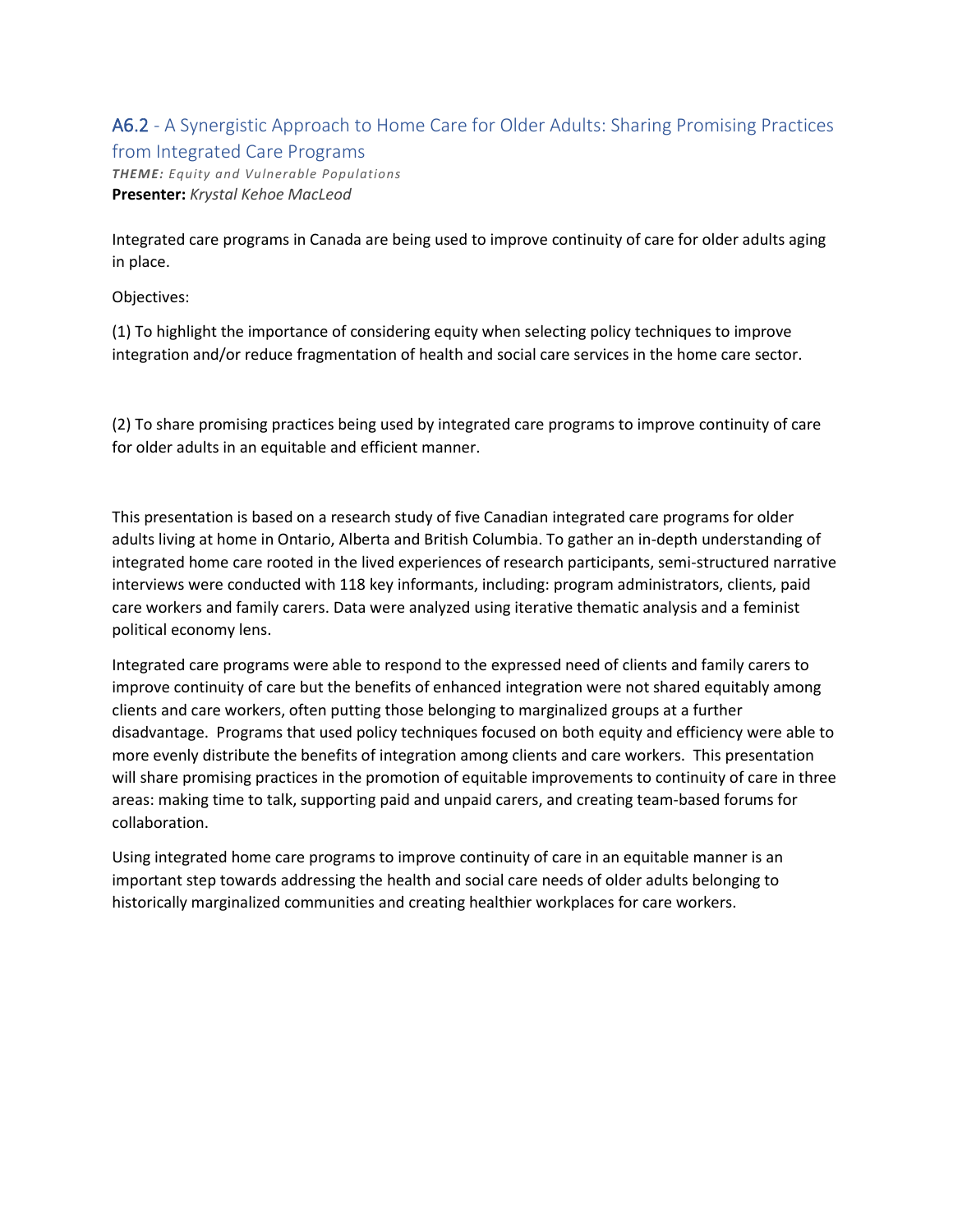# A6.2 - A Synergistic Approach to Home Care for Older Adults: Sharing Promising Practices from Integrated Care Programs

*THEME: Equity and Vulnerable Populations* **Presenter:** *Krystal Kehoe MacLeod*

Integrated care programs in Canada are being used to improve continuity of care for older adults aging in place.

Objectives:

(1) To highlight the importance of considering equity when selecting policy techniques to improve integration and/or reduce fragmentation of health and social care services in the home care sector.

(2) To share promising practices being used by integrated care programs to improve continuity of care for older adults in an equitable and efficient manner.

This presentation is based on a research study of five Canadian integrated care programs for older adults living at home in Ontario, Alberta and British Columbia. To gather an in-depth understanding of integrated home care rooted in the lived experiences of research participants, semi-structured narrative interviews were conducted with 118 key informants, including: program administrators, clients, paid care workers and family carers. Data were analyzed using iterative thematic analysis and a feminist political economy lens.

Integrated care programs were able to respond to the expressed need of clients and family carers to improve continuity of care but the benefits of enhanced integration were not shared equitably among clients and care workers, often putting those belonging to marginalized groups at a further disadvantage. Programs that used policy techniques focused on both equity and efficiency were able to more evenly distribute the benefits of integration among clients and care workers. This presentation will share promising practices in the promotion of equitable improvements to continuity of care in three areas: making time to talk, supporting paid and unpaid carers, and creating team-based forums for collaboration.

Using integrated home care programs to improve continuity of care in an equitable manner is an important step towards addressing the health and social care needs of older adults belonging to historically marginalized communities and creating healthier workplaces for care workers.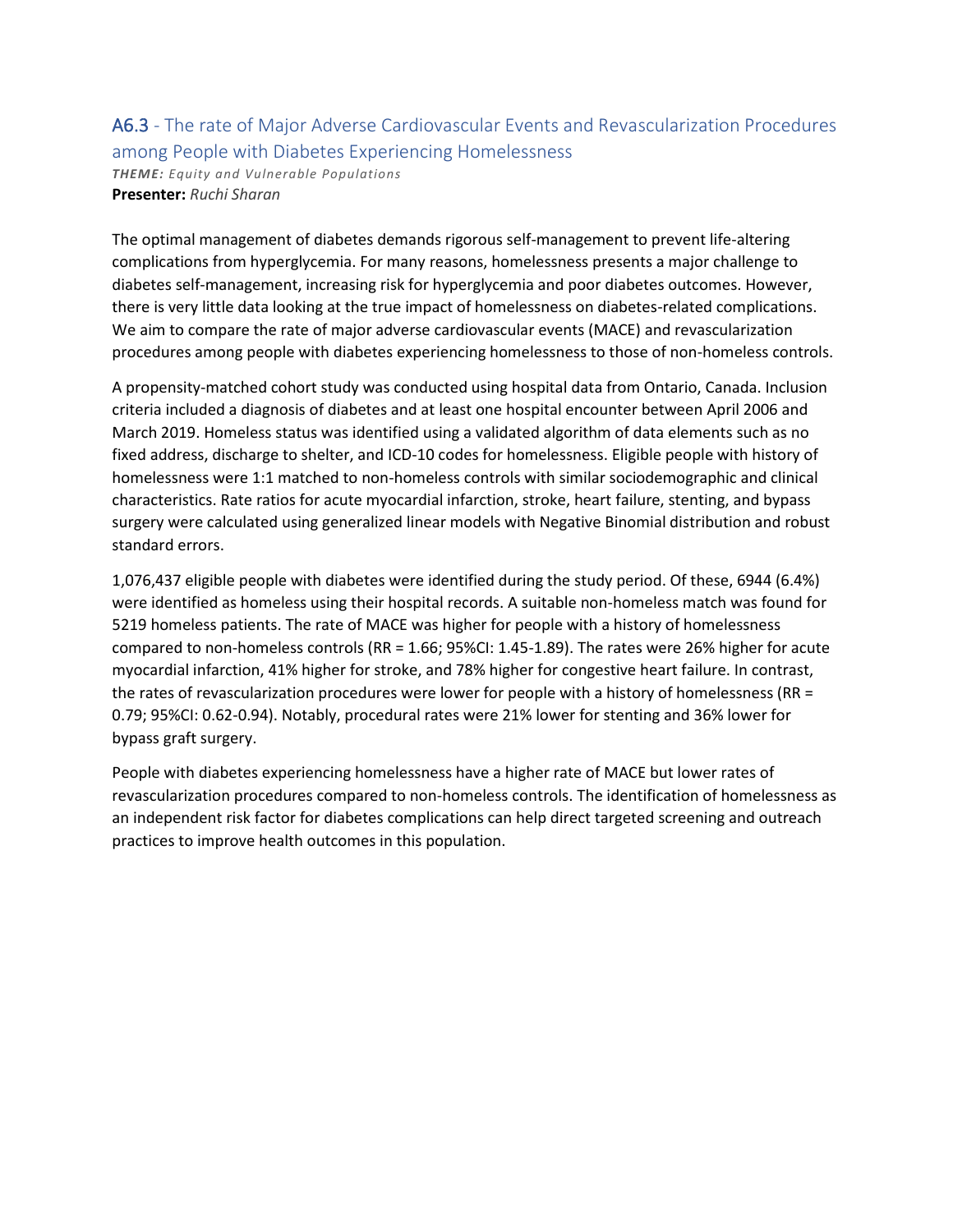### A6.3 - The rate of Major Adverse Cardiovascular Events and Revascularization Procedures among People with Diabetes Experiencing Homelessness

*THEME: Equity and Vulnerable Populations* **Presenter:** *Ruchi Sharan*

The optimal management of diabetes demands rigorous self-management to prevent life-altering complications from hyperglycemia. For many reasons, homelessness presents a major challenge to diabetes self-management, increasing risk for hyperglycemia and poor diabetes outcomes. However, there is very little data looking at the true impact of homelessness on diabetes-related complications. We aim to compare the rate of major adverse cardiovascular events (MACE) and revascularization procedures among people with diabetes experiencing homelessness to those of non-homeless controls.

A propensity-matched cohort study was conducted using hospital data from Ontario, Canada. Inclusion criteria included a diagnosis of diabetes and at least one hospital encounter between April 2006 and March 2019. Homeless status was identified using a validated algorithm of data elements such as no fixed address, discharge to shelter, and ICD-10 codes for homelessness. Eligible people with history of homelessness were 1:1 matched to non-homeless controls with similar sociodemographic and clinical characteristics. Rate ratios for acute myocardial infarction, stroke, heart failure, stenting, and bypass surgery were calculated using generalized linear models with Negative Binomial distribution and robust standard errors.

1,076,437 eligible people with diabetes were identified during the study period. Of these, 6944 (6.4%) were identified as homeless using their hospital records. A suitable non-homeless match was found for 5219 homeless patients. The rate of MACE was higher for people with a history of homelessness compared to non-homeless controls (RR = 1.66; 95%CI: 1.45-1.89). The rates were 26% higher for acute myocardial infarction, 41% higher for stroke, and 78% higher for congestive heart failure. In contrast, the rates of revascularization procedures were lower for people with a history of homelessness (RR = 0.79; 95%CI: 0.62-0.94). Notably, procedural rates were 21% lower for stenting and 36% lower for bypass graft surgery.

People with diabetes experiencing homelessness have a higher rate of MACE but lower rates of revascularization procedures compared to non-homeless controls. The identification of homelessness as an independent risk factor for diabetes complications can help direct targeted screening and outreach practices to improve health outcomes in this population.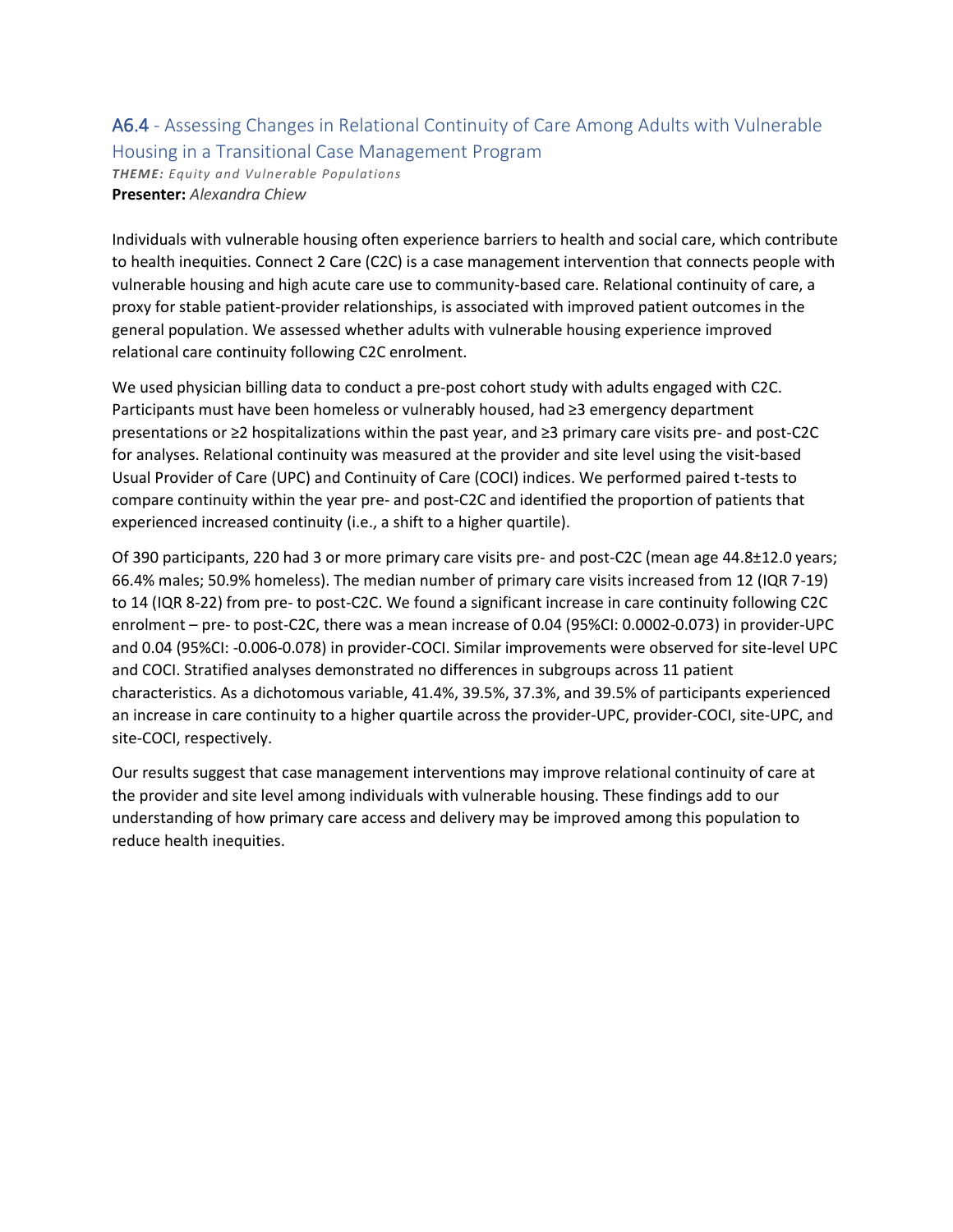### A6.4 - Assessing Changes in Relational Continuity of Care Among Adults with Vulnerable Housing in a Transitional Case Management Program

*THEME: Equity and Vulnerable Populations* **Presenter:** *Alexandra Chiew*

Individuals with vulnerable housing often experience barriers to health and social care, which contribute to health inequities. Connect 2 Care (C2C) is a case management intervention that connects people with vulnerable housing and high acute care use to community-based care. Relational continuity of care, a proxy for stable patient-provider relationships, is associated with improved patient outcomes in the general population. We assessed whether adults with vulnerable housing experience improved relational care continuity following C2C enrolment.

We used physician billing data to conduct a pre-post cohort study with adults engaged with C2C. Participants must have been homeless or vulnerably housed, had ≥3 emergency department presentations or ≥2 hospitalizations within the past year, and ≥3 primary care visits pre- and post-C2C for analyses. Relational continuity was measured at the provider and site level using the visit-based Usual Provider of Care (UPC) and Continuity of Care (COCI) indices. We performed paired t-tests to compare continuity within the year pre- and post-C2C and identified the proportion of patients that experienced increased continuity (i.e., a shift to a higher quartile).

Of 390 participants, 220 had 3 or more primary care visits pre- and post-C2C (mean age 44.8±12.0 years; 66.4% males; 50.9% homeless). The median number of primary care visits increased from 12 (IQR 7-19) to 14 (IQR 8-22) from pre- to post-C2C. We found a significant increase in care continuity following C2C enrolment – pre- to post-C2C, there was a mean increase of 0.04 (95%CI: 0.0002-0.073) in provider-UPC and 0.04 (95%CI: -0.006-0.078) in provider-COCI. Similar improvements were observed for site-level UPC and COCI. Stratified analyses demonstrated no differences in subgroups across 11 patient characteristics. As a dichotomous variable, 41.4%, 39.5%, 37.3%, and 39.5% of participants experienced an increase in care continuity to a higher quartile across the provider-UPC, provider-COCI, site-UPC, and site-COCI, respectively.

Our results suggest that case management interventions may improve relational continuity of care at the provider and site level among individuals with vulnerable housing. These findings add to our understanding of how primary care access and delivery may be improved among this population to reduce health inequities.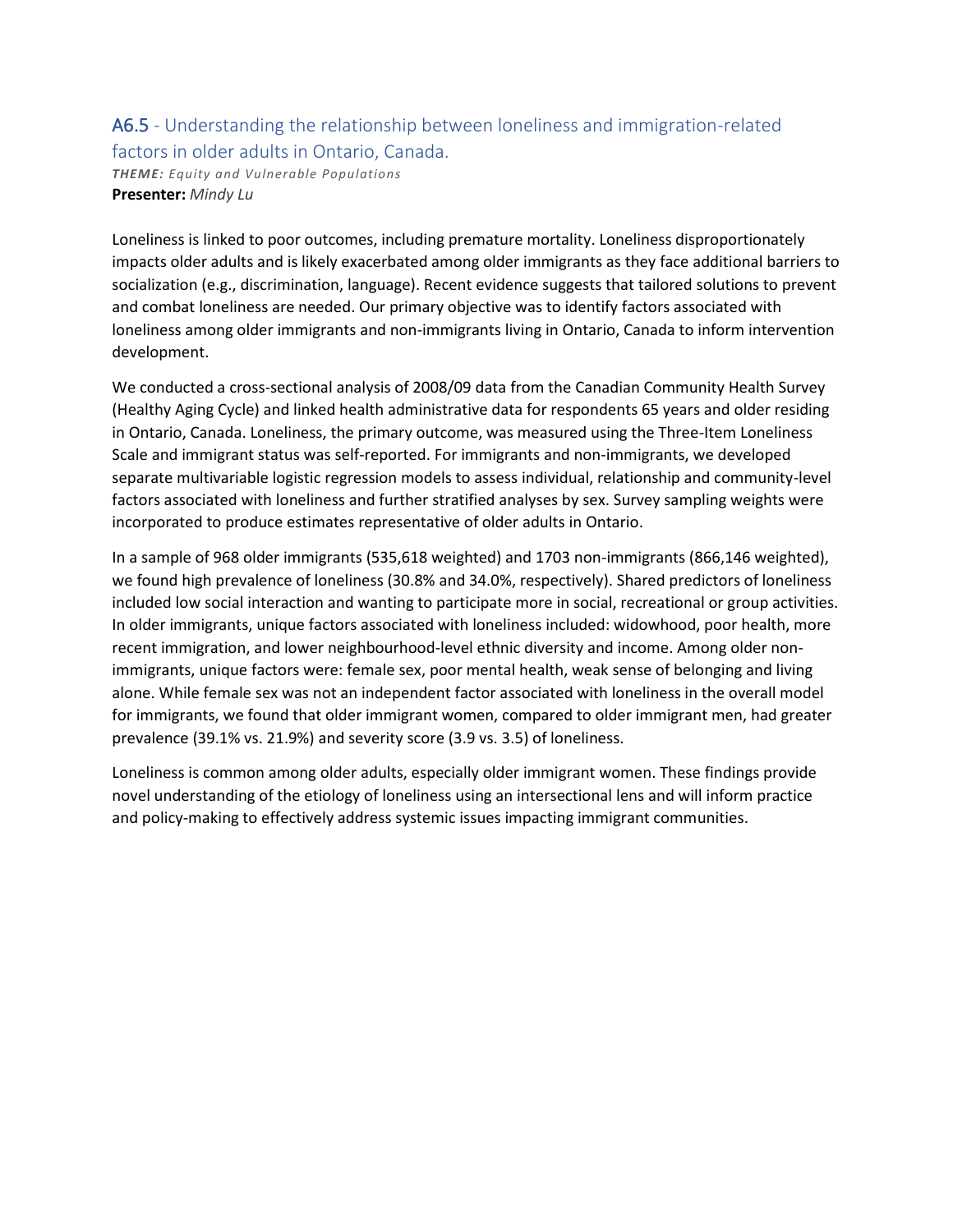### A6.5 - Understanding the relationship between loneliness and immigration-related factors in older adults in Ontario, Canada.

*THEME: Equity and Vulnerable Populations* **Presenter:** *Mindy Lu*

Loneliness is linked to poor outcomes, including premature mortality. Loneliness disproportionately impacts older adults and is likely exacerbated among older immigrants as they face additional barriers to socialization (e.g., discrimination, language). Recent evidence suggests that tailored solutions to prevent and combat loneliness are needed. Our primary objective was to identify factors associated with loneliness among older immigrants and non-immigrants living in Ontario, Canada to inform intervention development.

We conducted a cross-sectional analysis of 2008/09 data from the Canadian Community Health Survey (Healthy Aging Cycle) and linked health administrative data for respondents 65 years and older residing in Ontario, Canada. Loneliness, the primary outcome, was measured using the Three-Item Loneliness Scale and immigrant status was self-reported. For immigrants and non-immigrants, we developed separate multivariable logistic regression models to assess individual, relationship and community-level factors associated with loneliness and further stratified analyses by sex. Survey sampling weights were incorporated to produce estimates representative of older adults in Ontario.

In a sample of 968 older immigrants (535,618 weighted) and 1703 non-immigrants (866,146 weighted), we found high prevalence of loneliness (30.8% and 34.0%, respectively). Shared predictors of loneliness included low social interaction and wanting to participate more in social, recreational or group activities. In older immigrants, unique factors associated with loneliness included: widowhood, poor health, more recent immigration, and lower neighbourhood-level ethnic diversity and income. Among older nonimmigrants, unique factors were: female sex, poor mental health, weak sense of belonging and living alone. While female sex was not an independent factor associated with loneliness in the overall model for immigrants, we found that older immigrant women, compared to older immigrant men, had greater prevalence (39.1% vs. 21.9%) and severity score (3.9 vs. 3.5) of loneliness.

Loneliness is common among older adults, especially older immigrant women. These findings provide novel understanding of the etiology of loneliness using an intersectional lens and will inform practice and policy-making to effectively address systemic issues impacting immigrant communities.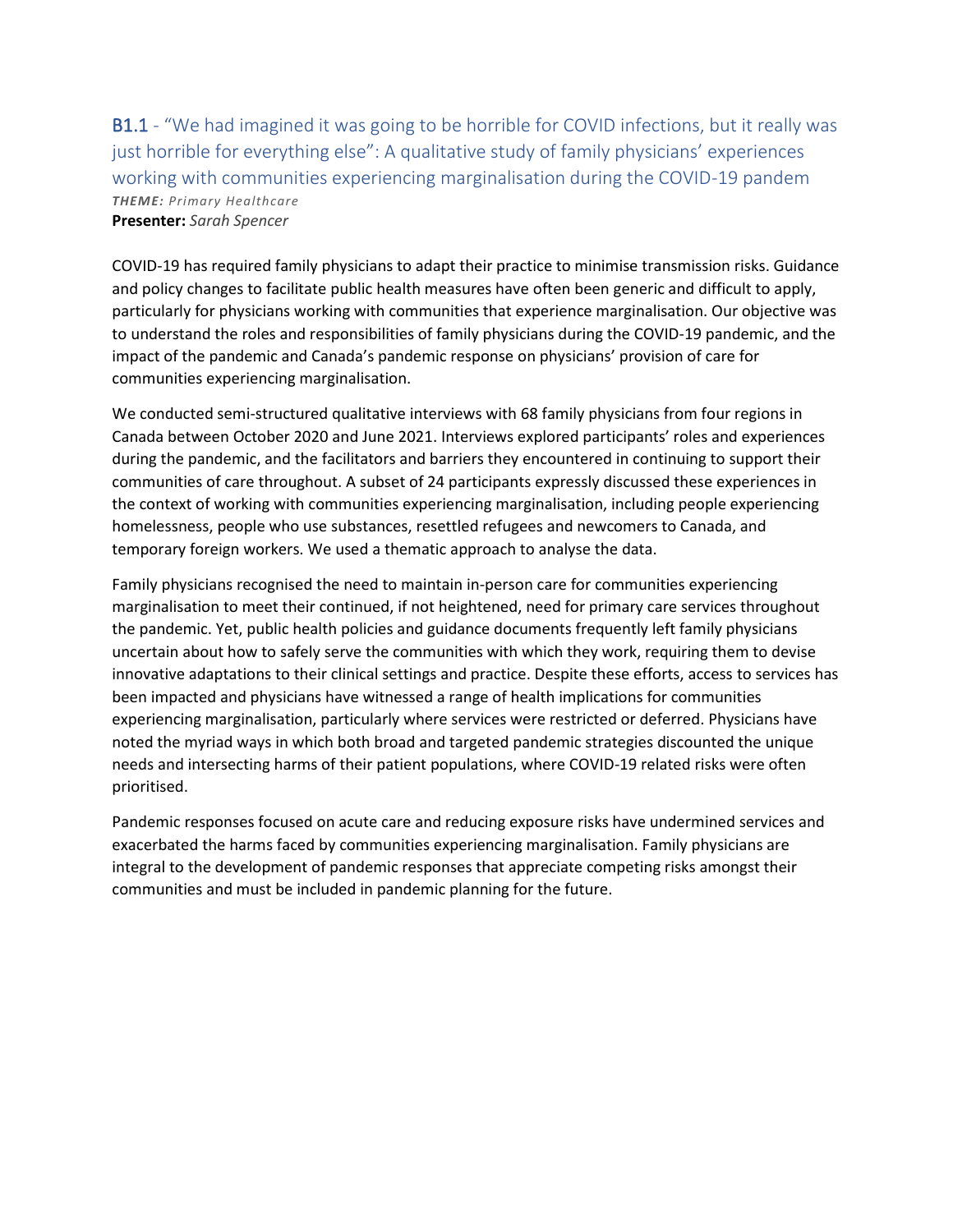B1.1 - "We had imagined it was going to be horrible for COVID infections, but it really was just horrible for everything else": A qualitative study of family physicians' experiences working with communities experiencing marginalisation during the COVID-19 pandem *THEME: Primary Healthcare* **Presenter:** *Sarah Spencer*

COVID-19 has required family physicians to adapt their practice to minimise transmission risks. Guidance and policy changes to facilitate public health measures have often been generic and difficult to apply, particularly for physicians working with communities that experience marginalisation. Our objective was to understand the roles and responsibilities of family physicians during the COVID-19 pandemic, and the impact of the pandemic and Canada's pandemic response on physicians' provision of care for communities experiencing marginalisation.

We conducted semi-structured qualitative interviews with 68 family physicians from four regions in Canada between October 2020 and June 2021. Interviews explored participants' roles and experiences during the pandemic, and the facilitators and barriers they encountered in continuing to support their communities of care throughout. A subset of 24 participants expressly discussed these experiences in the context of working with communities experiencing marginalisation, including people experiencing homelessness, people who use substances, resettled refugees and newcomers to Canada, and temporary foreign workers. We used a thematic approach to analyse the data.

Family physicians recognised the need to maintain in-person care for communities experiencing marginalisation to meet their continued, if not heightened, need for primary care services throughout the pandemic. Yet, public health policies and guidance documents frequently left family physicians uncertain about how to safely serve the communities with which they work, requiring them to devise innovative adaptations to their clinical settings and practice. Despite these efforts, access to services has been impacted and physicians have witnessed a range of health implications for communities experiencing marginalisation, particularly where services were restricted or deferred. Physicians have noted the myriad ways in which both broad and targeted pandemic strategies discounted the unique needs and intersecting harms of their patient populations, where COVID-19 related risks were often prioritised.

Pandemic responses focused on acute care and reducing exposure risks have undermined services and exacerbated the harms faced by communities experiencing marginalisation. Family physicians are integral to the development of pandemic responses that appreciate competing risks amongst their communities and must be included in pandemic planning for the future.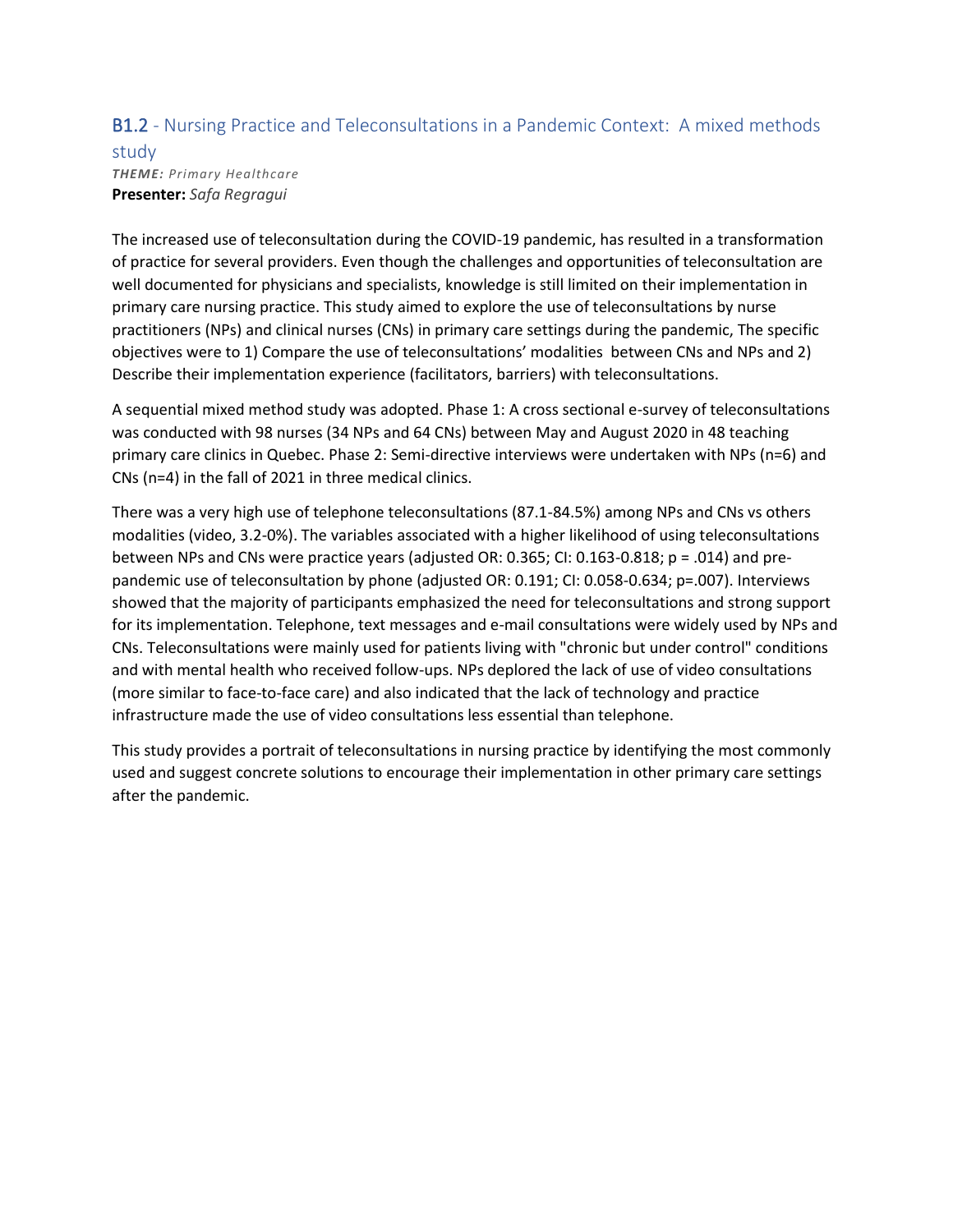### B1.2 - Nursing Practice and Teleconsultations in a Pandemic Context: A mixed methods

#### study *THEME: Primary Healthcare* **Presenter:** *Safa Regragui*

The increased use of teleconsultation during the COVID-19 pandemic, has resulted in a transformation of practice for several providers. Even though the challenges and opportunities of teleconsultation are well documented for physicians and specialists, knowledge is still limited on their implementation in primary care nursing practice. This study aimed to explore the use of teleconsultations by nurse practitioners (NPs) and clinical nurses (CNs) in primary care settings during the pandemic, The specific objectives were to 1) Compare the use of teleconsultations' modalities between CNs and NPs and 2) Describe their implementation experience (facilitators, barriers) with teleconsultations.

A sequential mixed method study was adopted. Phase 1: A cross sectional e-survey of teleconsultations was conducted with 98 nurses (34 NPs and 64 CNs) between May and August 2020 in 48 teaching primary care clinics in Quebec. Phase 2: Semi-directive interviews were undertaken with NPs (n=6) and CNs (n=4) in the fall of 2021 in three medical clinics.

There was a very high use of telephone teleconsultations (87.1-84.5%) among NPs and CNs vs others modalities (video, 3.2-0%). The variables associated with a higher likelihood of using teleconsultations between NPs and CNs were practice years (adjusted OR: 0.365; CI: 0.163-0.818; p = .014) and prepandemic use of teleconsultation by phone (adjusted OR: 0.191; CI: 0.058-0.634; p=.007). Interviews showed that the majority of participants emphasized the need for teleconsultations and strong support for its implementation. Telephone, text messages and e-mail consultations were widely used by NPs and CNs. Teleconsultations were mainly used for patients living with "chronic but under control" conditions and with mental health who received follow-ups. NPs deplored the lack of use of video consultations (more similar to face-to-face care) and also indicated that the lack of technology and practice infrastructure made the use of video consultations less essential than telephone.

This study provides a portrait of teleconsultations in nursing practice by identifying the most commonly used and suggest concrete solutions to encourage their implementation in other primary care settings after the pandemic.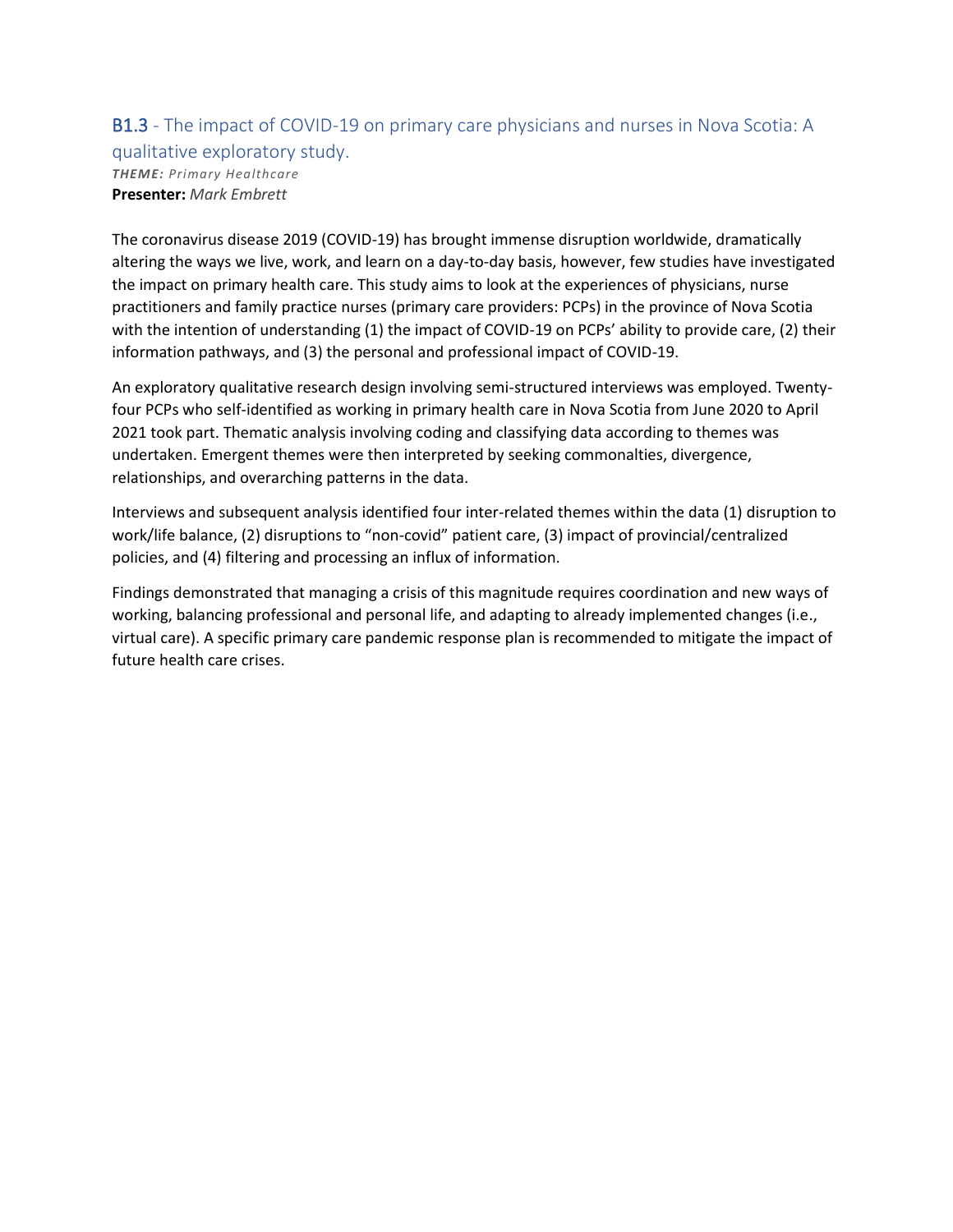#### B1.3 - The impact of COVID-19 on primary care physicians and nurses in Nova Scotia: A qualitative exploratory study. *THEME: Primary Healthcare* **Presenter:** *Mark Embrett*

The coronavirus disease 2019 (COVID-19) has brought immense disruption worldwide, dramatically altering the ways we live, work, and learn on a day-to-day basis, however, few studies have investigated the impact on primary health care. This study aims to look at the experiences of physicians, nurse practitioners and family practice nurses (primary care providers: PCPs) in the province of Nova Scotia with the intention of understanding (1) the impact of COVID-19 on PCPs' ability to provide care, (2) their information pathways, and (3) the personal and professional impact of COVID-19.

An exploratory qualitative research design involving semi-structured interviews was employed. Twentyfour PCPs who self-identified as working in primary health care in Nova Scotia from June 2020 to April 2021 took part. Thematic analysis involving coding and classifying data according to themes was undertaken. Emergent themes were then interpreted by seeking commonalties, divergence, relationships, and overarching patterns in the data.

Interviews and subsequent analysis identified four inter-related themes within the data (1) disruption to work/life balance, (2) disruptions to "non-covid" patient care, (3) impact of provincial/centralized policies, and (4) filtering and processing an influx of information.

Findings demonstrated that managing a crisis of this magnitude requires coordination and new ways of working, balancing professional and personal life, and adapting to already implemented changes (i.e., virtual care). A specific primary care pandemic response plan is recommended to mitigate the impact of future health care crises.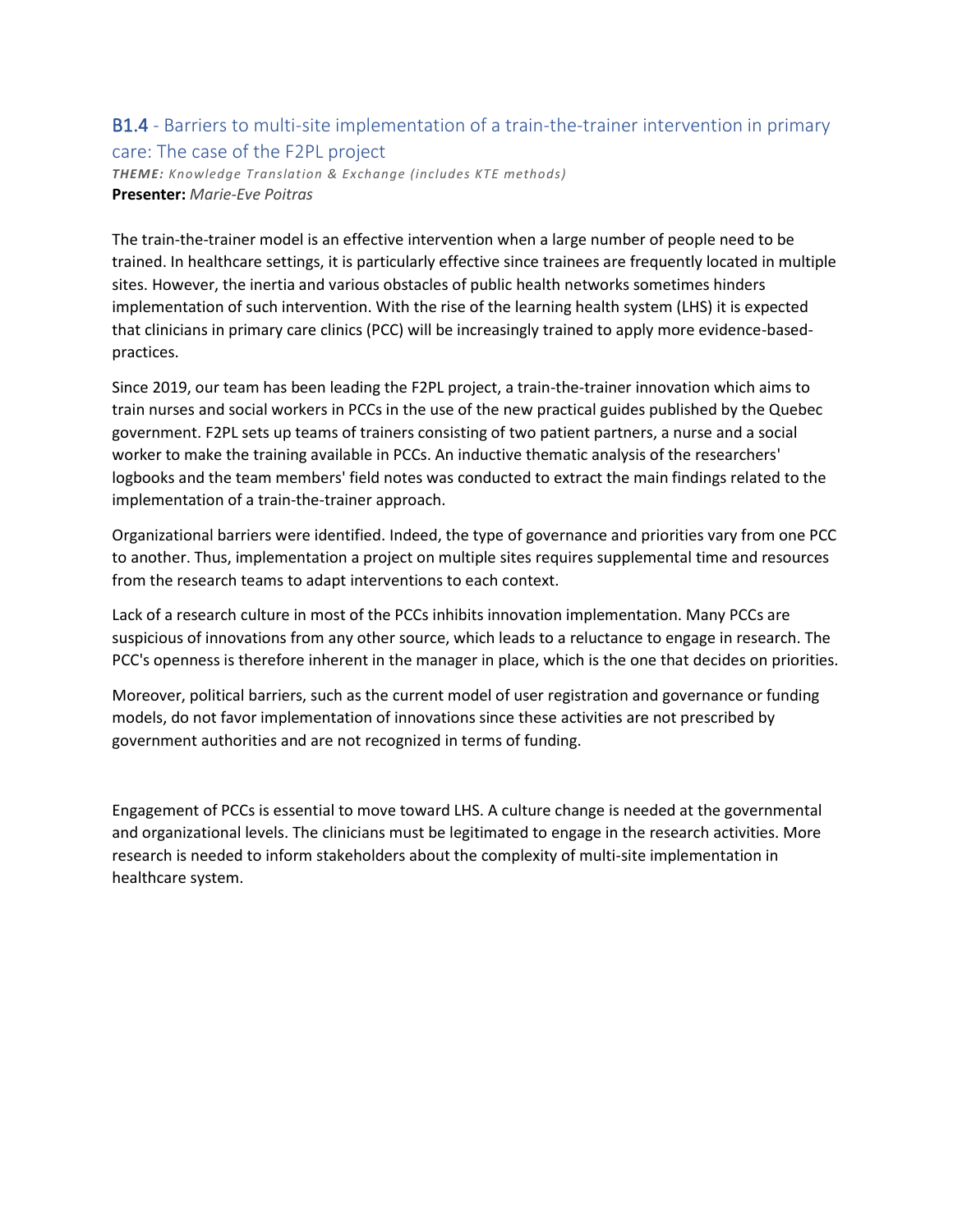### B1.4 - Barriers to multi-site implementation of a train-the-trainer intervention in primary care: The case of the F2PL project

*THEME: Knowledge Translation & Exchange (includes KTE methods)* **Presenter:** *Marie-Eve Poitras*

The train-the-trainer model is an effective intervention when a large number of people need to be trained. In healthcare settings, it is particularly effective since trainees are frequently located in multiple sites. However, the inertia and various obstacles of public health networks sometimes hinders implementation of such intervention. With the rise of the learning health system (LHS) it is expected that clinicians in primary care clinics (PCC) will be increasingly trained to apply more evidence-basedpractices.

Since 2019, our team has been leading the F2PL project, a train-the-trainer innovation which aims to train nurses and social workers in PCCs in the use of the new practical guides published by the Quebec government. F2PL sets up teams of trainers consisting of two patient partners, a nurse and a social worker to make the training available in PCCs. An inductive thematic analysis of the researchers' logbooks and the team members' field notes was conducted to extract the main findings related to the implementation of a train-the-trainer approach.

Organizational barriers were identified. Indeed, the type of governance and priorities vary from one PCC to another. Thus, implementation a project on multiple sites requires supplemental time and resources from the research teams to adapt interventions to each context.

Lack of a research culture in most of the PCCs inhibits innovation implementation. Many PCCs are suspicious of innovations from any other source, which leads to a reluctance to engage in research. The PCC's openness is therefore inherent in the manager in place, which is the one that decides on priorities.

Moreover, political barriers, such as the current model of user registration and governance or funding models, do not favor implementation of innovations since these activities are not prescribed by government authorities and are not recognized in terms of funding.

Engagement of PCCs is essential to move toward LHS. A culture change is needed at the governmental and organizational levels. The clinicians must be legitimated to engage in the research activities. More research is needed to inform stakeholders about the complexity of multi-site implementation in healthcare system.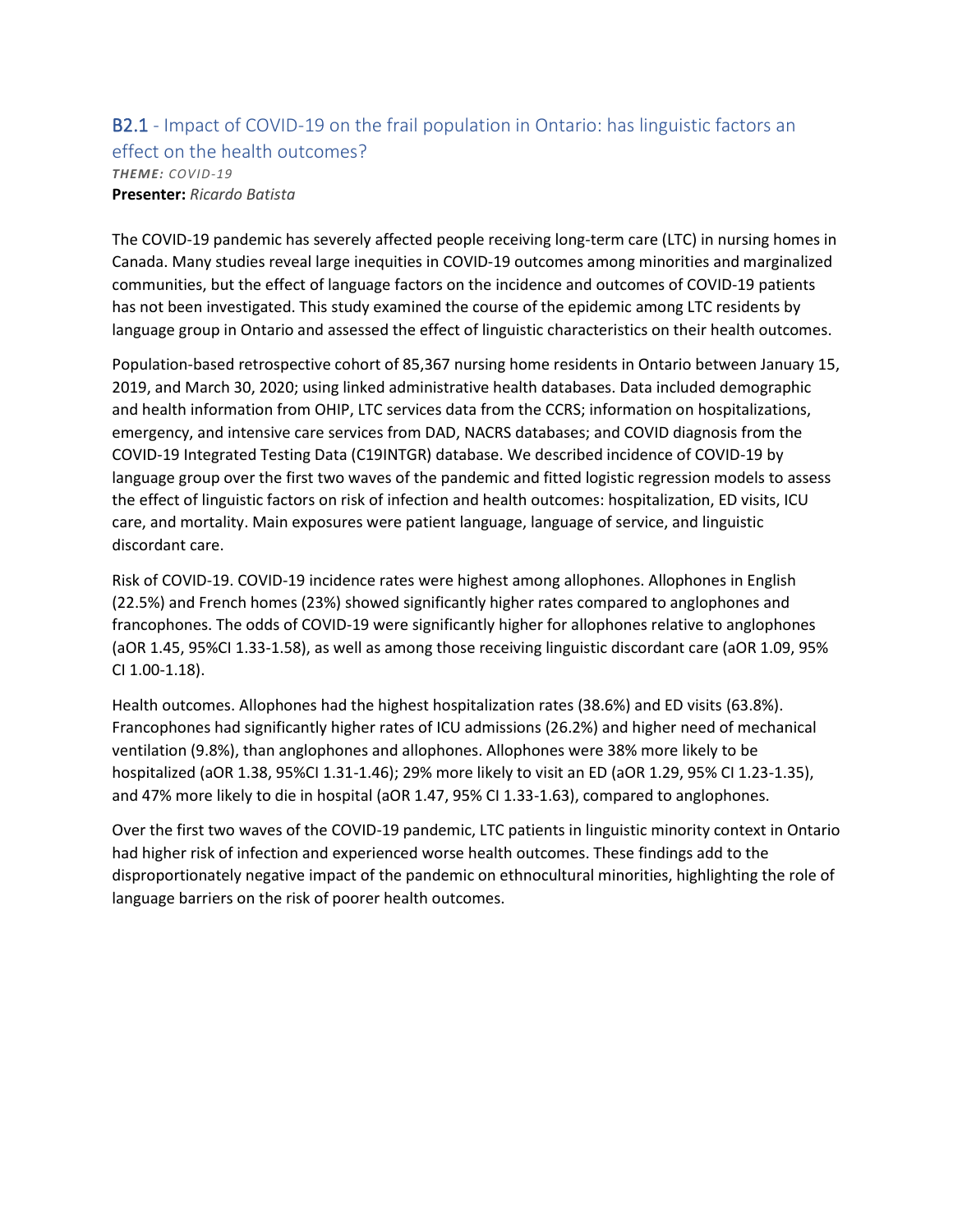### B2.1 - Impact of COVID-19 on the frail population in Ontario: has linguistic factors an effect on the health outcomes? *THEME: COVID-19* **Presenter:** *Ricardo Batista*

The COVID-19 pandemic has severely affected people receiving long-term care (LTC) in nursing homes in Canada. Many studies reveal large inequities in COVID-19 outcomes among minorities and marginalized communities, but the effect of language factors on the incidence and outcomes of COVID-19 patients has not been investigated. This study examined the course of the epidemic among LTC residents by language group in Ontario and assessed the effect of linguistic characteristics on their health outcomes.

Population-based retrospective cohort of 85,367 nursing home residents in Ontario between January 15, 2019, and March 30, 2020; using linked administrative health databases. Data included demographic and health information from OHIP, LTC services data from the CCRS; information on hospitalizations, emergency, and intensive care services from DAD, NACRS databases; and COVID diagnosis from the COVID-19 Integrated Testing Data (C19INTGR) database. We described incidence of COVID-19 by language group over the first two waves of the pandemic and fitted logistic regression models to assess the effect of linguistic factors on risk of infection and health outcomes: hospitalization, ED visits, ICU care, and mortality. Main exposures were patient language, language of service, and linguistic discordant care.

Risk of COVID-19. COVID-19 incidence rates were highest among allophones. Allophones in English (22.5%) and French homes (23%) showed significantly higher rates compared to anglophones and francophones. The odds of COVID-19 were significantly higher for allophones relative to anglophones (aOR 1.45, 95%CI 1.33-1.58), as well as among those receiving linguistic discordant care (aOR 1.09, 95% CI 1.00-1.18).

Health outcomes. Allophones had the highest hospitalization rates (38.6%) and ED visits (63.8%). Francophones had significantly higher rates of ICU admissions (26.2%) and higher need of mechanical ventilation (9.8%), than anglophones and allophones. Allophones were 38% more likely to be hospitalized (aOR 1.38, 95%CI 1.31-1.46); 29% more likely to visit an ED (aOR 1.29, 95% CI 1.23-1.35), and 47% more likely to die in hospital (aOR 1.47, 95% CI 1.33-1.63), compared to anglophones.

Over the first two waves of the COVID-19 pandemic, LTC patients in linguistic minority context in Ontario had higher risk of infection and experienced worse health outcomes. These findings add to the disproportionately negative impact of the pandemic on ethnocultural minorities, highlighting the role of language barriers on the risk of poorer health outcomes.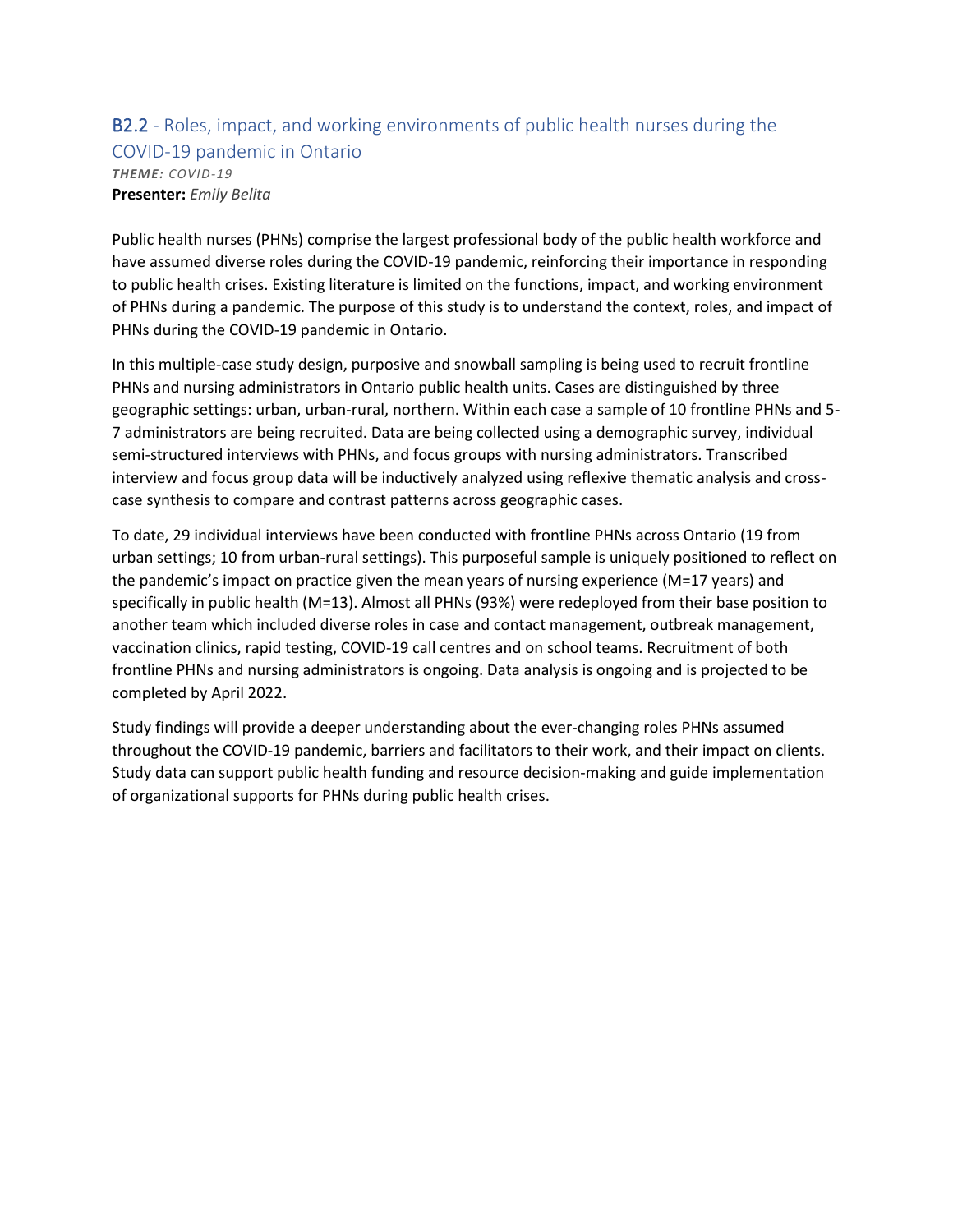### B2.2 - Roles, impact, and working environments of public health nurses during the COVID-19 pandemic in Ontario *THEME: COVID-19* **Presenter:** *Emily Belita*

Public health nurses (PHNs) comprise the largest professional body of the public health workforce and have assumed diverse roles during the COVID-19 pandemic, reinforcing their importance in responding to public health crises. Existing literature is limited on the functions, impact, and working environment of PHNs during a pandemic. The purpose of this study is to understand the context, roles, and impact of PHNs during the COVID-19 pandemic in Ontario.

In this multiple-case study design, purposive and snowball sampling is being used to recruit frontline PHNs and nursing administrators in Ontario public health units. Cases are distinguished by three geographic settings: urban, urban-rural, northern. Within each case a sample of 10 frontline PHNs and 5- 7 administrators are being recruited. Data are being collected using a demographic survey, individual semi-structured interviews with PHNs, and focus groups with nursing administrators. Transcribed interview and focus group data will be inductively analyzed using reflexive thematic analysis and crosscase synthesis to compare and contrast patterns across geographic cases.

To date, 29 individual interviews have been conducted with frontline PHNs across Ontario (19 from urban settings; 10 from urban-rural settings). This purposeful sample is uniquely positioned to reflect on the pandemic's impact on practice given the mean years of nursing experience (M=17 years) and specifically in public health (M=13). Almost all PHNs (93%) were redeployed from their base position to another team which included diverse roles in case and contact management, outbreak management, vaccination clinics, rapid testing, COVID-19 call centres and on school teams. Recruitment of both frontline PHNs and nursing administrators is ongoing. Data analysis is ongoing and is projected to be completed by April 2022.

Study findings will provide a deeper understanding about the ever-changing roles PHNs assumed throughout the COVID-19 pandemic, barriers and facilitators to their work, and their impact on clients. Study data can support public health funding and resource decision-making and guide implementation of organizational supports for PHNs during public health crises.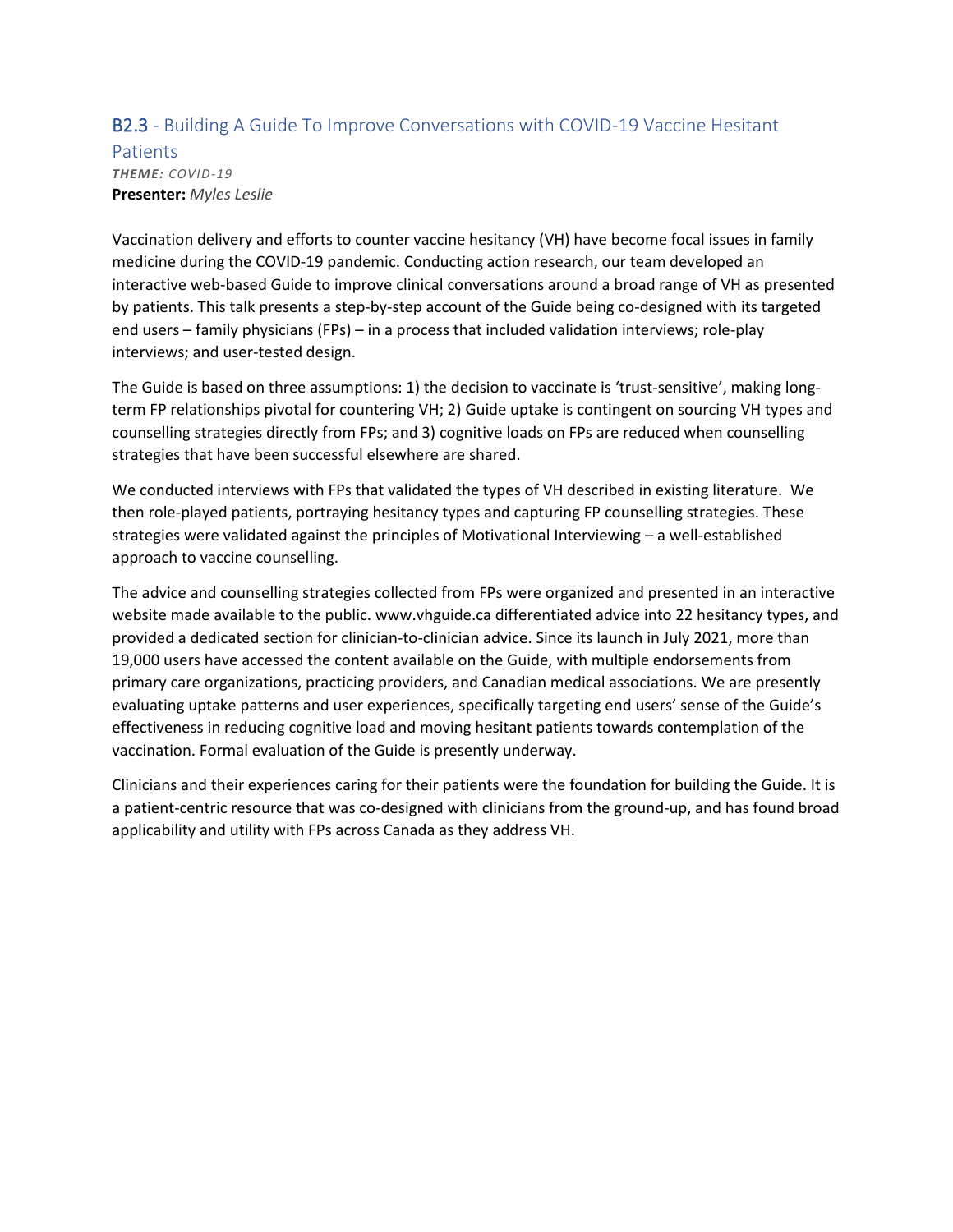### B2.3 - Building A Guide To Improve Conversations with COVID-19 Vaccine Hesitant

**Patients** *THEME: COVID-19* **Presenter:** *Myles Leslie*

Vaccination delivery and efforts to counter vaccine hesitancy (VH) have become focal issues in family medicine during the COVID-19 pandemic. Conducting action research, our team developed an interactive web-based Guide to improve clinical conversations around a broad range of VH as presented by patients. This talk presents a step-by-step account of the Guide being co-designed with its targeted end users – family physicians (FPs) – in a process that included validation interviews; role-play interviews; and user-tested design.

The Guide is based on three assumptions: 1) the decision to vaccinate is 'trust-sensitive', making longterm FP relationships pivotal for countering VH; 2) Guide uptake is contingent on sourcing VH types and counselling strategies directly from FPs; and 3) cognitive loads on FPs are reduced when counselling strategies that have been successful elsewhere are shared.

We conducted interviews with FPs that validated the types of VH described in existing literature. We then role-played patients, portraying hesitancy types and capturing FP counselling strategies. These strategies were validated against the principles of Motivational Interviewing – a well-established approach to vaccine counselling.

The advice and counselling strategies collected from FPs were organized and presented in an interactive website made available to the public. www.vhguide.ca differentiated advice into 22 hesitancy types, and provided a dedicated section for clinician-to-clinician advice. Since its launch in July 2021, more than 19,000 users have accessed the content available on the Guide, with multiple endorsements from primary care organizations, practicing providers, and Canadian medical associations. We are presently evaluating uptake patterns and user experiences, specifically targeting end users' sense of the Guide's effectiveness in reducing cognitive load and moving hesitant patients towards contemplation of the vaccination. Formal evaluation of the Guide is presently underway.

Clinicians and their experiences caring for their patients were the foundation for building the Guide. It is a patient-centric resource that was co-designed with clinicians from the ground-up, and has found broad applicability and utility with FPs across Canada as they address VH.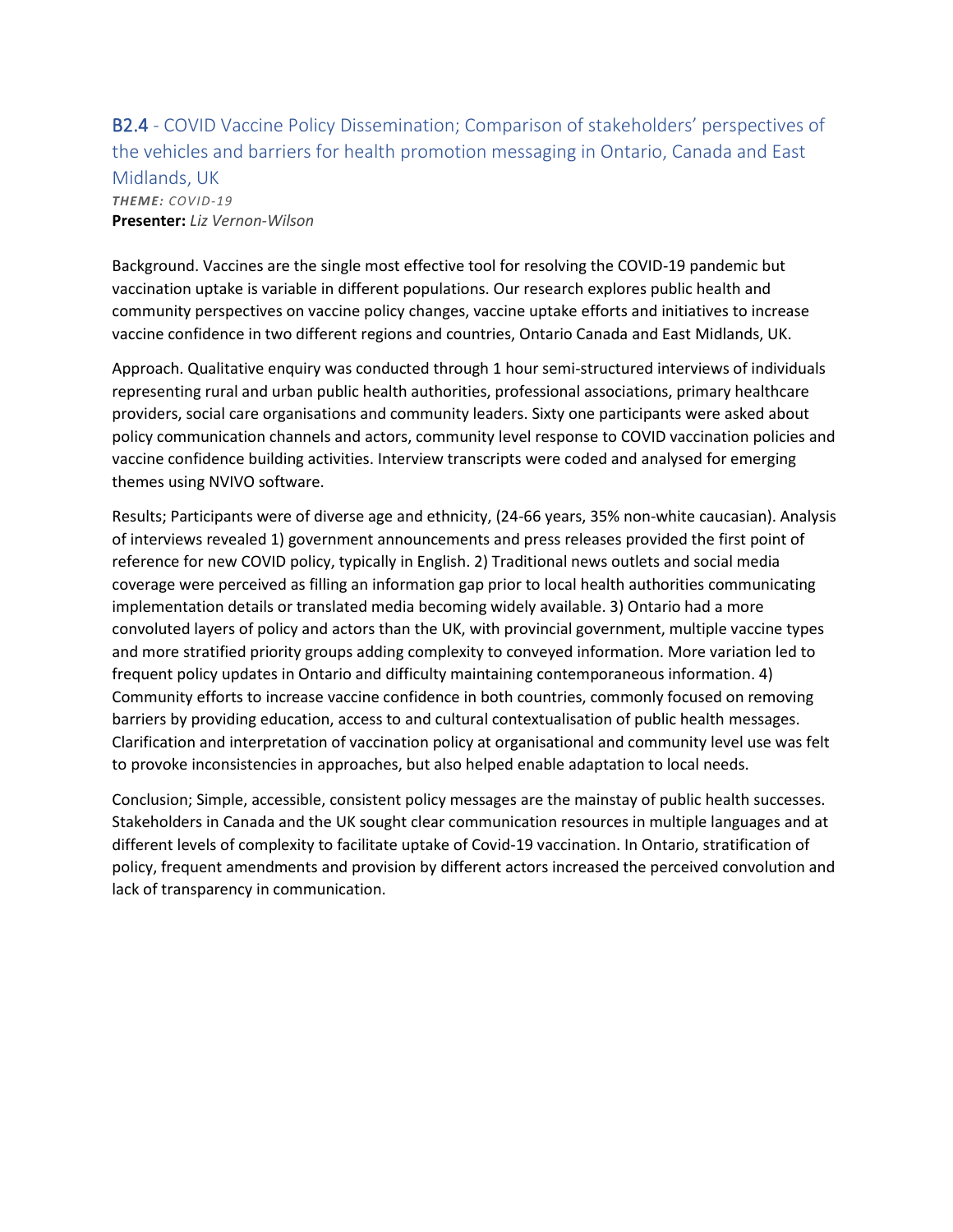B2.4 - COVID Vaccine Policy Dissemination; Comparison of stakeholders' perspectives of the vehicles and barriers for health promotion messaging in Ontario, Canada and East Midlands, UK *THEME: COVID-19* **Presenter:** *Liz Vernon-Wilson*

Background. Vaccines are the single most effective tool for resolving the COVID-19 pandemic but vaccination uptake is variable in different populations. Our research explores public health and community perspectives on vaccine policy changes, vaccine uptake efforts and initiatives to increase vaccine confidence in two different regions and countries, Ontario Canada and East Midlands, UK.

Approach. Qualitative enquiry was conducted through 1 hour semi-structured interviews of individuals representing rural and urban public health authorities, professional associations, primary healthcare providers, social care organisations and community leaders. Sixty one participants were asked about policy communication channels and actors, community level response to COVID vaccination policies and vaccine confidence building activities. Interview transcripts were coded and analysed for emerging themes using NVIVO software.

Results; Participants were of diverse age and ethnicity, (24-66 years, 35% non-white caucasian). Analysis of interviews revealed 1) government announcements and press releases provided the first point of reference for new COVID policy, typically in English. 2) Traditional news outlets and social media coverage were perceived as filling an information gap prior to local health authorities communicating implementation details or translated media becoming widely available. 3) Ontario had a more convoluted layers of policy and actors than the UK, with provincial government, multiple vaccine types and more stratified priority groups adding complexity to conveyed information. More variation led to frequent policy updates in Ontario and difficulty maintaining contemporaneous information. 4) Community efforts to increase vaccine confidence in both countries, commonly focused on removing barriers by providing education, access to and cultural contextualisation of public health messages. Clarification and interpretation of vaccination policy at organisational and community level use was felt to provoke inconsistencies in approaches, but also helped enable adaptation to local needs.

Conclusion; Simple, accessible, consistent policy messages are the mainstay of public health successes. Stakeholders in Canada and the UK sought clear communication resources in multiple languages and at different levels of complexity to facilitate uptake of Covid-19 vaccination. In Ontario, stratification of policy, frequent amendments and provision by different actors increased the perceived convolution and lack of transparency in communication.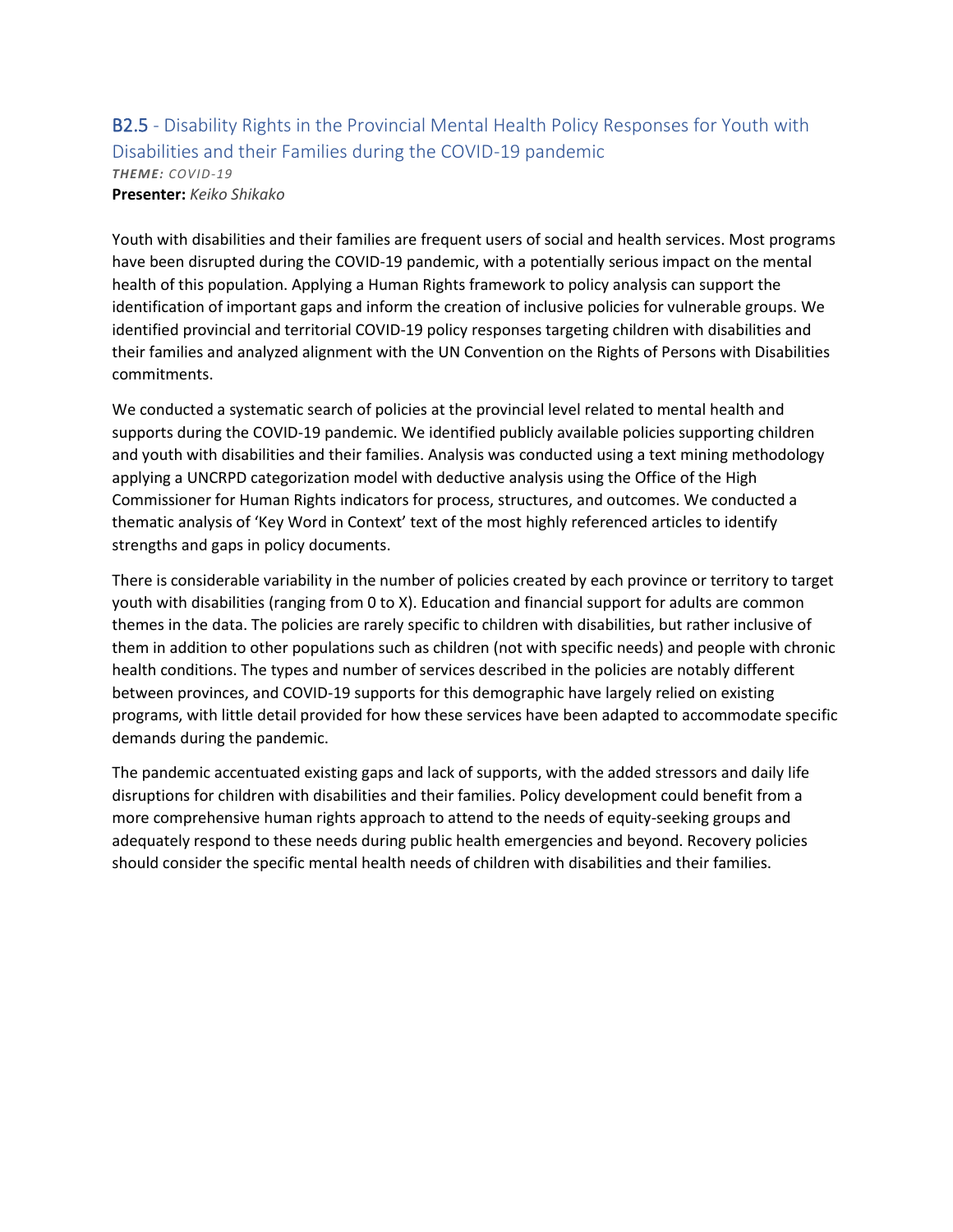### B2.5 - Disability Rights in the Provincial Mental Health Policy Responses for Youth with Disabilities and their Families during the COVID-19 pandemic *THEME: COVID-19* **Presenter:** *Keiko Shikako*

Youth with disabilities and their families are frequent users of social and health services. Most programs have been disrupted during the COVID-19 pandemic, with a potentially serious impact on the mental health of this population. Applying a Human Rights framework to policy analysis can support the identification of important gaps and inform the creation of inclusive policies for vulnerable groups. We identified provincial and territorial COVID-19 policy responses targeting children with disabilities and their families and analyzed alignment with the UN Convention on the Rights of Persons with Disabilities commitments.

We conducted a systematic search of policies at the provincial level related to mental health and supports during the COVID-19 pandemic. We identified publicly available policies supporting children and youth with disabilities and their families. Analysis was conducted using a text mining methodology applying a UNCRPD categorization model with deductive analysis using the Office of the High Commissioner for Human Rights indicators for process, structures, and outcomes. We conducted a thematic analysis of 'Key Word in Context' text of the most highly referenced articles to identify strengths and gaps in policy documents.

There is considerable variability in the number of policies created by each province or territory to target youth with disabilities (ranging from 0 to X). Education and financial support for adults are common themes in the data. The policies are rarely specific to children with disabilities, but rather inclusive of them in addition to other populations such as children (not with specific needs) and people with chronic health conditions. The types and number of services described in the policies are notably different between provinces, and COVID-19 supports for this demographic have largely relied on existing programs, with little detail provided for how these services have been adapted to accommodate specific demands during the pandemic.

The pandemic accentuated existing gaps and lack of supports, with the added stressors and daily life disruptions for children with disabilities and their families. Policy development could benefit from a more comprehensive human rights approach to attend to the needs of equity-seeking groups and adequately respond to these needs during public health emergencies and beyond. Recovery policies should consider the specific mental health needs of children with disabilities and their families.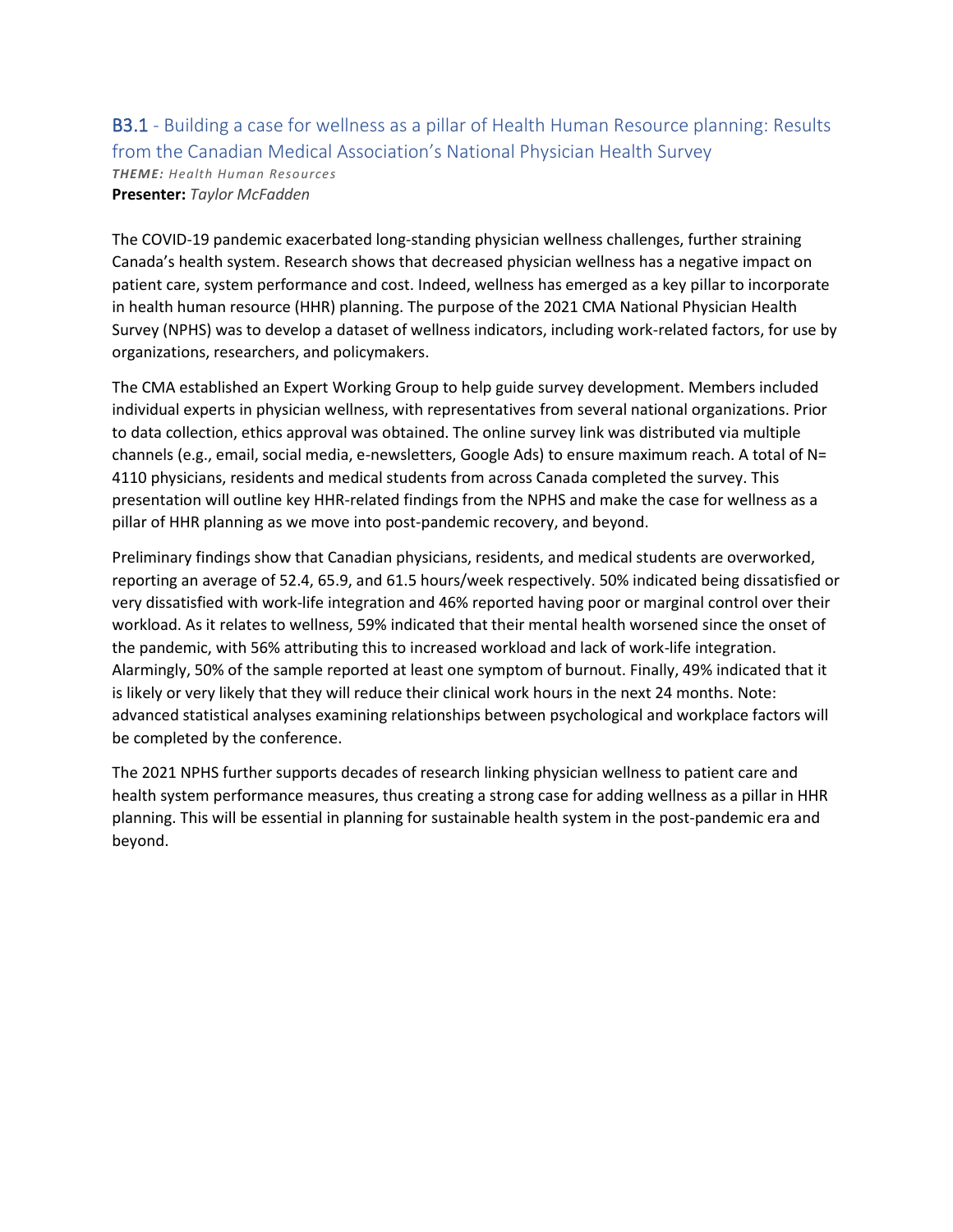### B3.1 - Building a case for wellness as a pillar of Health Human Resource planning: Results from the Canadian Medical Association's National Physician Health Survey *THEME: Health Human Resources*

**Presenter:** *Taylor McFadden*

The COVID-19 pandemic exacerbated long-standing physician wellness challenges, further straining Canada's health system. Research shows that decreased physician wellness has a negative impact on patient care, system performance and cost. Indeed, wellness has emerged as a key pillar to incorporate in health human resource (HHR) planning. The purpose of the 2021 CMA National Physician Health Survey (NPHS) was to develop a dataset of wellness indicators, including work-related factors, for use by organizations, researchers, and policymakers.

The CMA established an Expert Working Group to help guide survey development. Members included individual experts in physician wellness, with representatives from several national organizations. Prior to data collection, ethics approval was obtained. The online survey link was distributed via multiple channels (e.g., email, social media, e-newsletters, Google Ads) to ensure maximum reach. A total of N= 4110 physicians, residents and medical students from across Canada completed the survey. This presentation will outline key HHR-related findings from the NPHS and make the case for wellness as a pillar of HHR planning as we move into post-pandemic recovery, and beyond.

Preliminary findings show that Canadian physicians, residents, and medical students are overworked, reporting an average of 52.4, 65.9, and 61.5 hours/week respectively. 50% indicated being dissatisfied or very dissatisfied with work-life integration and 46% reported having poor or marginal control over their workload. As it relates to wellness, 59% indicated that their mental health worsened since the onset of the pandemic, with 56% attributing this to increased workload and lack of work-life integration. Alarmingly, 50% of the sample reported at least one symptom of burnout. Finally, 49% indicated that it is likely or very likely that they will reduce their clinical work hours in the next 24 months. Note: advanced statistical analyses examining relationships between psychological and workplace factors will be completed by the conference.

The 2021 NPHS further supports decades of research linking physician wellness to patient care and health system performance measures, thus creating a strong case for adding wellness as a pillar in HHR planning. This will be essential in planning for sustainable health system in the post-pandemic era and beyond.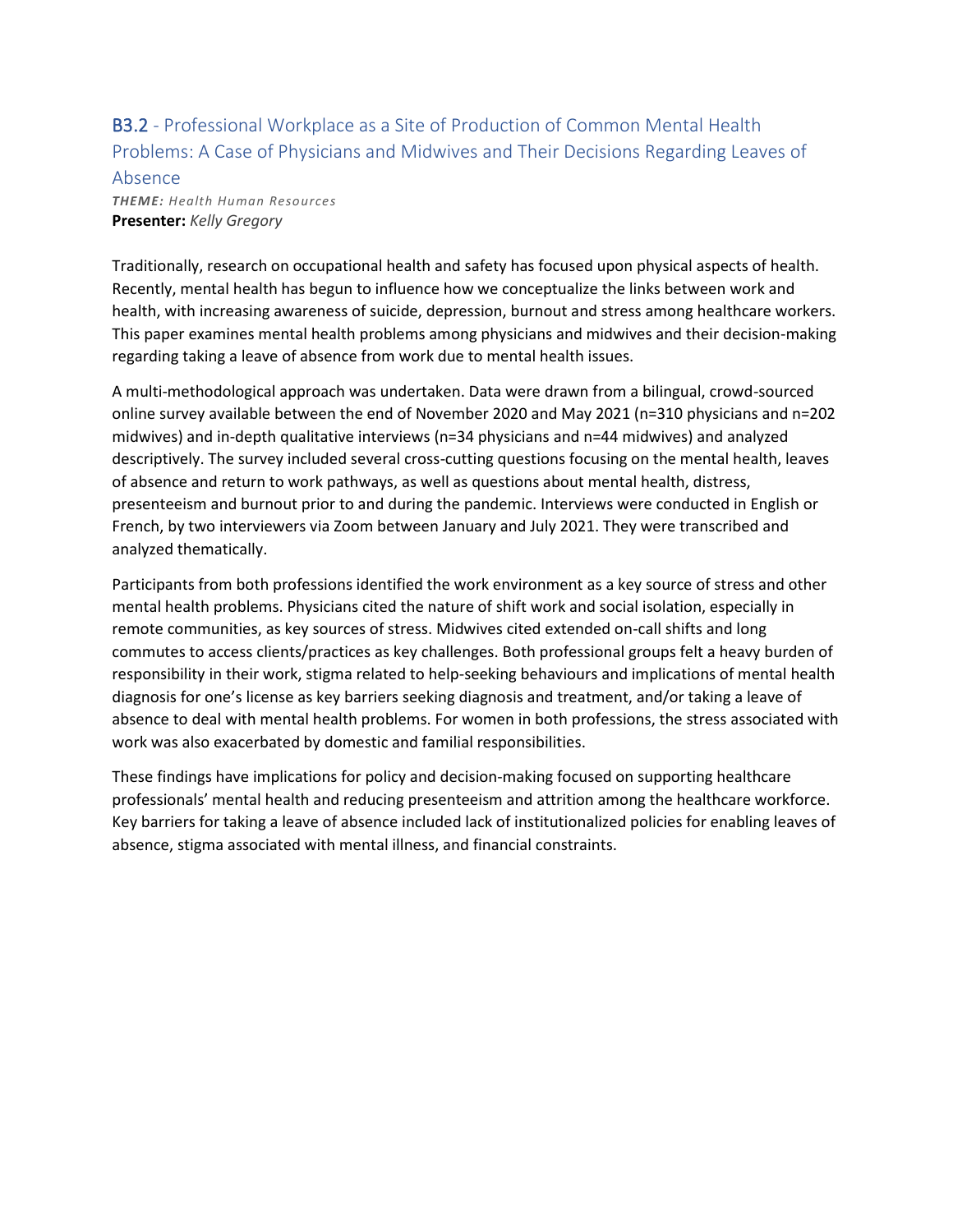# B3.2 - Professional Workplace as a Site of Production of Common Mental Health Problems: A Case of Physicians and Midwives and Their Decisions Regarding Leaves of

#### Absence

*THEME: Health Human Resources* **Presenter:** *Kelly Gregory*

Traditionally, research on occupational health and safety has focused upon physical aspects of health. Recently, mental health has begun to influence how we conceptualize the links between work and health, with increasing awareness of suicide, depression, burnout and stress among healthcare workers. This paper examines mental health problems among physicians and midwives and their decision-making regarding taking a leave of absence from work due to mental health issues.

A multi-methodological approach was undertaken. Data were drawn from a bilingual, crowd-sourced online survey available between the end of November 2020 and May 2021 (n=310 physicians and n=202 midwives) and in-depth qualitative interviews (n=34 physicians and n=44 midwives) and analyzed descriptively. The survey included several cross-cutting questions focusing on the mental health, leaves of absence and return to work pathways, as well as questions about mental health, distress, presenteeism and burnout prior to and during the pandemic. Interviews were conducted in English or French, by two interviewers via Zoom between January and July 2021. They were transcribed and analyzed thematically.

Participants from both professions identified the work environment as a key source of stress and other mental health problems. Physicians cited the nature of shift work and social isolation, especially in remote communities, as key sources of stress. Midwives cited extended on-call shifts and long commutes to access clients/practices as key challenges. Both professional groups felt a heavy burden of responsibility in their work, stigma related to help-seeking behaviours and implications of mental health diagnosis for one's license as key barriers seeking diagnosis and treatment, and/or taking a leave of absence to deal with mental health problems. For women in both professions, the stress associated with work was also exacerbated by domestic and familial responsibilities.

These findings have implications for policy and decision-making focused on supporting healthcare professionals' mental health and reducing presenteeism and attrition among the healthcare workforce. Key barriers for taking a leave of absence included lack of institutionalized policies for enabling leaves of absence, stigma associated with mental illness, and financial constraints.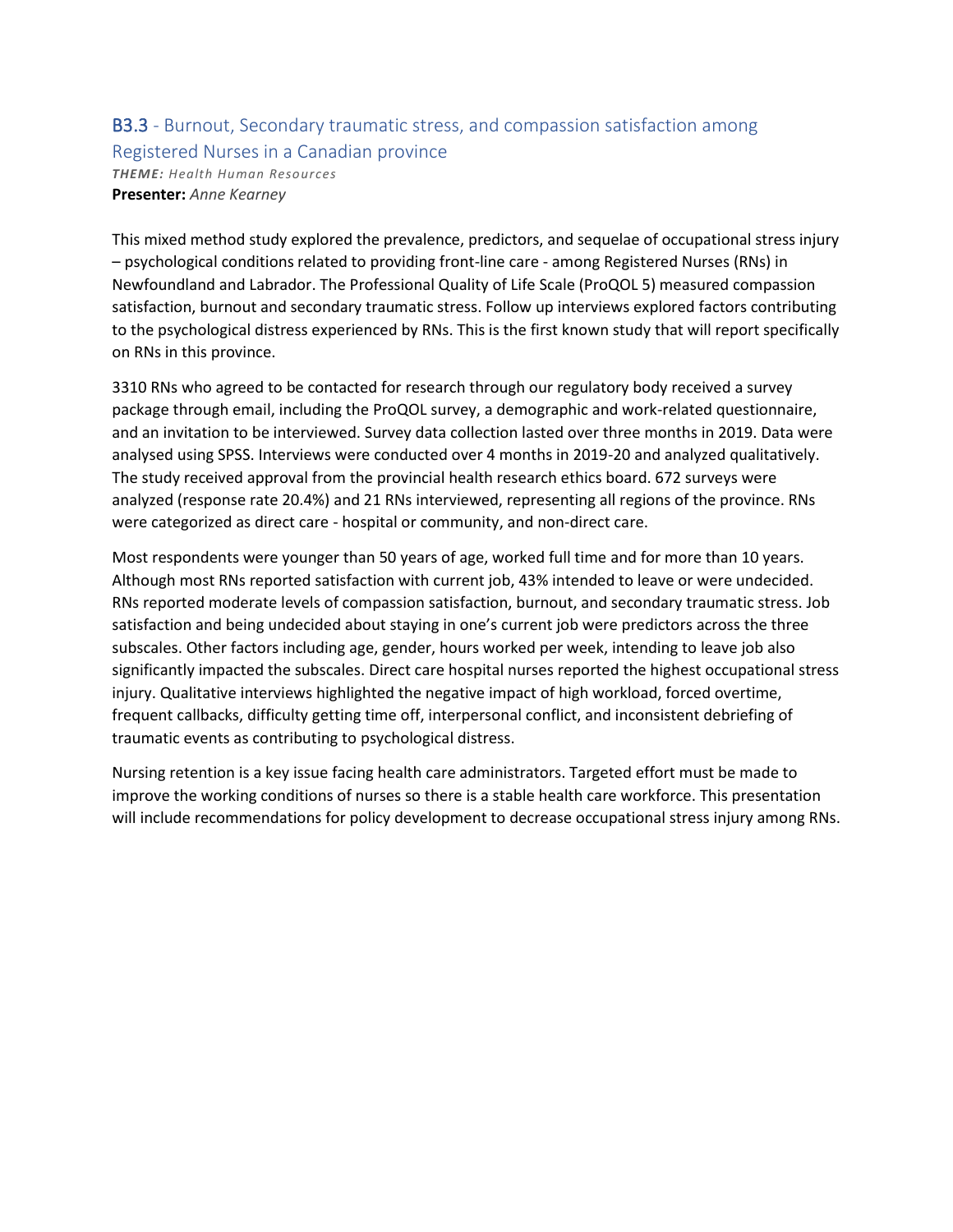### B3.3 - Burnout, Secondary traumatic stress, and compassion satisfaction among Registered Nurses in a Canadian province *THEME: Health Human Resources* **Presenter:** *Anne Kearney*

This mixed method study explored the prevalence, predictors, and sequelae of occupational stress injury – psychological conditions related to providing front-line care - among Registered Nurses (RNs) in Newfoundland and Labrador. The Professional Quality of Life Scale (ProQOL 5) measured compassion satisfaction, burnout and secondary traumatic stress. Follow up interviews explored factors contributing to the psychological distress experienced by RNs. This is the first known study that will report specifically on RNs in this province.

3310 RNs who agreed to be contacted for research through our regulatory body received a survey package through email, including the ProQOL survey, a demographic and work-related questionnaire, and an invitation to be interviewed. Survey data collection lasted over three months in 2019. Data were analysed using SPSS. Interviews were conducted over 4 months in 2019-20 and analyzed qualitatively. The study received approval from the provincial health research ethics board. 672 surveys were analyzed (response rate 20.4%) and 21 RNs interviewed, representing all regions of the province. RNs were categorized as direct care - hospital or community, and non-direct care.

Most respondents were younger than 50 years of age, worked full time and for more than 10 years. Although most RNs reported satisfaction with current job, 43% intended to leave or were undecided. RNs reported moderate levels of compassion satisfaction, burnout, and secondary traumatic stress. Job satisfaction and being undecided about staying in one's current job were predictors across the three subscales. Other factors including age, gender, hours worked per week, intending to leave job also significantly impacted the subscales. Direct care hospital nurses reported the highest occupational stress injury. Qualitative interviews highlighted the negative impact of high workload, forced overtime, frequent callbacks, difficulty getting time off, interpersonal conflict, and inconsistent debriefing of traumatic events as contributing to psychological distress.

Nursing retention is a key issue facing health care administrators. Targeted effort must be made to improve the working conditions of nurses so there is a stable health care workforce. This presentation will include recommendations for policy development to decrease occupational stress injury among RNs.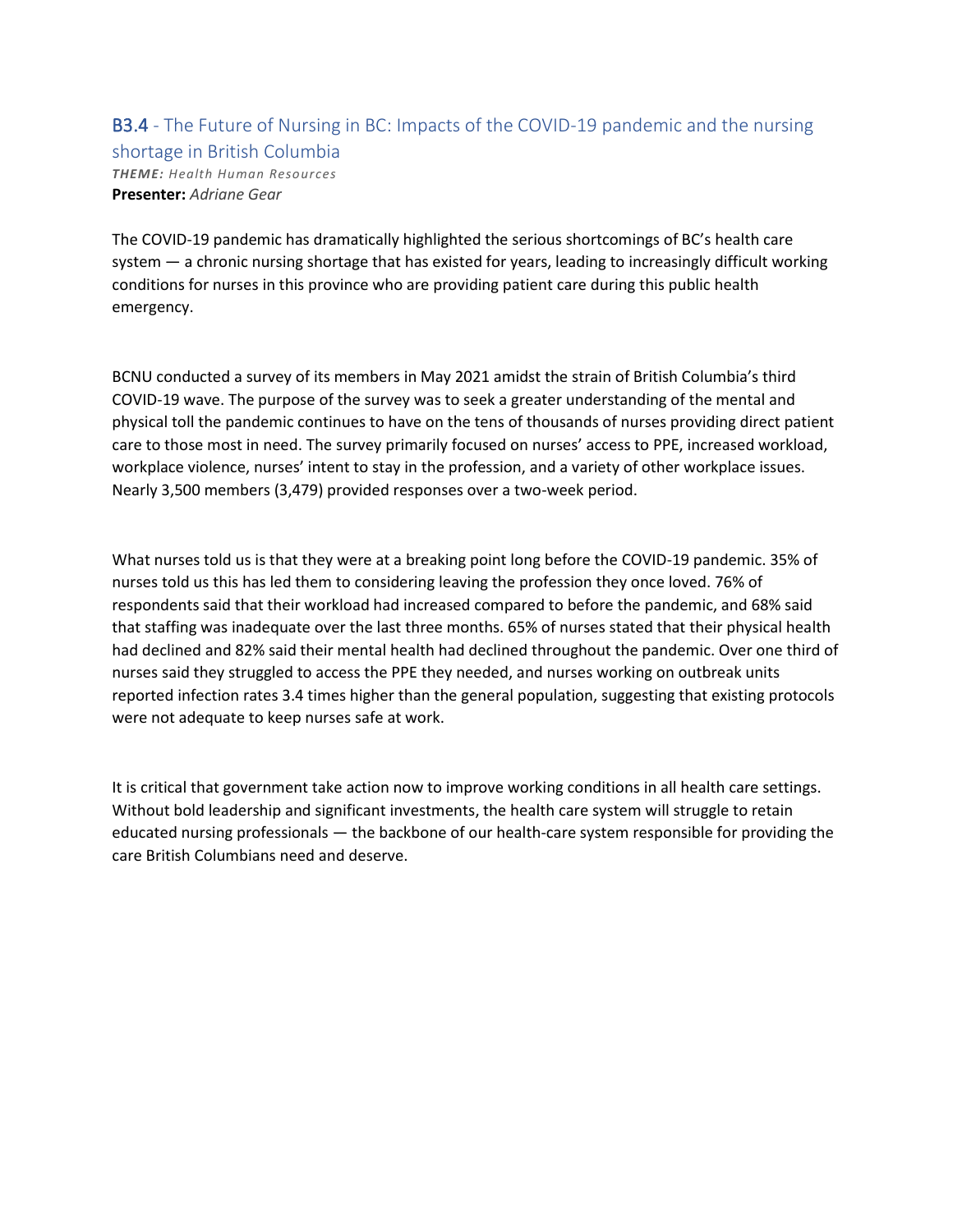### B3.4 - The Future of Nursing in BC: Impacts of the COVID-19 pandemic and the nursing shortage in British Columbia *THEME: Health Human Resources* **Presenter:** *Adriane Gear*

The COVID-19 pandemic has dramatically highlighted the serious shortcomings of BC's health care system — a chronic nursing shortage that has existed for years, leading to increasingly difficult working conditions for nurses in this province who are providing patient care during this public health emergency.

BCNU conducted a survey of its members in May 2021 amidst the strain of British Columbia's third COVID-19 wave. The purpose of the survey was to seek a greater understanding of the mental and physical toll the pandemic continues to have on the tens of thousands of nurses providing direct patient care to those most in need. The survey primarily focused on nurses' access to PPE, increased workload, workplace violence, nurses' intent to stay in the profession, and a variety of other workplace issues. Nearly 3,500 members (3,479) provided responses over a two-week period.

What nurses told us is that they were at a breaking point long before the COVID-19 pandemic. 35% of nurses told us this has led them to considering leaving the profession they once loved. 76% of respondents said that their workload had increased compared to before the pandemic, and 68% said that staffing was inadequate over the last three months. 65% of nurses stated that their physical health had declined and 82% said their mental health had declined throughout the pandemic. Over one third of nurses said they struggled to access the PPE they needed, and nurses working on outbreak units reported infection rates 3.4 times higher than the general population, suggesting that existing protocols were not adequate to keep nurses safe at work.

It is critical that government take action now to improve working conditions in all health care settings. Without bold leadership and significant investments, the health care system will struggle to retain educated nursing professionals — the backbone of our health-care system responsible for providing the care British Columbians need and deserve.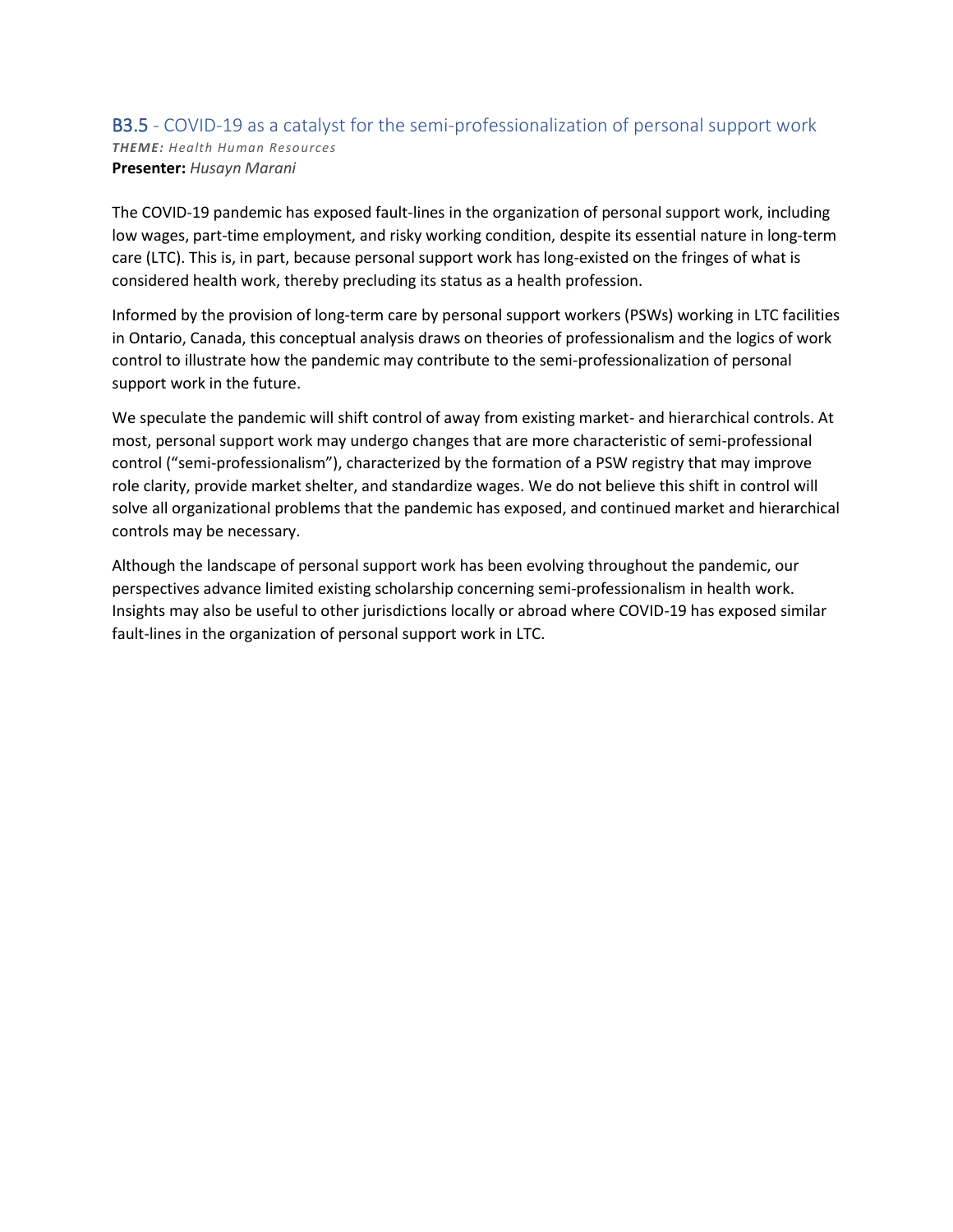### B3.5 - COVID-19 as a catalyst for the semi-professionalization of personal support work *THEME: Health Human Resources* **Presenter:** *Husayn Marani*

The COVID-19 pandemic has exposed fault-lines in the organization of personal support work, including low wages, part-time employment, and risky working condition, despite its essential nature in long-term care (LTC). This is, in part, because personal support work has long-existed on the fringes of what is considered health work, thereby precluding its status as a health profession.

Informed by the provision of long-term care by personal support workers (PSWs) working in LTC facilities in Ontario, Canada, this conceptual analysis draws on theories of professionalism and the logics of work control to illustrate how the pandemic may contribute to the semi-professionalization of personal support work in the future.

We speculate the pandemic will shift control of away from existing market- and hierarchical controls. At most, personal support work may undergo changes that are more characteristic of semi-professional control ("semi-professionalism"), characterized by the formation of a PSW registry that may improve role clarity, provide market shelter, and standardize wages. We do not believe this shift in control will solve all organizational problems that the pandemic has exposed, and continued market and hierarchical controls may be necessary.

Although the landscape of personal support work has been evolving throughout the pandemic, our perspectives advance limited existing scholarship concerning semi-professionalism in health work. Insights may also be useful to other jurisdictions locally or abroad where COVID-19 has exposed similar fault-lines in the organization of personal support work in LTC.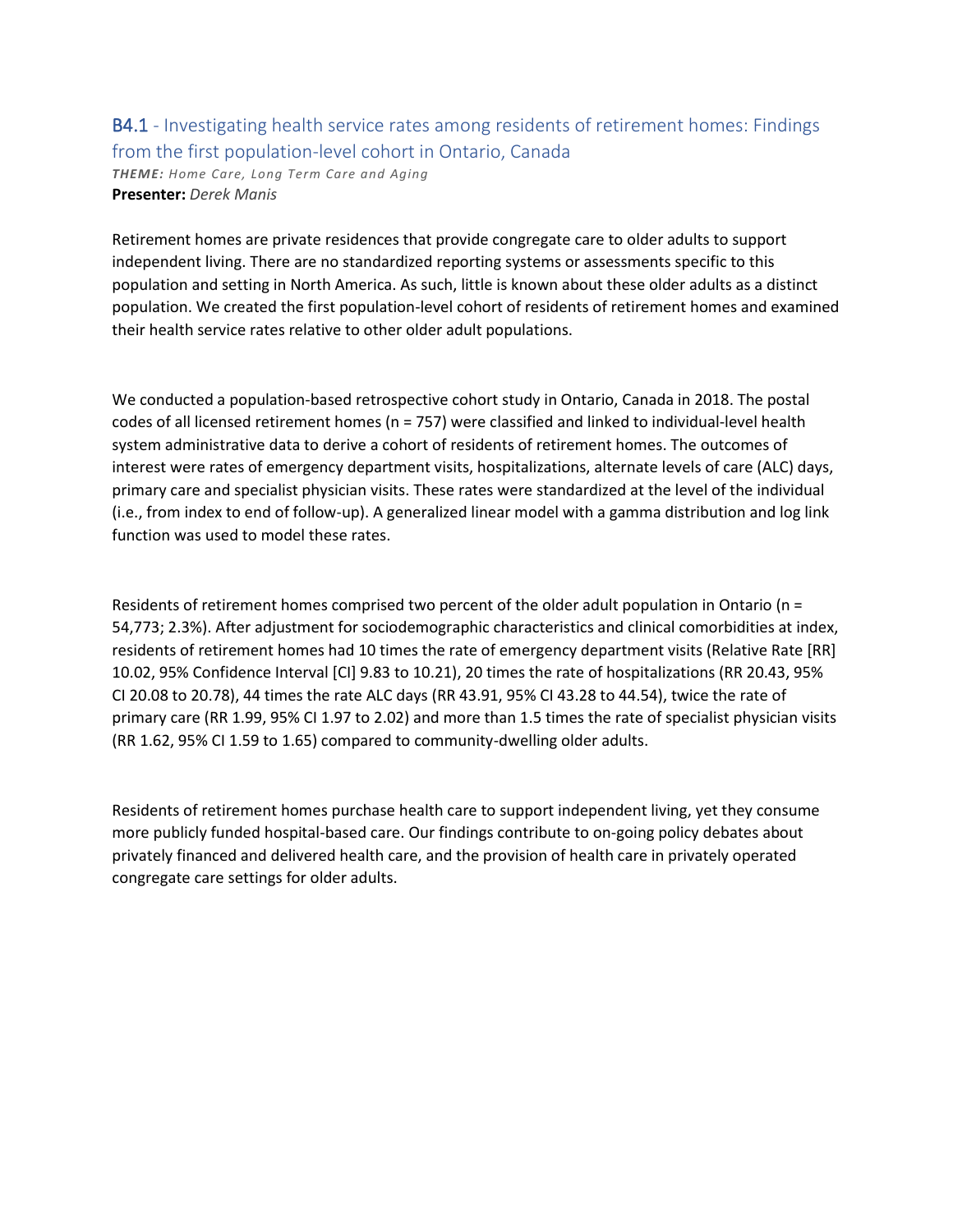### B4.1 - Investigating health service rates among residents of retirement homes: Findings from the first population-level cohort in Ontario, Canada *THEME: Home Care, Long Term Care and Aging* **Presenter:** *Derek Manis*

Retirement homes are private residences that provide congregate care to older adults to support independent living. There are no standardized reporting systems or assessments specific to this population and setting in North America. As such, little is known about these older adults as a distinct population. We created the first population-level cohort of residents of retirement homes and examined their health service rates relative to other older adult populations.

We conducted a population-based retrospective cohort study in Ontario, Canada in 2018. The postal codes of all licensed retirement homes (n = 757) were classified and linked to individual-level health system administrative data to derive a cohort of residents of retirement homes. The outcomes of interest were rates of emergency department visits, hospitalizations, alternate levels of care (ALC) days, primary care and specialist physician visits. These rates were standardized at the level of the individual (i.e., from index to end of follow-up). A generalized linear model with a gamma distribution and log link function was used to model these rates.

Residents of retirement homes comprised two percent of the older adult population in Ontario (n = 54,773; 2.3%). After adjustment for sociodemographic characteristics and clinical comorbidities at index, residents of retirement homes had 10 times the rate of emergency department visits (Relative Rate [RR] 10.02, 95% Confidence Interval [CI] 9.83 to 10.21), 20 times the rate of hospitalizations (RR 20.43, 95% CI 20.08 to 20.78), 44 times the rate ALC days (RR 43.91, 95% CI 43.28 to 44.54), twice the rate of primary care (RR 1.99, 95% CI 1.97 to 2.02) and more than 1.5 times the rate of specialist physician visits (RR 1.62, 95% CI 1.59 to 1.65) compared to community-dwelling older adults.

Residents of retirement homes purchase health care to support independent living, yet they consume more publicly funded hospital-based care. Our findings contribute to on-going policy debates about privately financed and delivered health care, and the provision of health care in privately operated congregate care settings for older adults.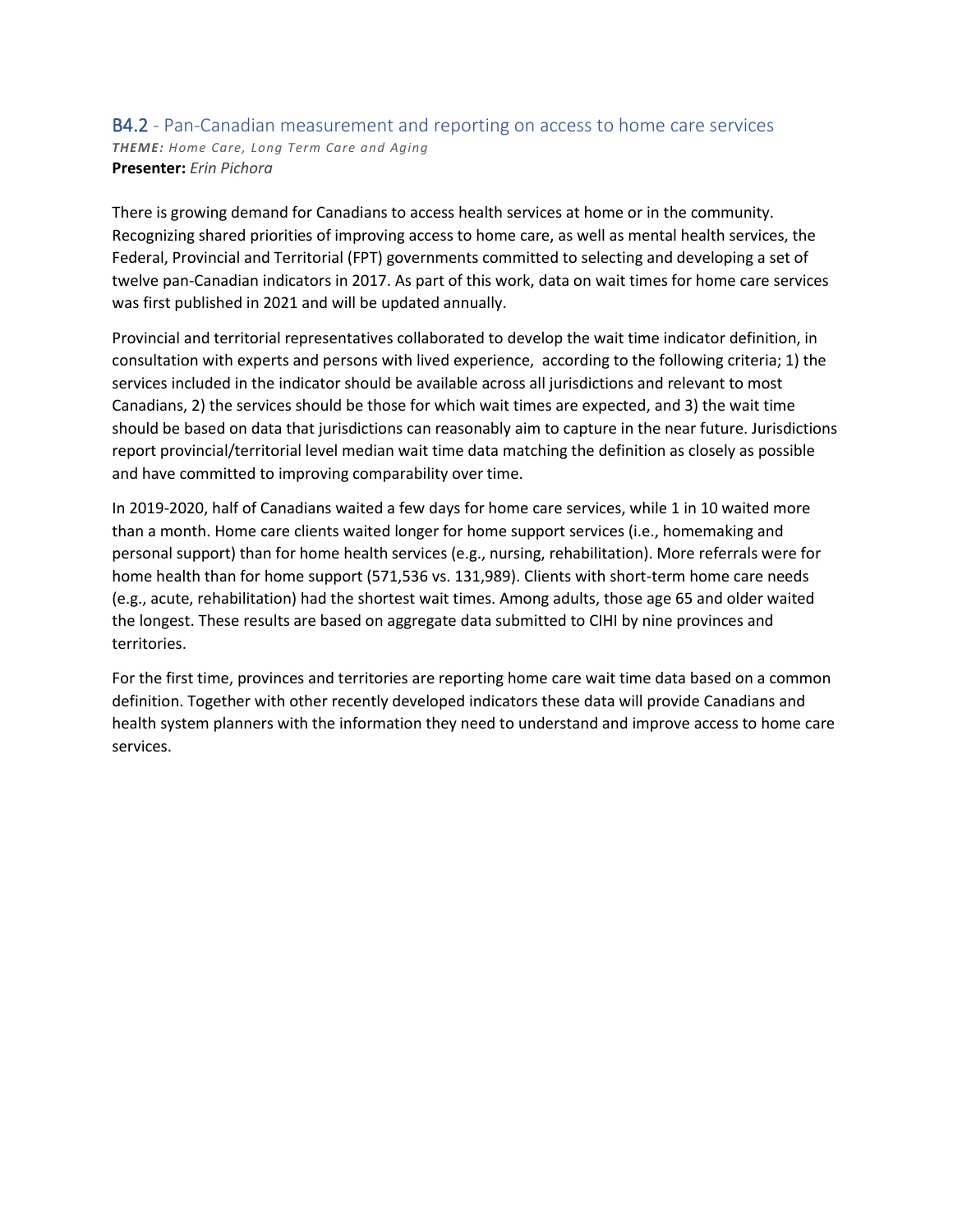#### B4.2 - Pan-Canadian measurement and reporting on access to home care services *THEME: Home Care, Long Term Care and Aging* **Presenter:** *Erin Pichora*

There is growing demand for Canadians to access health services at home or in the community. Recognizing shared priorities of improving access to home care, as well as mental health services, the Federal, Provincial and Territorial (FPT) governments committed to selecting and developing a set of twelve pan-Canadian indicators in 2017. As part of this work, data on wait times for home care services was first published in 2021 and will be updated annually.

Provincial and territorial representatives collaborated to develop the wait time indicator definition, in consultation with experts and persons with lived experience, according to the following criteria; 1) the services included in the indicator should be available across all jurisdictions and relevant to most Canadians, 2) the services should be those for which wait times are expected, and 3) the wait time should be based on data that jurisdictions can reasonably aim to capture in the near future. Jurisdictions report provincial/territorial level median wait time data matching the definition as closely as possible and have committed to improving comparability over time.

In 2019-2020, half of Canadians waited a few days for home care services, while 1 in 10 waited more than a month. Home care clients waited longer for home support services (i.e., homemaking and personal support) than for home health services (e.g., nursing, rehabilitation). More referrals were for home health than for home support (571,536 vs. 131,989). Clients with short-term home care needs (e.g., acute, rehabilitation) had the shortest wait times. Among adults, those age 65 and older waited the longest. These results are based on aggregate data submitted to CIHI by nine provinces and territories.

For the first time, provinces and territories are reporting home care wait time data based on a common definition. Together with other recently developed indicators these data will provide Canadians and health system planners with the information they need to understand and improve access to home care services.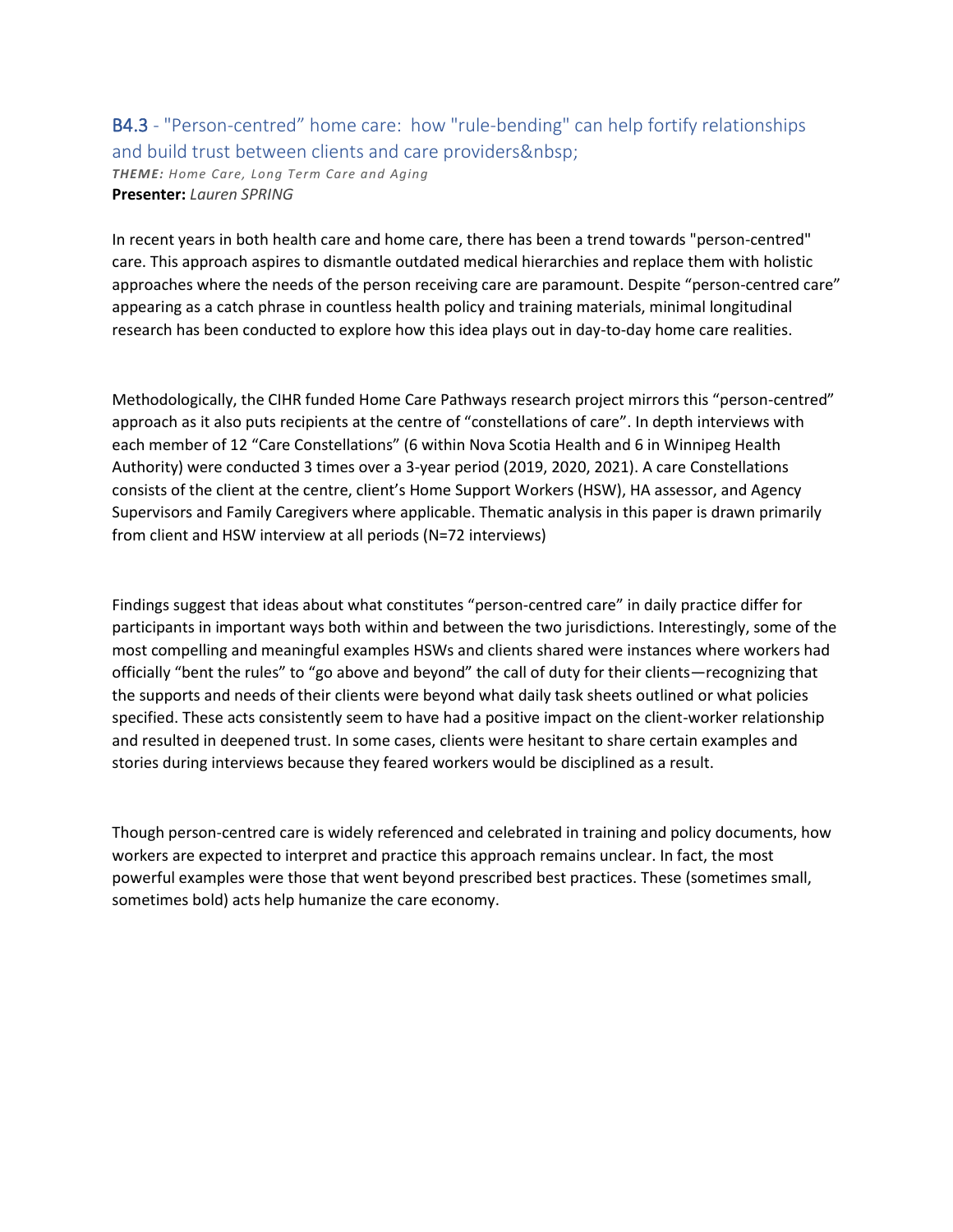## B4.3 - "Person-centred" home care: how "rule-bending" can help fortify relationships and build trust between clients and care providers *THEME: Home Care, Long Term Care and Aging* **Presenter:** *Lauren SPRING*

In recent years in both health care and home care, there has been a trend towards "person-centred" care. This approach aspires to dismantle outdated medical hierarchies and replace them with holistic approaches where the needs of the person receiving care are paramount. Despite "person-centred care" appearing as a catch phrase in countless health policy and training materials, minimal longitudinal research has been conducted to explore how this idea plays out in day-to-day home care realities.

Methodologically, the CIHR funded Home Care Pathways research project mirrors this "person-centred" approach as it also puts recipients at the centre of "constellations of care". In depth interviews with each member of 12 "Care Constellations" (6 within Nova Scotia Health and 6 in Winnipeg Health Authority) were conducted 3 times over a 3-year period (2019, 2020, 2021). A care Constellations consists of the client at the centre, client's Home Support Workers (HSW), HA assessor, and Agency Supervisors and Family Caregivers where applicable. Thematic analysis in this paper is drawn primarily from client and HSW interview at all periods (N=72 interviews)

Findings suggest that ideas about what constitutes "person-centred care" in daily practice differ for participants in important ways both within and between the two jurisdictions. Interestingly, some of the most compelling and meaningful examples HSWs and clients shared were instances where workers had officially "bent the rules" to "go above and beyond" the call of duty for their clients—recognizing that the supports and needs of their clients were beyond what daily task sheets outlined or what policies specified. These acts consistently seem to have had a positive impact on the client-worker relationship and resulted in deepened trust. In some cases, clients were hesitant to share certain examples and stories during interviews because they feared workers would be disciplined as a result.

Though person-centred care is widely referenced and celebrated in training and policy documents, how workers are expected to interpret and practice this approach remains unclear. In fact, the most powerful examples were those that went beyond prescribed best practices. These (sometimes small, sometimes bold) acts help humanize the care economy.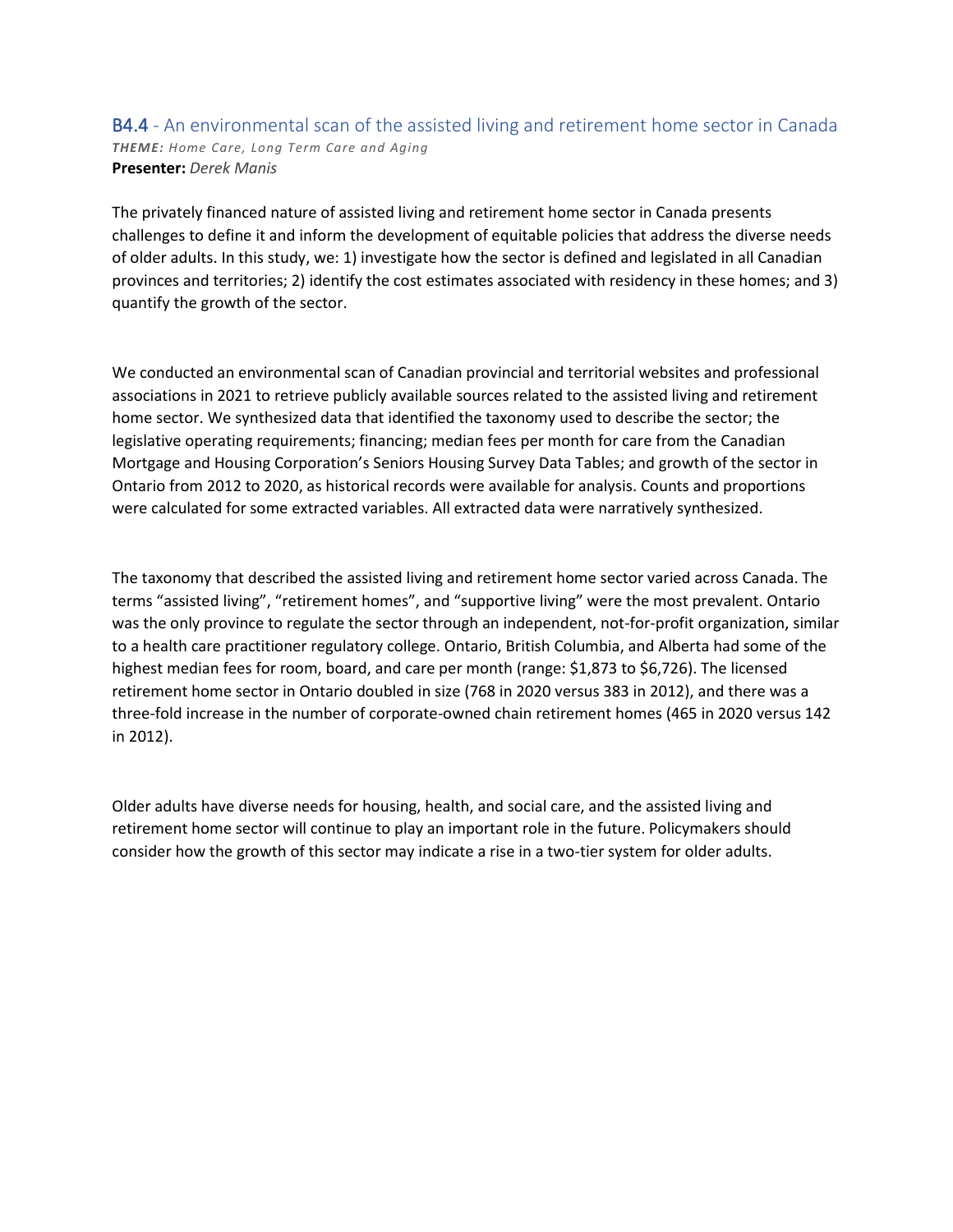#### B4.4 - An environmental scan of the assisted living and retirement home sector in Canada *THEME: Home Care, Long Term Care and Aging* **Presenter:** *Derek Manis*

The privately financed nature of assisted living and retirement home sector in Canada presents challenges to define it and inform the development of equitable policies that address the diverse needs of older adults. In this study, we: 1) investigate how the sector is defined and legislated in all Canadian provinces and territories; 2) identify the cost estimates associated with residency in these homes; and 3) quantify the growth of the sector.

We conducted an environmental scan of Canadian provincial and territorial websites and professional associations in 2021 to retrieve publicly available sources related to the assisted living and retirement home sector. We synthesized data that identified the taxonomy used to describe the sector; the legislative operating requirements; financing; median fees per month for care from the Canadian Mortgage and Housing Corporation's Seniors Housing Survey Data Tables; and growth of the sector in Ontario from 2012 to 2020, as historical records were available for analysis. Counts and proportions were calculated for some extracted variables. All extracted data were narratively synthesized.

The taxonomy that described the assisted living and retirement home sector varied across Canada. The terms "assisted living", "retirement homes", and "supportive living" were the most prevalent. Ontario was the only province to regulate the sector through an independent, not-for-profit organization, similar to a health care practitioner regulatory college. Ontario, British Columbia, and Alberta had some of the highest median fees for room, board, and care per month (range: \$1,873 to \$6,726). The licensed retirement home sector in Ontario doubled in size (768 in 2020 versus 383 in 2012), and there was a three-fold increase in the number of corporate-owned chain retirement homes (465 in 2020 versus 142 in 2012).

Older adults have diverse needs for housing, health, and social care, and the assisted living and retirement home sector will continue to play an important role in the future. Policymakers should consider how the growth of this sector may indicate a rise in a two-tier system for older adults.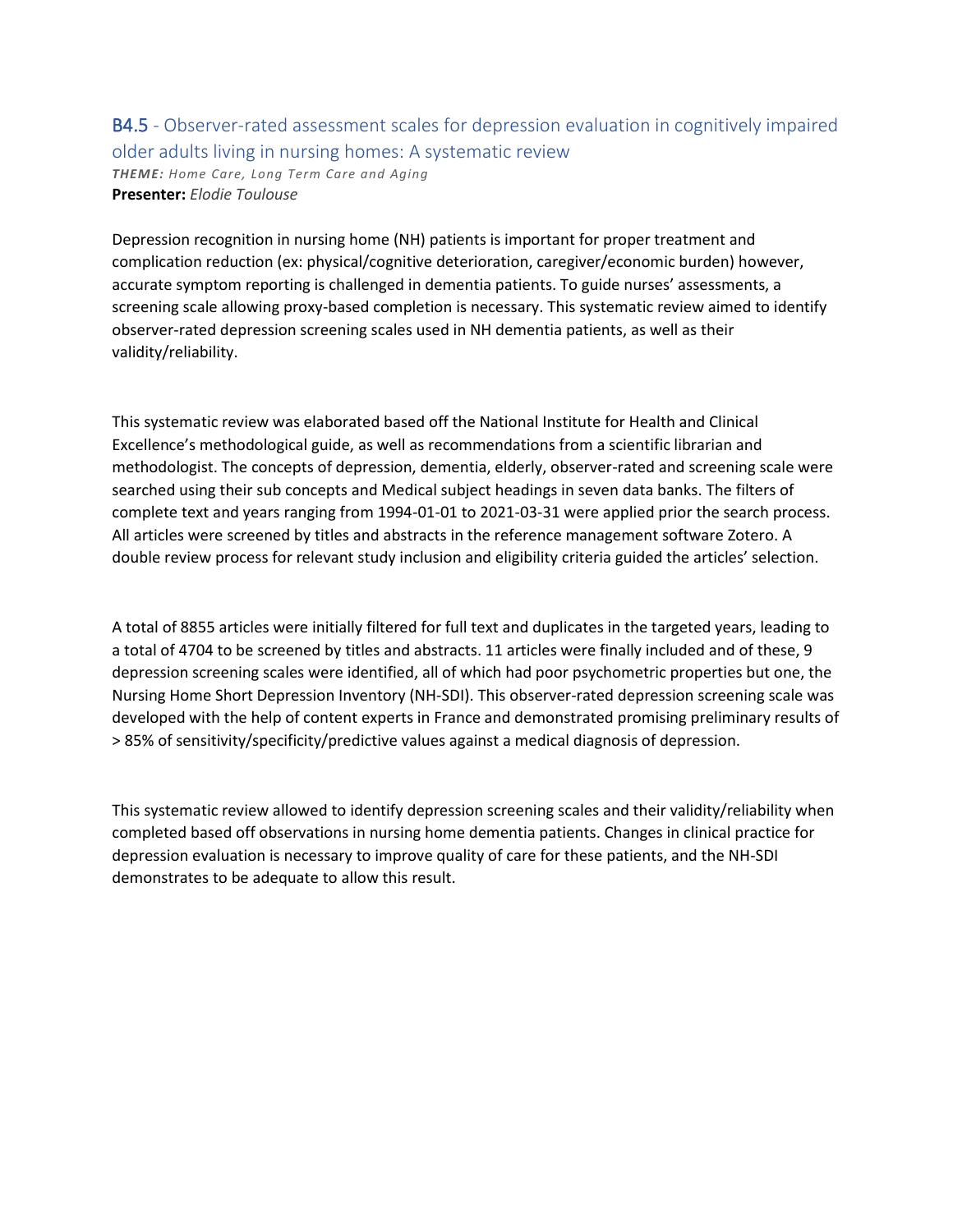### B4.5 - Observer-rated assessment scales for depression evaluation in cognitively impaired older adults living in nursing homes: A systematic review *THEME: Home Care, Long Term Care and Aging* **Presenter:** *Elodie Toulouse*

Depression recognition in nursing home (NH) patients is important for proper treatment and complication reduction (ex: physical/cognitive deterioration, caregiver/economic burden) however, accurate symptom reporting is challenged in dementia patients. To guide nurses' assessments, a screening scale allowing proxy-based completion is necessary. This systematic review aimed to identify observer-rated depression screening scales used in NH dementia patients, as well as their validity/reliability.

This systematic review was elaborated based off the National Institute for Health and Clinical Excellence's methodological guide, as well as recommendations from a scientific librarian and methodologist. The concepts of depression, dementia, elderly, observer-rated and screening scale were searched using their sub concepts and Medical subject headings in seven data banks. The filters of complete text and years ranging from 1994-01-01 to 2021-03-31 were applied prior the search process. All articles were screened by titles and abstracts in the reference management software Zotero. A double review process for relevant study inclusion and eligibility criteria guided the articles' selection.

A total of 8855 articles were initially filtered for full text and duplicates in the targeted years, leading to a total of 4704 to be screened by titles and abstracts. 11 articles were finally included and of these, 9 depression screening scales were identified, all of which had poor psychometric properties but one, the Nursing Home Short Depression Inventory (NH-SDI). This observer-rated depression screening scale was developed with the help of content experts in France and demonstrated promising preliminary results of > 85% of sensitivity/specificity/predictive values against a medical diagnosis of depression.

This systematic review allowed to identify depression screening scales and their validity/reliability when completed based off observations in nursing home dementia patients. Changes in clinical practice for depression evaluation is necessary to improve quality of care for these patients, and the NH-SDI demonstrates to be adequate to allow this result.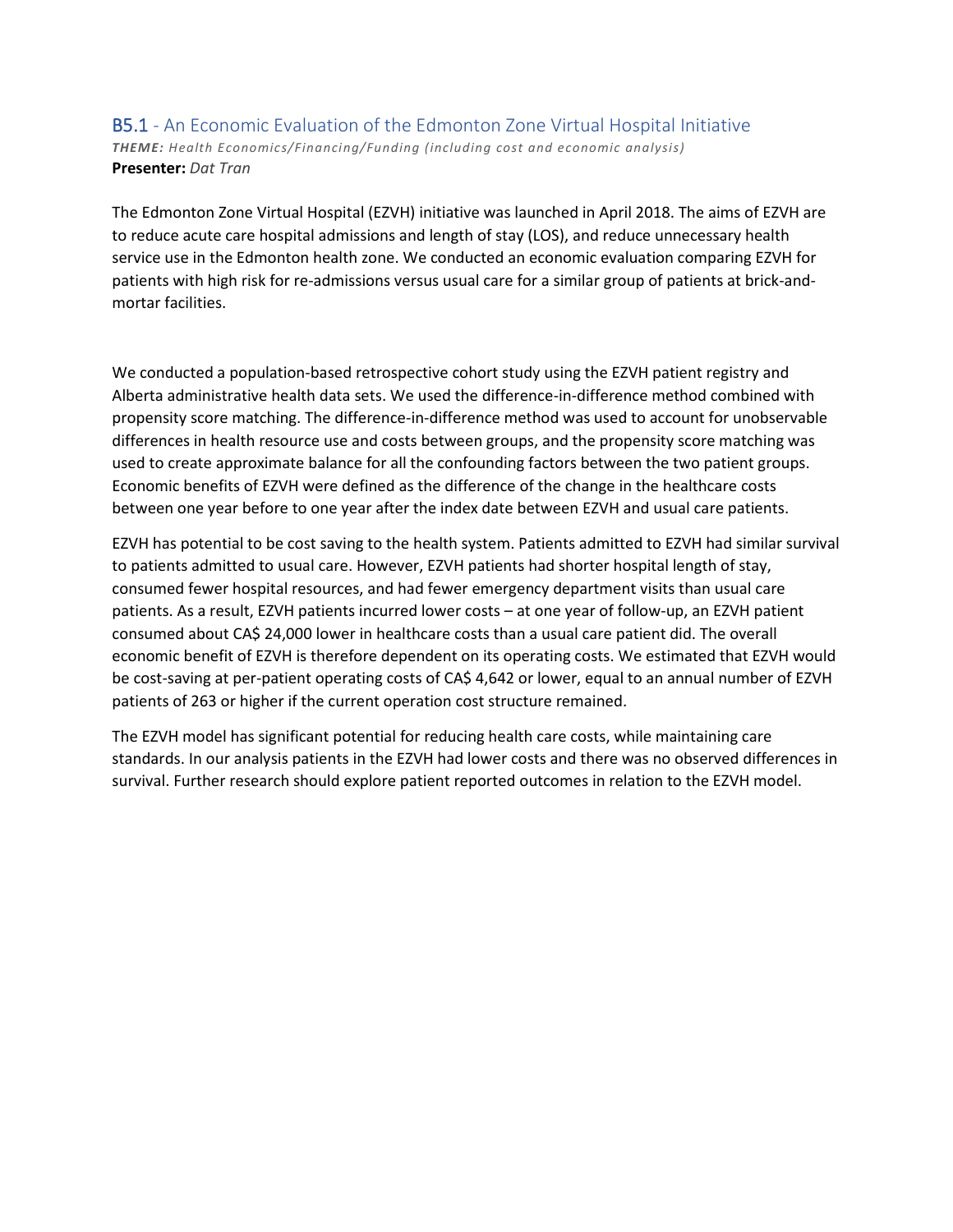#### B5.1 - An Economic Evaluation of the Edmonton Zone Virtual Hospital Initiative *THEME: Health Economics/Financing/Funding (including cost and economic analysis)* **Presenter:** *Dat Tran*

The Edmonton Zone Virtual Hospital (EZVH) initiative was launched in April 2018. The aims of EZVH are to reduce acute care hospital admissions and length of stay (LOS), and reduce unnecessary health service use in the Edmonton health zone. We conducted an economic evaluation comparing EZVH for patients with high risk for re-admissions versus usual care for a similar group of patients at brick-andmortar facilities.

We conducted a population-based retrospective cohort study using the EZVH patient registry and Alberta administrative health data sets. We used the difference-in-difference method combined with propensity score matching. The difference-in-difference method was used to account for unobservable differences in health resource use and costs between groups, and the propensity score matching was used to create approximate balance for all the confounding factors between the two patient groups. Economic benefits of EZVH were defined as the difference of the change in the healthcare costs between one year before to one year after the index date between EZVH and usual care patients.

EZVH has potential to be cost saving to the health system. Patients admitted to EZVH had similar survival to patients admitted to usual care. However, EZVH patients had shorter hospital length of stay, consumed fewer hospital resources, and had fewer emergency department visits than usual care patients. As a result, EZVH patients incurred lower costs – at one year of follow-up, an EZVH patient consumed about CA\$ 24,000 lower in healthcare costs than a usual care patient did. The overall economic benefit of EZVH is therefore dependent on its operating costs. We estimated that EZVH would be cost-saving at per-patient operating costs of CA\$ 4,642 or lower, equal to an annual number of EZVH patients of 263 or higher if the current operation cost structure remained.

The EZVH model has significant potential for reducing health care costs, while maintaining care standards. In our analysis patients in the EZVH had lower costs and there was no observed differences in survival. Further research should explore patient reported outcomes in relation to the EZVH model.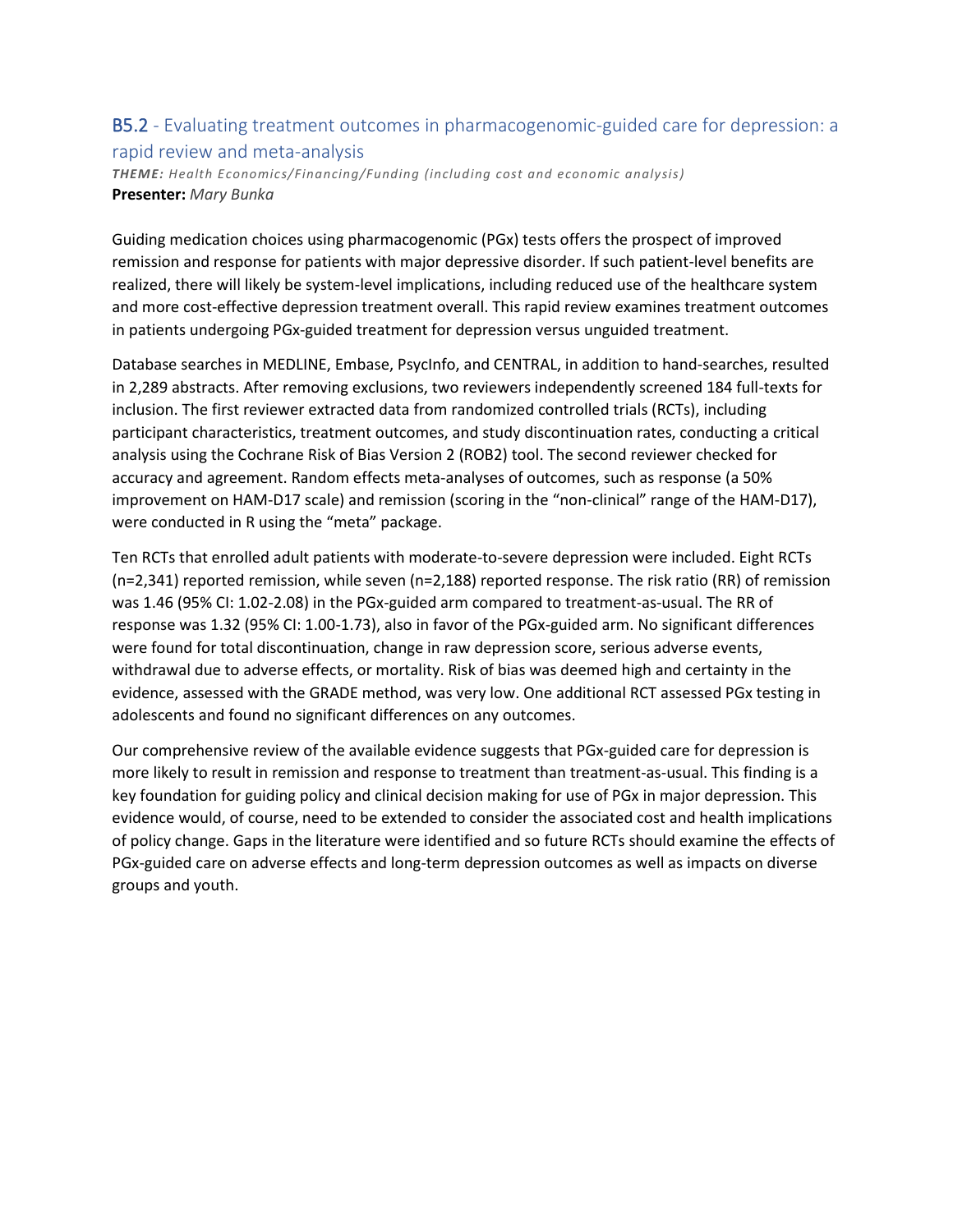### B5.2 - Evaluating treatment outcomes in pharmacogenomic-guided care for depression: a rapid review and meta-analysis

*THEME: Health Economics/Financing/Funding (including cost and economic analysis)* **Presenter:** *Mary Bunka*

Guiding medication choices using pharmacogenomic (PGx) tests offers the prospect of improved remission and response for patients with major depressive disorder. If such patient-level benefits are realized, there will likely be system-level implications, including reduced use of the healthcare system and more cost-effective depression treatment overall. This rapid review examines treatment outcomes in patients undergoing PGx-guided treatment for depression versus unguided treatment.

Database searches in MEDLINE, Embase, PsycInfo, and CENTRAL, in addition to hand-searches, resulted in 2,289 abstracts. After removing exclusions, two reviewers independently screened 184 full-texts for inclusion. The first reviewer extracted data from randomized controlled trials (RCTs), including participant characteristics, treatment outcomes, and study discontinuation rates, conducting a critical analysis using the Cochrane Risk of Bias Version 2 (ROB2) tool. The second reviewer checked for accuracy and agreement. Random effects meta-analyses of outcomes, such as response (a 50% improvement on HAM-D17 scale) and remission (scoring in the "non-clinical" range of the HAM-D17), were conducted in R using the "meta" package.

Ten RCTs that enrolled adult patients with moderate-to-severe depression were included. Eight RCTs (n=2,341) reported remission, while seven (n=2,188) reported response. The risk ratio (RR) of remission was 1.46 (95% CI: 1.02-2.08) in the PGx-guided arm compared to treatment-as-usual. The RR of response was 1.32 (95% CI: 1.00-1.73), also in favor of the PGx-guided arm. No significant differences were found for total discontinuation, change in raw depression score, serious adverse events, withdrawal due to adverse effects, or mortality. Risk of bias was deemed high and certainty in the evidence, assessed with the GRADE method, was very low. One additional RCT assessed PGx testing in adolescents and found no significant differences on any outcomes.

Our comprehensive review of the available evidence suggests that PGx-guided care for depression is more likely to result in remission and response to treatment than treatment-as-usual. This finding is a key foundation for guiding policy and clinical decision making for use of PGx in major depression. This evidence would, of course, need to be extended to consider the associated cost and health implications of policy change. Gaps in the literature were identified and so future RCTs should examine the effects of PGx-guided care on adverse effects and long-term depression outcomes as well as impacts on diverse groups and youth.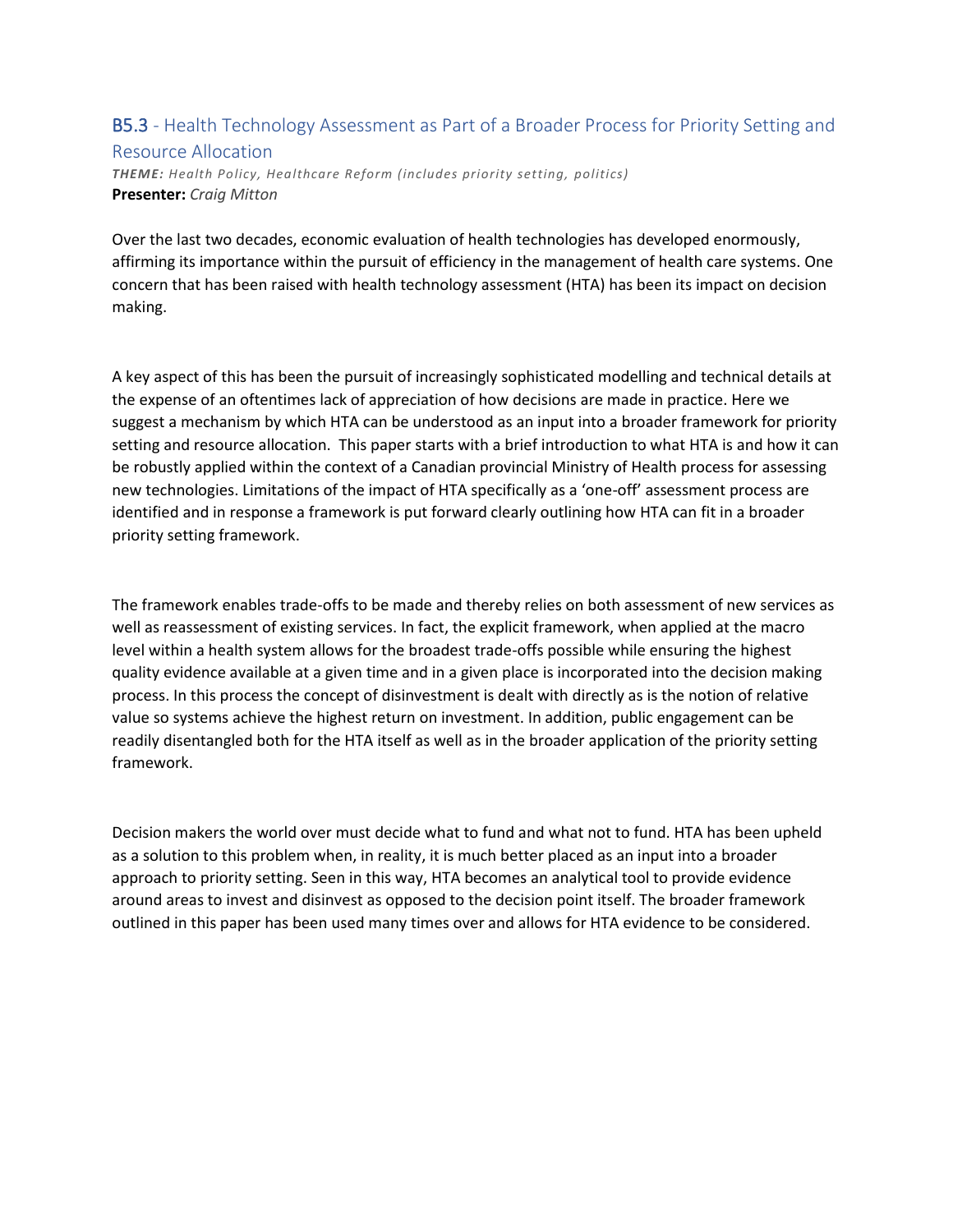### B5.3 - Health Technology Assessment as Part of a Broader Process for Priority Setting and Resource Allocation

*THEME: Health Policy, Healthcare Reform (includes priority setting, politics)* **Presenter:** *Craig Mitton*

Over the last two decades, economic evaluation of health technologies has developed enormously, affirming its importance within the pursuit of efficiency in the management of health care systems. One concern that has been raised with health technology assessment (HTA) has been its impact on decision making.

A key aspect of this has been the pursuit of increasingly sophisticated modelling and technical details at the expense of an oftentimes lack of appreciation of how decisions are made in practice. Here we suggest a mechanism by which HTA can be understood as an input into a broader framework for priority setting and resource allocation. This paper starts with a brief introduction to what HTA is and how it can be robustly applied within the context of a Canadian provincial Ministry of Health process for assessing new technologies. Limitations of the impact of HTA specifically as a 'one-off' assessment process are identified and in response a framework is put forward clearly outlining how HTA can fit in a broader priority setting framework.

The framework enables trade-offs to be made and thereby relies on both assessment of new services as well as reassessment of existing services. In fact, the explicit framework, when applied at the macro level within a health system allows for the broadest trade-offs possible while ensuring the highest quality evidence available at a given time and in a given place is incorporated into the decision making process. In this process the concept of disinvestment is dealt with directly as is the notion of relative value so systems achieve the highest return on investment. In addition, public engagement can be readily disentangled both for the HTA itself as well as in the broader application of the priority setting framework.

Decision makers the world over must decide what to fund and what not to fund. HTA has been upheld as a solution to this problem when, in reality, it is much better placed as an input into a broader approach to priority setting. Seen in this way, HTA becomes an analytical tool to provide evidence around areas to invest and disinvest as opposed to the decision point itself. The broader framework outlined in this paper has been used many times over and allows for HTA evidence to be considered.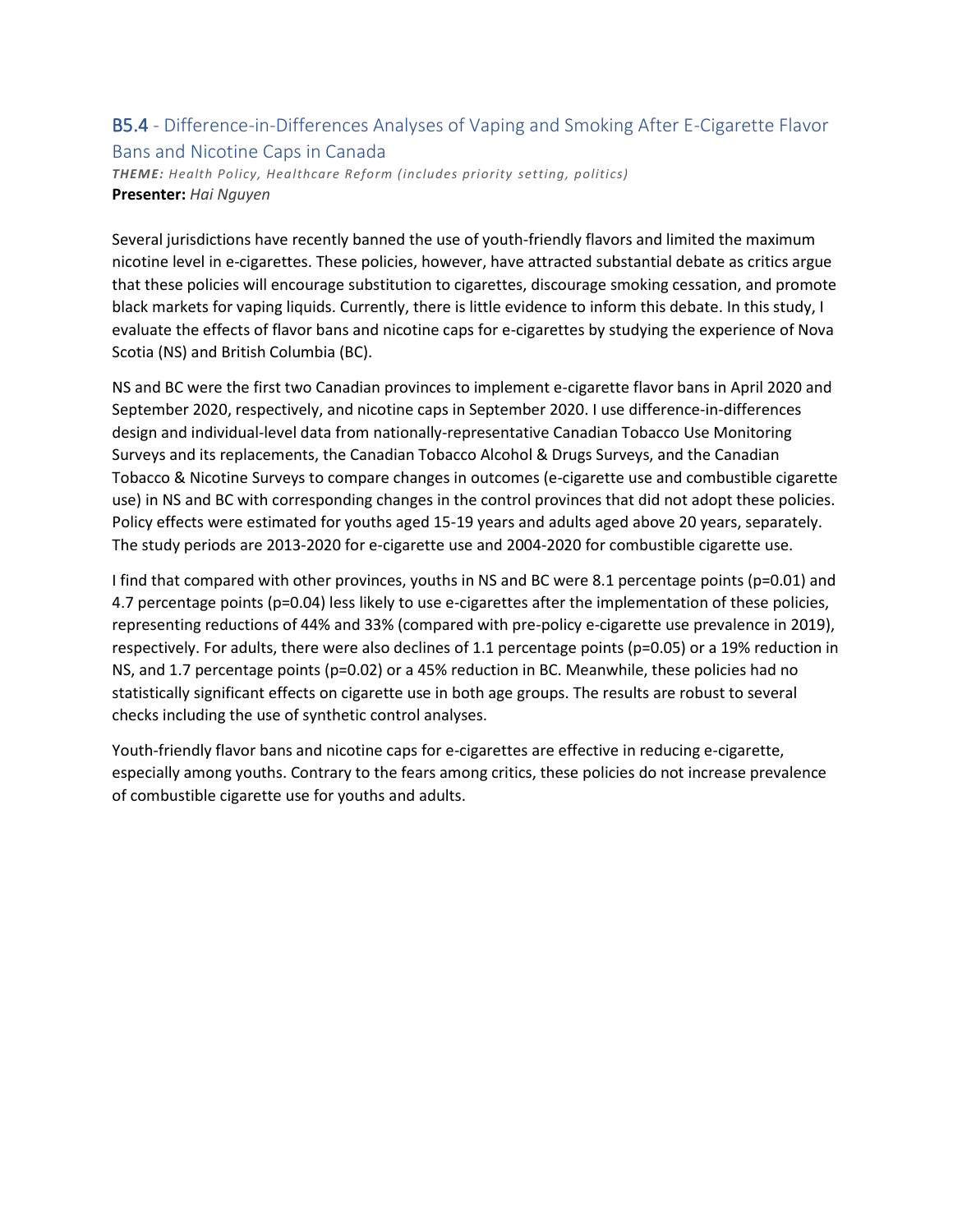### B5.4 - Difference-in-Differences Analyses of Vaping and Smoking After E-Cigarette Flavor Bans and Nicotine Caps in Canada

*THEME: Health Policy, Healthcare Reform (includes priority setting, politics)* **Presenter:** *Hai Nguyen*

Several jurisdictions have recently banned the use of youth-friendly flavors and limited the maximum nicotine level in e-cigarettes. These policies, however, have attracted substantial debate as critics argue that these policies will encourage substitution to cigarettes, discourage smoking cessation, and promote black markets for vaping liquids. Currently, there is little evidence to inform this debate. In this study, I evaluate the effects of flavor bans and nicotine caps for e-cigarettes by studying the experience of Nova Scotia (NS) and British Columbia (BC).

NS and BC were the first two Canadian provinces to implement e-cigarette flavor bans in April 2020 and September 2020, respectively, and nicotine caps in September 2020. I use difference-in-differences design and individual-level data from nationally-representative Canadian Tobacco Use Monitoring Surveys and its replacements, the Canadian Tobacco Alcohol & Drugs Surveys, and the Canadian Tobacco & Nicotine Surveys to compare changes in outcomes (e-cigarette use and combustible cigarette use) in NS and BC with corresponding changes in the control provinces that did not adopt these policies. Policy effects were estimated for youths aged 15-19 years and adults aged above 20 years, separately. The study periods are 2013-2020 for e-cigarette use and 2004-2020 for combustible cigarette use.

I find that compared with other provinces, youths in NS and BC were 8.1 percentage points (p=0.01) and 4.7 percentage points (p=0.04) less likely to use e-cigarettes after the implementation of these policies, representing reductions of 44% and 33% (compared with pre-policy e-cigarette use prevalence in 2019), respectively. For adults, there were also declines of 1.1 percentage points (p=0.05) or a 19% reduction in NS, and 1.7 percentage points (p=0.02) or a 45% reduction in BC. Meanwhile, these policies had no statistically significant effects on cigarette use in both age groups. The results are robust to several checks including the use of synthetic control analyses.

Youth-friendly flavor bans and nicotine caps for e-cigarettes are effective in reducing e-cigarette, especially among youths. Contrary to the fears among critics, these policies do not increase prevalence of combustible cigarette use for youths and adults.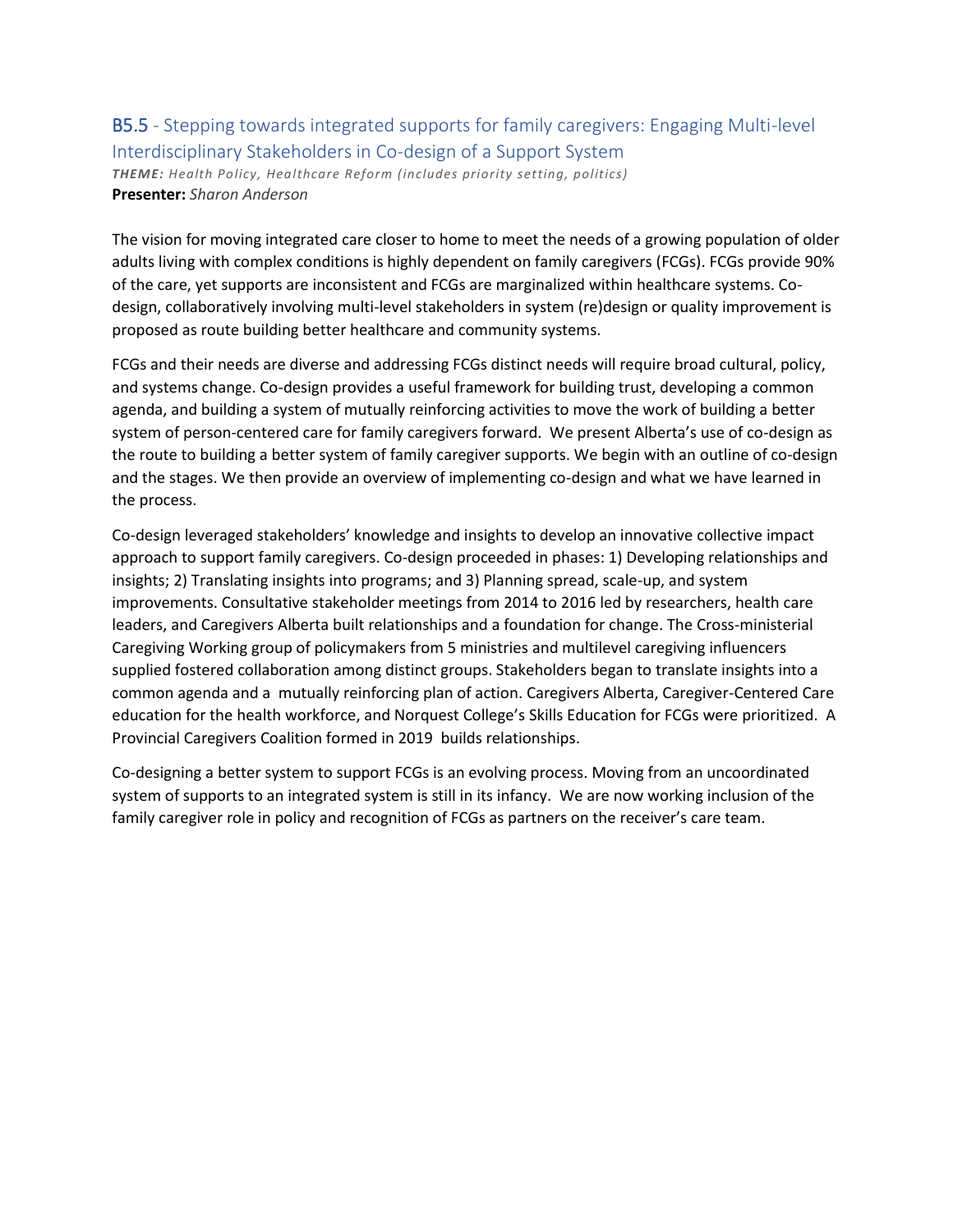### B5.5 - Stepping towards integrated supports for family caregivers: Engaging Multi-level Interdisciplinary Stakeholders in Co-design of a Support System *THEME: Health Policy, Healthcare Reform (includes priority setting, politics)* **Presenter:** *Sharon Anderson*

The vision for moving integrated care closer to home to meet the needs of a growing population of older adults living with complex conditions is highly dependent on family caregivers (FCGs). FCGs provide 90% of the care, yet supports are inconsistent and FCGs are marginalized within healthcare systems. Codesign, collaboratively involving multi-level stakeholders in system (re)design or quality improvement is proposed as route building better healthcare and community systems.

FCGs and their needs are diverse and addressing FCGs distinct needs will require broad cultural, policy, and systems change. Co-design provides a useful framework for building trust, developing a common agenda, and building a system of mutually reinforcing activities to move the work of building a better system of person-centered care for family caregivers forward. We present Alberta's use of co-design as the route to building a better system of family caregiver supports. We begin with an outline of co-design and the stages. We then provide an overview of implementing co-design and what we have learned in the process.

Co-design leveraged stakeholders' knowledge and insights to develop an innovative collective impact approach to support family caregivers. Co-design proceeded in phases: 1) Developing relationships and insights; 2) Translating insights into programs; and 3) Planning spread, scale-up, and system improvements. Consultative stakeholder meetings from 2014 to 2016 led by researchers, health care leaders, and Caregivers Alberta built relationships and a foundation for change. The Cross-ministerial Caregiving Working group of policymakers from 5 ministries and multilevel caregiving influencers supplied fostered collaboration among distinct groups. Stakeholders began to translate insights into a common agenda and a mutually reinforcing plan of action. Caregivers Alberta, Caregiver-Centered Care education for the health workforce, and Norquest College's Skills Education for FCGs were prioritized. A Provincial Caregivers Coalition formed in 2019 builds relationships.

Co-designing a better system to support FCGs is an evolving process. Moving from an uncoordinated system of supports to an integrated system is still in its infancy. We are now working inclusion of the family caregiver role in policy and recognition of FCGs as partners on the receiver's care team.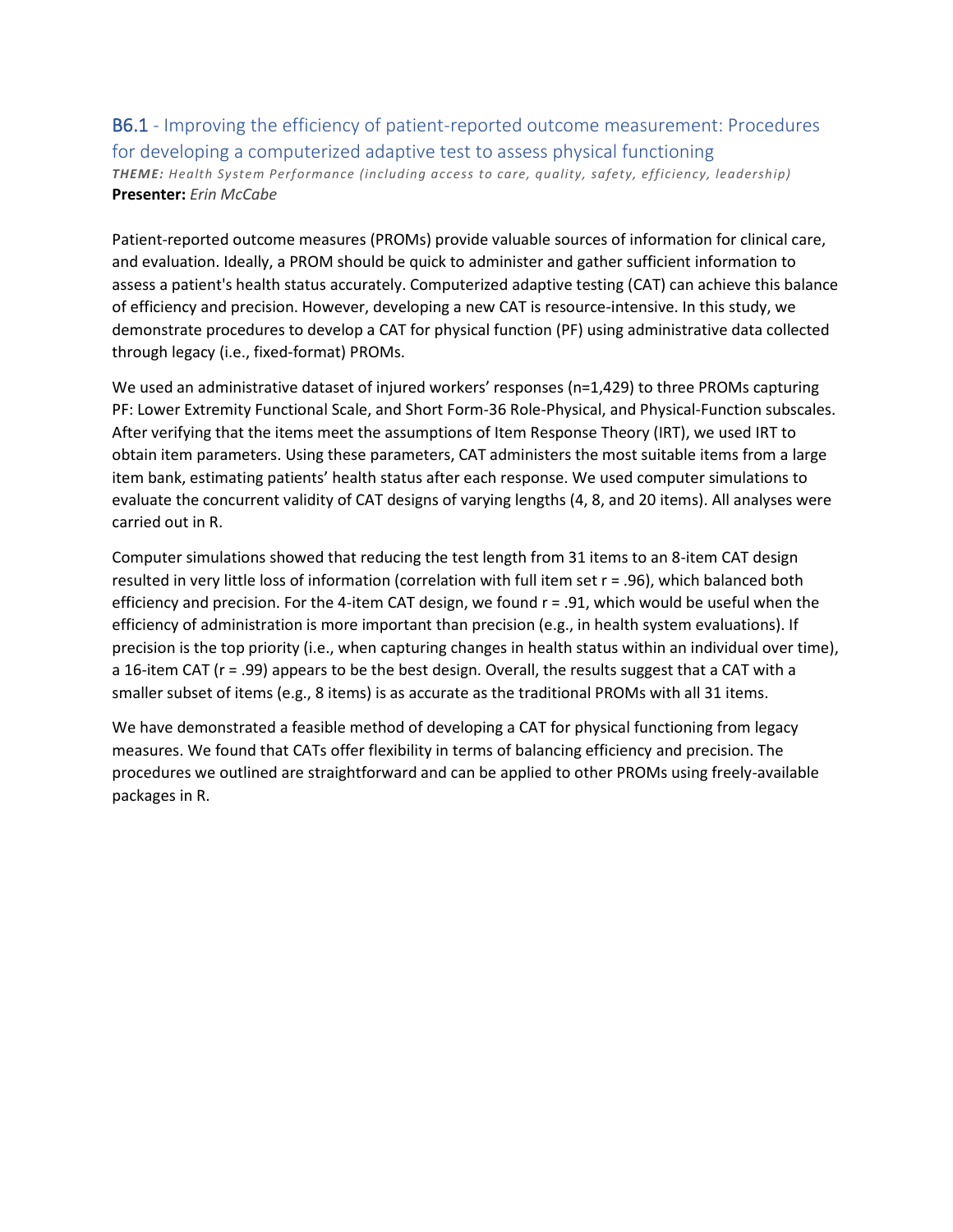### B6.1 - Improving the efficiency of patient-reported outcome measurement: Procedures for developing a computerized adaptive test to assess physical functioning *THEME: Health System Performance (including access to care, quality, safety, efficiency, leadership)* **Presenter:** *Erin McCabe*

Patient-reported outcome measures (PROMs) provide valuable sources of information for clinical care, and evaluation. Ideally, a PROM should be quick to administer and gather sufficient information to assess a patient's health status accurately. Computerized adaptive testing (CAT) can achieve this balance of efficiency and precision. However, developing a new CAT is resource-intensive. In this study, we demonstrate procedures to develop a CAT for physical function (PF) using administrative data collected through legacy (i.e., fixed-format) PROMs.

We used an administrative dataset of injured workers' responses (n=1,429) to three PROMs capturing PF: Lower Extremity Functional Scale, and Short Form-36 Role-Physical, and Physical-Function subscales. After verifying that the items meet the assumptions of Item Response Theory (IRT), we used IRT to obtain item parameters. Using these parameters, CAT administers the most suitable items from a large item bank, estimating patients' health status after each response. We used computer simulations to evaluate the concurrent validity of CAT designs of varying lengths (4, 8, and 20 items). All analyses were carried out in R.

Computer simulations showed that reducing the test length from 31 items to an 8-item CAT design resulted in very little loss of information (correlation with full item set r = .96), which balanced both efficiency and precision. For the 4-item CAT design, we found r = .91, which would be useful when the efficiency of administration is more important than precision (e.g., in health system evaluations). If precision is the top priority (i.e., when capturing changes in health status within an individual over time), a 16-item CAT (r = .99) appears to be the best design. Overall, the results suggest that a CAT with a smaller subset of items (e.g., 8 items) is as accurate as the traditional PROMs with all 31 items.

We have demonstrated a feasible method of developing a CAT for physical functioning from legacy measures. We found that CATs offer flexibility in terms of balancing efficiency and precision. The procedures we outlined are straightforward and can be applied to other PROMs using freely-available packages in R.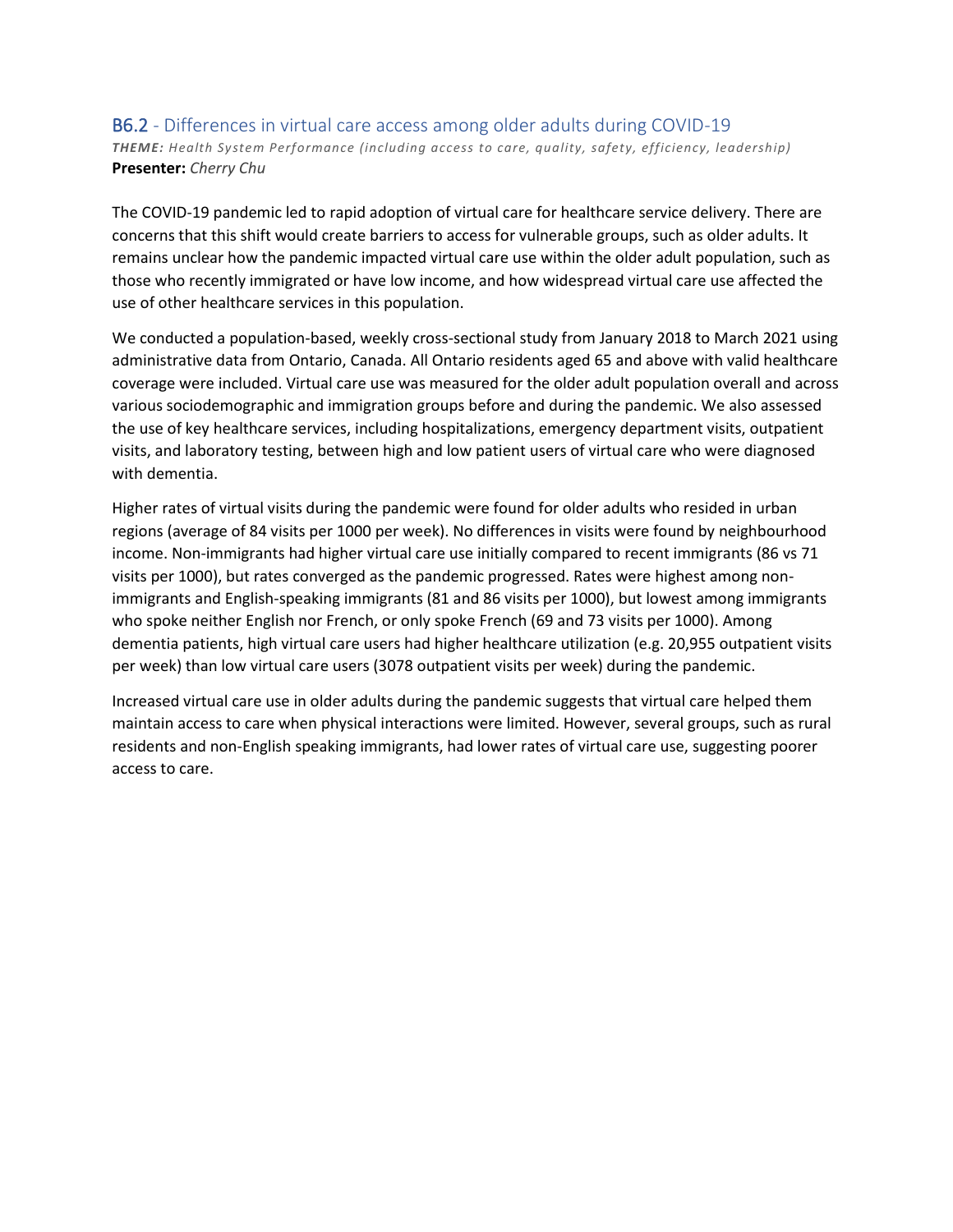#### B6.2 - Differences in virtual care access among older adults during COVID-19 *THEME: Health System Performance (including access to care, quality, safety, efficiency, leadership)* **Presenter:** *Cherry Chu*

The COVID-19 pandemic led to rapid adoption of virtual care for healthcare service delivery. There are concerns that this shift would create barriers to access for vulnerable groups, such as older adults. It remains unclear how the pandemic impacted virtual care use within the older adult population, such as those who recently immigrated or have low income, and how widespread virtual care use affected the use of other healthcare services in this population.

We conducted a population-based, weekly cross-sectional study from January 2018 to March 2021 using administrative data from Ontario, Canada. All Ontario residents aged 65 and above with valid healthcare coverage were included. Virtual care use was measured for the older adult population overall and across various sociodemographic and immigration groups before and during the pandemic. We also assessed the use of key healthcare services, including hospitalizations, emergency department visits, outpatient visits, and laboratory testing, between high and low patient users of virtual care who were diagnosed with dementia.

Higher rates of virtual visits during the pandemic were found for older adults who resided in urban regions (average of 84 visits per 1000 per week). No differences in visits were found by neighbourhood income. Non-immigrants had higher virtual care use initially compared to recent immigrants (86 vs 71 visits per 1000), but rates converged as the pandemic progressed. Rates were highest among nonimmigrants and English-speaking immigrants (81 and 86 visits per 1000), but lowest among immigrants who spoke neither English nor French, or only spoke French (69 and 73 visits per 1000). Among dementia patients, high virtual care users had higher healthcare utilization (e.g. 20,955 outpatient visits per week) than low virtual care users (3078 outpatient visits per week) during the pandemic.

Increased virtual care use in older adults during the pandemic suggests that virtual care helped them maintain access to care when physical interactions were limited. However, several groups, such as rural residents and non-English speaking immigrants, had lower rates of virtual care use, suggesting poorer access to care.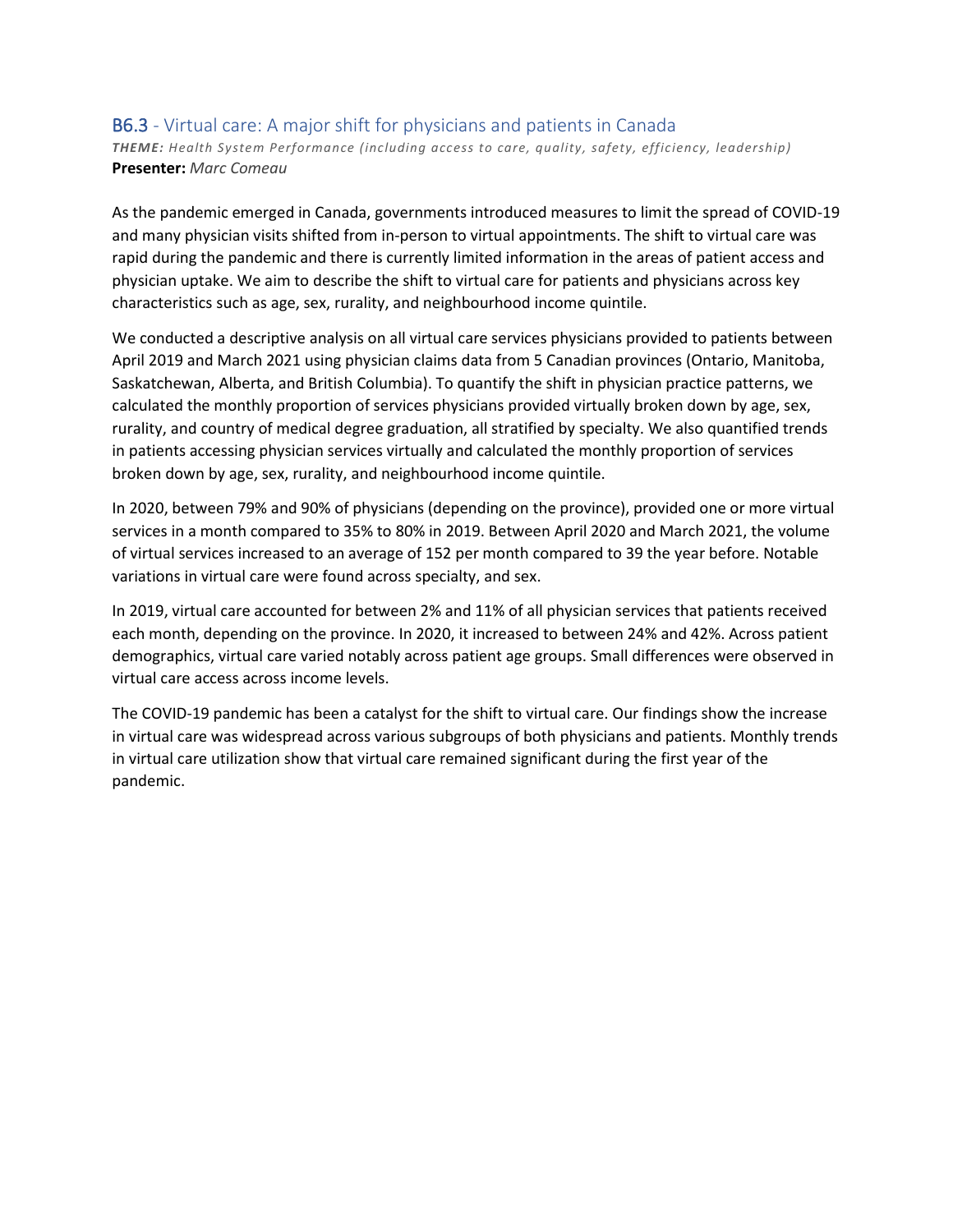#### B6.3 - Virtual care: A major shift for physicians and patients in Canada

*THEME: Health System Performance (including access to care, quality, safety, efficiency, leadership)* **Presenter:** *Marc Comeau*

As the pandemic emerged in Canada, governments introduced measures to limit the spread of COVID-19 and many physician visits shifted from in-person to virtual appointments. The shift to virtual care was rapid during the pandemic and there is currently limited information in the areas of patient access and physician uptake. We aim to describe the shift to virtual care for patients and physicians across key characteristics such as age, sex, rurality, and neighbourhood income quintile.

We conducted a descriptive analysis on all virtual care services physicians provided to patients between April 2019 and March 2021 using physician claims data from 5 Canadian provinces (Ontario, Manitoba, Saskatchewan, Alberta, and British Columbia). To quantify the shift in physician practice patterns, we calculated the monthly proportion of services physicians provided virtually broken down by age, sex, rurality, and country of medical degree graduation, all stratified by specialty. We also quantified trends in patients accessing physician services virtually and calculated the monthly proportion of services broken down by age, sex, rurality, and neighbourhood income quintile.

In 2020, between 79% and 90% of physicians (depending on the province), provided one or more virtual services in a month compared to 35% to 80% in 2019. Between April 2020 and March 2021, the volume of virtual services increased to an average of 152 per month compared to 39 the year before. Notable variations in virtual care were found across specialty, and sex.

In 2019, virtual care accounted for between 2% and 11% of all physician services that patients received each month, depending on the province. In 2020, it increased to between 24% and 42%. Across patient demographics, virtual care varied notably across patient age groups. Small differences were observed in virtual care access across income levels.

The COVID-19 pandemic has been a catalyst for the shift to virtual care. Our findings show the increase in virtual care was widespread across various subgroups of both physicians and patients. Monthly trends in virtual care utilization show that virtual care remained significant during the first year of the pandemic.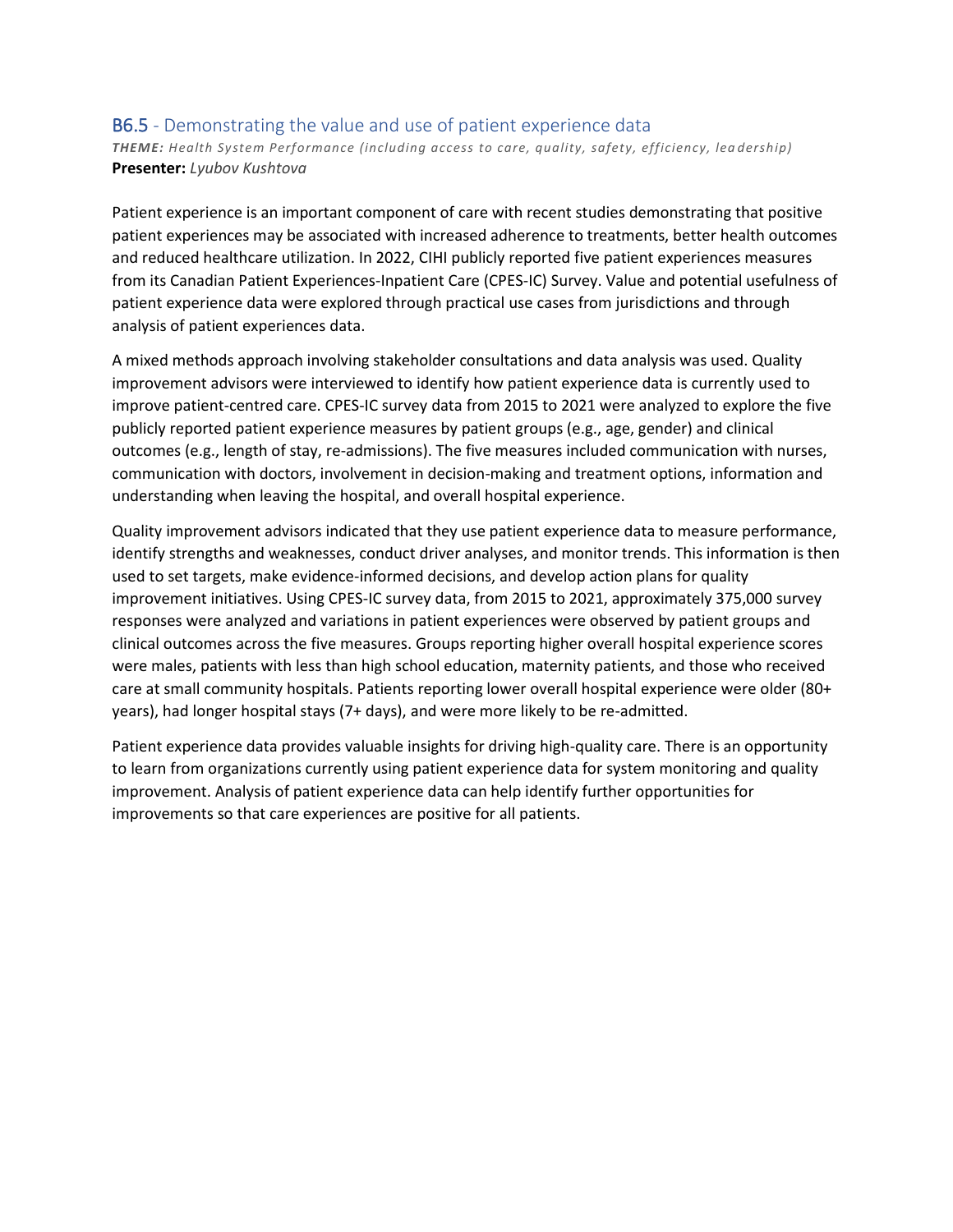#### B6.5 - Demonstrating the value and use of patient experience data

*THEME: Health System Performance (including access to care, quality, safety, efficiency, lea dership)* **Presenter:** *Lyubov Kushtova*

Patient experience is an important component of care with recent studies demonstrating that positive patient experiences may be associated with increased adherence to treatments, better health outcomes and reduced healthcare utilization. In 2022, CIHI publicly reported five patient experiences measures from its Canadian Patient Experiences-Inpatient Care (CPES-IC) Survey. Value and potential usefulness of patient experience data were explored through practical use cases from jurisdictions and through analysis of patient experiences data.

A mixed methods approach involving stakeholder consultations and data analysis was used. Quality improvement advisors were interviewed to identify how patient experience data is currently used to improve patient-centred care. CPES-IC survey data from 2015 to 2021 were analyzed to explore the five publicly reported patient experience measures by patient groups (e.g., age, gender) and clinical outcomes (e.g., length of stay, re-admissions). The five measures included communication with nurses, communication with doctors, involvement in decision-making and treatment options, information and understanding when leaving the hospital, and overall hospital experience.

Quality improvement advisors indicated that they use patient experience data to measure performance, identify strengths and weaknesses, conduct driver analyses, and monitor trends. This information is then used to set targets, make evidence-informed decisions, and develop action plans for quality improvement initiatives. Using CPES-IC survey data, from 2015 to 2021, approximately 375,000 survey responses were analyzed and variations in patient experiences were observed by patient groups and clinical outcomes across the five measures. Groups reporting higher overall hospital experience scores were males, patients with less than high school education, maternity patients, and those who received care at small community hospitals. Patients reporting lower overall hospital experience were older (80+ years), had longer hospital stays (7+ days), and were more likely to be re-admitted.

Patient experience data provides valuable insights for driving high-quality care. There is an opportunity to learn from organizations currently using patient experience data for system monitoring and quality improvement. Analysis of patient experience data can help identify further opportunities for improvements so that care experiences are positive for all patients.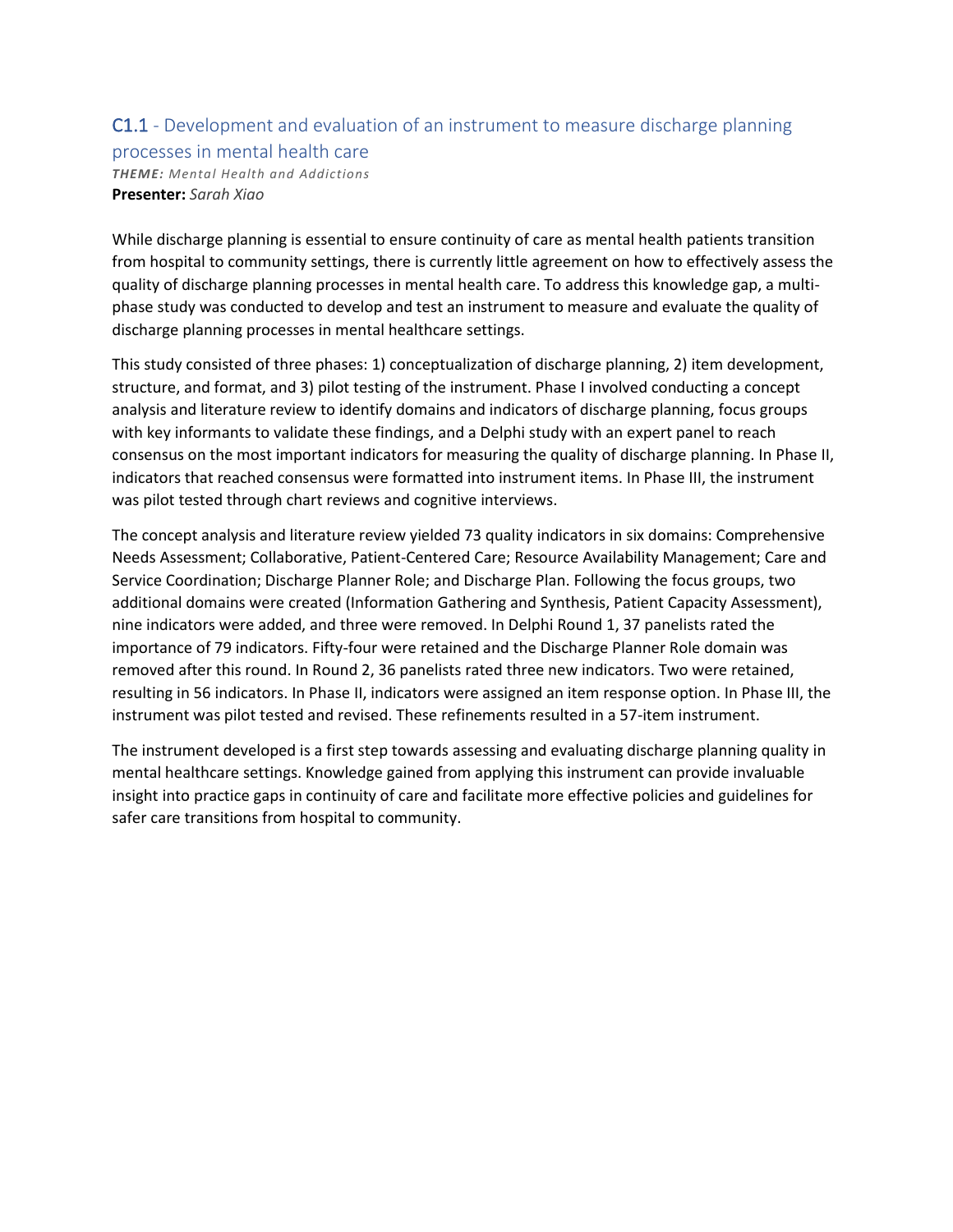# C1.1 - Development and evaluation of an instrument to measure discharge planning

processes in mental health care *THEME: Mental Health and Addictions* **Presenter:** *Sarah Xiao*

While discharge planning is essential to ensure continuity of care as mental health patients transition from hospital to community settings, there is currently little agreement on how to effectively assess the quality of discharge planning processes in mental health care. To address this knowledge gap, a multiphase study was conducted to develop and test an instrument to measure and evaluate the quality of discharge planning processes in mental healthcare settings.

This study consisted of three phases: 1) conceptualization of discharge planning, 2) item development, structure, and format, and 3) pilot testing of the instrument. Phase I involved conducting a concept analysis and literature review to identify domains and indicators of discharge planning, focus groups with key informants to validate these findings, and a Delphi study with an expert panel to reach consensus on the most important indicators for measuring the quality of discharge planning. In Phase II, indicators that reached consensus were formatted into instrument items. In Phase III, the instrument was pilot tested through chart reviews and cognitive interviews.

The concept analysis and literature review yielded 73 quality indicators in six domains: Comprehensive Needs Assessment; Collaborative, Patient-Centered Care; Resource Availability Management; Care and Service Coordination; Discharge Planner Role; and Discharge Plan. Following the focus groups, two additional domains were created (Information Gathering and Synthesis, Patient Capacity Assessment), nine indicators were added, and three were removed. In Delphi Round 1, 37 panelists rated the importance of 79 indicators. Fifty-four were retained and the Discharge Planner Role domain was removed after this round. In Round 2, 36 panelists rated three new indicators. Two were retained, resulting in 56 indicators. In Phase II, indicators were assigned an item response option. In Phase III, the instrument was pilot tested and revised. These refinements resulted in a 57-item instrument.

The instrument developed is a first step towards assessing and evaluating discharge planning quality in mental healthcare settings. Knowledge gained from applying this instrument can provide invaluable insight into practice gaps in continuity of care and facilitate more effective policies and guidelines for safer care transitions from hospital to community.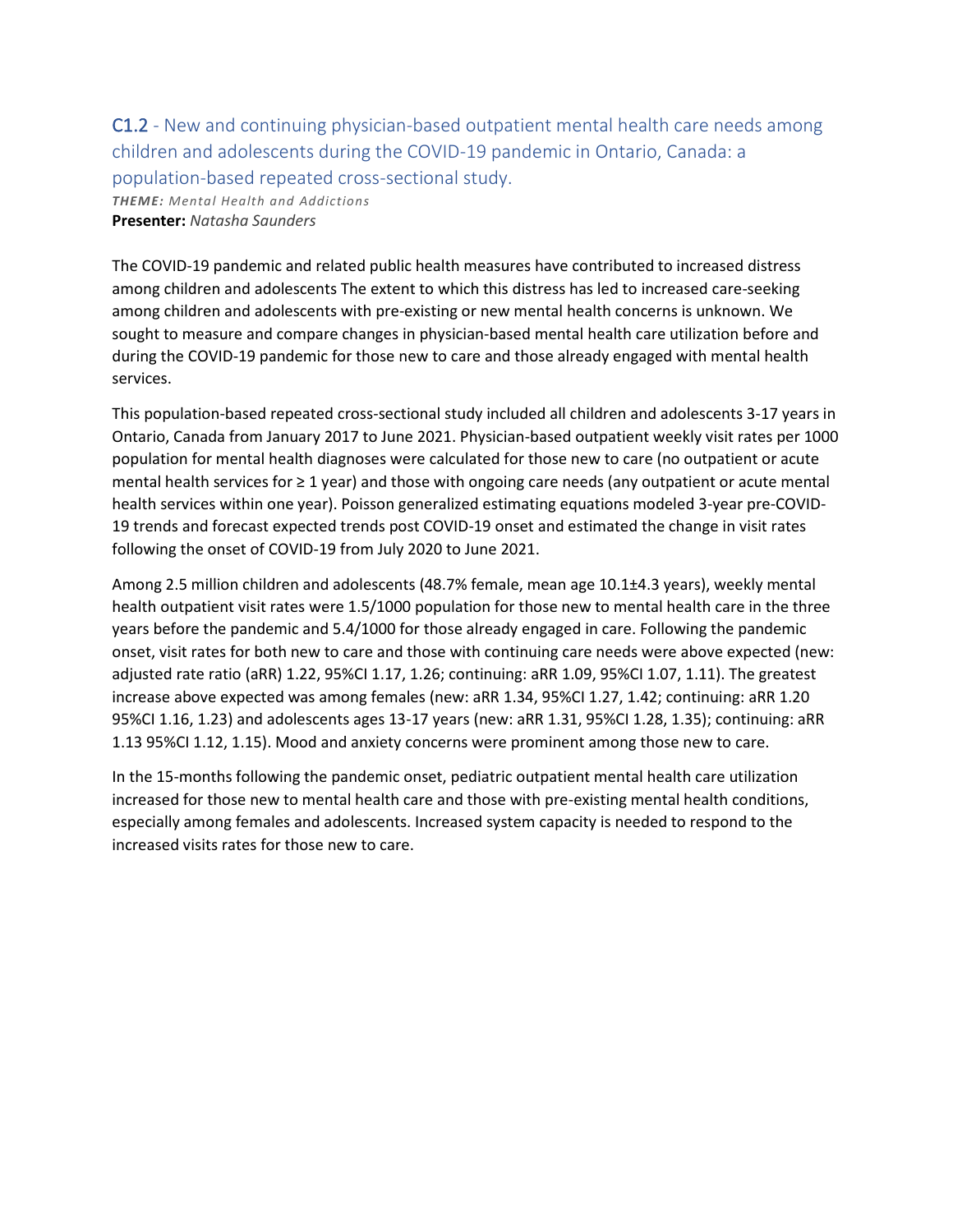C1.2 - New and continuing physician-based outpatient mental health care needs among children and adolescents during the COVID-19 pandemic in Ontario, Canada: a population-based repeated cross-sectional study. *THEME: Mental Health and Addictions* **Presenter:** *Natasha Saunders*

The COVID-19 pandemic and related public health measures have contributed to increased distress among children and adolescents The extent to which this distress has led to increased care-seeking among children and adolescents with pre-existing or new mental health concerns is unknown. We sought to measure and compare changes in physician-based mental health care utilization before and during the COVID-19 pandemic for those new to care and those already engaged with mental health services.

This population-based repeated cross-sectional study included all children and adolescents 3-17 years in Ontario, Canada from January 2017 to June 2021. Physician-based outpatient weekly visit rates per 1000 population for mental health diagnoses were calculated for those new to care (no outpatient or acute mental health services for ≥ 1 year) and those with ongoing care needs (any outpatient or acute mental health services within one year). Poisson generalized estimating equations modeled 3-year pre-COVID-19 trends and forecast expected trends post COVID-19 onset and estimated the change in visit rates following the onset of COVID-19 from July 2020 to June 2021.

Among 2.5 million children and adolescents (48.7% female, mean age 10.1±4.3 years), weekly mental health outpatient visit rates were 1.5/1000 population for those new to mental health care in the three years before the pandemic and 5.4/1000 for those already engaged in care. Following the pandemic onset, visit rates for both new to care and those with continuing care needs were above expected (new: adjusted rate ratio (aRR) 1.22, 95%CI 1.17, 1.26; continuing: aRR 1.09, 95%CI 1.07, 1.11). The greatest increase above expected was among females (new: aRR 1.34, 95%CI 1.27, 1.42; continuing: aRR 1.20 95%CI 1.16, 1.23) and adolescents ages 13-17 years (new: aRR 1.31, 95%CI 1.28, 1.35); continuing: aRR 1.13 95%CI 1.12, 1.15). Mood and anxiety concerns were prominent among those new to care.

In the 15-months following the pandemic onset, pediatric outpatient mental health care utilization increased for those new to mental health care and those with pre-existing mental health conditions, especially among females and adolescents. Increased system capacity is needed to respond to the increased visits rates for those new to care.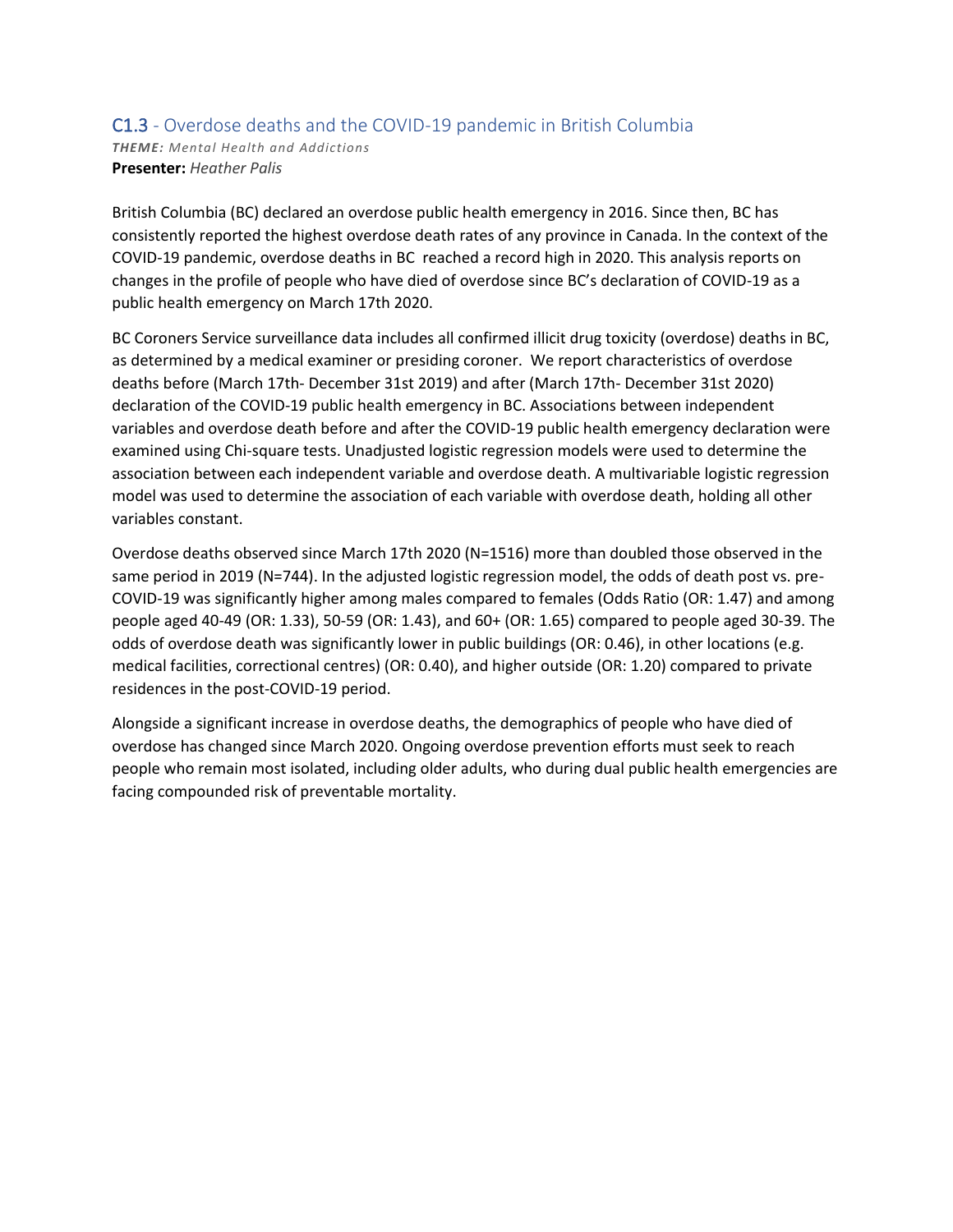### C1.3 - Overdose deaths and the COVID-19 pandemic in British Columbia *THEME: Mental Health and Addictions* **Presenter:** *Heather Palis*

British Columbia (BC) declared an overdose public health emergency in 2016. Since then, BC has consistently reported the highest overdose death rates of any province in Canada. In the context of the COVID-19 pandemic, overdose deaths in BC reached a record high in 2020. This analysis reports on changes in the profile of people who have died of overdose since BC's declaration of COVID-19 as a public health emergency on March 17th 2020.

BC Coroners Service surveillance data includes all confirmed illicit drug toxicity (overdose) deaths in BC, as determined by a medical examiner or presiding coroner. We report characteristics of overdose deaths before (March 17th- December 31st 2019) and after (March 17th- December 31st 2020) declaration of the COVID-19 public health emergency in BC. Associations between independent variables and overdose death before and after the COVID-19 public health emergency declaration were examined using Chi-square tests. Unadjusted logistic regression models were used to determine the association between each independent variable and overdose death. A multivariable logistic regression model was used to determine the association of each variable with overdose death, holding all other variables constant.

Overdose deaths observed since March 17th 2020 (N=1516) more than doubled those observed in the same period in 2019 (N=744). In the adjusted logistic regression model, the odds of death post vs. pre-COVID-19 was significantly higher among males compared to females (Odds Ratio (OR: 1.47) and among people aged 40-49 (OR: 1.33), 50-59 (OR: 1.43), and 60+ (OR: 1.65) compared to people aged 30-39. The odds of overdose death was significantly lower in public buildings (OR: 0.46), in other locations (e.g. medical facilities, correctional centres) (OR: 0.40), and higher outside (OR: 1.20) compared to private residences in the post-COVID-19 period.

Alongside a significant increase in overdose deaths, the demographics of people who have died of overdose has changed since March 2020. Ongoing overdose prevention efforts must seek to reach people who remain most isolated, including older adults, who during dual public health emergencies are facing compounded risk of preventable mortality.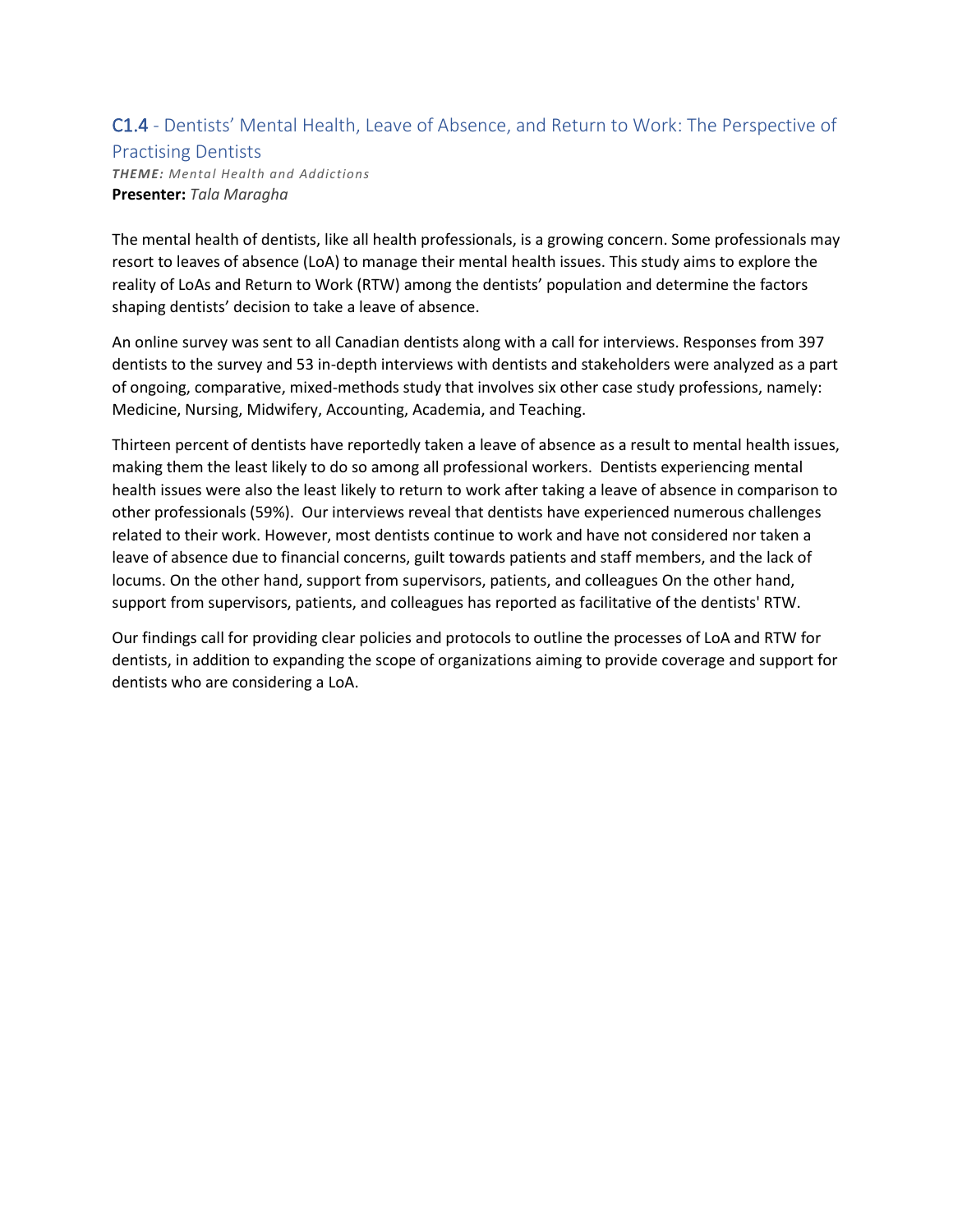## C1.4 - Dentists' Mental Health, Leave of Absence, and Return to Work: The Perspective of

#### Practising Dentists

*THEME: Mental Health and Addictions* **Presenter:** *Tala Maragha*

The mental health of dentists, like all health professionals, is a growing concern. Some professionals may resort to leaves of absence (LoA) to manage their mental health issues. This study aims to explore the reality of LoAs and Return to Work (RTW) among the dentists' population and determine the factors shaping dentists' decision to take a leave of absence.

An online survey was sent to all Canadian dentists along with a call for interviews. Responses from 397 dentists to the survey and 53 in-depth interviews with dentists and stakeholders were analyzed as a part of ongoing, comparative, mixed-methods study that involves six other case study professions, namely: Medicine, Nursing, Midwifery, Accounting, Academia, and Teaching.

Thirteen percent of dentists have reportedly taken a leave of absence as a result to mental health issues, making them the least likely to do so among all professional workers. Dentists experiencing mental health issues were also the least likely to return to work after taking a leave of absence in comparison to other professionals (59%). Our interviews reveal that dentists have experienced numerous challenges related to their work. However, most dentists continue to work and have not considered nor taken a leave of absence due to financial concerns, guilt towards patients and staff members, and the lack of locums. On the other hand, support from supervisors, patients, and colleagues On the other hand, support from supervisors, patients, and colleagues has reported as facilitative of the dentists' RTW.

Our findings call for providing clear policies and protocols to outline the processes of LoA and RTW for dentists, in addition to expanding the scope of organizations aiming to provide coverage and support for dentists who are considering a LoA.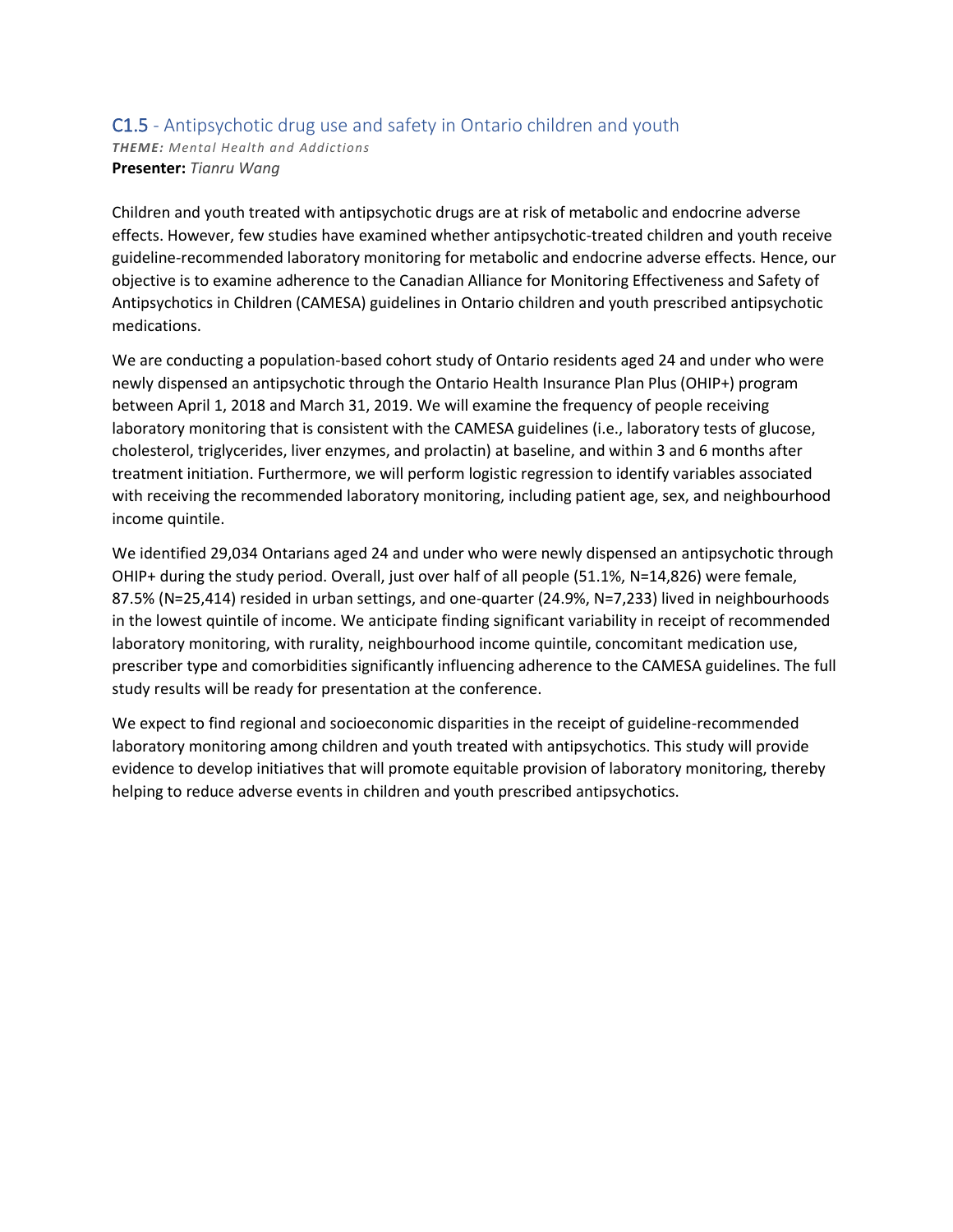#### C1.5 - Antipsychotic drug use and safety in Ontario children and youth *THEME: Mental Health and Addictions* **Presenter:** *Tianru Wang*

Children and youth treated with antipsychotic drugs are at risk of metabolic and endocrine adverse effects. However, few studies have examined whether antipsychotic-treated children and youth receive guideline-recommended laboratory monitoring for metabolic and endocrine adverse effects. Hence, our objective is to examine adherence to the Canadian Alliance for Monitoring Effectiveness and Safety of Antipsychotics in Children (CAMESA) guidelines in Ontario children and youth prescribed antipsychotic medications.

We are conducting a population-based cohort study of Ontario residents aged 24 and under who were newly dispensed an antipsychotic through the Ontario Health Insurance Plan Plus (OHIP+) program between April 1, 2018 and March 31, 2019. We will examine the frequency of people receiving laboratory monitoring that is consistent with the CAMESA guidelines (i.e., laboratory tests of glucose, cholesterol, triglycerides, liver enzymes, and prolactin) at baseline, and within 3 and 6 months after treatment initiation. Furthermore, we will perform logistic regression to identify variables associated with receiving the recommended laboratory monitoring, including patient age, sex, and neighbourhood income quintile.

We identified 29,034 Ontarians aged 24 and under who were newly dispensed an antipsychotic through OHIP+ during the study period. Overall, just over half of all people (51.1%, N=14,826) were female, 87.5% (N=25,414) resided in urban settings, and one-quarter (24.9%, N=7,233) lived in neighbourhoods in the lowest quintile of income. We anticipate finding significant variability in receipt of recommended laboratory monitoring, with rurality, neighbourhood income quintile, concomitant medication use, prescriber type and comorbidities significantly influencing adherence to the CAMESA guidelines. The full study results will be ready for presentation at the conference.

We expect to find regional and socioeconomic disparities in the receipt of guideline-recommended laboratory monitoring among children and youth treated with antipsychotics. This study will provide evidence to develop initiatives that will promote equitable provision of laboratory monitoring, thereby helping to reduce adverse events in children and youth prescribed antipsychotics.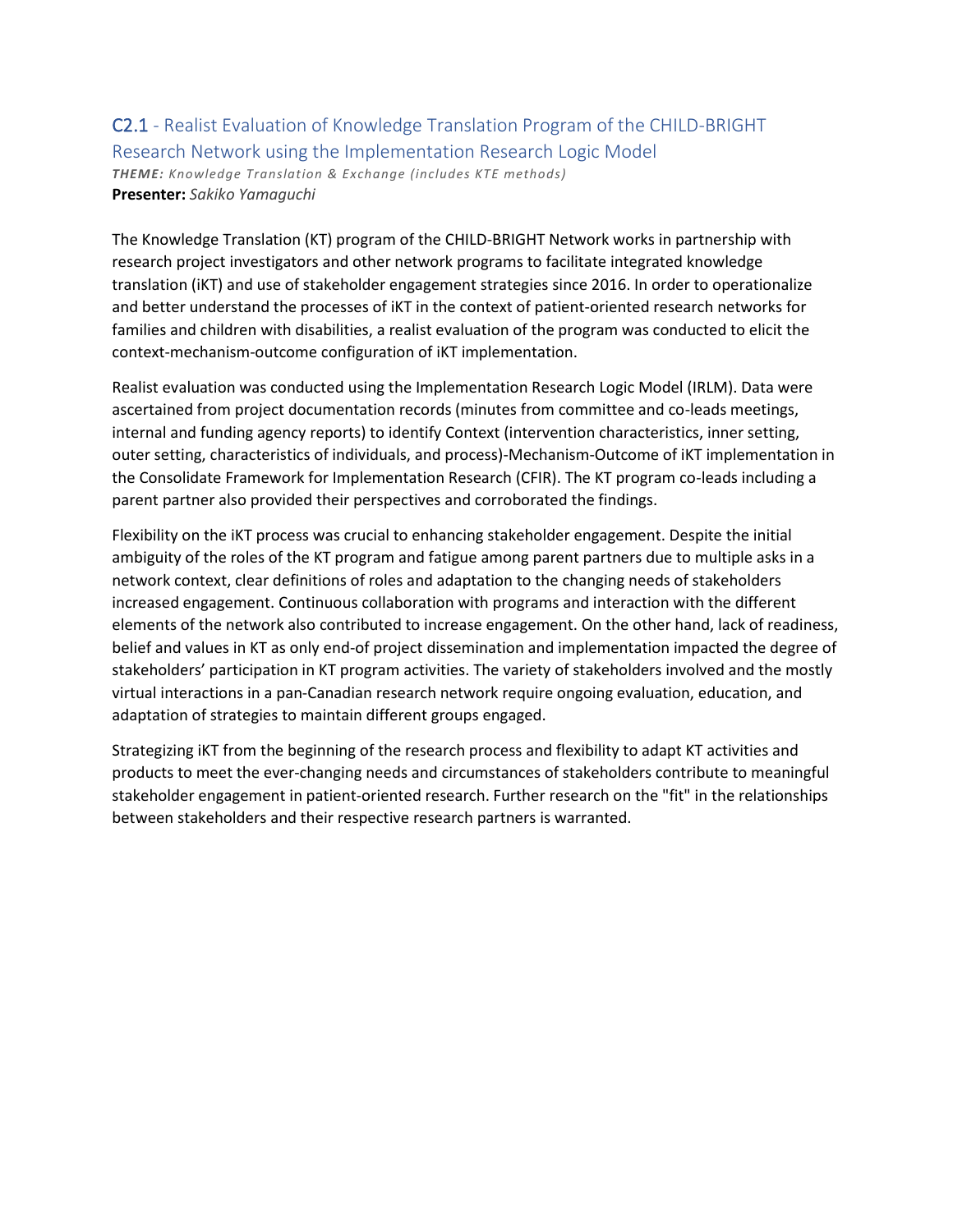### C2.1 - Realist Evaluation of Knowledge Translation Program of the CHILD-BRIGHT Research Network using the Implementation Research Logic Model *THEME: Knowledge Translation & Exchange (includes KTE methods)* **Presenter:** *Sakiko Yamaguchi*

The Knowledge Translation (KT) program of the CHILD-BRIGHT Network works in partnership with research project investigators and other network programs to facilitate integrated knowledge translation (iKT) and use of stakeholder engagement strategies since 2016. In order to operationalize and better understand the processes of iKT in the context of patient-oriented research networks for families and children with disabilities, a realist evaluation of the program was conducted to elicit the context-mechanism-outcome configuration of iKT implementation.

Realist evaluation was conducted using the Implementation Research Logic Model (IRLM). Data were ascertained from project documentation records (minutes from committee and co-leads meetings, internal and funding agency reports) to identify Context (intervention characteristics, inner setting, outer setting, characteristics of individuals, and process)-Mechanism-Outcome of iKT implementation in the Consolidate Framework for Implementation Research (CFIR). The KT program co-leads including a parent partner also provided their perspectives and corroborated the findings.

Flexibility on the iKT process was crucial to enhancing stakeholder engagement. Despite the initial ambiguity of the roles of the KT program and fatigue among parent partners due to multiple asks in a network context, clear definitions of roles and adaptation to the changing needs of stakeholders increased engagement. Continuous collaboration with programs and interaction with the different elements of the network also contributed to increase engagement. On the other hand, lack of readiness, belief and values in KT as only end-of project dissemination and implementation impacted the degree of stakeholders' participation in KT program activities. The variety of stakeholders involved and the mostly virtual interactions in a pan-Canadian research network require ongoing evaluation, education, and adaptation of strategies to maintain different groups engaged.

Strategizing iKT from the beginning of the research process and flexibility to adapt KT activities and products to meet the ever-changing needs and circumstances of stakeholders contribute to meaningful stakeholder engagement in patient-oriented research. Further research on the "fit" in the relationships between stakeholders and their respective research partners is warranted.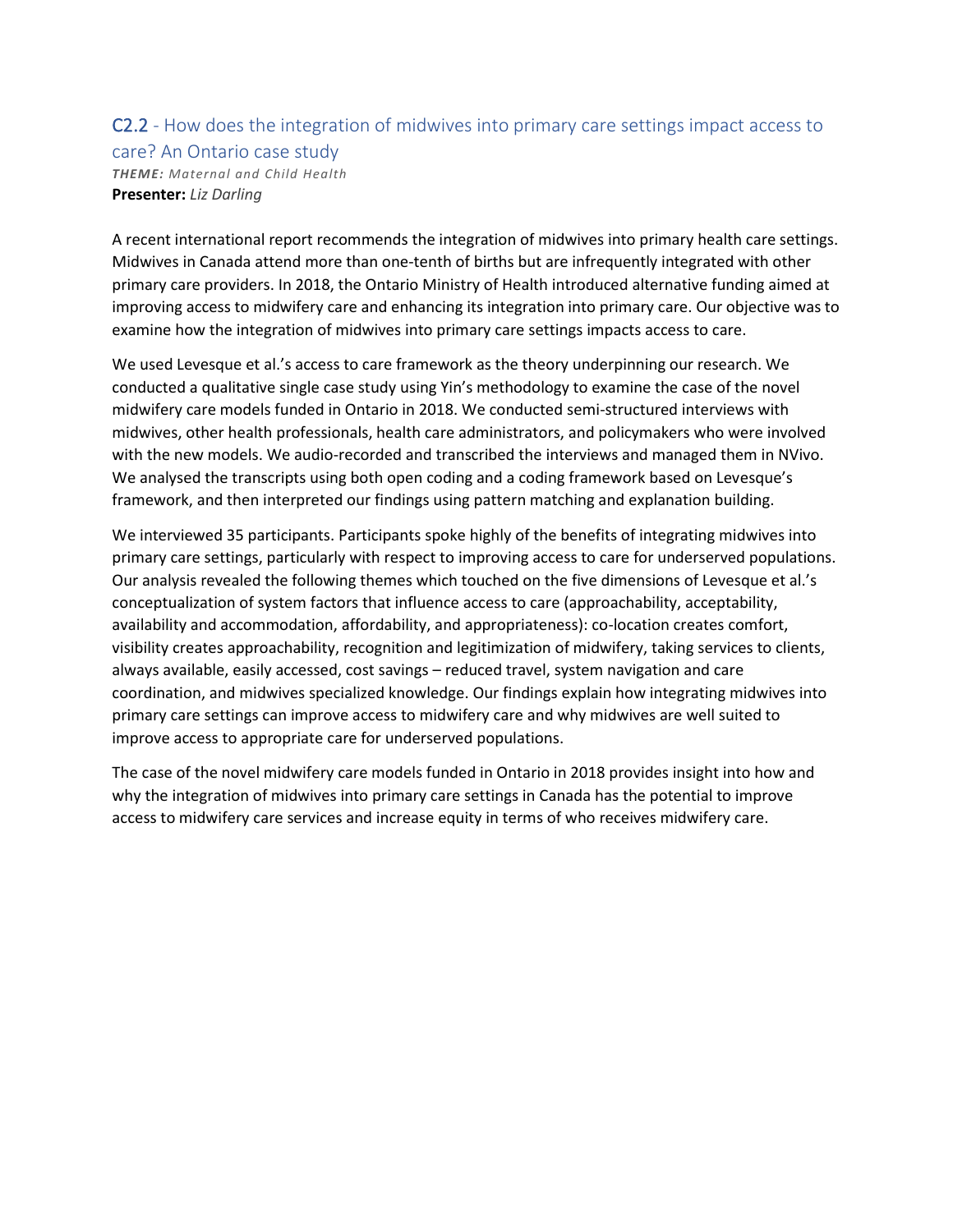### C2.2 - How does the integration of midwives into primary care settings impact access to care? An Ontario case study *THEME: Maternal and Child Health* **Presenter:** *Liz Darling*

A recent international report recommends the integration of midwives into primary health care settings. Midwives in Canada attend more than one-tenth of births but are infrequently integrated with other primary care providers. In 2018, the Ontario Ministry of Health introduced alternative funding aimed at improving access to midwifery care and enhancing its integration into primary care. Our objective was to examine how the integration of midwives into primary care settings impacts access to care.

We used Levesque et al.'s access to care framework as the theory underpinning our research. We conducted a qualitative single case study using Yin's methodology to examine the case of the novel midwifery care models funded in Ontario in 2018. We conducted semi-structured interviews with midwives, other health professionals, health care administrators, and policymakers who were involved with the new models. We audio-recorded and transcribed the interviews and managed them in NVivo. We analysed the transcripts using both open coding and a coding framework based on Levesque's framework, and then interpreted our findings using pattern matching and explanation building.

We interviewed 35 participants. Participants spoke highly of the benefits of integrating midwives into primary care settings, particularly with respect to improving access to care for underserved populations. Our analysis revealed the following themes which touched on the five dimensions of Levesque et al.'s conceptualization of system factors that influence access to care (approachability, acceptability, availability and accommodation, affordability, and appropriateness): co-location creates comfort, visibility creates approachability, recognition and legitimization of midwifery, taking services to clients, always available, easily accessed, cost savings – reduced travel, system navigation and care coordination, and midwives specialized knowledge. Our findings explain how integrating midwives into primary care settings can improve access to midwifery care and why midwives are well suited to improve access to appropriate care for underserved populations.

The case of the novel midwifery care models funded in Ontario in 2018 provides insight into how and why the integration of midwives into primary care settings in Canada has the potential to improve access to midwifery care services and increase equity in terms of who receives midwifery care.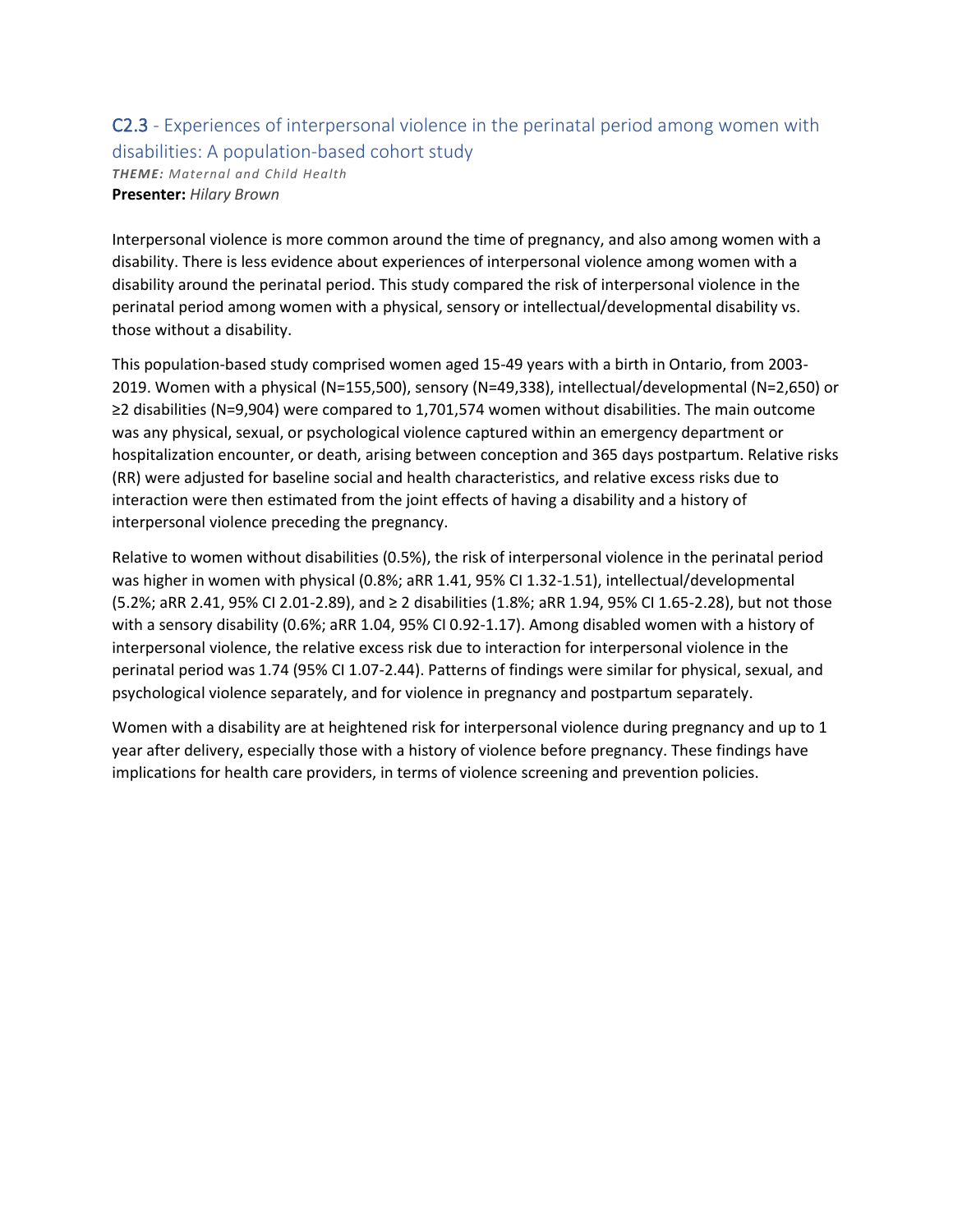# C2.3 - Experiences of interpersonal violence in the perinatal period among women with disabilities: A population-based cohort study

*THEME: Maternal and Child Health* **Presenter:** *Hilary Brown*

Interpersonal violence is more common around the time of pregnancy, and also among women with a disability. There is less evidence about experiences of interpersonal violence among women with a disability around the perinatal period. This study compared the risk of interpersonal violence in the perinatal period among women with a physical, sensory or intellectual/developmental disability vs. those without a disability.

This population-based study comprised women aged 15-49 years with a birth in Ontario, from 2003- 2019. Women with a physical (N=155,500), sensory (N=49,338), intellectual/developmental (N=2,650) or ≥2 disabilities (N=9,904) were compared to 1,701,574 women without disabilities. The main outcome was any physical, sexual, or psychological violence captured within an emergency department or hospitalization encounter, or death, arising between conception and 365 days postpartum. Relative risks (RR) were adjusted for baseline social and health characteristics, and relative excess risks due to interaction were then estimated from the joint effects of having a disability and a history of interpersonal violence preceding the pregnancy.

Relative to women without disabilities (0.5%), the risk of interpersonal violence in the perinatal period was higher in women with physical (0.8%; aRR 1.41, 95% CI 1.32-1.51), intellectual/developmental (5.2%; aRR 2.41, 95% CI 2.01-2.89), and ≥ 2 disabilities (1.8%; aRR 1.94, 95% CI 1.65-2.28), but not those with a sensory disability (0.6%; aRR 1.04, 95% CI 0.92-1.17). Among disabled women with a history of interpersonal violence, the relative excess risk due to interaction for interpersonal violence in the perinatal period was 1.74 (95% CI 1.07-2.44). Patterns of findings were similar for physical, sexual, and psychological violence separately, and for violence in pregnancy and postpartum separately.

Women with a disability are at heightened risk for interpersonal violence during pregnancy and up to 1 year after delivery, especially those with a history of violence before pregnancy. These findings have implications for health care providers, in terms of violence screening and prevention policies.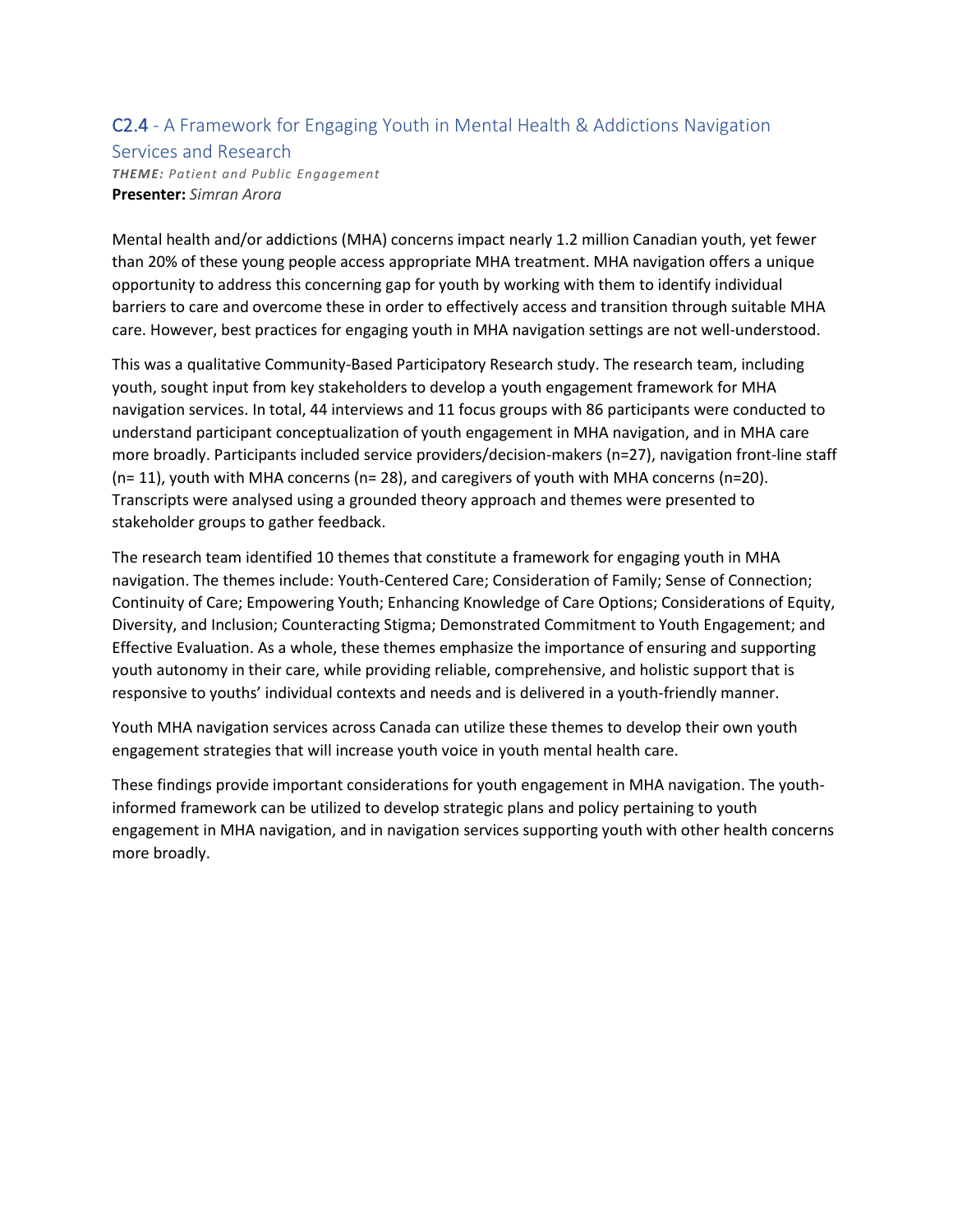### C2.4 - A Framework for Engaging Youth in Mental Health & Addictions Navigation

#### Services and Research

*THEME: Patient and Public Engagement* **Presenter:** *Simran Arora*

Mental health and/or addictions (MHA) concerns impact nearly 1.2 million Canadian youth, yet fewer than 20% of these young people access appropriate MHA treatment. MHA navigation offers a unique opportunity to address this concerning gap for youth by working with them to identify individual barriers to care and overcome these in order to effectively access and transition through suitable MHA care. However, best practices for engaging youth in MHA navigation settings are not well-understood.

This was a qualitative Community-Based Participatory Research study. The research team, including youth, sought input from key stakeholders to develop a youth engagement framework for MHA navigation services. In total, 44 interviews and 11 focus groups with 86 participants were conducted to understand participant conceptualization of youth engagement in MHA navigation, and in MHA care more broadly. Participants included service providers/decision-makers (n=27), navigation front-line staff (n= 11), youth with MHA concerns (n= 28), and caregivers of youth with MHA concerns (n=20). Transcripts were analysed using a grounded theory approach and themes were presented to stakeholder groups to gather feedback.

The research team identified 10 themes that constitute a framework for engaging youth in MHA navigation. The themes include: Youth-Centered Care; Consideration of Family; Sense of Connection; Continuity of Care; Empowering Youth; Enhancing Knowledge of Care Options; Considerations of Equity, Diversity, and Inclusion; Counteracting Stigma; Demonstrated Commitment to Youth Engagement; and Effective Evaluation. As a whole, these themes emphasize the importance of ensuring and supporting youth autonomy in their care, while providing reliable, comprehensive, and holistic support that is responsive to youths' individual contexts and needs and is delivered in a youth-friendly manner.

Youth MHA navigation services across Canada can utilize these themes to develop their own youth engagement strategies that will increase youth voice in youth mental health care.

These findings provide important considerations for youth engagement in MHA navigation. The youthinformed framework can be utilized to develop strategic plans and policy pertaining to youth engagement in MHA navigation, and in navigation services supporting youth with other health concerns more broadly.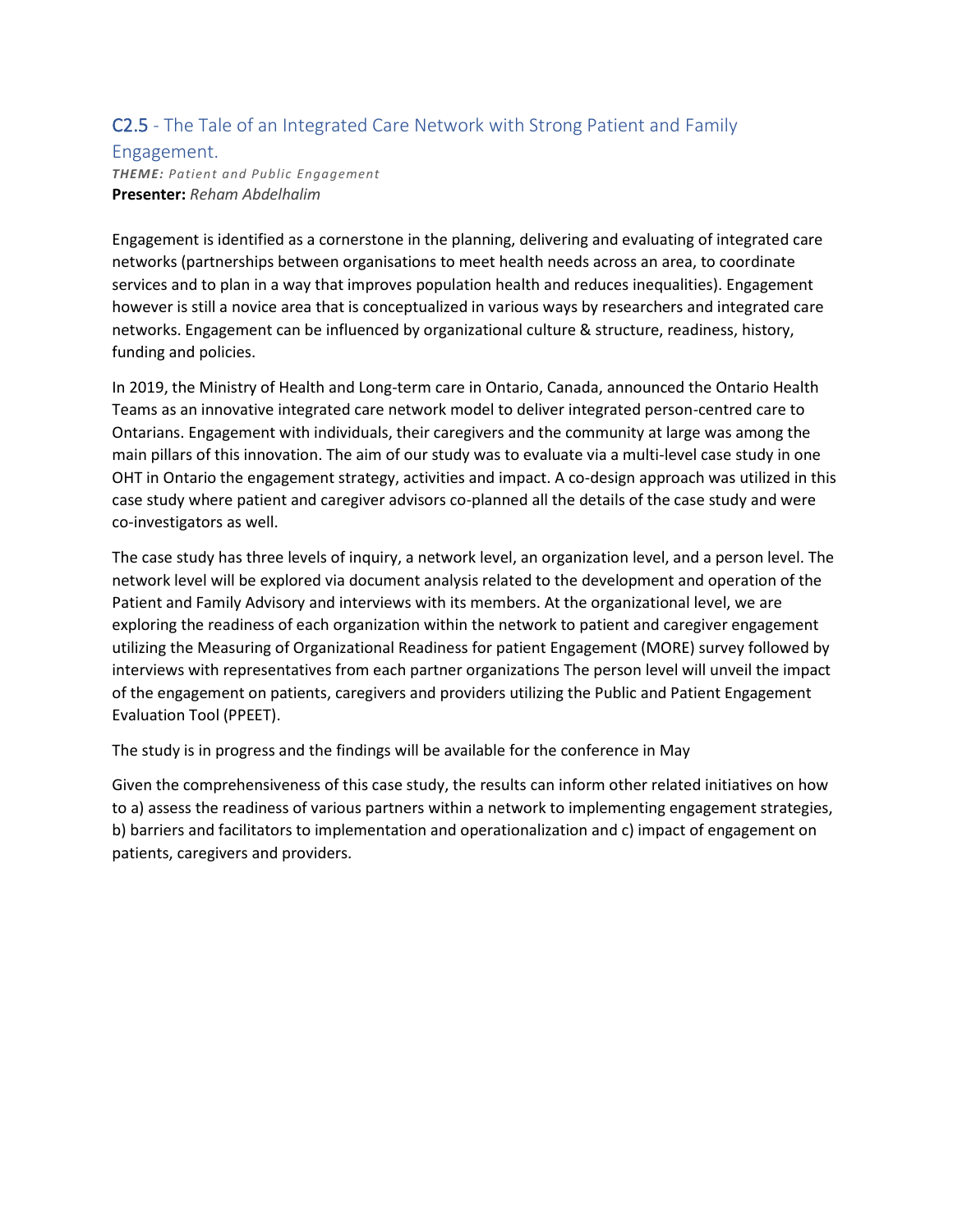### C2.5 - The Tale of an Integrated Care Network with Strong Patient and Family

#### Engagement.

*THEME: Patient and Public Engagement* **Presenter:** *Reham Abdelhalim*

Engagement is identified as a cornerstone in the planning, delivering and evaluating of integrated care networks (partnerships between organisations to meet health needs across an area, to coordinate services and to plan in a way that improves population health and reduces inequalities). Engagement however is still a novice area that is conceptualized in various ways by researchers and integrated care networks. Engagement can be influenced by organizational culture & structure, readiness, history, funding and policies.

In 2019, the Ministry of Health and Long-term care in Ontario, Canada, announced the Ontario Health Teams as an innovative integrated care network model to deliver integrated person-centred care to Ontarians. Engagement with individuals, their caregivers and the community at large was among the main pillars of this innovation. The aim of our study was to evaluate via a multi-level case study in one OHT in Ontario the engagement strategy, activities and impact. A co-design approach was utilized in this case study where patient and caregiver advisors co-planned all the details of the case study and were co-investigators as well.

The case study has three levels of inquiry, a network level, an organization level, and a person level. The network level will be explored via document analysis related to the development and operation of the Patient and Family Advisory and interviews with its members. At the organizational level, we are exploring the readiness of each organization within the network to patient and caregiver engagement utilizing the Measuring of Organizational Readiness for patient Engagement (MORE) survey followed by interviews with representatives from each partner organizations The person level will unveil the impact of the engagement on patients, caregivers and providers utilizing the Public and Patient Engagement Evaluation Tool (PPEET).

The study is in progress and the findings will be available for the conference in May

Given the comprehensiveness of this case study, the results can inform other related initiatives on how to a) assess the readiness of various partners within a network to implementing engagement strategies, b) barriers and facilitators to implementation and operationalization and c) impact of engagement on patients, caregivers and providers.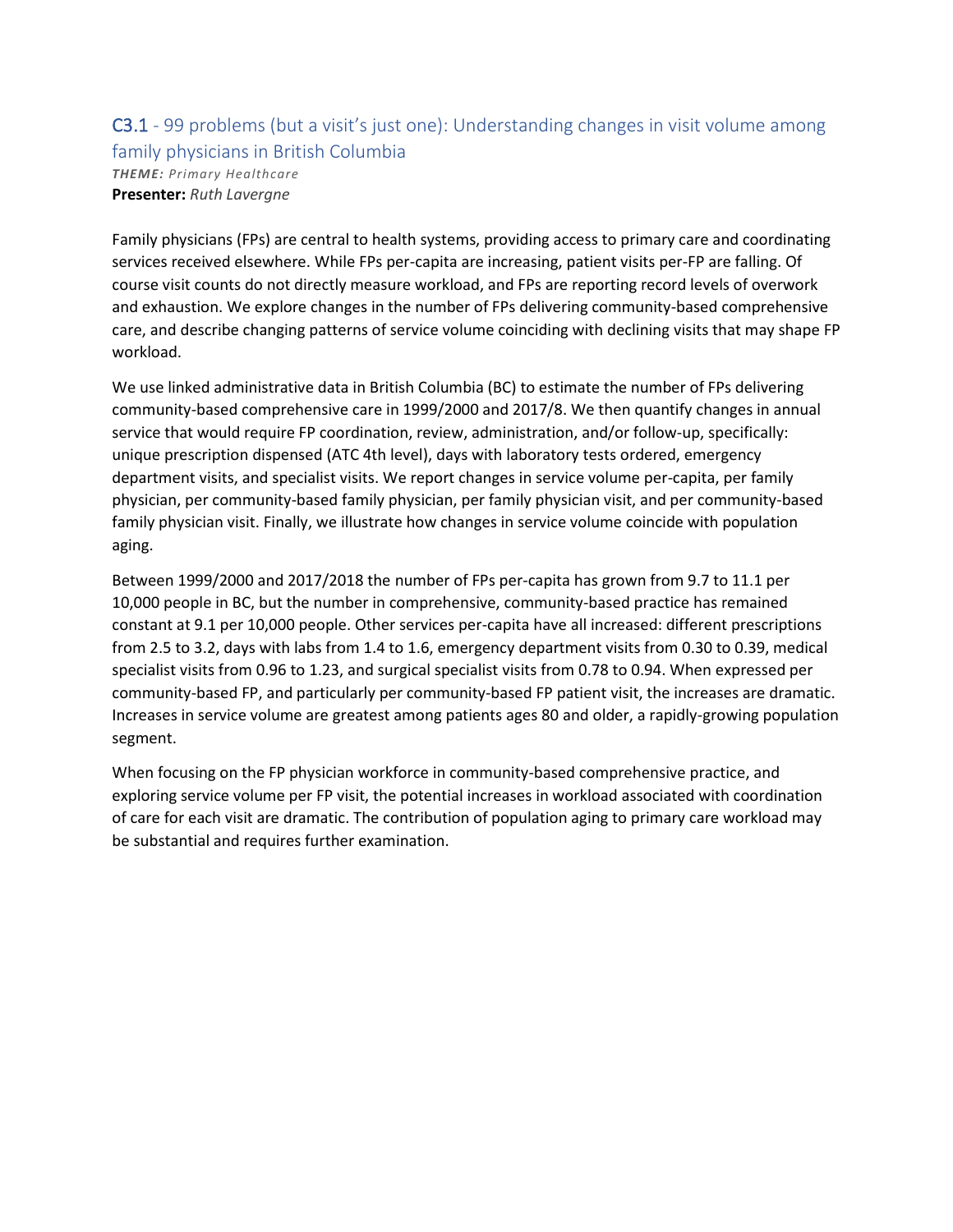### C3.1 - 99 problems (but a visit's just one): Understanding changes in visit volume among family physicians in British Columbia *THEME: Primary Healthcare* **Presenter:** *Ruth Lavergne*

Family physicians (FPs) are central to health systems, providing access to primary care and coordinating services received elsewhere. While FPs per-capita are increasing, patient visits per-FP are falling. Of course visit counts do not directly measure workload, and FPs are reporting record levels of overwork and exhaustion. We explore changes in the number of FPs delivering community-based comprehensive care, and describe changing patterns of service volume coinciding with declining visits that may shape FP workload.

We use linked administrative data in British Columbia (BC) to estimate the number of FPs delivering community-based comprehensive care in 1999/2000 and 2017/8. We then quantify changes in annual service that would require FP coordination, review, administration, and/or follow-up, specifically: unique prescription dispensed (ATC 4th level), days with laboratory tests ordered, emergency department visits, and specialist visits. We report changes in service volume per-capita, per family physician, per community-based family physician, per family physician visit, and per community-based family physician visit. Finally, we illustrate how changes in service volume coincide with population aging.

Between 1999/2000 and 2017/2018 the number of FPs per-capita has grown from 9.7 to 11.1 per 10,000 people in BC, but the number in comprehensive, community-based practice has remained constant at 9.1 per 10,000 people. Other services per-capita have all increased: different prescriptions from 2.5 to 3.2, days with labs from 1.4 to 1.6, emergency department visits from 0.30 to 0.39, medical specialist visits from 0.96 to 1.23, and surgical specialist visits from 0.78 to 0.94. When expressed per community-based FP, and particularly per community-based FP patient visit, the increases are dramatic. Increases in service volume are greatest among patients ages 80 and older, a rapidly-growing population segment.

When focusing on the FP physician workforce in community-based comprehensive practice, and exploring service volume per FP visit, the potential increases in workload associated with coordination of care for each visit are dramatic. The contribution of population aging to primary care workload may be substantial and requires further examination.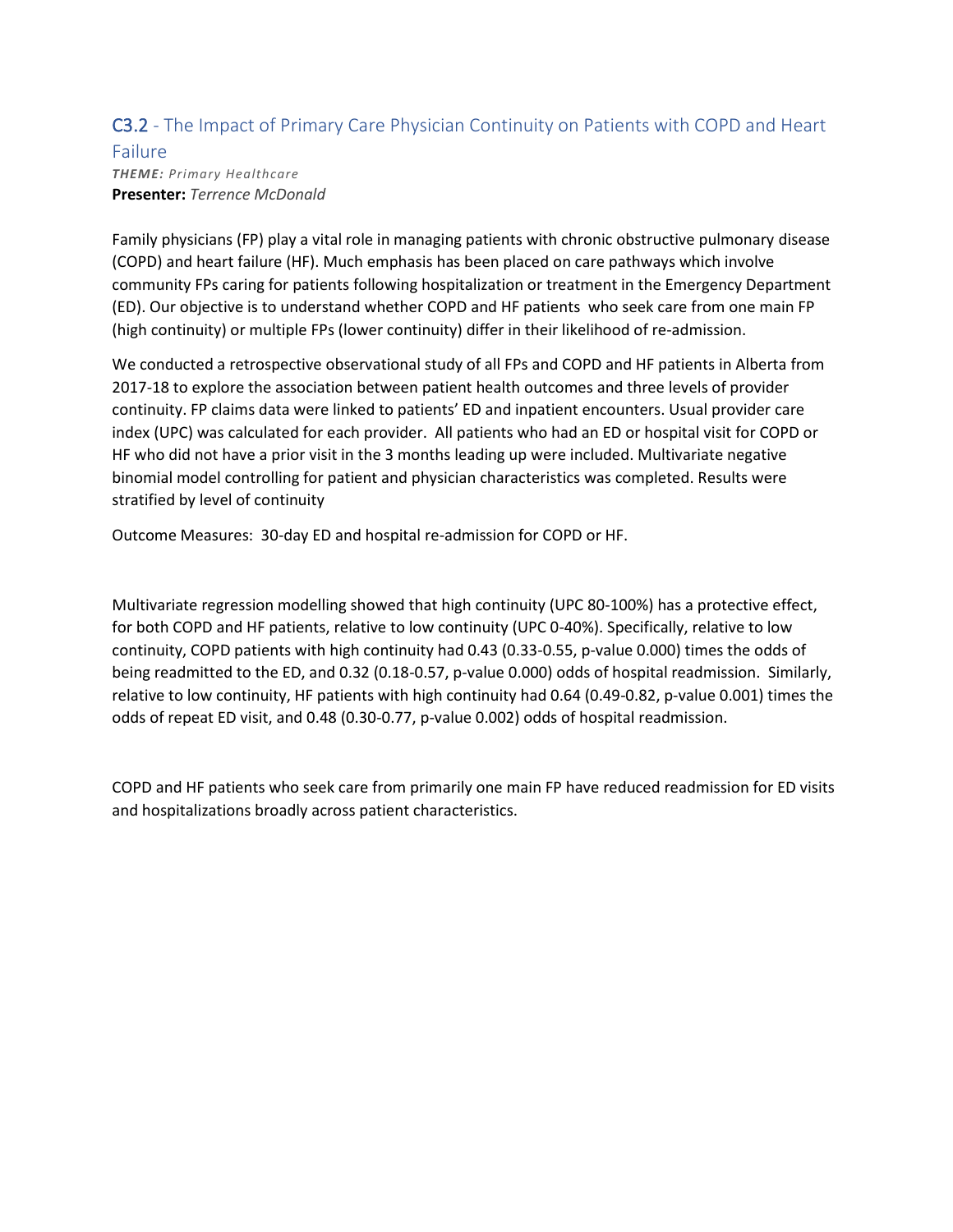### C3.2 - The Impact of Primary Care Physician Continuity on Patients with COPD and Heart

#### Failure *THEME: Primary Healthcare* **Presenter:** *Terrence McDonald*

Family physicians (FP) play a vital role in managing patients with chronic obstructive pulmonary disease (COPD) and heart failure (HF). Much emphasis has been placed on care pathways which involve community FPs caring for patients following hospitalization or treatment in the Emergency Department (ED). Our objective is to understand whether COPD and HF patients who seek care from one main FP (high continuity) or multiple FPs (lower continuity) differ in their likelihood of re-admission.

We conducted a retrospective observational study of all FPs and COPD and HF patients in Alberta from 2017-18 to explore the association between patient health outcomes and three levels of provider continuity. FP claims data were linked to patients' ED and inpatient encounters. Usual provider care index (UPC) was calculated for each provider. All patients who had an ED or hospital visit for COPD or HF who did not have a prior visit in the 3 months leading up were included. Multivariate negative binomial model controlling for patient and physician characteristics was completed. Results were stratified by level of continuity

Outcome Measures: 30-day ED and hospital re-admission for COPD or HF.

Multivariate regression modelling showed that high continuity (UPC 80-100%) has a protective effect, for both COPD and HF patients, relative to low continuity (UPC 0-40%). Specifically, relative to low continuity, COPD patients with high continuity had 0.43 (0.33-0.55, p-value 0.000) times the odds of being readmitted to the ED, and 0.32 (0.18-0.57, p-value 0.000) odds of hospital readmission. Similarly, relative to low continuity, HF patients with high continuity had 0.64 (0.49-0.82, p-value 0.001) times the odds of repeat ED visit, and 0.48 (0.30-0.77, p-value 0.002) odds of hospital readmission.

COPD and HF patients who seek care from primarily one main FP have reduced readmission for ED visits and hospitalizations broadly across patient characteristics.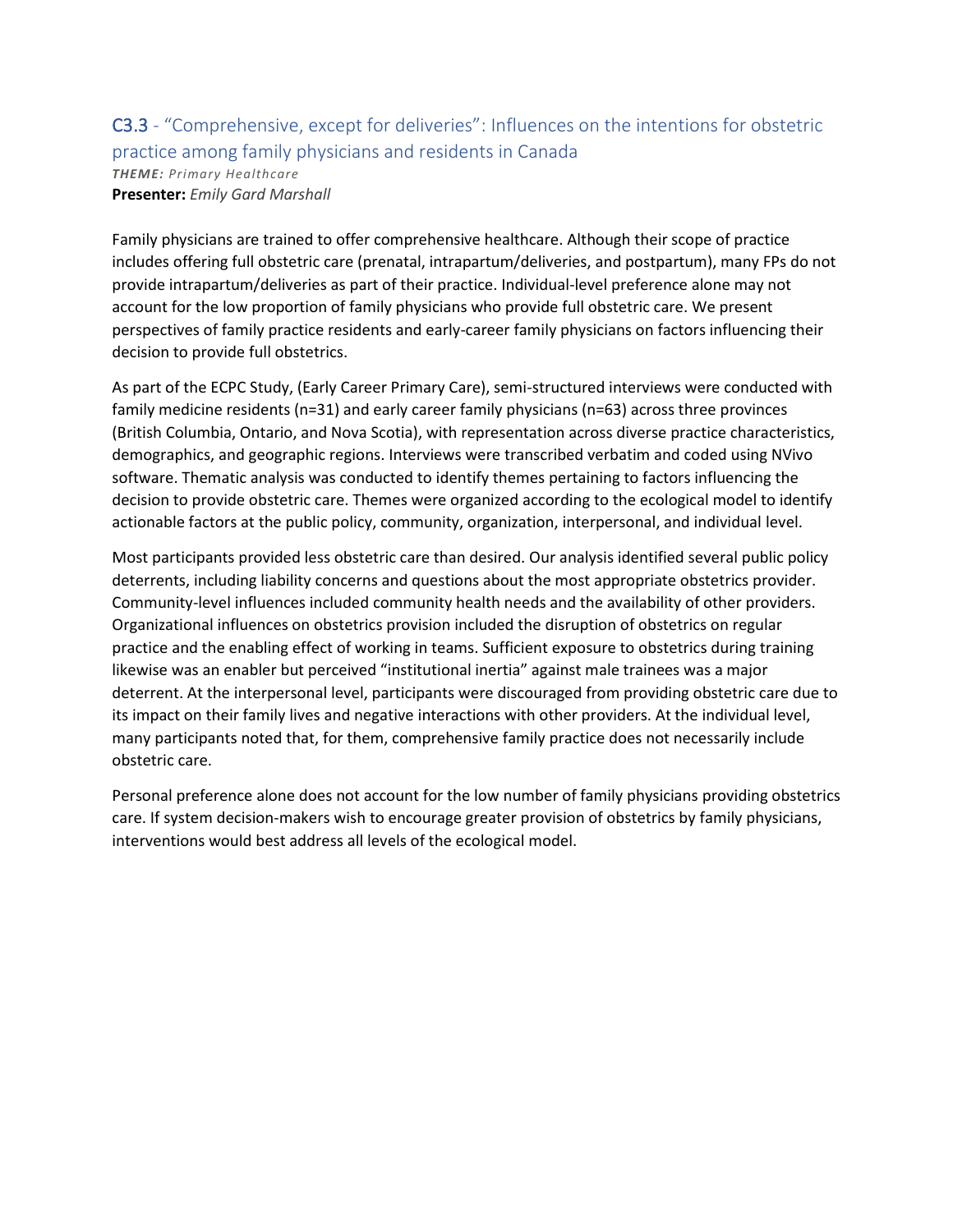# C3.3 - "Comprehensive, except for deliveries": Influences on the intentions for obstetric practice among family physicians and residents in Canada

*THEME: Primary Healthcare* **Presenter:** *Emily Gard Marshall*

Family physicians are trained to offer comprehensive healthcare. Although their scope of practice includes offering full obstetric care (prenatal, intrapartum/deliveries, and postpartum), many FPs do not provide intrapartum/deliveries as part of their practice. Individual-level preference alone may not account for the low proportion of family physicians who provide full obstetric care. We present perspectives of family practice residents and early-career family physicians on factors influencing their decision to provide full obstetrics.

As part of the ECPC Study, (Early Career Primary Care), semi-structured interviews were conducted with family medicine residents (n=31) and early career family physicians (n=63) across three provinces (British Columbia, Ontario, and Nova Scotia), with representation across diverse practice characteristics, demographics, and geographic regions. Interviews were transcribed verbatim and coded using NVivo software. Thematic analysis was conducted to identify themes pertaining to factors influencing the decision to provide obstetric care. Themes were organized according to the ecological model to identify actionable factors at the public policy, community, organization, interpersonal, and individual level.

Most participants provided less obstetric care than desired. Our analysis identified several public policy deterrents, including liability concerns and questions about the most appropriate obstetrics provider. Community-level influences included community health needs and the availability of other providers. Organizational influences on obstetrics provision included the disruption of obstetrics on regular practice and the enabling effect of working in teams. Sufficient exposure to obstetrics during training likewise was an enabler but perceived "institutional inertia" against male trainees was a major deterrent. At the interpersonal level, participants were discouraged from providing obstetric care due to its impact on their family lives and negative interactions with other providers. At the individual level, many participants noted that, for them, comprehensive family practice does not necessarily include obstetric care.

Personal preference alone does not account for the low number of family physicians providing obstetrics care. If system decision-makers wish to encourage greater provision of obstetrics by family physicians, interventions would best address all levels of the ecological model.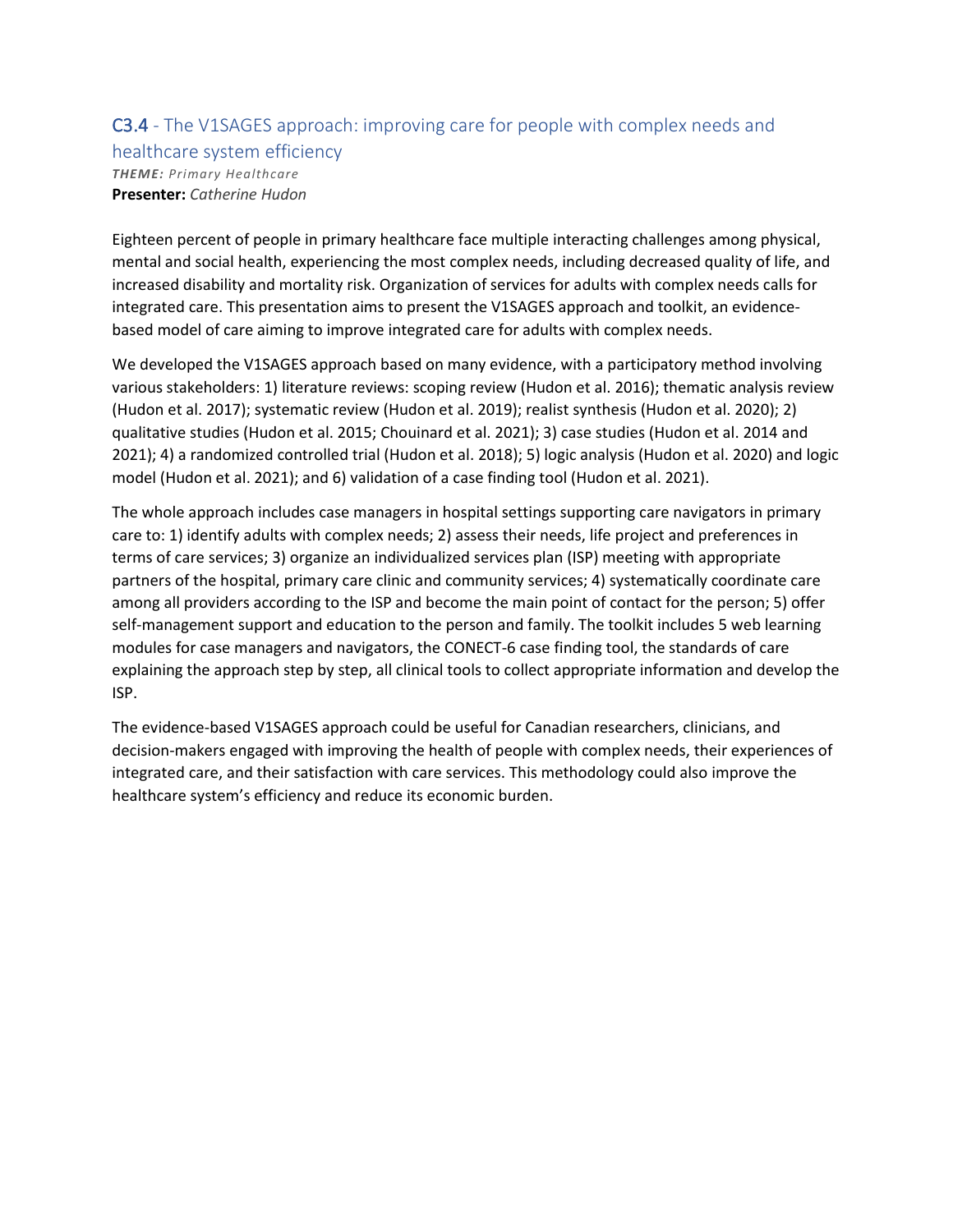### C3.4 - The V1SAGES approach: improving care for people with complex needs and healthcare system efficiency *THEME: Primary Healthcare* **Presenter:** *Catherine Hudon*

Eighteen percent of people in primary healthcare face multiple interacting challenges among physical, mental and social health, experiencing the most complex needs, including decreased quality of life, and increased disability and mortality risk. Organization of services for adults with complex needs calls for integrated care. This presentation aims to present the V1SAGES approach and toolkit, an evidencebased model of care aiming to improve integrated care for adults with complex needs.

We developed the V1SAGES approach based on many evidence, with a participatory method involving various stakeholders: 1) literature reviews: scoping review (Hudon et al. 2016); thematic analysis review (Hudon et al. 2017); systematic review (Hudon et al. 2019); realist synthesis (Hudon et al. 2020); 2) qualitative studies (Hudon et al. 2015; Chouinard et al. 2021); 3) case studies (Hudon et al. 2014 and 2021); 4) a randomized controlled trial (Hudon et al. 2018); 5) logic analysis (Hudon et al. 2020) and logic model (Hudon et al. 2021); and 6) validation of a case finding tool (Hudon et al. 2021).

The whole approach includes case managers in hospital settings supporting care navigators in primary care to: 1) identify adults with complex needs; 2) assess their needs, life project and preferences in terms of care services; 3) organize an individualized services plan (ISP) meeting with appropriate partners of the hospital, primary care clinic and community services; 4) systematically coordinate care among all providers according to the ISP and become the main point of contact for the person; 5) offer self-management support and education to the person and family. The toolkit includes 5 web learning modules for case managers and navigators, the CONECT-6 case finding tool, the standards of care explaining the approach step by step, all clinical tools to collect appropriate information and develop the ISP.

The evidence-based V1SAGES approach could be useful for Canadian researchers, clinicians, and decision-makers engaged with improving the health of people with complex needs, their experiences of integrated care, and their satisfaction with care services. This methodology could also improve the healthcare system's efficiency and reduce its economic burden.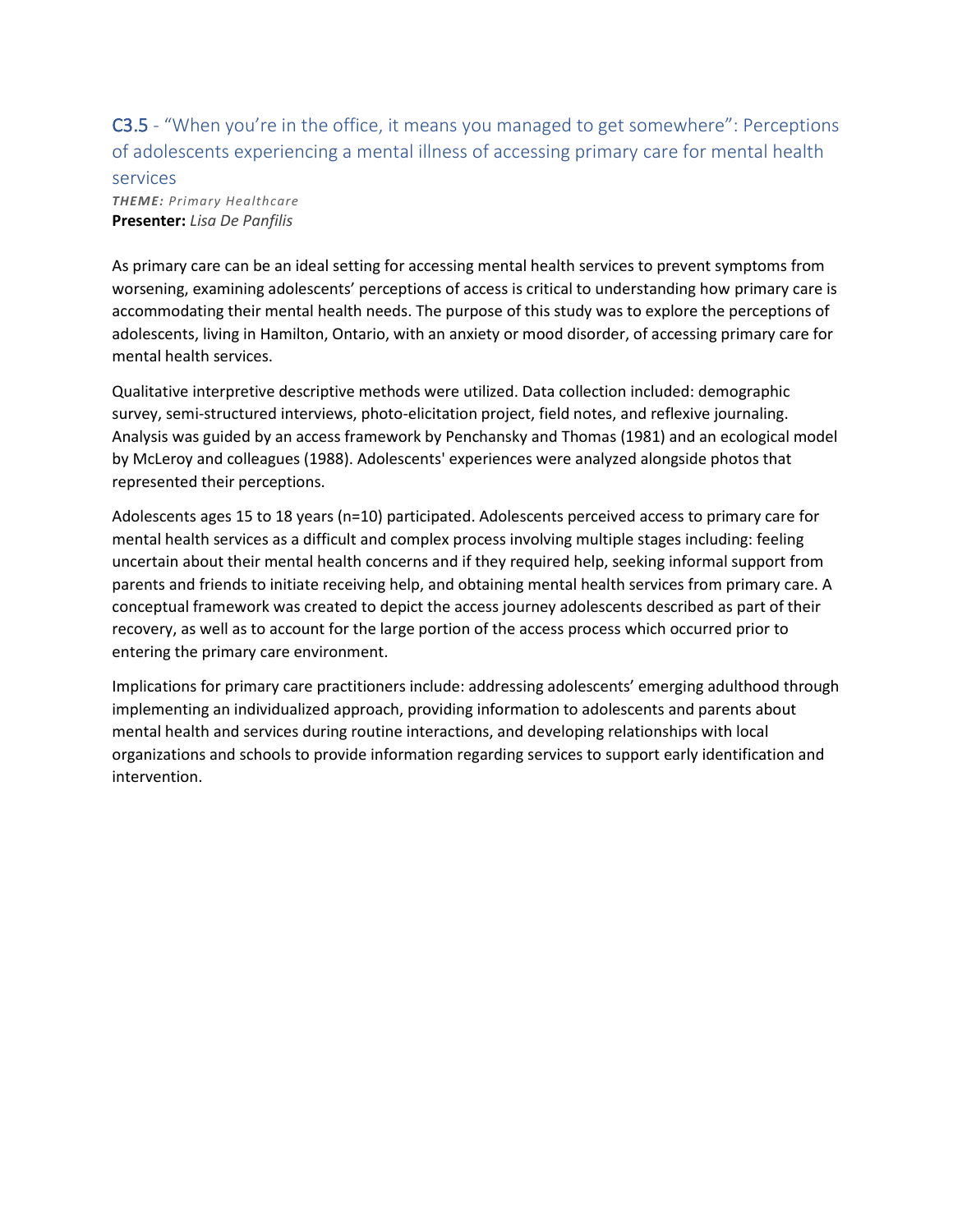C3.5 - "When you're in the office, it means you managed to get somewhere": Perceptions of adolescents experiencing a mental illness of accessing primary care for mental health

#### services

*THEME: Primary Healthcare* **Presenter:** *Lisa De Panfilis*

As primary care can be an ideal setting for accessing mental health services to prevent symptoms from worsening, examining adolescents' perceptions of access is critical to understanding how primary care is accommodating their mental health needs. The purpose of this study was to explore the perceptions of adolescents, living in Hamilton, Ontario, with an anxiety or mood disorder, of accessing primary care for mental health services.

Qualitative interpretive descriptive methods were utilized. Data collection included: demographic survey, semi-structured interviews, photo-elicitation project, field notes, and reflexive journaling. Analysis was guided by an access framework by Penchansky and Thomas (1981) and an ecological model by McLeroy and colleagues (1988). Adolescents' experiences were analyzed alongside photos that represented their perceptions.

Adolescents ages 15 to 18 years (n=10) participated. Adolescents perceived access to primary care for mental health services as a difficult and complex process involving multiple stages including: feeling uncertain about their mental health concerns and if they required help, seeking informal support from parents and friends to initiate receiving help, and obtaining mental health services from primary care. A conceptual framework was created to depict the access journey adolescents described as part of their recovery, as well as to account for the large portion of the access process which occurred prior to entering the primary care environment.

Implications for primary care practitioners include: addressing adolescents' emerging adulthood through implementing an individualized approach, providing information to adolescents and parents about mental health and services during routine interactions, and developing relationships with local organizations and schools to provide information regarding services to support early identification and intervention.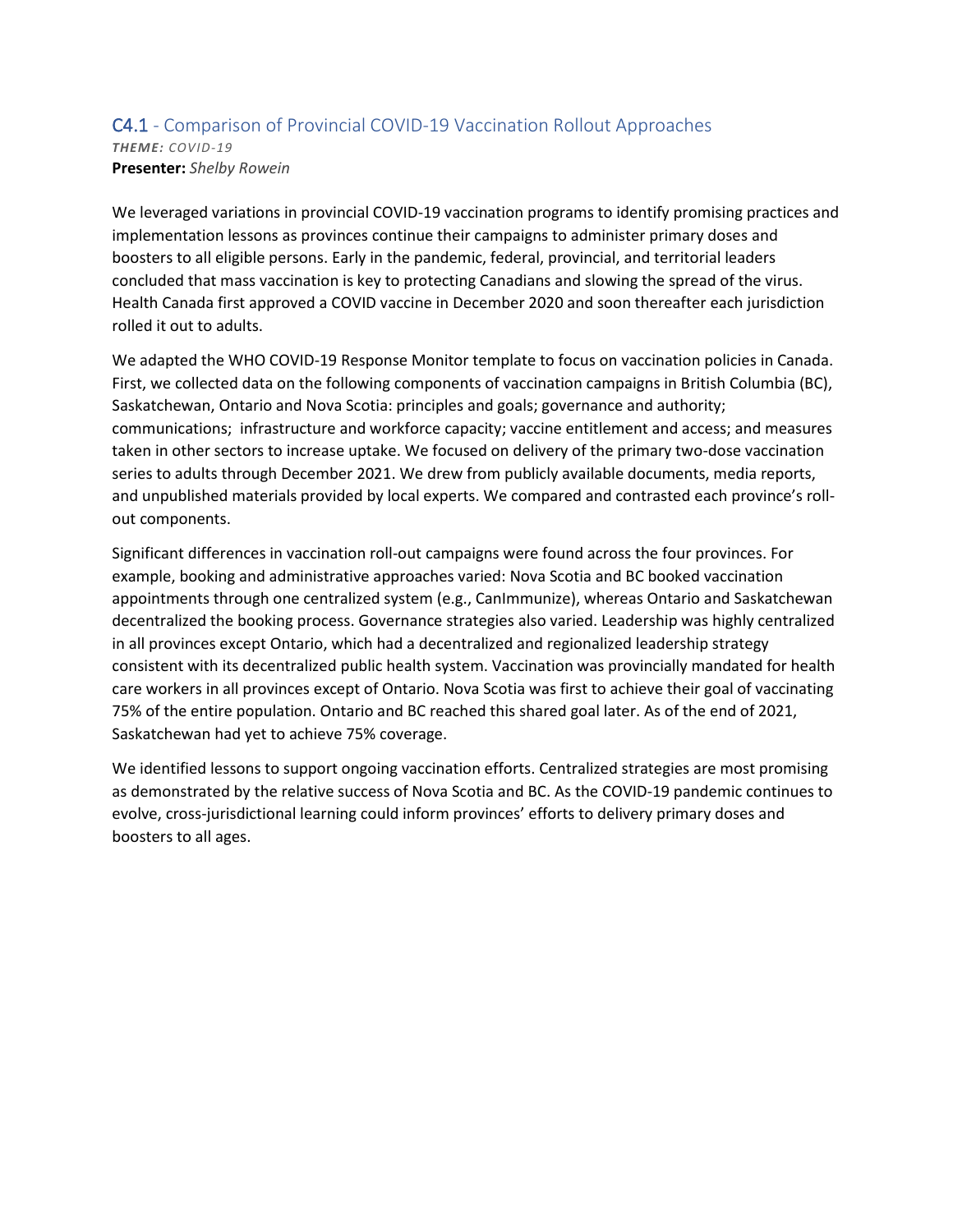#### C4.1 - Comparison of Provincial COVID-19 Vaccination Rollout Approaches *THEME: COVID-19* **Presenter:** *Shelby Rowein*

We leveraged variations in provincial COVID-19 vaccination programs to identify promising practices and implementation lessons as provinces continue their campaigns to administer primary doses and boosters to all eligible persons. Early in the pandemic, federal, provincial, and territorial leaders concluded that mass vaccination is key to protecting Canadians and slowing the spread of the virus. Health Canada first approved a COVID vaccine in December 2020 and soon thereafter each jurisdiction rolled it out to adults.

We adapted the WHO COVID-19 Response Monitor template to focus on vaccination policies in Canada. First, we collected data on the following components of vaccination campaigns in British Columbia (BC), Saskatchewan, Ontario and Nova Scotia: principles and goals; governance and authority; communications; infrastructure and workforce capacity; vaccine entitlement and access; and measures taken in other sectors to increase uptake. We focused on delivery of the primary two-dose vaccination series to adults through December 2021. We drew from publicly available documents, media reports, and unpublished materials provided by local experts. We compared and contrasted each province's rollout components.

Significant differences in vaccination roll-out campaigns were found across the four provinces. For example, booking and administrative approaches varied: Nova Scotia and BC booked vaccination appointments through one centralized system (e.g., CanImmunize), whereas Ontario and Saskatchewan decentralized the booking process. Governance strategies also varied. Leadership was highly centralized in all provinces except Ontario, which had a decentralized and regionalized leadership strategy consistent with its decentralized public health system. Vaccination was provincially mandated for health care workers in all provinces except of Ontario. Nova Scotia was first to achieve their goal of vaccinating 75% of the entire population. Ontario and BC reached this shared goal later. As of the end of 2021, Saskatchewan had yet to achieve 75% coverage.

We identified lessons to support ongoing vaccination efforts. Centralized strategies are most promising as demonstrated by the relative success of Nova Scotia and BC. As the COVID-19 pandemic continues to evolve, cross-jurisdictional learning could inform provinces' efforts to delivery primary doses and boosters to all ages.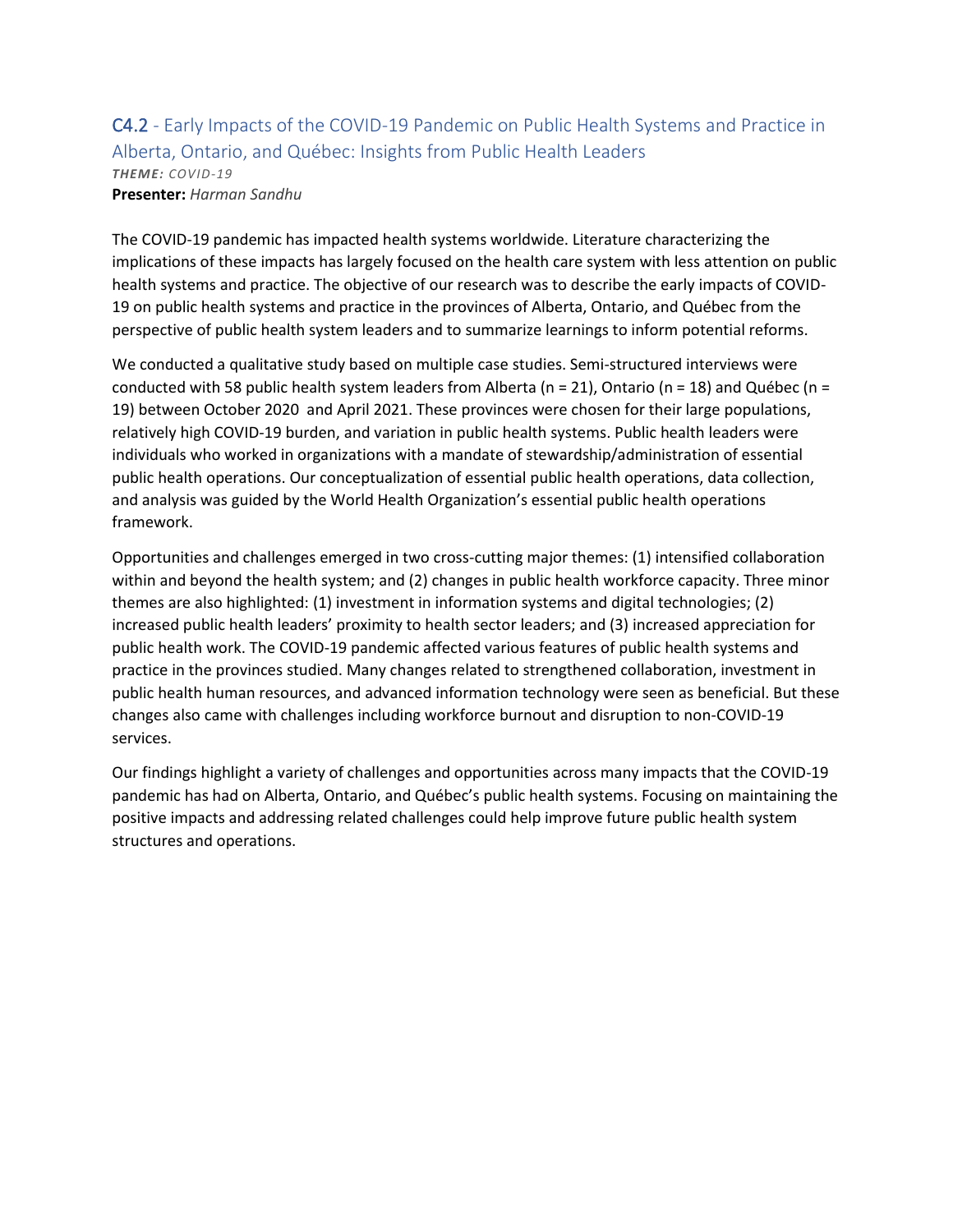C4.2 - Early Impacts of the COVID-19 Pandemic on Public Health Systems and Practice in Alberta, Ontario, and Québec: Insights from Public Health Leaders *THEME: COVID-19* **Presenter:** *Harman Sandhu*

The COVID-19 pandemic has impacted health systems worldwide. Literature characterizing the implications of these impacts has largely focused on the health care system with less attention on public health systems and practice. The objective of our research was to describe the early impacts of COVID-19 on public health systems and practice in the provinces of Alberta, Ontario, and Québec from the perspective of public health system leaders and to summarize learnings to inform potential reforms.

We conducted a qualitative study based on multiple case studies. Semi-structured interviews were conducted with 58 public health system leaders from Alberta (n = 21), Ontario (n = 18) and Québec (n = 19) between October 2020 and April 2021. These provinces were chosen for their large populations, relatively high COVID-19 burden, and variation in public health systems. Public health leaders were individuals who worked in organizations with a mandate of stewardship/administration of essential public health operations. Our conceptualization of essential public health operations, data collection, and analysis was guided by the World Health Organization's essential public health operations framework.

Opportunities and challenges emerged in two cross-cutting major themes: (1) intensified collaboration within and beyond the health system; and (2) changes in public health workforce capacity. Three minor themes are also highlighted: (1) investment in information systems and digital technologies; (2) increased public health leaders' proximity to health sector leaders; and (3) increased appreciation for public health work. The COVID-19 pandemic affected various features of public health systems and practice in the provinces studied. Many changes related to strengthened collaboration, investment in public health human resources, and advanced information technology were seen as beneficial. But these changes also came with challenges including workforce burnout and disruption to non-COVID-19 services.

Our findings highlight a variety of challenges and opportunities across many impacts that the COVID-19 pandemic has had on Alberta, Ontario, and Québec's public health systems. Focusing on maintaining the positive impacts and addressing related challenges could help improve future public health system structures and operations.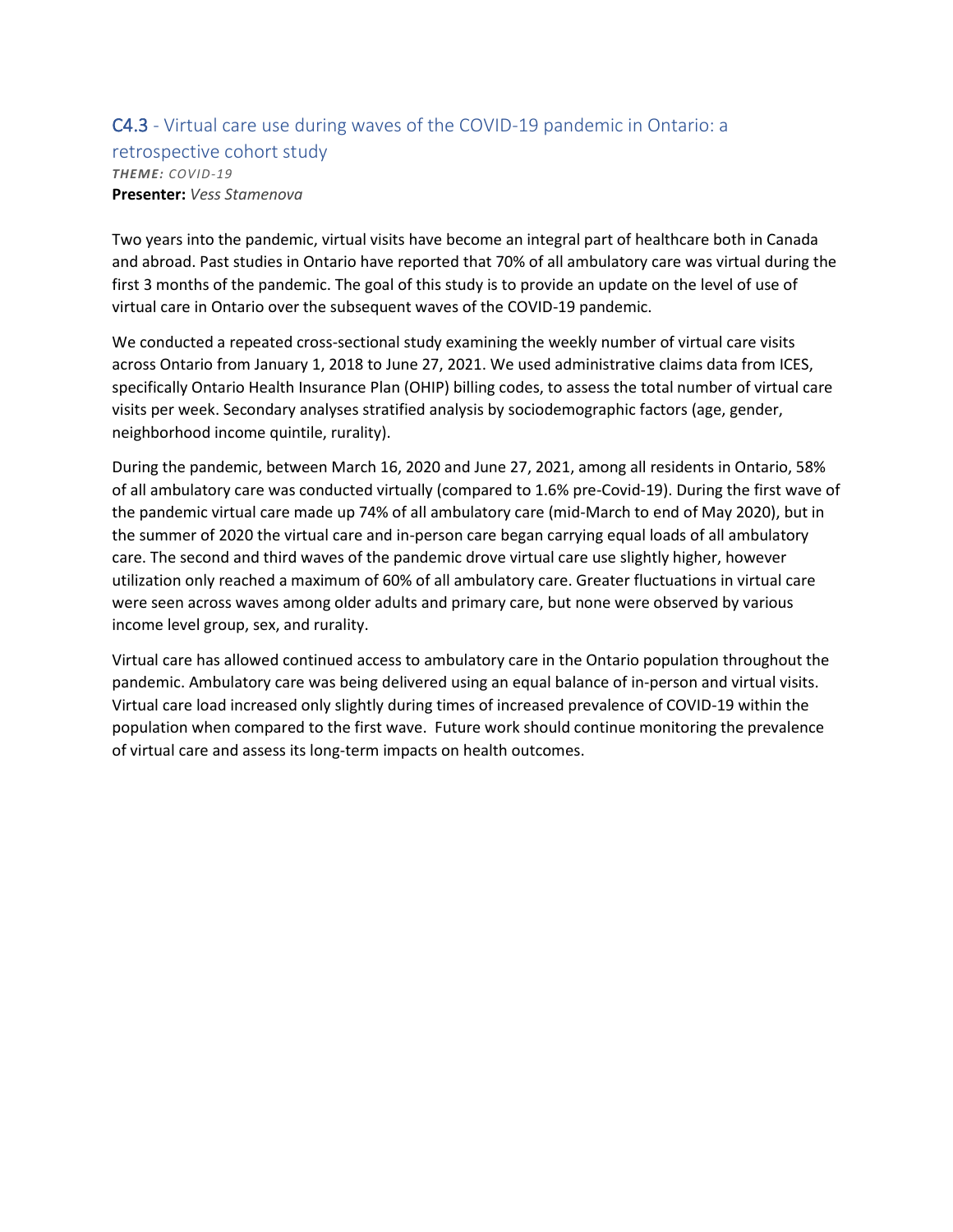#### C4.3 - Virtual care use during waves of the COVID-19 pandemic in Ontario: a retrospective cohort study *THEME: COVID-19* **Presenter:** *Vess Stamenova*

Two years into the pandemic, virtual visits have become an integral part of healthcare both in Canada and abroad. Past studies in Ontario have reported that 70% of all ambulatory care was virtual during the first 3 months of the pandemic. The goal of this study is to provide an update on the level of use of virtual care in Ontario over the subsequent waves of the COVID-19 pandemic.

We conducted a repeated cross-sectional study examining the weekly number of virtual care visits across Ontario from January 1, 2018 to June 27, 2021. We used administrative claims data from ICES, specifically Ontario Health Insurance Plan (OHIP) billing codes, to assess the total number of virtual care visits per week. Secondary analyses stratified analysis by sociodemographic factors (age, gender, neighborhood income quintile, rurality).

During the pandemic, between March 16, 2020 and June 27, 2021, among all residents in Ontario, 58% of all ambulatory care was conducted virtually (compared to 1.6% pre-Covid-19). During the first wave of the pandemic virtual care made up 74% of all ambulatory care (mid-March to end of May 2020), but in the summer of 2020 the virtual care and in-person care began carrying equal loads of all ambulatory care. The second and third waves of the pandemic drove virtual care use slightly higher, however utilization only reached a maximum of 60% of all ambulatory care. Greater fluctuations in virtual care were seen across waves among older adults and primary care, but none were observed by various income level group, sex, and rurality.

Virtual care has allowed continued access to ambulatory care in the Ontario population throughout the pandemic. Ambulatory care was being delivered using an equal balance of in-person and virtual visits. Virtual care load increased only slightly during times of increased prevalence of COVID-19 within the population when compared to the first wave. Future work should continue monitoring the prevalence of virtual care and assess its long-term impacts on health outcomes.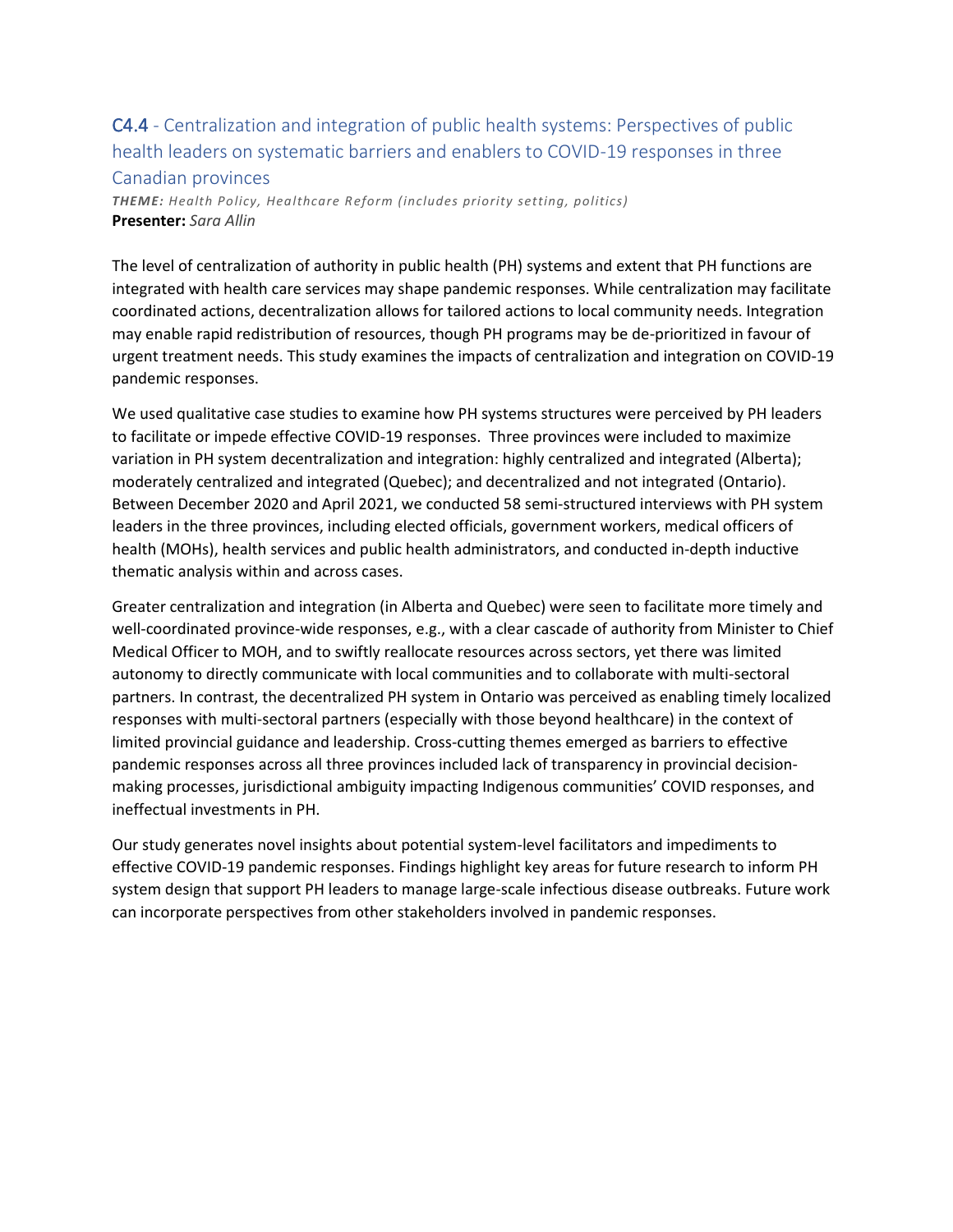### C4.4 - Centralization and integration of public health systems: Perspectives of public health leaders on systematic barriers and enablers to COVID-19 responses in three Canadian provinces

*THEME: Health Policy, Healthcare Reform (includes priority setting, politics)* **Presenter:** *Sara Allin*

The level of centralization of authority in public health (PH) systems and extent that PH functions are integrated with health care services may shape pandemic responses. While centralization may facilitate coordinated actions, decentralization allows for tailored actions to local community needs. Integration may enable rapid redistribution of resources, though PH programs may be de-prioritized in favour of urgent treatment needs. This study examines the impacts of centralization and integration on COVID-19 pandemic responses.

We used qualitative case studies to examine how PH systems structures were perceived by PH leaders to facilitate or impede effective COVID-19 responses. Three provinces were included to maximize variation in PH system decentralization and integration: highly centralized and integrated (Alberta); moderately centralized and integrated (Quebec); and decentralized and not integrated (Ontario). Between December 2020 and April 2021, we conducted 58 semi-structured interviews with PH system leaders in the three provinces, including elected officials, government workers, medical officers of health (MOHs), health services and public health administrators, and conducted in-depth inductive thematic analysis within and across cases.

Greater centralization and integration (in Alberta and Quebec) were seen to facilitate more timely and well-coordinated province-wide responses, e.g., with a clear cascade of authority from Minister to Chief Medical Officer to MOH, and to swiftly reallocate resources across sectors, yet there was limited autonomy to directly communicate with local communities and to collaborate with multi-sectoral partners. In contrast, the decentralized PH system in Ontario was perceived as enabling timely localized responses with multi-sectoral partners (especially with those beyond healthcare) in the context of limited provincial guidance and leadership. Cross-cutting themes emerged as barriers to effective pandemic responses across all three provinces included lack of transparency in provincial decisionmaking processes, jurisdictional ambiguity impacting Indigenous communities' COVID responses, and ineffectual investments in PH.

Our study generates novel insights about potential system-level facilitators and impediments to effective COVID-19 pandemic responses. Findings highlight key areas for future research to inform PH system design that support PH leaders to manage large-scale infectious disease outbreaks. Future work can incorporate perspectives from other stakeholders involved in pandemic responses.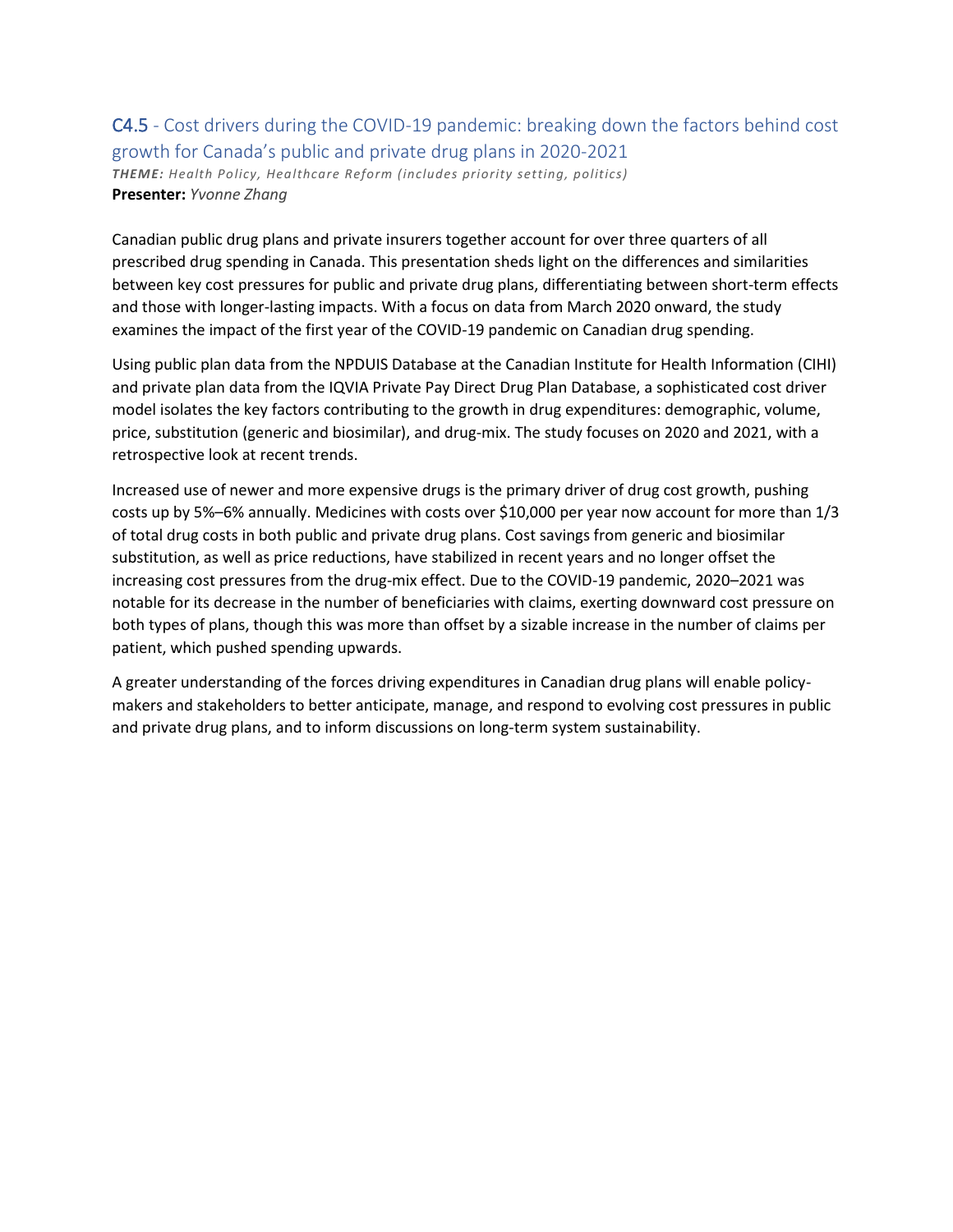### C4.5 - Cost drivers during the COVID-19 pandemic: breaking down the factors behind cost growth for Canada's public and private drug plans in 2020-2021 *THEME: Health Policy, Healthcare Reform (includes priority setting, politics)* **Presenter:** *Yvonne Zhang*

Canadian public drug plans and private insurers together account for over three quarters of all prescribed drug spending in Canada. This presentation sheds light on the differences and similarities between key cost pressures for public and private drug plans, differentiating between short-term effects and those with longer-lasting impacts. With a focus on data from March 2020 onward, the study examines the impact of the first year of the COVID-19 pandemic on Canadian drug spending.

Using public plan data from the NPDUIS Database at the Canadian Institute for Health Information (CIHI) and private plan data from the IQVIA Private Pay Direct Drug Plan Database, a sophisticated cost driver model isolates the key factors contributing to the growth in drug expenditures: demographic, volume, price, substitution (generic and biosimilar), and drug-mix. The study focuses on 2020 and 2021, with a retrospective look at recent trends.

Increased use of newer and more expensive drugs is the primary driver of drug cost growth, pushing costs up by 5%–6% annually. Medicines with costs over \$10,000 per year now account for more than 1/3 of total drug costs in both public and private drug plans. Cost savings from generic and biosimilar substitution, as well as price reductions, have stabilized in recent years and no longer offset the increasing cost pressures from the drug-mix effect. Due to the COVID-19 pandemic, 2020–2021 was notable for its decrease in the number of beneficiaries with claims, exerting downward cost pressure on both types of plans, though this was more than offset by a sizable increase in the number of claims per patient, which pushed spending upwards.

A greater understanding of the forces driving expenditures in Canadian drug plans will enable policymakers and stakeholders to better anticipate, manage, and respond to evolving cost pressures in public and private drug plans, and to inform discussions on long-term system sustainability.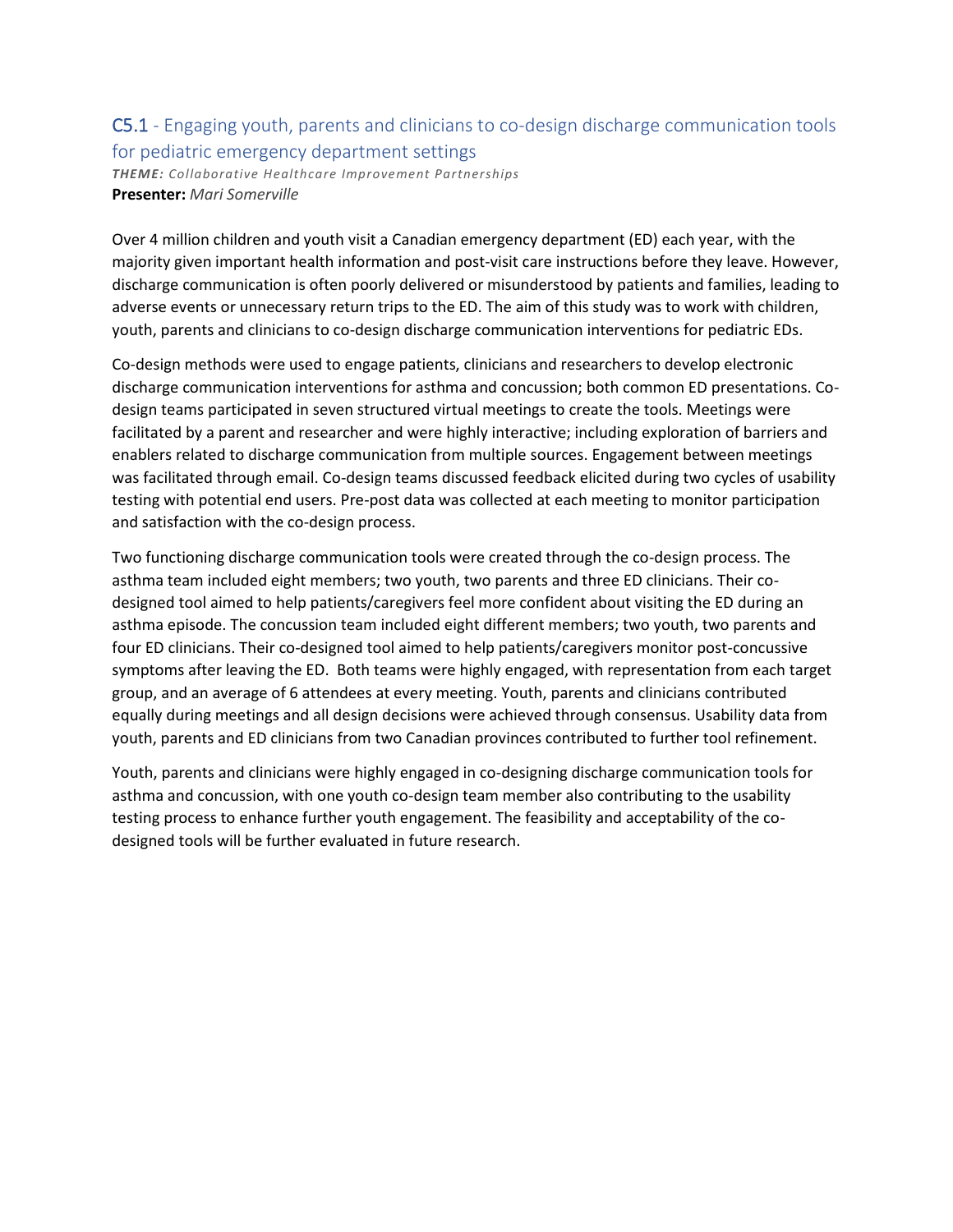### C5.1 - Engaging youth, parents and clinicians to co-design discharge communication tools for pediatric emergency department settings

*THEME: Collaborative Healthcare Improvement Partnerships* **Presenter:** *Mari Somerville*

Over 4 million children and youth visit a Canadian emergency department (ED) each year, with the majority given important health information and post-visit care instructions before they leave. However, discharge communication is often poorly delivered or misunderstood by patients and families, leading to adverse events or unnecessary return trips to the ED. The aim of this study was to work with children, youth, parents and clinicians to co-design discharge communication interventions for pediatric EDs.

Co-design methods were used to engage patients, clinicians and researchers to develop electronic discharge communication interventions for asthma and concussion; both common ED presentations. Codesign teams participated in seven structured virtual meetings to create the tools. Meetings were facilitated by a parent and researcher and were highly interactive; including exploration of barriers and enablers related to discharge communication from multiple sources. Engagement between meetings was facilitated through email. Co-design teams discussed feedback elicited during two cycles of usability testing with potential end users. Pre-post data was collected at each meeting to monitor participation and satisfaction with the co-design process.

Two functioning discharge communication tools were created through the co-design process. The asthma team included eight members; two youth, two parents and three ED clinicians. Their codesigned tool aimed to help patients/caregivers feel more confident about visiting the ED during an asthma episode. The concussion team included eight different members; two youth, two parents and four ED clinicians. Their co-designed tool aimed to help patients/caregivers monitor post-concussive symptoms after leaving the ED. Both teams were highly engaged, with representation from each target group, and an average of 6 attendees at every meeting. Youth, parents and clinicians contributed equally during meetings and all design decisions were achieved through consensus. Usability data from youth, parents and ED clinicians from two Canadian provinces contributed to further tool refinement.

Youth, parents and clinicians were highly engaged in co-designing discharge communication tools for asthma and concussion, with one youth co-design team member also contributing to the usability testing process to enhance further youth engagement. The feasibility and acceptability of the codesigned tools will be further evaluated in future research.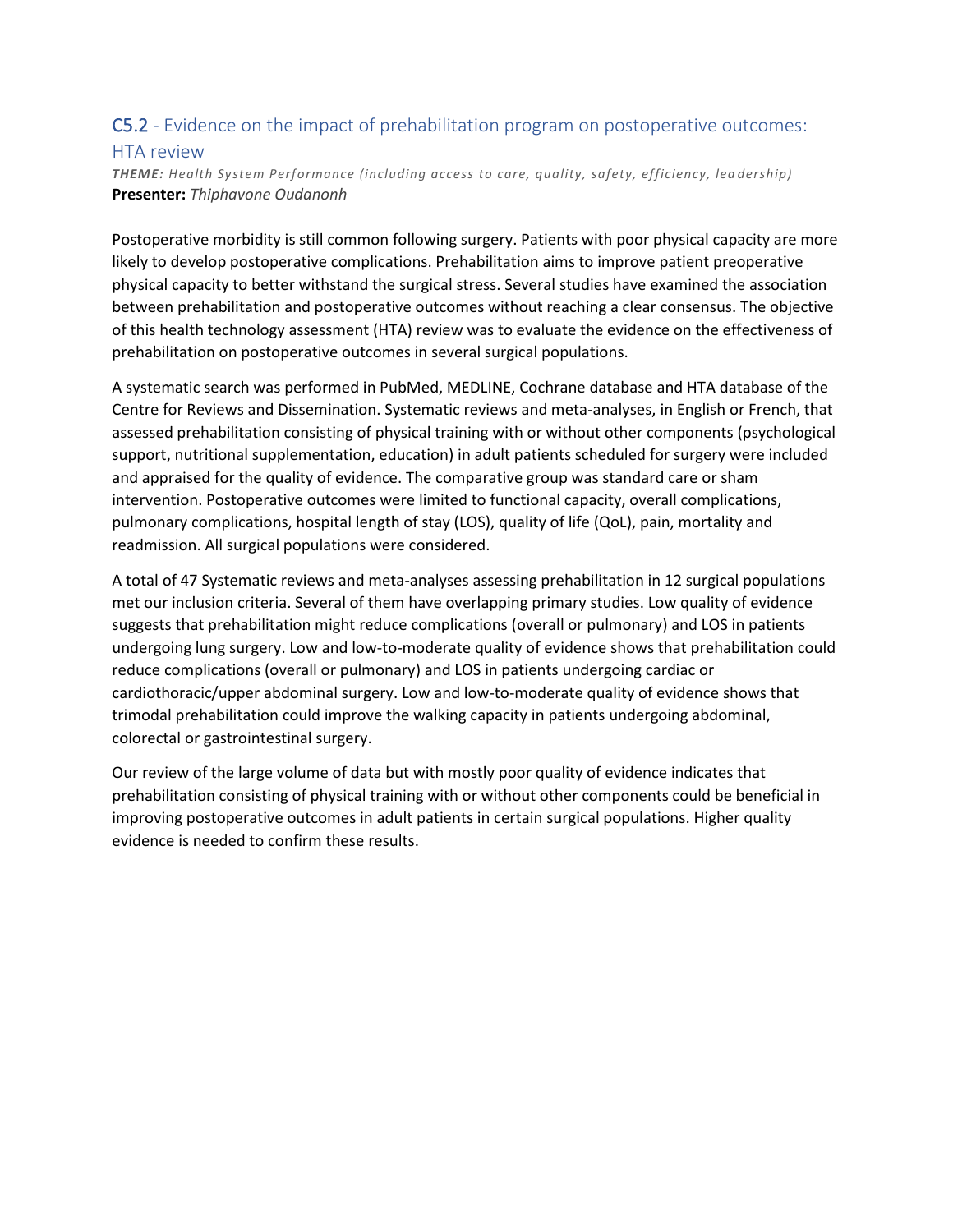### C5.2 - Evidence on the impact of prehabilitation program on postoperative outcomes: HTA review

*THEME: Health System Performance (including access to care, quality, safety, efficiency, lea dership)* **Presenter:** *Thiphavone Oudanonh*

Postoperative morbidity is still common following surgery. Patients with poor physical capacity are more likely to develop postoperative complications. Prehabilitation aims to improve patient preoperative physical capacity to better withstand the surgical stress. Several studies have examined the association between prehabilitation and postoperative outcomes without reaching a clear consensus. The objective of this health technology assessment (HTA) review was to evaluate the evidence on the effectiveness of prehabilitation on postoperative outcomes in several surgical populations.

A systematic search was performed in PubMed, MEDLINE, Cochrane database and HTA database of the Centre for Reviews and Dissemination. Systematic reviews and meta-analyses, in English or French, that assessed prehabilitation consisting of physical training with or without other components (psychological support, nutritional supplementation, education) in adult patients scheduled for surgery were included and appraised for the quality of evidence. The comparative group was standard care or sham intervention. Postoperative outcomes were limited to functional capacity, overall complications, pulmonary complications, hospital length of stay (LOS), quality of life (QoL), pain, mortality and readmission. All surgical populations were considered.

A total of 47 Systematic reviews and meta-analyses assessing prehabilitation in 12 surgical populations met our inclusion criteria. Several of them have overlapping primary studies. Low quality of evidence suggests that prehabilitation might reduce complications (overall or pulmonary) and LOS in patients undergoing lung surgery. Low and low-to-moderate quality of evidence shows that prehabilitation could reduce complications (overall or pulmonary) and LOS in patients undergoing cardiac or cardiothoracic/upper abdominal surgery. Low and low-to-moderate quality of evidence shows that trimodal prehabilitation could improve the walking capacity in patients undergoing abdominal, colorectal or gastrointestinal surgery.

Our review of the large volume of data but with mostly poor quality of evidence indicates that prehabilitation consisting of physical training with or without other components could be beneficial in improving postoperative outcomes in adult patients in certain surgical populations. Higher quality evidence is needed to confirm these results.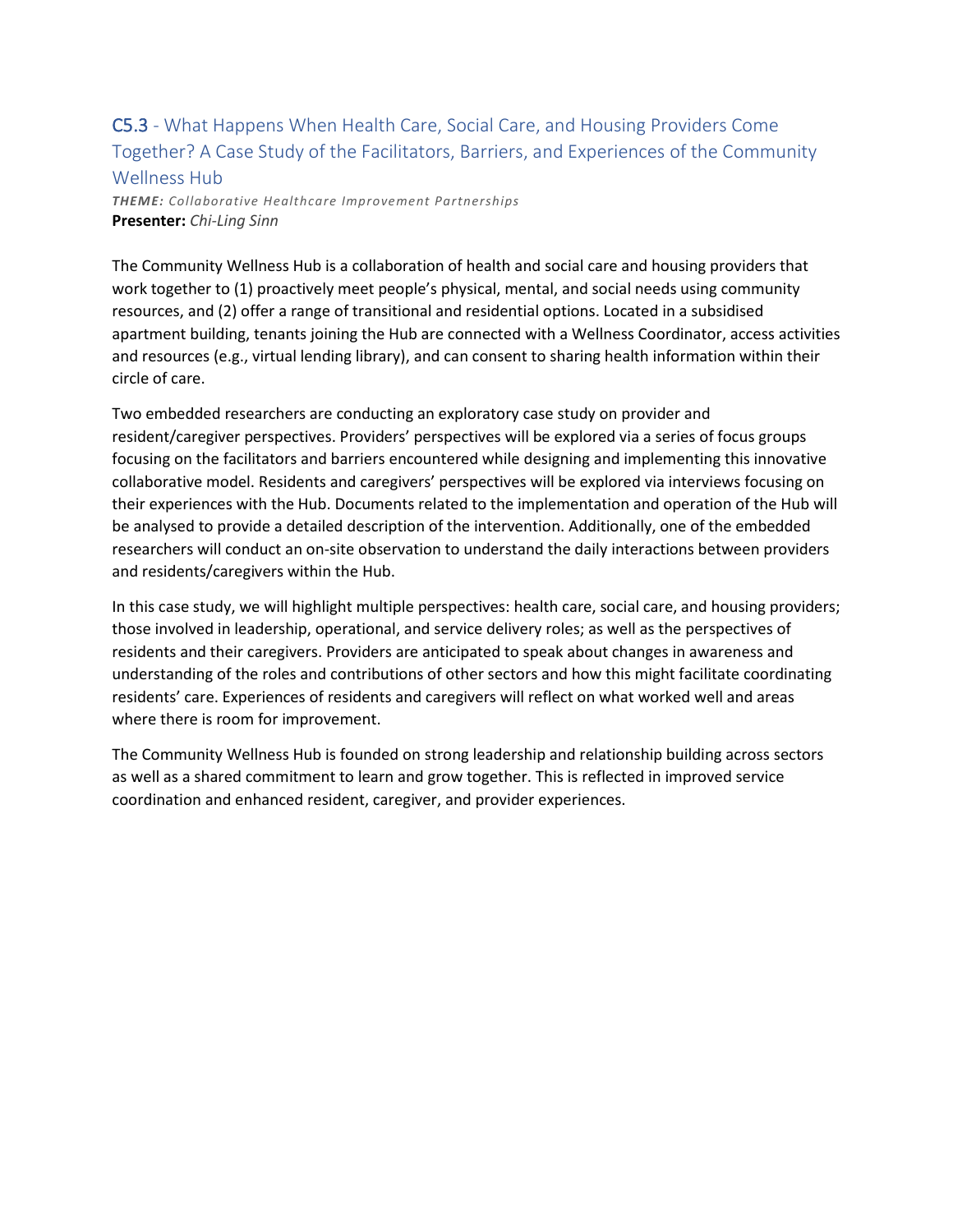## C5.3 - What Happens When Health Care, Social Care, and Housing Providers Come Together? A Case Study of the Facilitators, Barriers, and Experiences of the Community Wellness Hub

*THEME: Collaborative Healthcare Improvement Partnerships* **Presenter:** *Chi-Ling Sinn*

The Community Wellness Hub is a collaboration of health and social care and housing providers that work together to (1) proactively meet people's physical, mental, and social needs using community resources, and (2) offer a range of transitional and residential options. Located in a subsidised apartment building, tenants joining the Hub are connected with a Wellness Coordinator, access activities and resources (e.g., virtual lending library), and can consent to sharing health information within their circle of care.

Two embedded researchers are conducting an exploratory case study on provider and resident/caregiver perspectives. Providers' perspectives will be explored via a series of focus groups focusing on the facilitators and barriers encountered while designing and implementing this innovative collaborative model. Residents and caregivers' perspectives will be explored via interviews focusing on their experiences with the Hub. Documents related to the implementation and operation of the Hub will be analysed to provide a detailed description of the intervention. Additionally, one of the embedded researchers will conduct an on-site observation to understand the daily interactions between providers and residents/caregivers within the Hub.

In this case study, we will highlight multiple perspectives: health care, social care, and housing providers; those involved in leadership, operational, and service delivery roles; as well as the perspectives of residents and their caregivers. Providers are anticipated to speak about changes in awareness and understanding of the roles and contributions of other sectors and how this might facilitate coordinating residents' care. Experiences of residents and caregivers will reflect on what worked well and areas where there is room for improvement.

The Community Wellness Hub is founded on strong leadership and relationship building across sectors as well as a shared commitment to learn and grow together. This is reflected in improved service coordination and enhanced resident, caregiver, and provider experiences.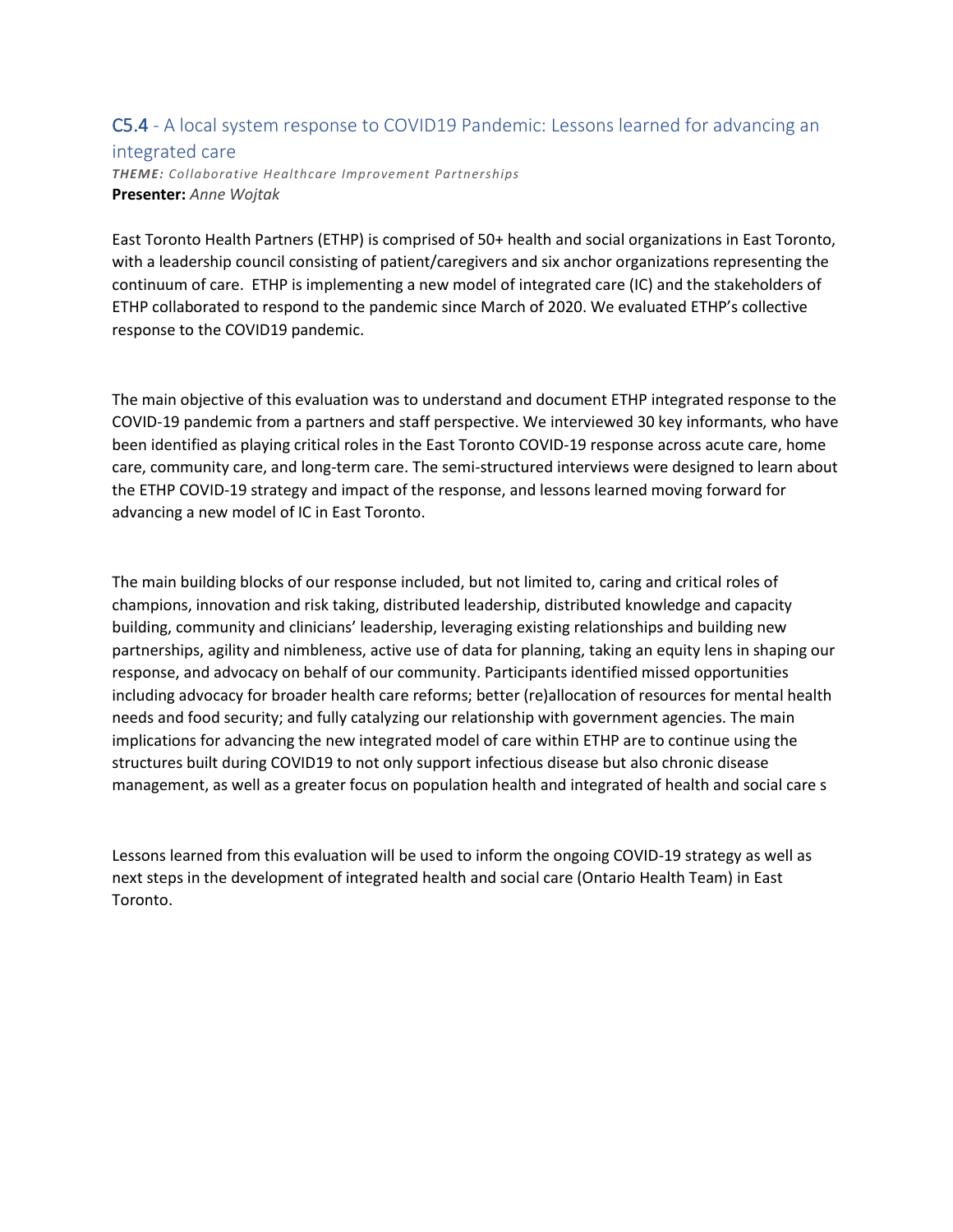### C5.4 - A local system response to COVID19 Pandemic: Lessons learned for advancing an integrated care *THEME: Collaborative Healthcare Improvement Partnerships* **Presenter:** *Anne Wojtak*

East Toronto Health Partners (ETHP) is comprised of 50+ health and social organizations in East Toronto, with a leadership council consisting of patient/caregivers and six anchor organizations representing the continuum of care. ETHP is implementing a new model of integrated care (IC) and the stakeholders of ETHP collaborated to respond to the pandemic since March of 2020. We evaluated ETHP's collective response to the COVID19 pandemic.

The main objective of this evaluation was to understand and document ETHP integrated response to the COVID-19 pandemic from a partners and staff perspective. We interviewed 30 key informants, who have been identified as playing critical roles in the East Toronto COVID-19 response across acute care, home care, community care, and long-term care. The semi-structured interviews were designed to learn about the ETHP COVID-19 strategy and impact of the response, and lessons learned moving forward for advancing a new model of IC in East Toronto.

The main building blocks of our response included, but not limited to, caring and critical roles of champions, innovation and risk taking, distributed leadership, distributed knowledge and capacity building, community and clinicians' leadership, leveraging existing relationships and building new partnerships, agility and nimbleness, active use of data for planning, taking an equity lens in shaping our response, and advocacy on behalf of our community. Participants identified missed opportunities including advocacy for broader health care reforms; better (re)allocation of resources for mental health needs and food security; and fully catalyzing our relationship with government agencies. The main implications for advancing the new integrated model of care within ETHP are to continue using the structures built during COVID19 to not only support infectious disease but also chronic disease management, as well as a greater focus on population health and integrated of health and social care s

Lessons learned from this evaluation will be used to inform the ongoing COVID-19 strategy as well as next steps in the development of integrated health and social care (Ontario Health Team) in East Toronto.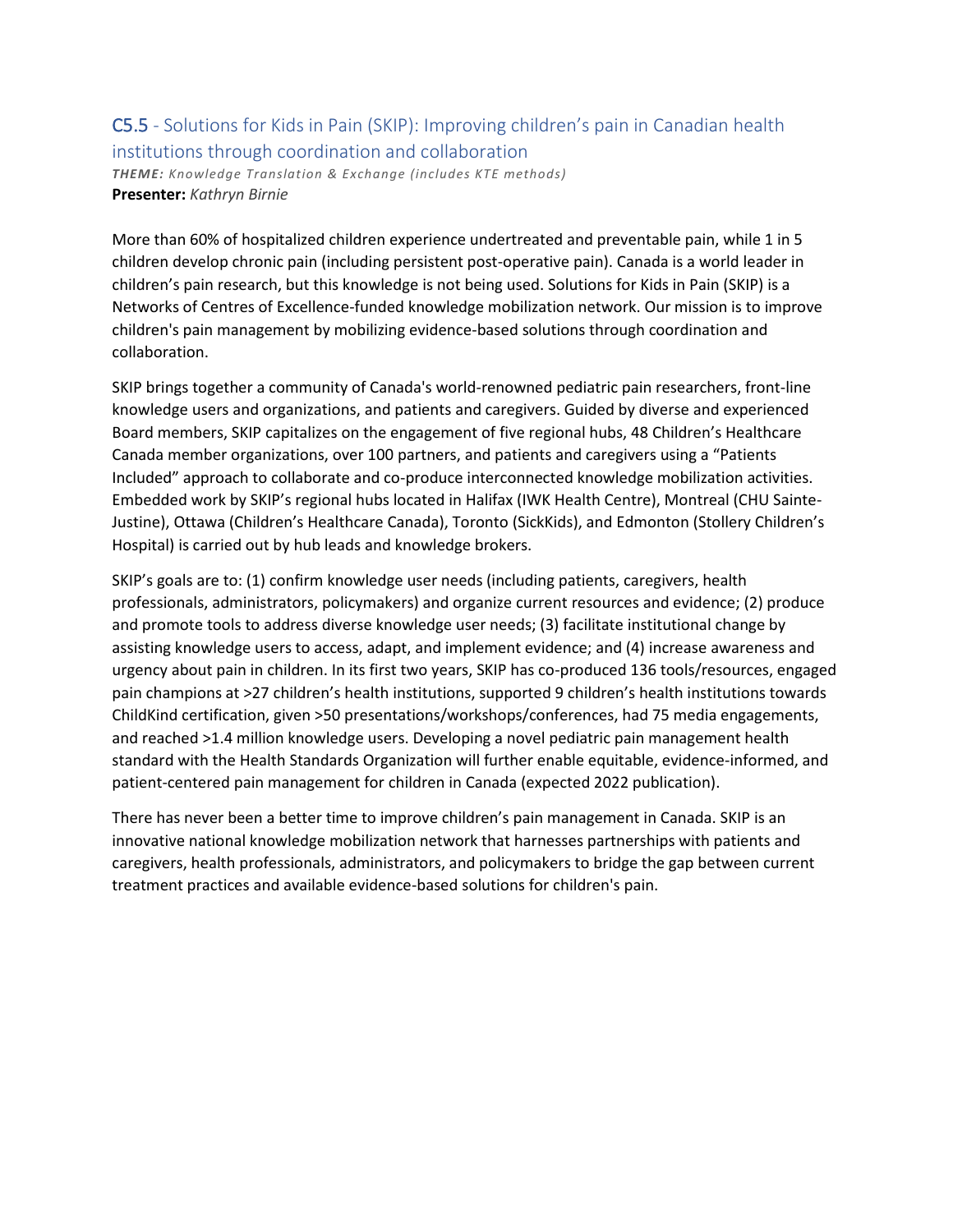#### C5.5 - Solutions for Kids in Pain (SKIP): Improving children's pain in Canadian health institutions through coordination and collaboration *THEME: Knowledge Translation & Exchange (includes KTE methods)* **Presenter:** *Kathryn Birnie*

More than 60% of hospitalized children experience undertreated and preventable pain, while 1 in 5 children develop chronic pain (including persistent post-operative pain). Canada is a world leader in children's pain research, but this knowledge is not being used. Solutions for Kids in Pain (SKIP) is a Networks of Centres of Excellence-funded knowledge mobilization network. Our mission is to improve children's pain management by mobilizing evidence-based solutions through coordination and collaboration.

SKIP brings together a community of Canada's world-renowned pediatric pain researchers, front-line knowledge users and organizations, and patients and caregivers. Guided by diverse and experienced Board members, SKIP capitalizes on the engagement of five regional hubs, 48 Children's Healthcare Canada member organizations, over 100 partners, and patients and caregivers using a "Patients Included" approach to collaborate and co-produce interconnected knowledge mobilization activities. Embedded work by SKIP's regional hubs located in Halifax (IWK Health Centre), Montreal (CHU Sainte-Justine), Ottawa (Children's Healthcare Canada), Toronto (SickKids), and Edmonton (Stollery Children's Hospital) is carried out by hub leads and knowledge brokers.

SKIP's goals are to: (1) confirm knowledge user needs (including patients, caregivers, health professionals, administrators, policymakers) and organize current resources and evidence; (2) produce and promote tools to address diverse knowledge user needs; (3) facilitate institutional change by assisting knowledge users to access, adapt, and implement evidence; and (4) increase awareness and urgency about pain in children. In its first two years, SKIP has co-produced 136 tools/resources, engaged pain champions at >27 children's health institutions, supported 9 children's health institutions towards ChildKind certification, given >50 presentations/workshops/conferences, had 75 media engagements, and reached >1.4 million knowledge users. Developing a novel pediatric pain management health standard with the Health Standards Organization will further enable equitable, evidence-informed, and patient-centered pain management for children in Canada (expected 2022 publication).

There has never been a better time to improve children's pain management in Canada. SKIP is an innovative national knowledge mobilization network that harnesses partnerships with patients and caregivers, health professionals, administrators, and policymakers to bridge the gap between current treatment practices and available evidence-based solutions for children's pain.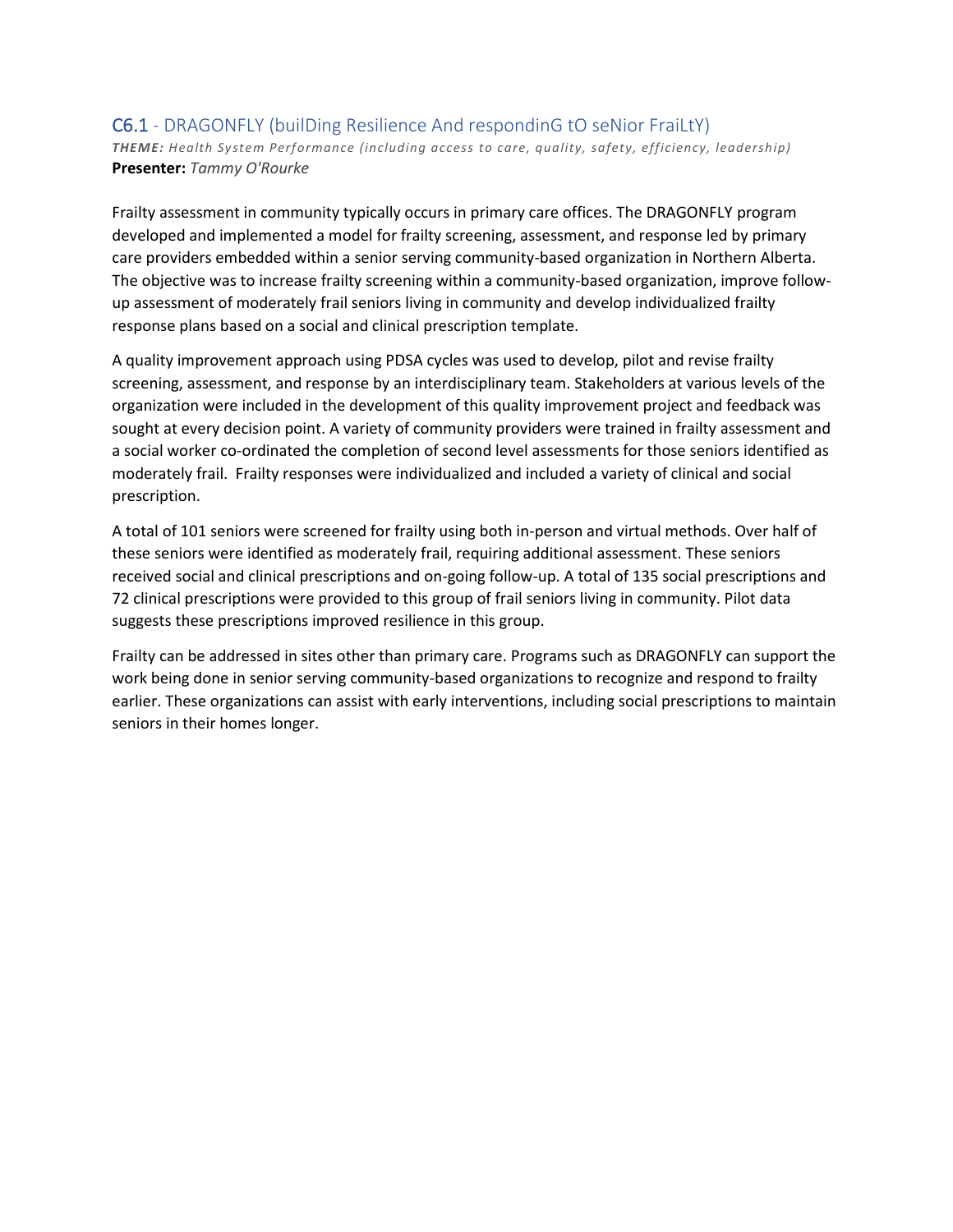#### C6.1 - DRAGONFLY (builDing Resilience And respondinG tO seNior FraiLtY) *THEME: Health System Performance (including access to care, quality, safety, efficiency, leadership)* **Presenter:** *Tammy O'Rourke*

Frailty assessment in community typically occurs in primary care offices. The DRAGONFLY program developed and implemented a model for frailty screening, assessment, and response led by primary care providers embedded within a senior serving community-based organization in Northern Alberta. The objective was to increase frailty screening within a community-based organization, improve followup assessment of moderately frail seniors living in community and develop individualized frailty response plans based on a social and clinical prescription template.

A quality improvement approach using PDSA cycles was used to develop, pilot and revise frailty screening, assessment, and response by an interdisciplinary team. Stakeholders at various levels of the organization were included in the development of this quality improvement project and feedback was sought at every decision point. A variety of community providers were trained in frailty assessment and a social worker co-ordinated the completion of second level assessments for those seniors identified as moderately frail. Frailty responses were individualized and included a variety of clinical and social prescription.

A total of 101 seniors were screened for frailty using both in-person and virtual methods. Over half of these seniors were identified as moderately frail, requiring additional assessment. These seniors received social and clinical prescriptions and on-going follow-up. A total of 135 social prescriptions and 72 clinical prescriptions were provided to this group of frail seniors living in community. Pilot data suggests these prescriptions improved resilience in this group.

Frailty can be addressed in sites other than primary care. Programs such as DRAGONFLY can support the work being done in senior serving community-based organizations to recognize and respond to frailty earlier. These organizations can assist with early interventions, including social prescriptions to maintain seniors in their homes longer.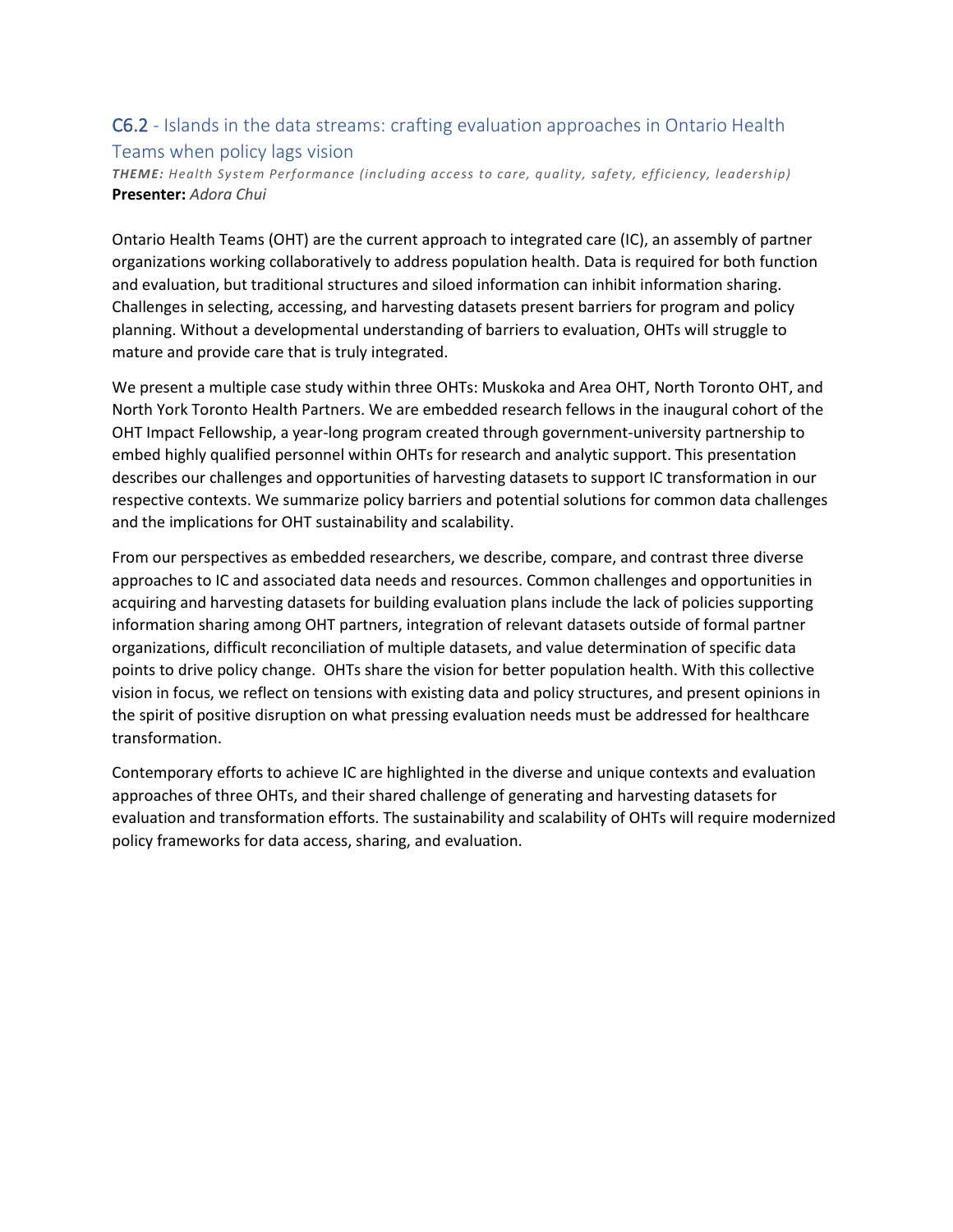### C6.2 - Islands in the data streams: crafting evaluation approaches in Ontario Health Teams when policy lags vision

*THEME: Health System Performance (including access to care, quality, safety, efficiency, leadership)* **Presenter:** *Adora Chui*

Ontario Health Teams (OHT) are the current approach to integrated care (IC), an assembly of partner organizations working collaboratively to address population health. Data is required for both function and evaluation, but traditional structures and siloed information can inhibit information sharing. Challenges in selecting, accessing, and harvesting datasets present barriers for program and policy planning. Without a developmental understanding of barriers to evaluation, OHTs will struggle to mature and provide care that is truly integrated.

We present a multiple case study within three OHTs: Muskoka and Area OHT, North Toronto OHT, and North York Toronto Health Partners. We are embedded research fellows in the inaugural cohort of the OHT Impact Fellowship, a year-long program created through government-university partnership to embed highly qualified personnel within OHTs for research and analytic support. This presentation describes our challenges and opportunities of harvesting datasets to support IC transformation in our respective contexts. We summarize policy barriers and potential solutions for common data challenges and the implications for OHT sustainability and scalability.

From our perspectives as embedded researchers, we describe, compare, and contrast three diverse approaches to IC and associated data needs and resources. Common challenges and opportunities in acquiring and harvesting datasets for building evaluation plans include the lack of policies supporting information sharing among OHT partners, integration of relevant datasets outside of formal partner organizations, difficult reconciliation of multiple datasets, and value determination of specific data points to drive policy change. OHTs share the vision for better population health. With this collective vision in focus, we reflect on tensions with existing data and policy structures, and present opinions in the spirit of positive disruption on what pressing evaluation needs must be addressed for healthcare transformation.

Contemporary efforts to achieve IC are highlighted in the diverse and unique contexts and evaluation approaches of three OHTs, and their shared challenge of generating and harvesting datasets for evaluation and transformation efforts. The sustainability and scalability of OHTs will require modernized policy frameworks for data access, sharing, and evaluation.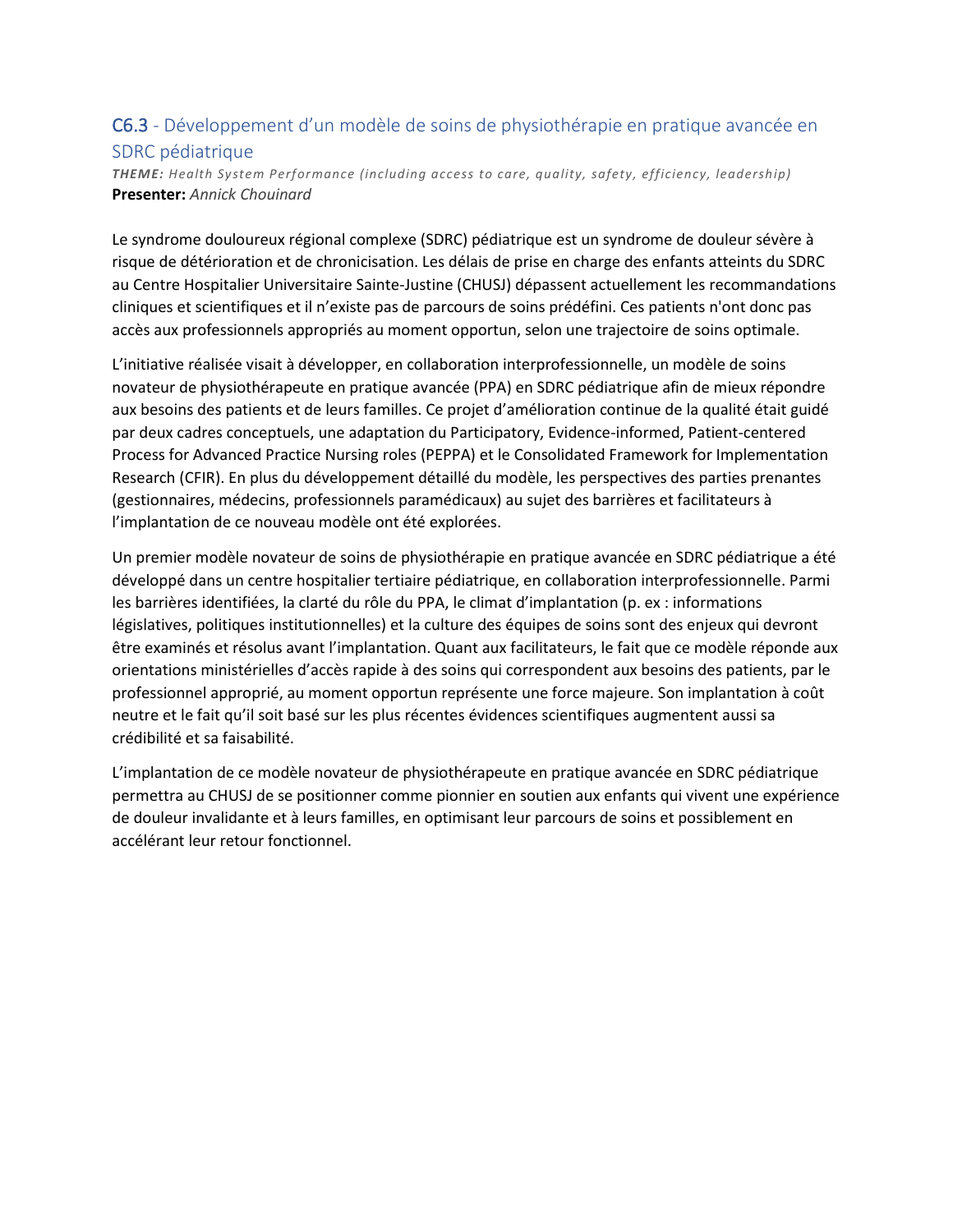### C6.3 - Développement d'un modèle de soins de physiothérapie en pratique avancée en SDRC pédiatrique

*THEME: Health System Performance (including access to care, quality, safety, efficiency, leadership)* **Presenter:** *Annick Chouinard*

Le syndrome douloureux régional complexe (SDRC) pédiatrique est un syndrome de douleur sévère à risque de détérioration et de chronicisation. Les délais de prise en charge des enfants atteints du SDRC au Centre Hospitalier Universitaire Sainte-Justine (CHUSJ) dépassent actuellement les recommandations cliniques et scientifiques et il n'existe pas de parcours de soins prédéfini. Ces patients n'ont donc pas accès aux professionnels appropriés au moment opportun, selon une trajectoire de soins optimale.

L'initiative réalisée visait à développer, en collaboration interprofessionnelle, un modèle de soins novateur de physiothérapeute en pratique avancée (PPA) en SDRC pédiatrique afin de mieux répondre aux besoins des patients et de leurs familles. Ce projet d'amélioration continue de la qualité était guidé par deux cadres conceptuels, une adaptation du Participatory, Evidence-informed, Patient-centered Process for Advanced Practice Nursing roles (PEPPA) et le Consolidated Framework for Implementation Research (CFIR). En plus du développement détaillé du modèle, les perspectives des parties prenantes (gestionnaires, médecins, professionnels paramédicaux) au sujet des barrières et facilitateurs à l'implantation de ce nouveau modèle ont été explorées.

Un premier modèle novateur de soins de physiothérapie en pratique avancée en SDRC pédiatrique a été développé dans un centre hospitalier tertiaire pédiatrique, en collaboration interprofessionnelle. Parmi les barrières identifiées, la clarté du rôle du PPA, le climat d'implantation (p. ex : informations législatives, politiques institutionnelles) et la culture des équipes de soins sont des enjeux qui devront être examinés et résolus avant l'implantation. Quant aux facilitateurs, le fait que ce modèle réponde aux orientations ministérielles d'accès rapide à des soins qui correspondent aux besoins des patients, par le professionnel approprié, au moment opportun représente une force majeure. Son implantation à coût neutre et le fait qu'il soit basé sur les plus récentes évidences scientifiques augmentent aussi sa crédibilité et sa faisabilité.

L'implantation de ce modèle novateur de physiothérapeute en pratique avancée en SDRC pédiatrique permettra au CHUSJ de se positionner comme pionnier en soutien aux enfants qui vivent une expérience de douleur invalidante et à leurs familles, en optimisant leur parcours de soins et possiblement en accélérant leur retour fonctionnel.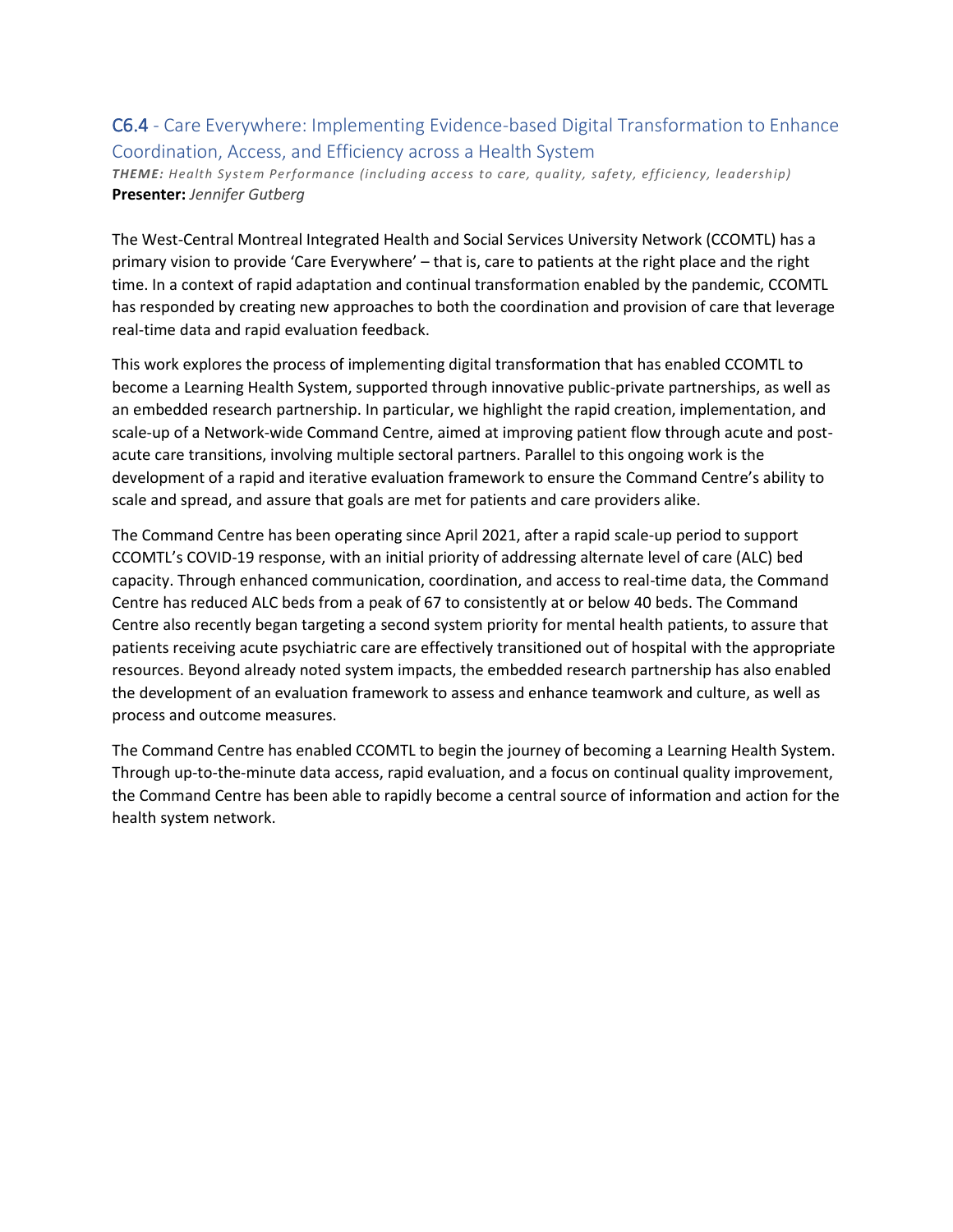### C6.4 - Care Everywhere: Implementing Evidence-based Digital Transformation to Enhance Coordination, Access, and Efficiency across a Health System

*THEME: Health System Performance (including access to care, quality, safety, efficiency, leadership)* **Presenter:** *Jennifer Gutberg*

The West-Central Montreal Integrated Health and Social Services University Network (CCOMTL) has a primary vision to provide 'Care Everywhere' – that is, care to patients at the right place and the right time. In a context of rapid adaptation and continual transformation enabled by the pandemic, CCOMTL has responded by creating new approaches to both the coordination and provision of care that leverage real-time data and rapid evaluation feedback.

This work explores the process of implementing digital transformation that has enabled CCOMTL to become a Learning Health System, supported through innovative public-private partnerships, as well as an embedded research partnership. In particular, we highlight the rapid creation, implementation, and scale-up of a Network-wide Command Centre, aimed at improving patient flow through acute and postacute care transitions, involving multiple sectoral partners. Parallel to this ongoing work is the development of a rapid and iterative evaluation framework to ensure the Command Centre's ability to scale and spread, and assure that goals are met for patients and care providers alike.

The Command Centre has been operating since April 2021, after a rapid scale-up period to support CCOMTL's COVID-19 response, with an initial priority of addressing alternate level of care (ALC) bed capacity. Through enhanced communication, coordination, and access to real-time data, the Command Centre has reduced ALC beds from a peak of 67 to consistently at or below 40 beds. The Command Centre also recently began targeting a second system priority for mental health patients, to assure that patients receiving acute psychiatric care are effectively transitioned out of hospital with the appropriate resources. Beyond already noted system impacts, the embedded research partnership has also enabled the development of an evaluation framework to assess and enhance teamwork and culture, as well as process and outcome measures.

The Command Centre has enabled CCOMTL to begin the journey of becoming a Learning Health System. Through up-to-the-minute data access, rapid evaluation, and a focus on continual quality improvement, the Command Centre has been able to rapidly become a central source of information and action for the health system network.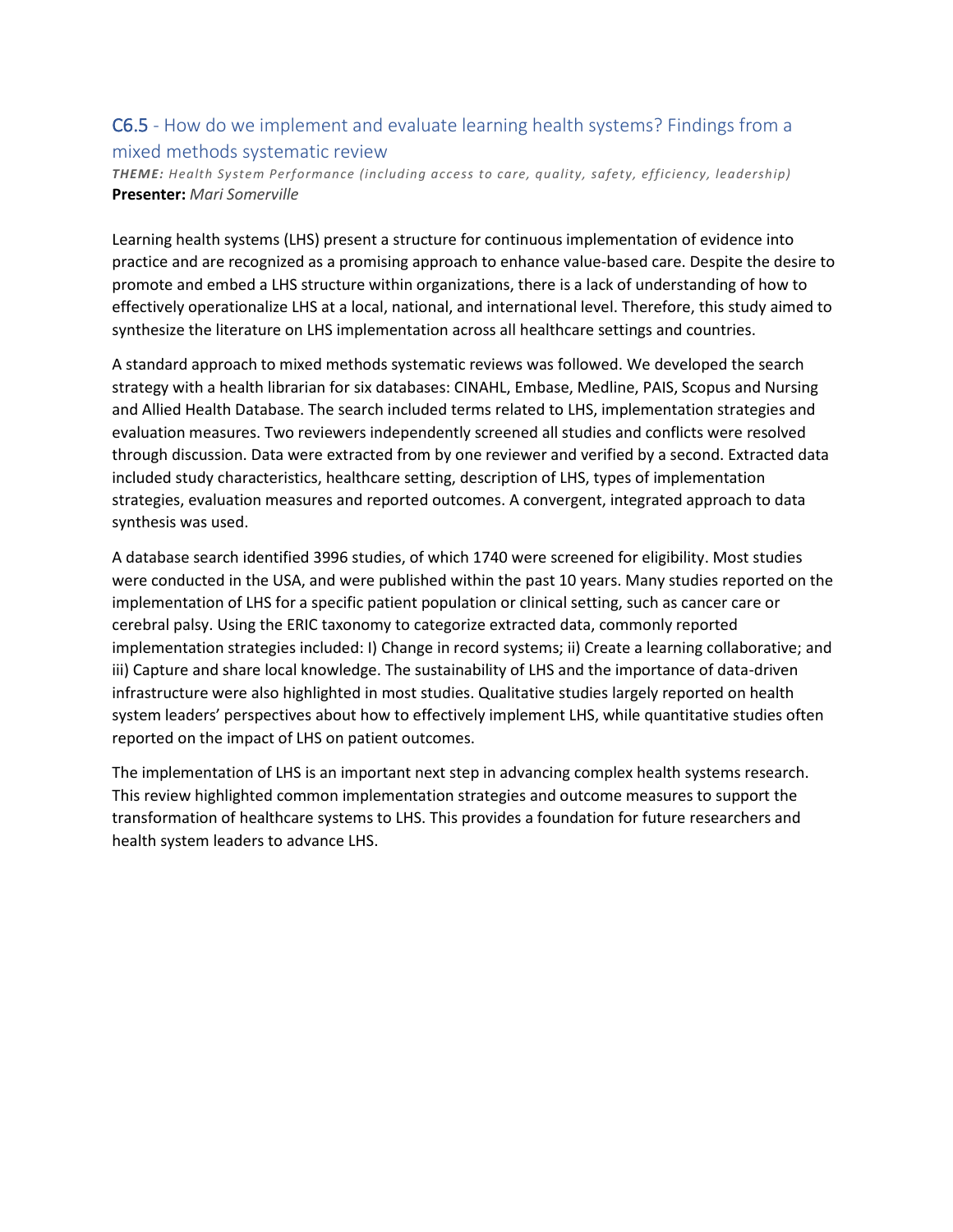### C6.5 - How do we implement and evaluate learning health systems? Findings from a mixed methods systematic review

*THEME: Health System Performance (including access to care, quality, safety, efficiency, leadership)* **Presenter:** *Mari Somerville*

Learning health systems (LHS) present a structure for continuous implementation of evidence into practice and are recognized as a promising approach to enhance value-based care. Despite the desire to promote and embed a LHS structure within organizations, there is a lack of understanding of how to effectively operationalize LHS at a local, national, and international level. Therefore, this study aimed to synthesize the literature on LHS implementation across all healthcare settings and countries.

A standard approach to mixed methods systematic reviews was followed. We developed the search strategy with a health librarian for six databases: CINAHL, Embase, Medline, PAIS, Scopus and Nursing and Allied Health Database. The search included terms related to LHS, implementation strategies and evaluation measures. Two reviewers independently screened all studies and conflicts were resolved through discussion. Data were extracted from by one reviewer and verified by a second. Extracted data included study characteristics, healthcare setting, description of LHS, types of implementation strategies, evaluation measures and reported outcomes. A convergent, integrated approach to data synthesis was used.

A database search identified 3996 studies, of which 1740 were screened for eligibility. Most studies were conducted in the USA, and were published within the past 10 years. Many studies reported on the implementation of LHS for a specific patient population or clinical setting, such as cancer care or cerebral palsy. Using the ERIC taxonomy to categorize extracted data, commonly reported implementation strategies included: I) Change in record systems; ii) Create a learning collaborative; and iii) Capture and share local knowledge. The sustainability of LHS and the importance of data-driven infrastructure were also highlighted in most studies. Qualitative studies largely reported on health system leaders' perspectives about how to effectively implement LHS, while quantitative studies often reported on the impact of LHS on patient outcomes.

The implementation of LHS is an important next step in advancing complex health systems research. This review highlighted common implementation strategies and outcome measures to support the transformation of healthcare systems to LHS. This provides a foundation for future researchers and health system leaders to advance LHS.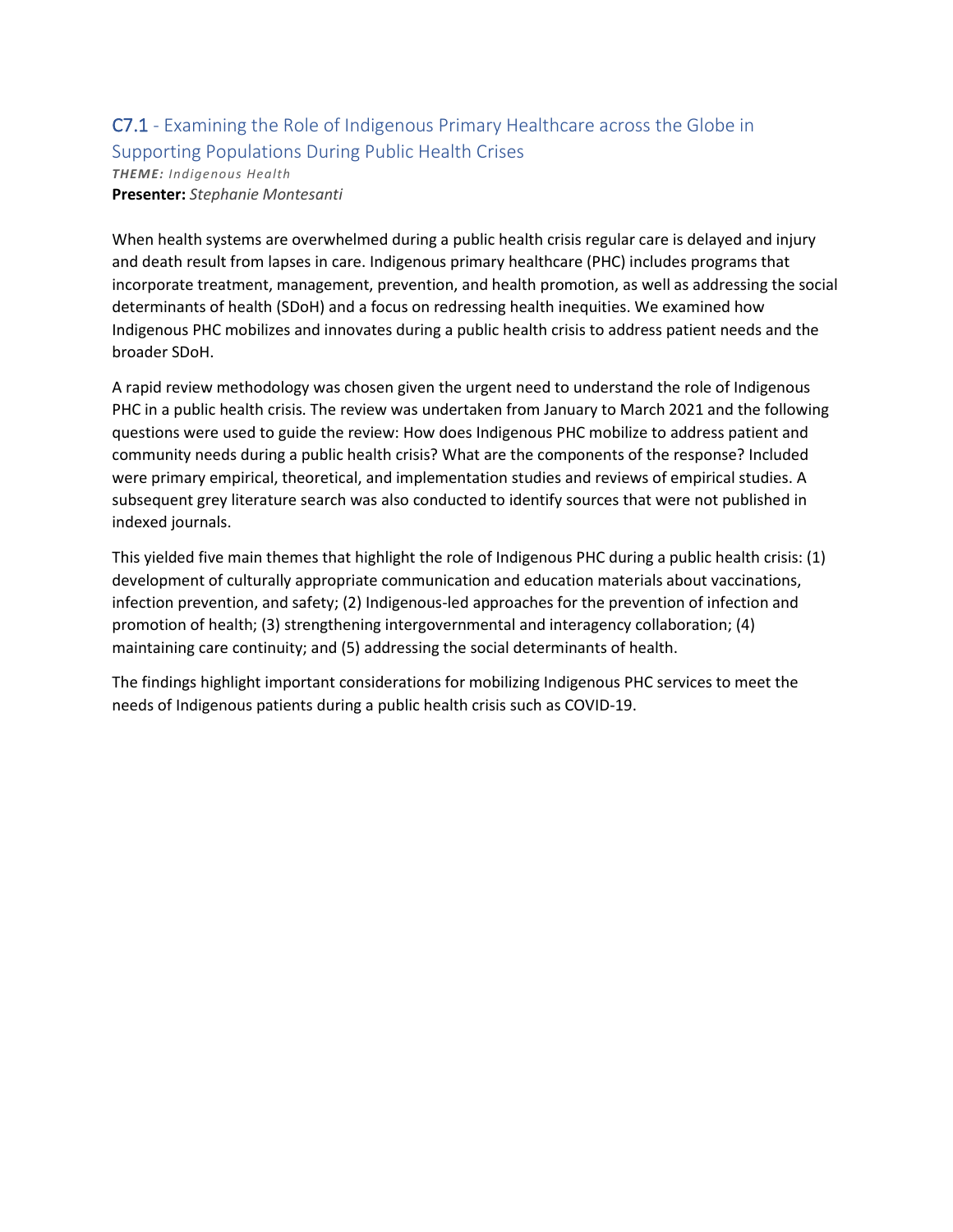#### C7.1 - Examining the Role of Indigenous Primary Healthcare across the Globe in Supporting Populations During Public Health Crises *THEME: Indigenous Health*

**Presenter:** *Stephanie Montesanti*

When health systems are overwhelmed during a public health crisis regular care is delayed and injury and death result from lapses in care. Indigenous primary healthcare (PHC) includes programs that incorporate treatment, management, prevention, and health promotion, as well as addressing the social determinants of health (SDoH) and a focus on redressing health inequities. We examined how Indigenous PHC mobilizes and innovates during a public health crisis to address patient needs and the broader SDoH.

A rapid review methodology was chosen given the urgent need to understand the role of Indigenous PHC in a public health crisis. The review was undertaken from January to March 2021 and the following questions were used to guide the review: How does Indigenous PHC mobilize to address patient and community needs during a public health crisis? What are the components of the response? Included were primary empirical, theoretical, and implementation studies and reviews of empirical studies. A subsequent grey literature search was also conducted to identify sources that were not published in indexed journals.

This yielded five main themes that highlight the role of Indigenous PHC during a public health crisis: (1) development of culturally appropriate communication and education materials about vaccinations, infection prevention, and safety; (2) Indigenous-led approaches for the prevention of infection and promotion of health; (3) strengthening intergovernmental and interagency collaboration; (4) maintaining care continuity; and (5) addressing the social determinants of health.

The findings highlight important considerations for mobilizing Indigenous PHC services to meet the needs of Indigenous patients during a public health crisis such as COVID-19.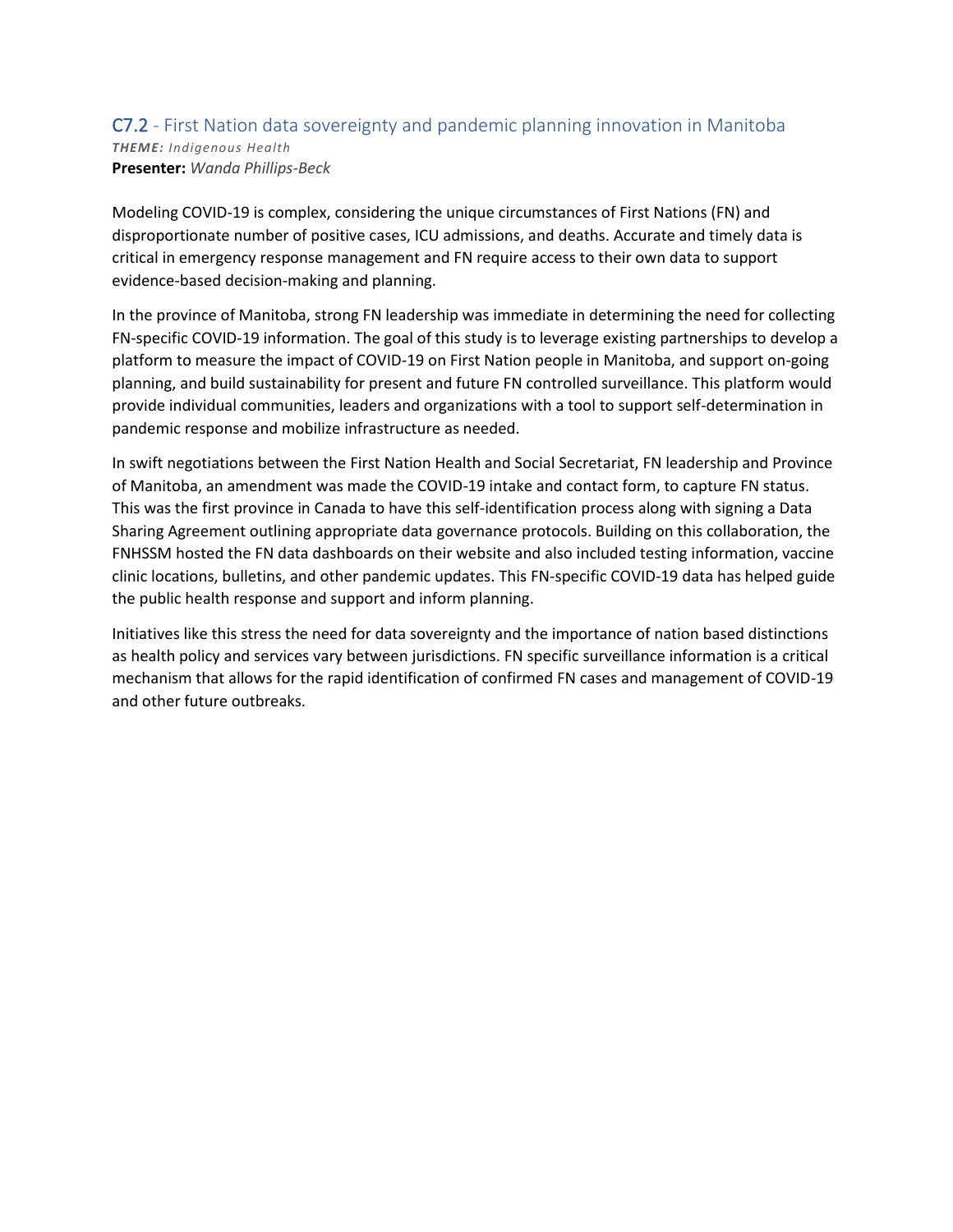#### C7.2 - First Nation data sovereignty and pandemic planning innovation in Manitoba *THEME: Indigenous Health* **Presenter:** *Wanda Phillips-Beck*

Modeling COVID-19 is complex, considering the unique circumstances of First Nations (FN) and disproportionate number of positive cases, ICU admissions, and deaths. Accurate and timely data is critical in emergency response management and FN require access to their own data to support evidence-based decision-making and planning.

In the province of Manitoba, strong FN leadership was immediate in determining the need for collecting FN-specific COVID-19 information. The goal of this study is to leverage existing partnerships to develop a platform to measure the impact of COVID-19 on First Nation people in Manitoba, and support on-going planning, and build sustainability for present and future FN controlled surveillance. This platform would provide individual communities, leaders and organizations with a tool to support self-determination in pandemic response and mobilize infrastructure as needed.

In swift negotiations between the First Nation Health and Social Secretariat, FN leadership and Province of Manitoba, an amendment was made the COVID-19 intake and contact form, to capture FN status. This was the first province in Canada to have this self-identification process along with signing a Data Sharing Agreement outlining appropriate data governance protocols. Building on this collaboration, the FNHSSM hosted the FN data dashboards on their website and also included testing information, vaccine clinic locations, bulletins, and other pandemic updates. This FN-specific COVID-19 data has helped guide the public health response and support and inform planning.

Initiatives like this stress the need for data sovereignty and the importance of nation based distinctions as health policy and services vary between jurisdictions. FN specific surveillance information is a critical mechanism that allows for the rapid identification of confirmed FN cases and management of COVID-19 and other future outbreaks.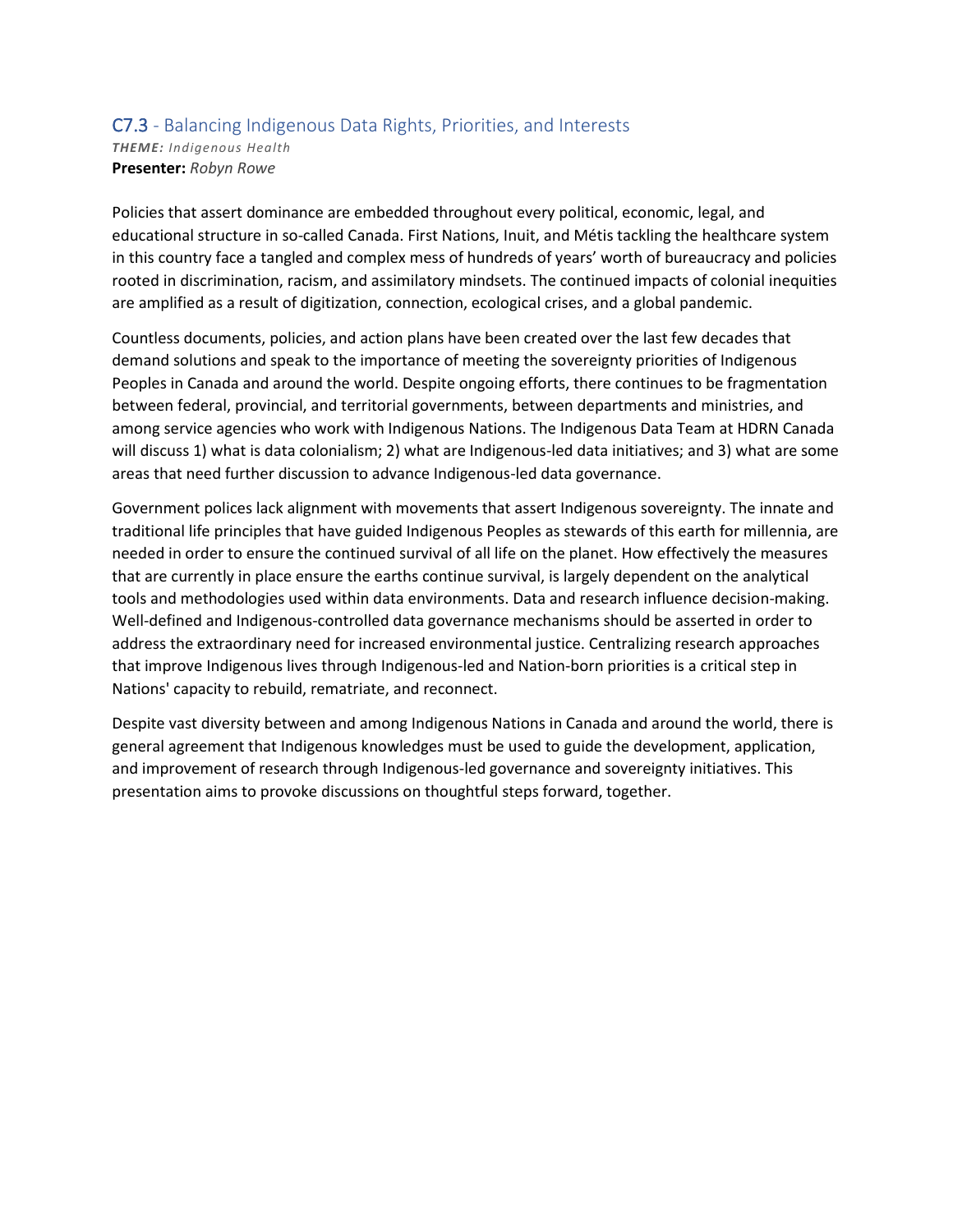#### C7.3 - Balancing Indigenous Data Rights, Priorities, and Interests *THEME: Indigenous Health* **Presenter:** *Robyn Rowe*

Policies that assert dominance are embedded throughout every political, economic, legal, and educational structure in so-called Canada. First Nations, Inuit, and Métis tackling the healthcare system in this country face a tangled and complex mess of hundreds of years' worth of bureaucracy and policies rooted in discrimination, racism, and assimilatory mindsets. The continued impacts of colonial inequities are amplified as a result of digitization, connection, ecological crises, and a global pandemic.

Countless documents, policies, and action plans have been created over the last few decades that demand solutions and speak to the importance of meeting the sovereignty priorities of Indigenous Peoples in Canada and around the world. Despite ongoing efforts, there continues to be fragmentation between federal, provincial, and territorial governments, between departments and ministries, and among service agencies who work with Indigenous Nations. The Indigenous Data Team at HDRN Canada will discuss 1) what is data colonialism; 2) what are Indigenous-led data initiatives; and 3) what are some areas that need further discussion to advance Indigenous-led data governance.

Government polices lack alignment with movements that assert Indigenous sovereignty. The innate and traditional life principles that have guided Indigenous Peoples as stewards of this earth for millennia, are needed in order to ensure the continued survival of all life on the planet. How effectively the measures that are currently in place ensure the earths continue survival, is largely dependent on the analytical tools and methodologies used within data environments. Data and research influence decision-making. Well-defined and Indigenous-controlled data governance mechanisms should be asserted in order to address the extraordinary need for increased environmental justice. Centralizing research approaches that improve Indigenous lives through Indigenous-led and Nation-born priorities is a critical step in Nations' capacity to rebuild, rematriate, and reconnect.

Despite vast diversity between and among Indigenous Nations in Canada and around the world, there is general agreement that Indigenous knowledges must be used to guide the development, application, and improvement of research through Indigenous-led governance and sovereignty initiatives. This presentation aims to provoke discussions on thoughtful steps forward, together.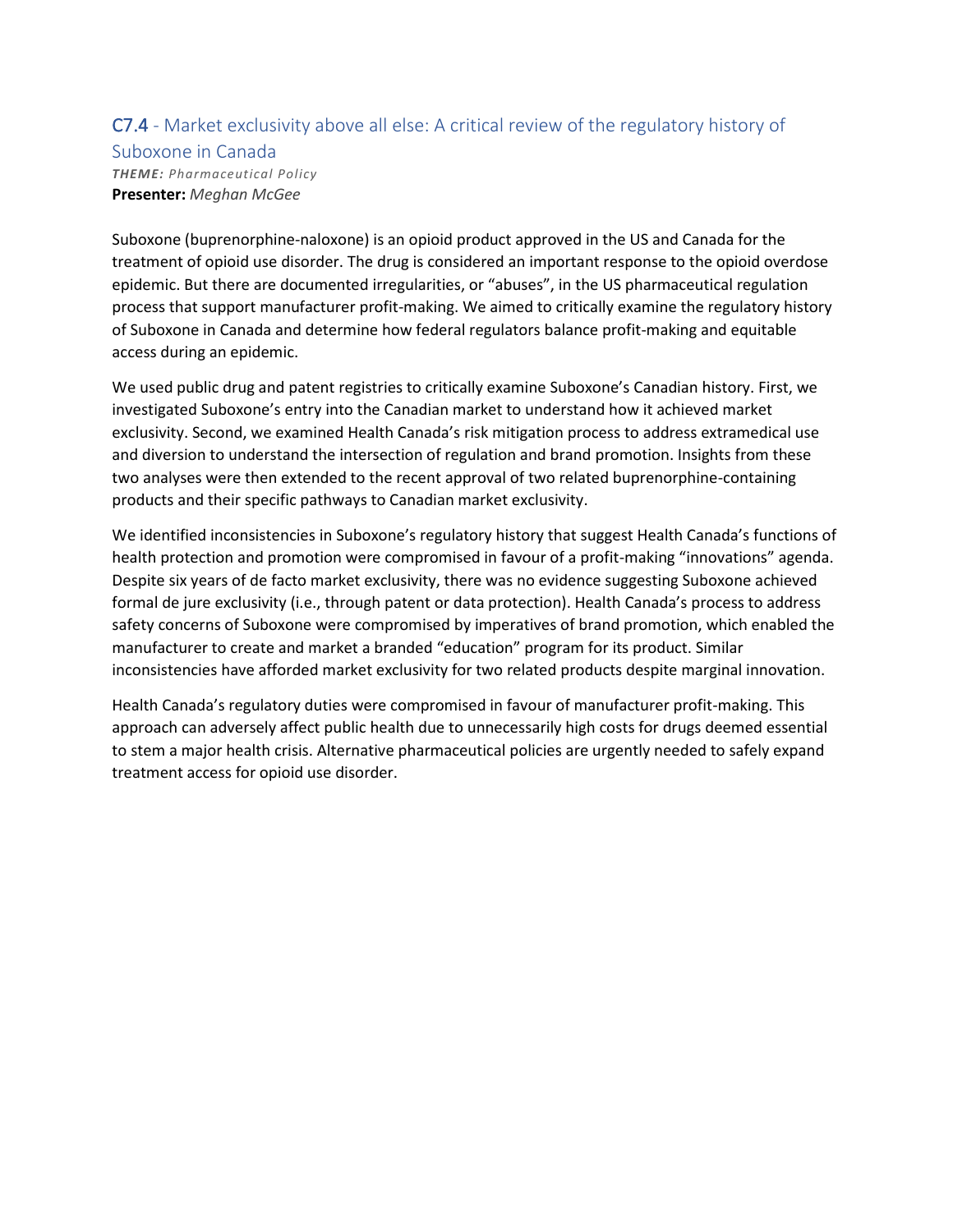### C7.4 - Market exclusivity above all else: A critical review of the regulatory history of

Suboxone in Canada *THEME: Pharmaceutical Policy* **Presenter:** *Meghan McGee*

Suboxone (buprenorphine-naloxone) is an opioid product approved in the US and Canada for the treatment of opioid use disorder. The drug is considered an important response to the opioid overdose epidemic. But there are documented irregularities, or "abuses", in the US pharmaceutical regulation process that support manufacturer profit-making. We aimed to critically examine the regulatory history of Suboxone in Canada and determine how federal regulators balance profit-making and equitable access during an epidemic.

We used public drug and patent registries to critically examine Suboxone's Canadian history. First, we investigated Suboxone's entry into the Canadian market to understand how it achieved market exclusivity. Second, we examined Health Canada's risk mitigation process to address extramedical use and diversion to understand the intersection of regulation and brand promotion. Insights from these two analyses were then extended to the recent approval of two related buprenorphine-containing products and their specific pathways to Canadian market exclusivity.

We identified inconsistencies in Suboxone's regulatory history that suggest Health Canada's functions of health protection and promotion were compromised in favour of a profit-making "innovations" agenda. Despite six years of de facto market exclusivity, there was no evidence suggesting Suboxone achieved formal de jure exclusivity (i.e., through patent or data protection). Health Canada's process to address safety concerns of Suboxone were compromised by imperatives of brand promotion, which enabled the manufacturer to create and market a branded "education" program for its product. Similar inconsistencies have afforded market exclusivity for two related products despite marginal innovation.

Health Canada's regulatory duties were compromised in favour of manufacturer profit-making. This approach can adversely affect public health due to unnecessarily high costs for drugs deemed essential to stem a major health crisis. Alternative pharmaceutical policies are urgently needed to safely expand treatment access for opioid use disorder.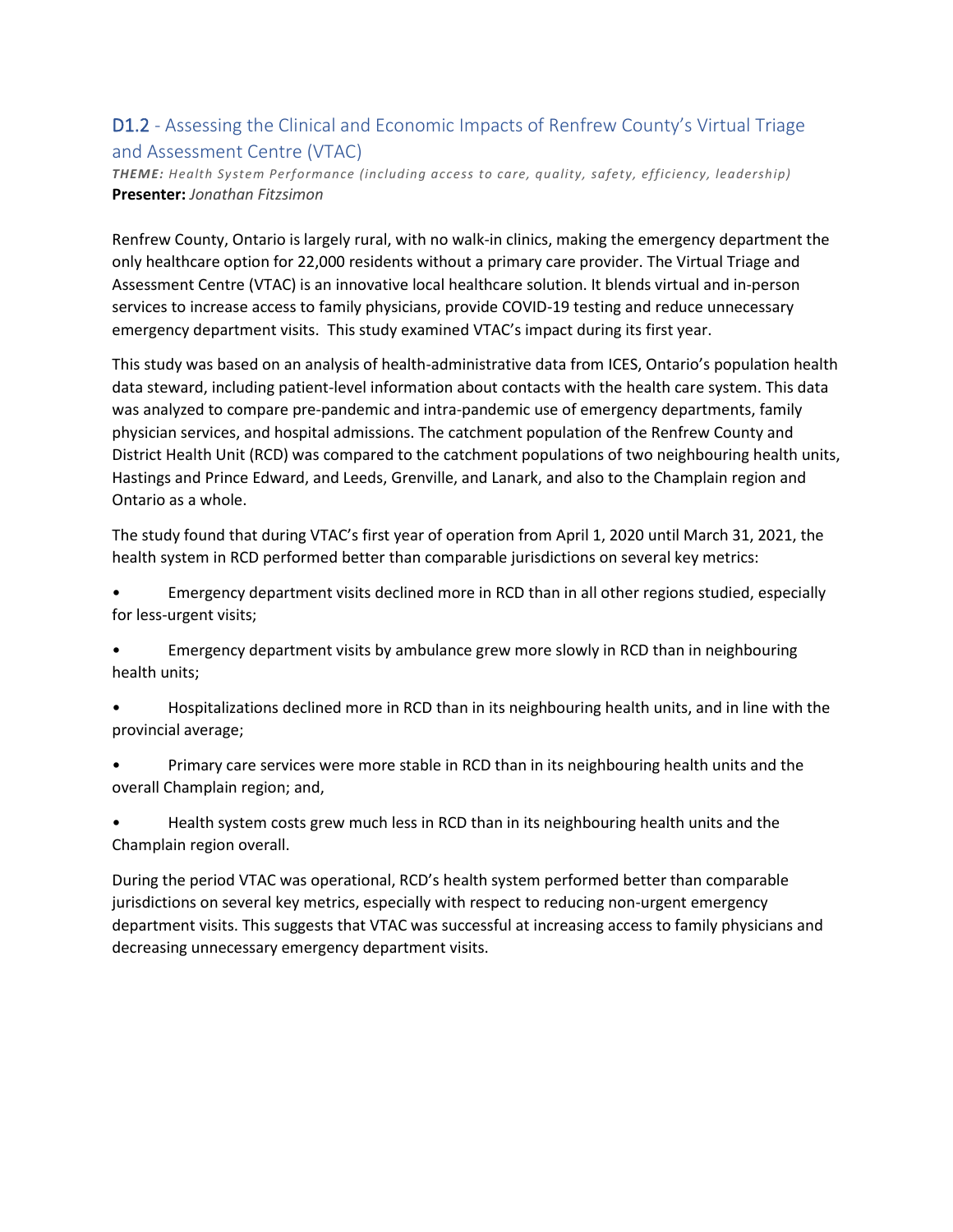### D1.2 - Assessing the Clinical and Economic Impacts of Renfrew County's Virtual Triage and Assessment Centre (VTAC)

*THEME: Health System Performance (including access to care, quality, safety, efficiency, leadership)* **Presenter:** *Jonathan Fitzsimon*

Renfrew County, Ontario is largely rural, with no walk-in clinics, making the emergency department the only healthcare option for 22,000 residents without a primary care provider. The Virtual Triage and Assessment Centre (VTAC) is an innovative local healthcare solution. It blends virtual and in-person services to increase access to family physicians, provide COVID-19 testing and reduce unnecessary emergency department visits. This study examined VTAC's impact during its first year.

This study was based on an analysis of health-administrative data from ICES, Ontario's population health data steward, including patient-level information about contacts with the health care system. This data was analyzed to compare pre-pandemic and intra-pandemic use of emergency departments, family physician services, and hospital admissions. The catchment population of the Renfrew County and District Health Unit (RCD) was compared to the catchment populations of two neighbouring health units, Hastings and Prince Edward, and Leeds, Grenville, and Lanark, and also to the Champlain region and Ontario as a whole.

The study found that during VTAC's first year of operation from April 1, 2020 until March 31, 2021, the health system in RCD performed better than comparable jurisdictions on several key metrics:

• Emergency department visits declined more in RCD than in all other regions studied, especially for less-urgent visits;

• Emergency department visits by ambulance grew more slowly in RCD than in neighbouring health units;

• Hospitalizations declined more in RCD than in its neighbouring health units, and in line with the provincial average;

• Primary care services were more stable in RCD than in its neighbouring health units and the overall Champlain region; and,

• Health system costs grew much less in RCD than in its neighbouring health units and the Champlain region overall.

During the period VTAC was operational, RCD's health system performed better than comparable jurisdictions on several key metrics, especially with respect to reducing non-urgent emergency department visits. This suggests that VTAC was successful at increasing access to family physicians and decreasing unnecessary emergency department visits.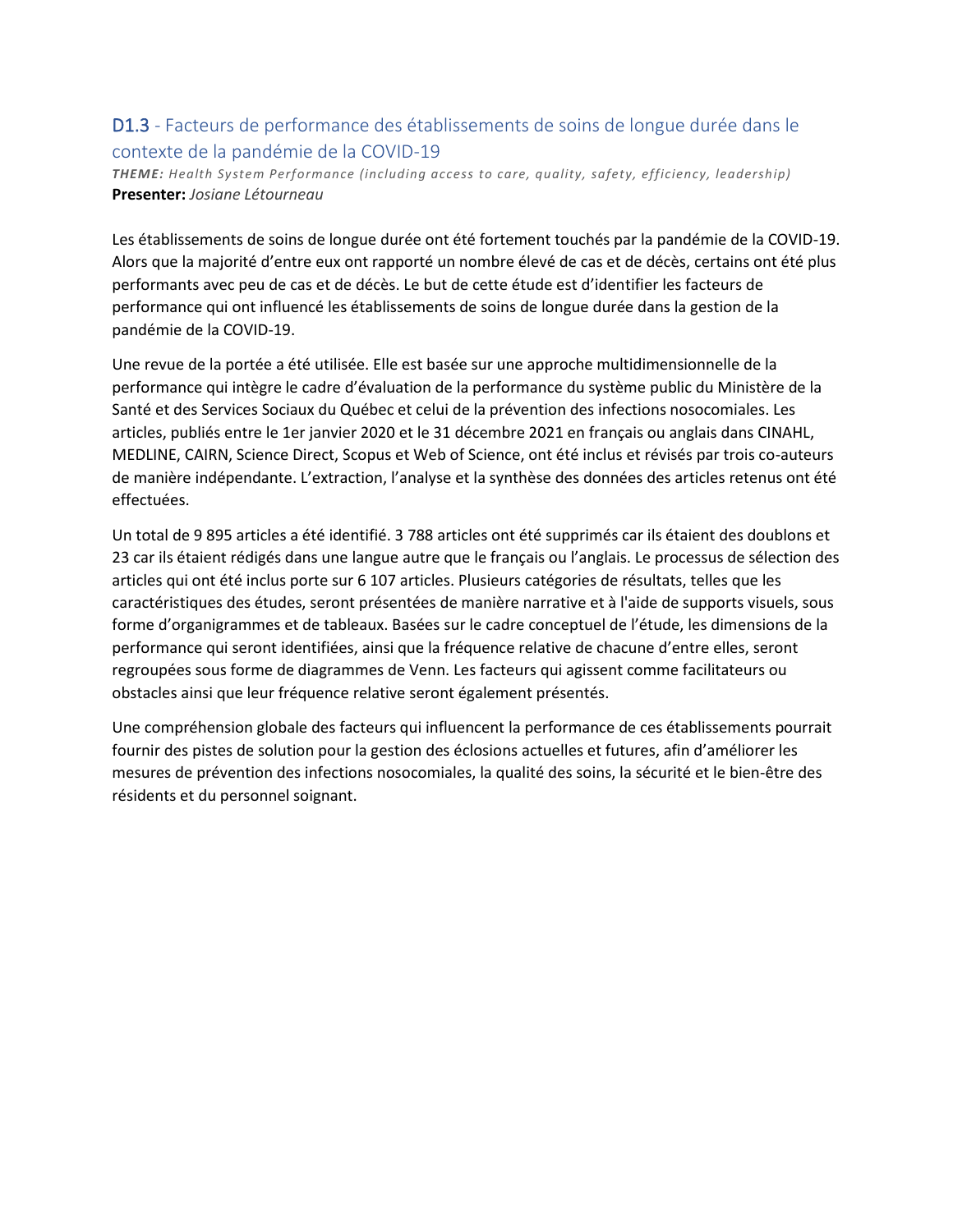### D1.3 - Facteurs de performance des établissements de soins de longue durée dans le contexte de la pandémie de la COVID-19

*THEME: Health System Performance (including access to care, quality, safety, efficiency, leadership)* **Presenter:** *Josiane Létourneau*

Les établissements de soins de longue durée ont été fortement touchés par la pandémie de la COVID-19. Alors que la majorité d'entre eux ont rapporté un nombre élevé de cas et de décès, certains ont été plus performants avec peu de cas et de décès. Le but de cette étude est d'identifier les facteurs de performance qui ont influencé les établissements de soins de longue durée dans la gestion de la pandémie de la COVID-19.

Une revue de la portée a été utilisée. Elle est basée sur une approche multidimensionnelle de la performance qui intègre le cadre d'évaluation de la performance du système public du Ministère de la Santé et des Services Sociaux du Québec et celui de la prévention des infections nosocomiales. Les articles, publiés entre le 1er janvier 2020 et le 31 décembre 2021 en français ou anglais dans CINAHL, MEDLINE, CAIRN, Science Direct, Scopus et Web of Science, ont été inclus et révisés par trois co-auteurs de manière indépendante. L'extraction, l'analyse et la synthèse des données des articles retenus ont été effectuées.

Un total de 9 895 articles a été identifié. 3 788 articles ont été supprimés car ils étaient des doublons et 23 car ils étaient rédigés dans une langue autre que le français ou l'anglais. Le processus de sélection des articles qui ont été inclus porte sur 6 107 articles. Plusieurs catégories de résultats, telles que les caractéristiques des études, seront présentées de manière narrative et à l'aide de supports visuels, sous forme d'organigrammes et de tableaux. Basées sur le cadre conceptuel de l'étude, les dimensions de la performance qui seront identifiées, ainsi que la fréquence relative de chacune d'entre elles, seront regroupées sous forme de diagrammes de Venn. Les facteurs qui agissent comme facilitateurs ou obstacles ainsi que leur fréquence relative seront également présentés.

Une compréhension globale des facteurs qui influencent la performance de ces établissements pourrait fournir des pistes de solution pour la gestion des éclosions actuelles et futures, afin d'améliorer les mesures de prévention des infections nosocomiales, la qualité des soins, la sécurité et le bien-être des résidents et du personnel soignant.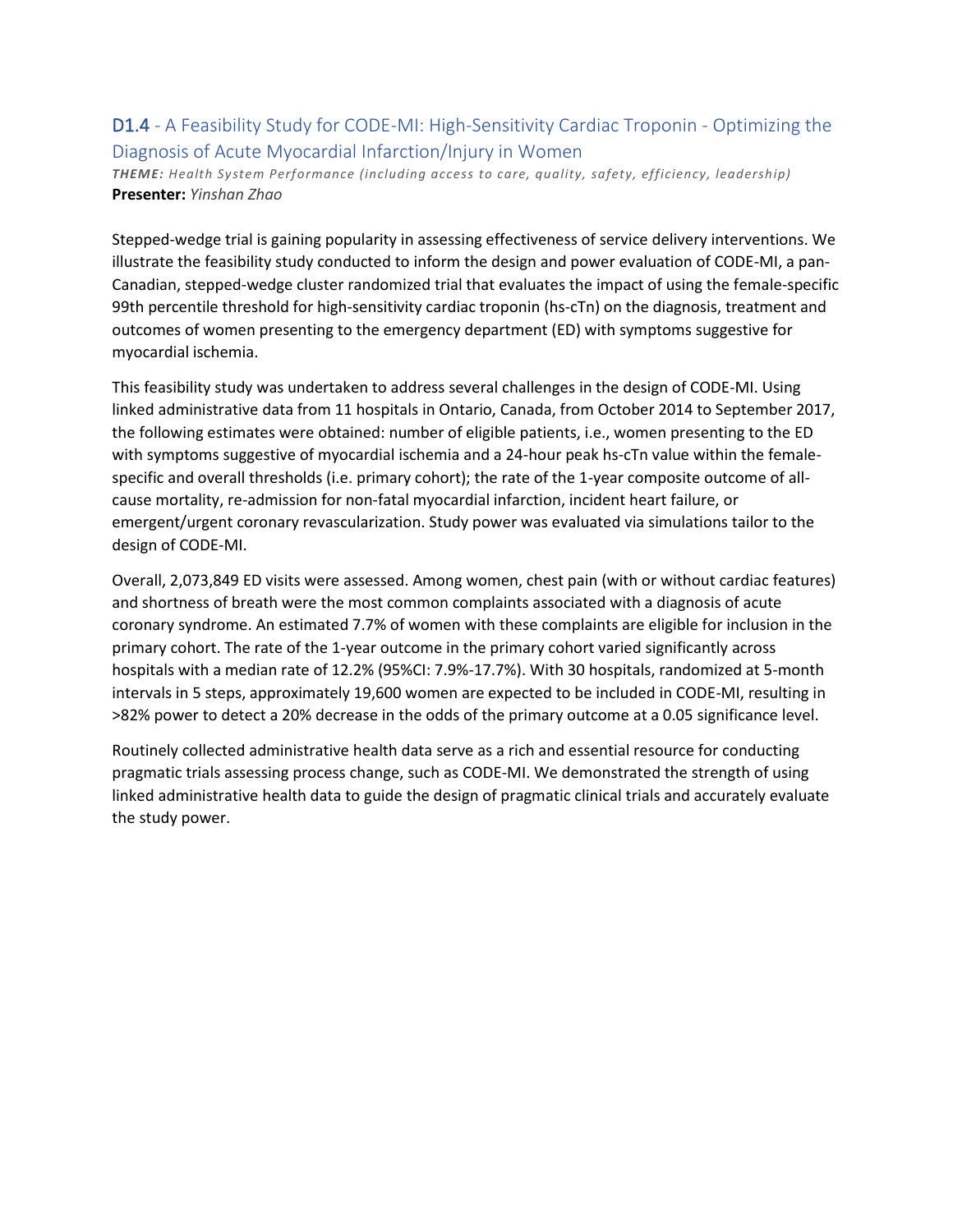### D1.4 - A Feasibility Study for CODE-MI: High-Sensitivity Cardiac Troponin - Optimizing the Diagnosis of Acute Myocardial Infarction/Injury in Women

*THEME: Health System Performance (including access to care, quality, safety, efficiency, leadership)* **Presenter:** *Yinshan Zhao*

Stepped-wedge trial is gaining popularity in assessing effectiveness of service delivery interventions. We illustrate the feasibility study conducted to inform the design and power evaluation of CODE-MI, a pan-Canadian, stepped-wedge cluster randomized trial that evaluates the impact of using the female-specific 99th percentile threshold for high-sensitivity cardiac troponin (hs-cTn) on the diagnosis, treatment and outcomes of women presenting to the emergency department (ED) with symptoms suggestive for myocardial ischemia.

This feasibility study was undertaken to address several challenges in the design of CODE-MI. Using linked administrative data from 11 hospitals in Ontario, Canada, from October 2014 to September 2017, the following estimates were obtained: number of eligible patients, i.e., women presenting to the ED with symptoms suggestive of myocardial ischemia and a 24-hour peak hs-cTn value within the femalespecific and overall thresholds (i.e. primary cohort); the rate of the 1-year composite outcome of allcause mortality, re-admission for non-fatal myocardial infarction, incident heart failure, or emergent/urgent coronary revascularization. Study power was evaluated via simulations tailor to the design of CODE-MI.

Overall, 2,073,849 ED visits were assessed. Among women, chest pain (with or without cardiac features) and shortness of breath were the most common complaints associated with a diagnosis of acute coronary syndrome. An estimated 7.7% of women with these complaints are eligible for inclusion in the primary cohort. The rate of the 1-year outcome in the primary cohort varied significantly across hospitals with a median rate of 12.2% (95%CI: 7.9%-17.7%). With 30 hospitals, randomized at 5-month intervals in 5 steps, approximately 19,600 women are expected to be included in CODE-MI, resulting in >82% power to detect a 20% decrease in the odds of the primary outcome at a 0.05 significance level.

Routinely collected administrative health data serve as a rich and essential resource for conducting pragmatic trials assessing process change, such as CODE-MI. We demonstrated the strength of using linked administrative health data to guide the design of pragmatic clinical trials and accurately evaluate the study power.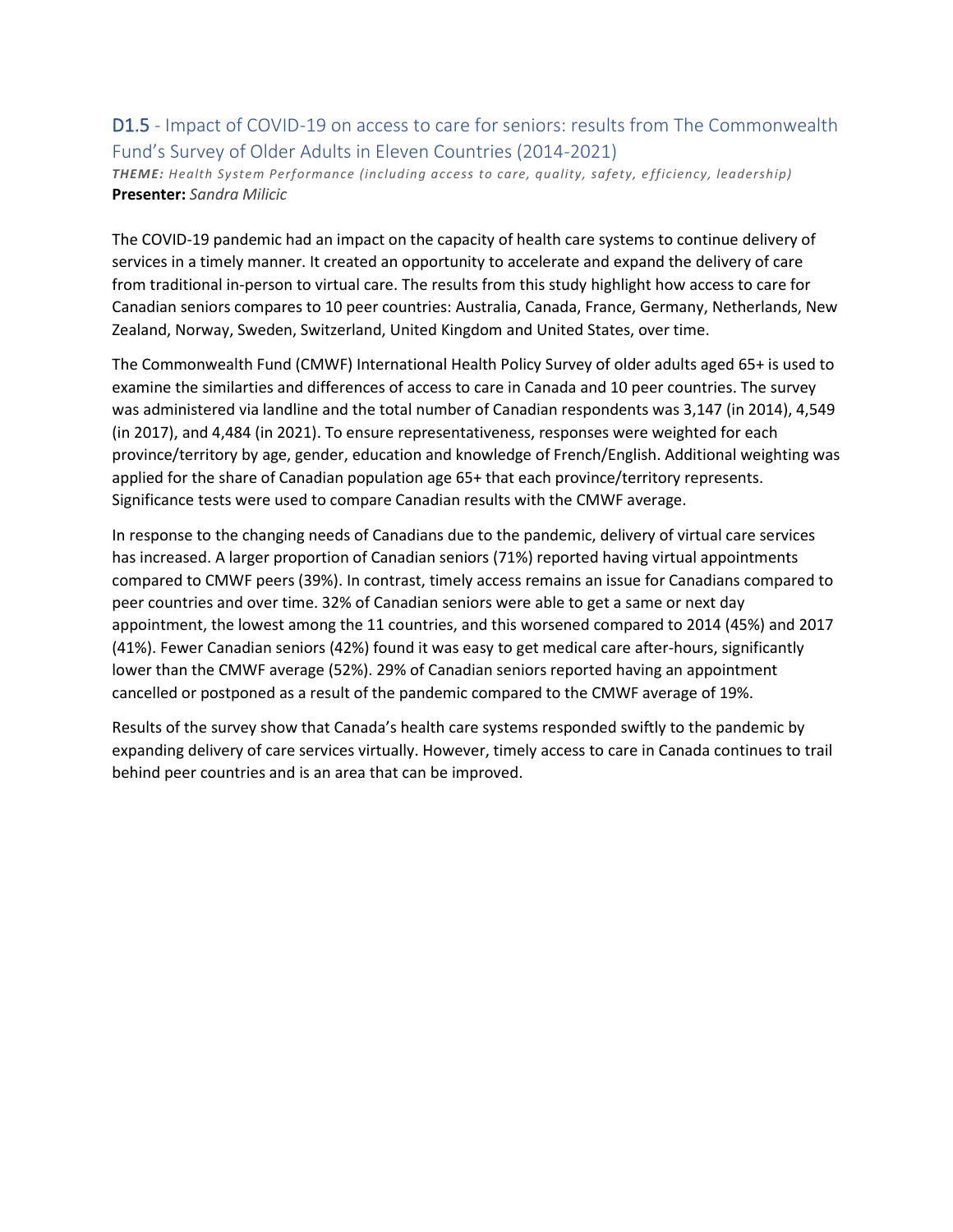### D1.5 - Impact of COVID-19 on access to care for seniors: results from The Commonwealth Fund's Survey of Older Adults in Eleven Countries (2014-2021)

*THEME: Health System Performance (including access to care, quality, safety, e fficiency, leadership)* **Presenter:** *Sandra Milicic*

The COVID-19 pandemic had an impact on the capacity of health care systems to continue delivery of services in a timely manner. It created an opportunity to accelerate and expand the delivery of care from traditional in-person to virtual care. The results from this study highlight how access to care for Canadian seniors compares to 10 peer countries: Australia, Canada, France, Germany, Netherlands, New Zealand, Norway, Sweden, Switzerland, United Kingdom and United States, over time.

The Commonwealth Fund (CMWF) International Health Policy Survey of older adults aged 65+ is used to examine the similarties and differences of access to care in Canada and 10 peer countries. The survey was administered via landline and the total number of Canadian respondents was 3,147 (in 2014), 4,549 (in 2017), and 4,484 (in 2021). To ensure representativeness, responses were weighted for each province/territory by age, gender, education and knowledge of French/English. Additional weighting was applied for the share of Canadian population age 65+ that each province/territory represents. Significance tests were used to compare Canadian results with the CMWF average.

In response to the changing needs of Canadians due to the pandemic, delivery of virtual care services has increased. A larger proportion of Canadian seniors (71%) reported having virtual appointments compared to CMWF peers (39%). In contrast, timely access remains an issue for Canadians compared to peer countries and over time. 32% of Canadian seniors were able to get a same or next day appointment, the lowest among the 11 countries, and this worsened compared to 2014 (45%) and 2017 (41%). Fewer Canadian seniors (42%) found it was easy to get medical care after-hours, significantly lower than the CMWF average (52%). 29% of Canadian seniors reported having an appointment cancelled or postponed as a result of the pandemic compared to the CMWF average of 19%.

Results of the survey show that Canada's health care systems responded swiftly to the pandemic by expanding delivery of care services virtually. However, timely access to care in Canada continues to trail behind peer countries and is an area that can be improved.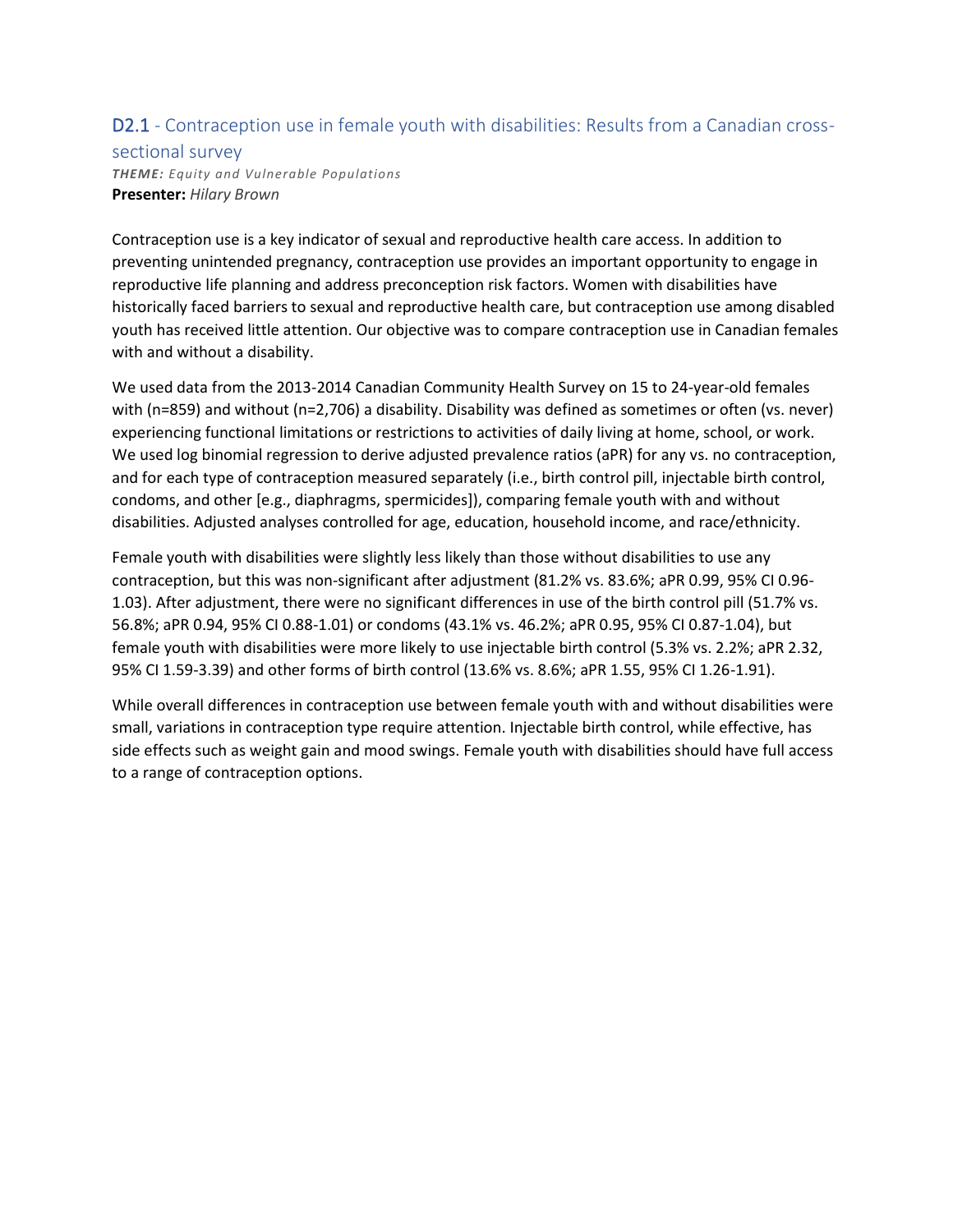## D2.1 - Contraception use in female youth with disabilities: Results from a Canadian cross-

#### sectional survey

*THEME: Equity and Vulnerable Populations* **Presenter:** *Hilary Brown*

Contraception use is a key indicator of sexual and reproductive health care access. In addition to preventing unintended pregnancy, contraception use provides an important opportunity to engage in reproductive life planning and address preconception risk factors. Women with disabilities have historically faced barriers to sexual and reproductive health care, but contraception use among disabled youth has received little attention. Our objective was to compare contraception use in Canadian females with and without a disability.

We used data from the 2013-2014 Canadian Community Health Survey on 15 to 24-year-old females with (n=859) and without (n=2,706) a disability. Disability was defined as sometimes or often (vs. never) experiencing functional limitations or restrictions to activities of daily living at home, school, or work. We used log binomial regression to derive adjusted prevalence ratios (aPR) for any vs. no contraception, and for each type of contraception measured separately (i.e., birth control pill, injectable birth control, condoms, and other [e.g., diaphragms, spermicides]), comparing female youth with and without disabilities. Adjusted analyses controlled for age, education, household income, and race/ethnicity.

Female youth with disabilities were slightly less likely than those without disabilities to use any contraception, but this was non-significant after adjustment (81.2% vs. 83.6%; aPR 0.99, 95% CI 0.96- 1.03). After adjustment, there were no significant differences in use of the birth control pill (51.7% vs. 56.8%; aPR 0.94, 95% CI 0.88-1.01) or condoms (43.1% vs. 46.2%; aPR 0.95, 95% CI 0.87-1.04), but female youth with disabilities were more likely to use injectable birth control (5.3% vs. 2.2%; aPR 2.32, 95% CI 1.59-3.39) and other forms of birth control (13.6% vs. 8.6%; aPR 1.55, 95% CI 1.26-1.91).

While overall differences in contraception use between female youth with and without disabilities were small, variations in contraception type require attention. Injectable birth control, while effective, has side effects such as weight gain and mood swings. Female youth with disabilities should have full access to a range of contraception options.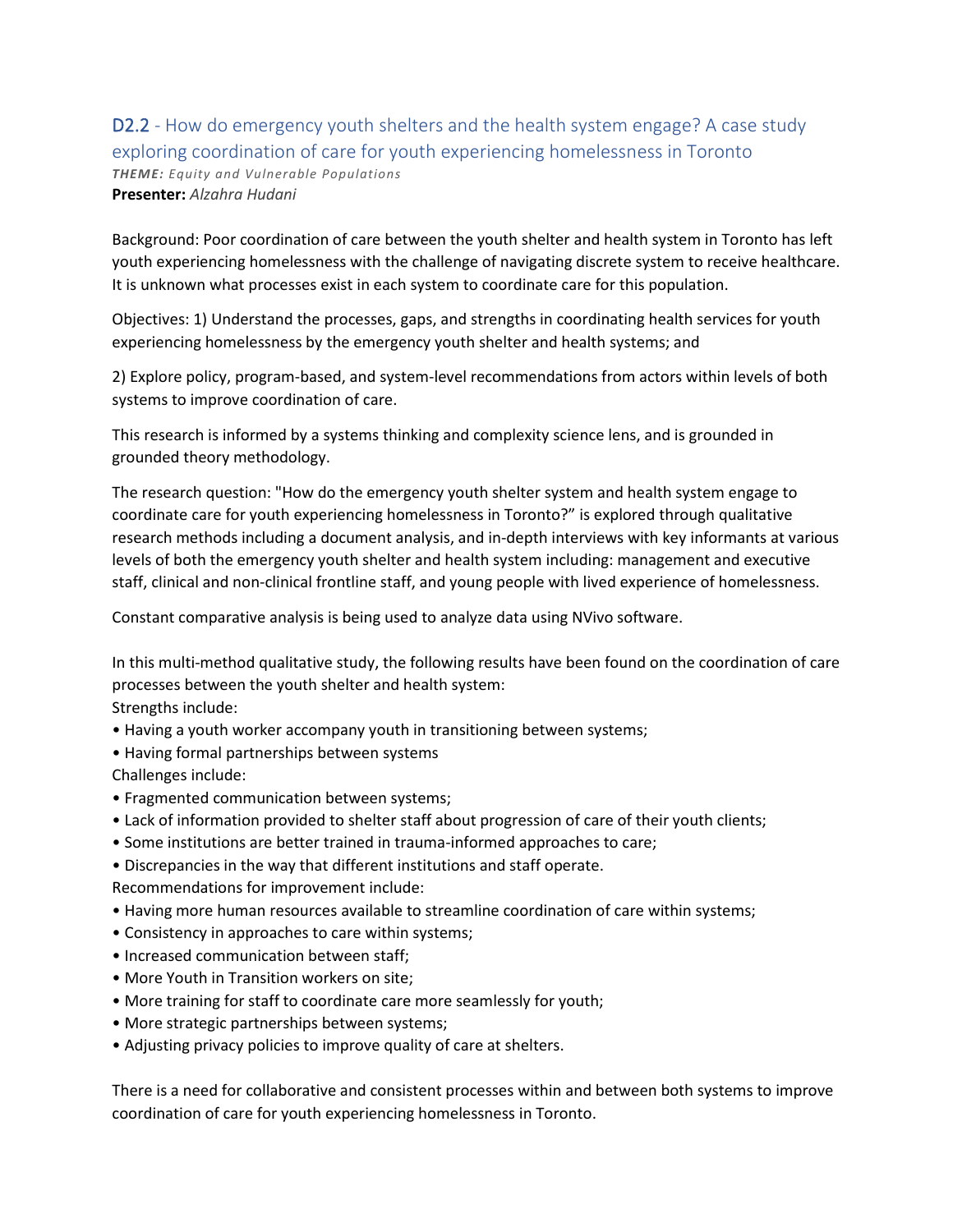# D2.2 - How do emergency youth shelters and the health system engage? A case study exploring coordination of care for youth experiencing homelessness in Toronto *THEME: Equity and Vulnerable Populations*

**Presenter:** *Alzahra Hudani*

Background: Poor coordination of care between the youth shelter and health system in Toronto has left youth experiencing homelessness with the challenge of navigating discrete system to receive healthcare. It is unknown what processes exist in each system to coordinate care for this population.

Objectives: 1) Understand the processes, gaps, and strengths in coordinating health services for youth experiencing homelessness by the emergency youth shelter and health systems; and

2) Explore policy, program-based, and system-level recommendations from actors within levels of both systems to improve coordination of care.

This research is informed by a systems thinking and complexity science lens, and is grounded in grounded theory methodology.

The research question: "How do the emergency youth shelter system and health system engage to coordinate care for youth experiencing homelessness in Toronto?" is explored through qualitative research methods including a document analysis, and in-depth interviews with key informants at various levels of both the emergency youth shelter and health system including: management and executive staff, clinical and non-clinical frontline staff, and young people with lived experience of homelessness.

Constant comparative analysis is being used to analyze data using NVivo software.

In this multi-method qualitative study, the following results have been found on the coordination of care processes between the youth shelter and health system:

Strengths include:

- Having a youth worker accompany youth in transitioning between systems;
- Having formal partnerships between systems

Challenges include:

- Fragmented communication between systems;
- Lack of information provided to shelter staff about progression of care of their youth clients;
- Some institutions are better trained in trauma-informed approaches to care;
- Discrepancies in the way that different institutions and staff operate.

Recommendations for improvement include:

- Having more human resources available to streamline coordination of care within systems;
- Consistency in approaches to care within systems;
- Increased communication between staff;
- More Youth in Transition workers on site;
- More training for staff to coordinate care more seamlessly for youth;
- More strategic partnerships between systems;
- Adjusting privacy policies to improve quality of care at shelters.

There is a need for collaborative and consistent processes within and between both systems to improve coordination of care for youth experiencing homelessness in Toronto.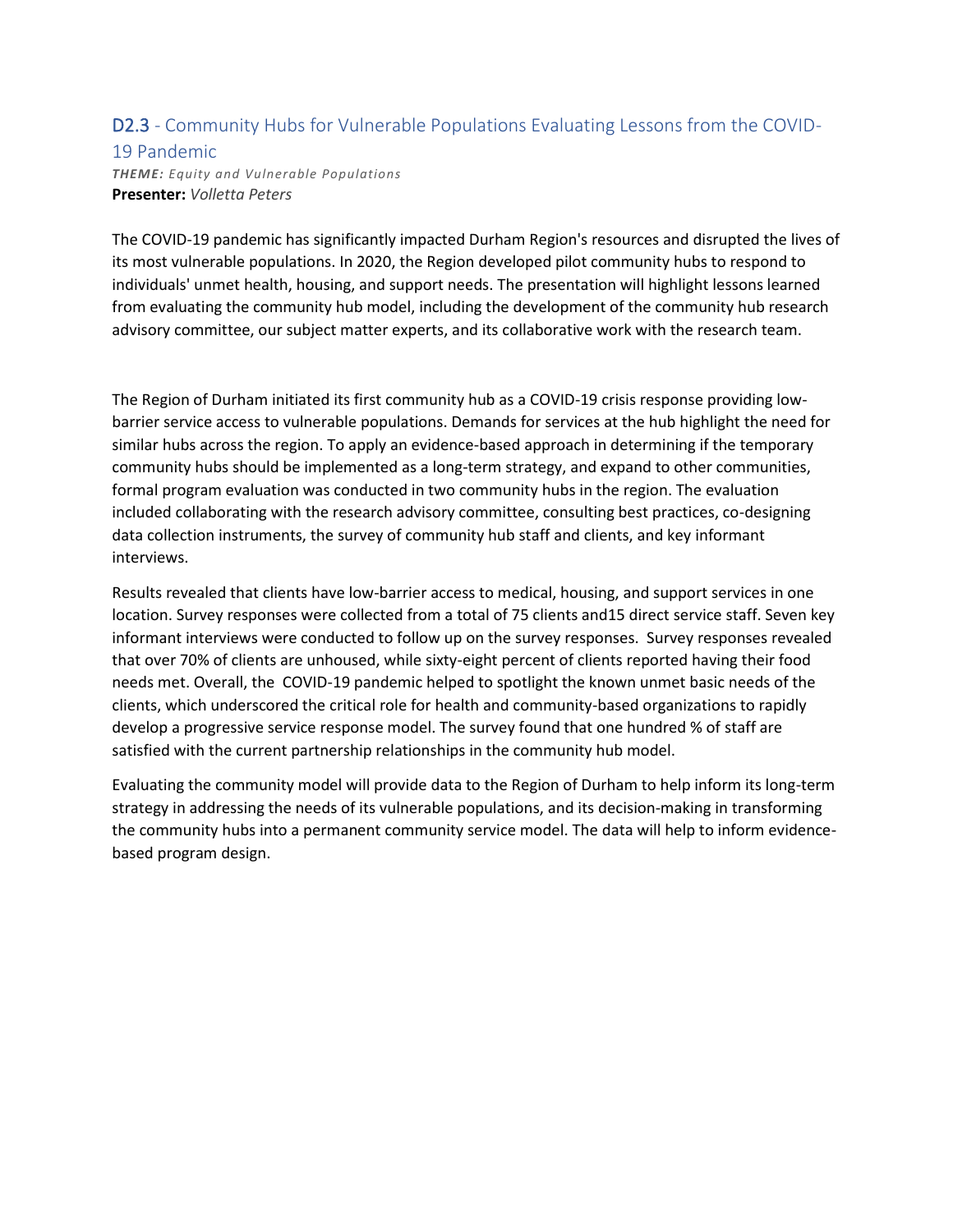#### D2.3 - Community Hubs for Vulnerable Populations Evaluating Lessons from the COVID-19 Pandemic

*THEME: Equity and Vulnerable Populations* **Presenter:** *Volletta Peters*

The COVID-19 pandemic has significantly impacted Durham Region's resources and disrupted the lives of its most vulnerable populations. In 2020, the Region developed pilot community hubs to respond to individuals' unmet health, housing, and support needs. The presentation will highlight lessons learned from evaluating the community hub model, including the development of the community hub research advisory committee, our subject matter experts, and its collaborative work with the research team.

The Region of Durham initiated its first community hub as a COVID-19 crisis response providing lowbarrier service access to vulnerable populations. Demands for services at the hub highlight the need for similar hubs across the region. To apply an evidence-based approach in determining if the temporary community hubs should be implemented as a long-term strategy, and expand to other communities, formal program evaluation was conducted in two community hubs in the region. The evaluation included collaborating with the research advisory committee, consulting best practices, co-designing data collection instruments, the survey of community hub staff and clients, and key informant interviews.

Results revealed that clients have low-barrier access to medical, housing, and support services in one location. Survey responses were collected from a total of 75 clients and15 direct service staff. Seven key informant interviews were conducted to follow up on the survey responses. Survey responses revealed that over 70% of clients are unhoused, while sixty-eight percent of clients reported having their food needs met. Overall, the COVID-19 pandemic helped to spotlight the known unmet basic needs of the clients, which underscored the critical role for health and community-based organizations to rapidly develop a progressive service response model. The survey found that one hundred % of staff are satisfied with the current partnership relationships in the community hub model.

Evaluating the community model will provide data to the Region of Durham to help inform its long-term strategy in addressing the needs of its vulnerable populations, and its decision-making in transforming the community hubs into a permanent community service model. The data will help to inform evidencebased program design.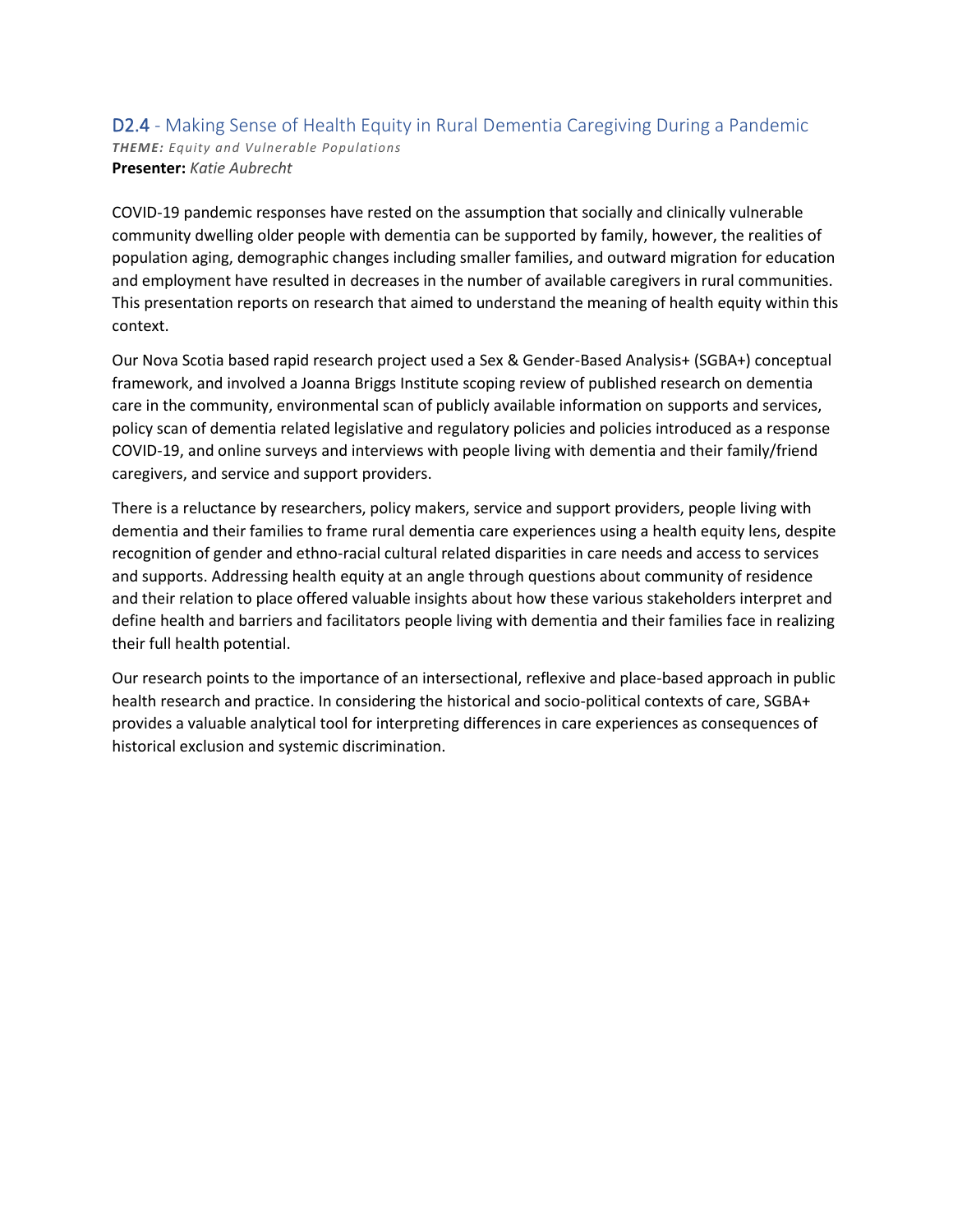#### D2.4 - Making Sense of Health Equity in Rural Dementia Caregiving During a Pandemic *THEME: Equity and Vulnerable Populations* **Presenter:** *Katie Aubrecht*

COVID-19 pandemic responses have rested on the assumption that socially and clinically vulnerable community dwelling older people with dementia can be supported by family, however, the realities of population aging, demographic changes including smaller families, and outward migration for education and employment have resulted in decreases in the number of available caregivers in rural communities. This presentation reports on research that aimed to understand the meaning of health equity within this context.

Our Nova Scotia based rapid research project used a Sex & Gender-Based Analysis+ (SGBA+) conceptual framework, and involved a Joanna Briggs Institute scoping review of published research on dementia care in the community, environmental scan of publicly available information on supports and services, policy scan of dementia related legislative and regulatory policies and policies introduced as a response COVID-19, and online surveys and interviews with people living with dementia and their family/friend caregivers, and service and support providers.

There is a reluctance by researchers, policy makers, service and support providers, people living with dementia and their families to frame rural dementia care experiences using a health equity lens, despite recognition of gender and ethno-racial cultural related disparities in care needs and access to services and supports. Addressing health equity at an angle through questions about community of residence and their relation to place offered valuable insights about how these various stakeholders interpret and define health and barriers and facilitators people living with dementia and their families face in realizing their full health potential.

Our research points to the importance of an intersectional, reflexive and place-based approach in public health research and practice. In considering the historical and socio-political contexts of care, SGBA+ provides a valuable analytical tool for interpreting differences in care experiences as consequences of historical exclusion and systemic discrimination.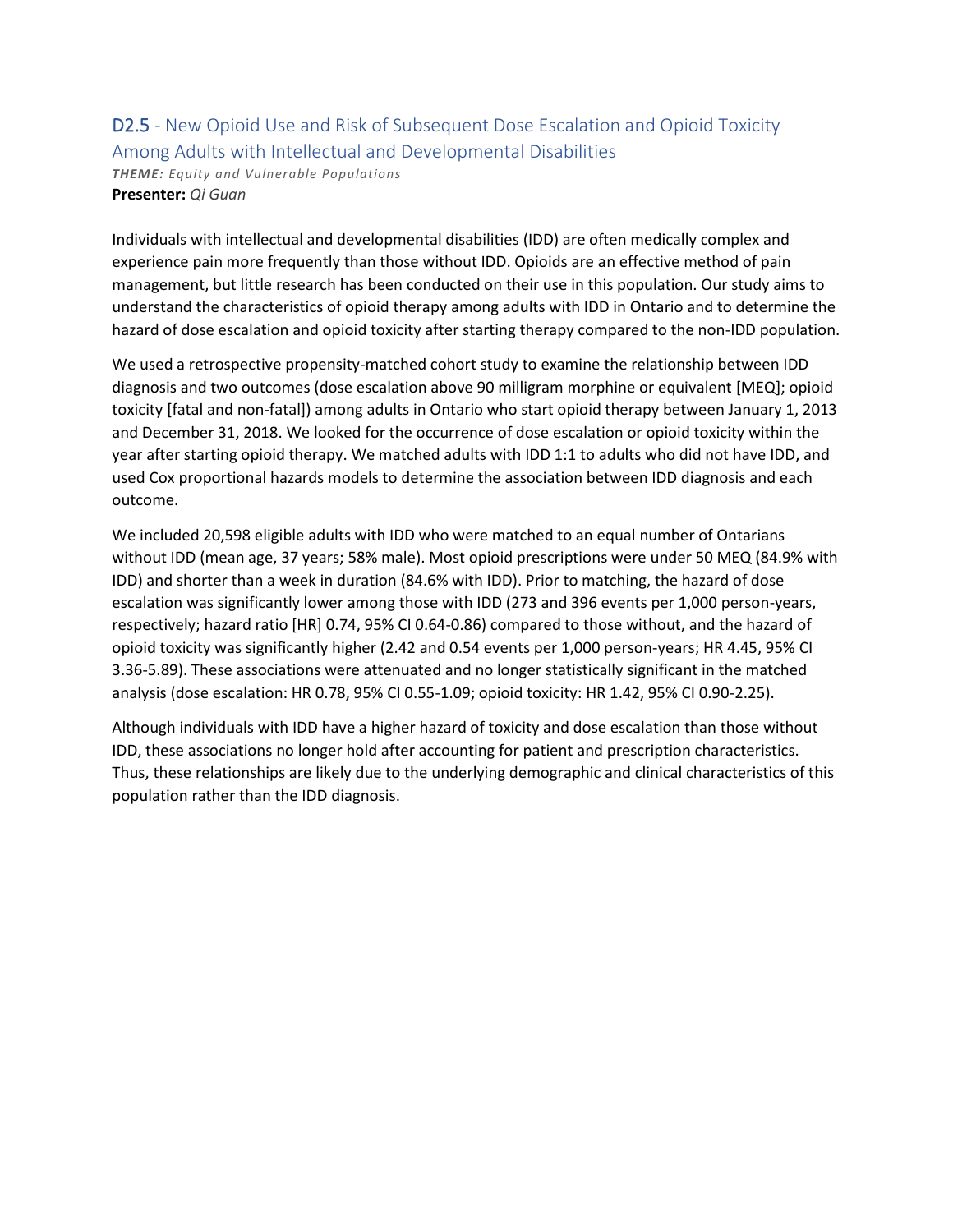## D2.5 - New Opioid Use and Risk of Subsequent Dose Escalation and Opioid Toxicity Among Adults with Intellectual and Developmental Disabilities

*THEME: Equity and Vulnerable Populations* **Presenter:** *Qi Guan*

Individuals with intellectual and developmental disabilities (IDD) are often medically complex and experience pain more frequently than those without IDD. Opioids are an effective method of pain management, but little research has been conducted on their use in this population. Our study aims to understand the characteristics of opioid therapy among adults with IDD in Ontario and to determine the hazard of dose escalation and opioid toxicity after starting therapy compared to the non-IDD population.

We used a retrospective propensity-matched cohort study to examine the relationship between IDD diagnosis and two outcomes (dose escalation above 90 milligram morphine or equivalent [MEQ]; opioid toxicity [fatal and non-fatal]) among adults in Ontario who start opioid therapy between January 1, 2013 and December 31, 2018. We looked for the occurrence of dose escalation or opioid toxicity within the year after starting opioid therapy. We matched adults with IDD 1:1 to adults who did not have IDD, and used Cox proportional hazards models to determine the association between IDD diagnosis and each outcome.

We included 20,598 eligible adults with IDD who were matched to an equal number of Ontarians without IDD (mean age, 37 years; 58% male). Most opioid prescriptions were under 50 MEQ (84.9% with IDD) and shorter than a week in duration (84.6% with IDD). Prior to matching, the hazard of dose escalation was significantly lower among those with IDD (273 and 396 events per 1,000 person-years, respectively; hazard ratio [HR] 0.74, 95% CI 0.64-0.86) compared to those without, and the hazard of opioid toxicity was significantly higher (2.42 and 0.54 events per 1,000 person-years; HR 4.45, 95% CI 3.36-5.89). These associations were attenuated and no longer statistically significant in the matched analysis (dose escalation: HR 0.78, 95% CI 0.55-1.09; opioid toxicity: HR 1.42, 95% CI 0.90-2.25).

Although individuals with IDD have a higher hazard of toxicity and dose escalation than those without IDD, these associations no longer hold after accounting for patient and prescription characteristics. Thus, these relationships are likely due to the underlying demographic and clinical characteristics of this population rather than the IDD diagnosis.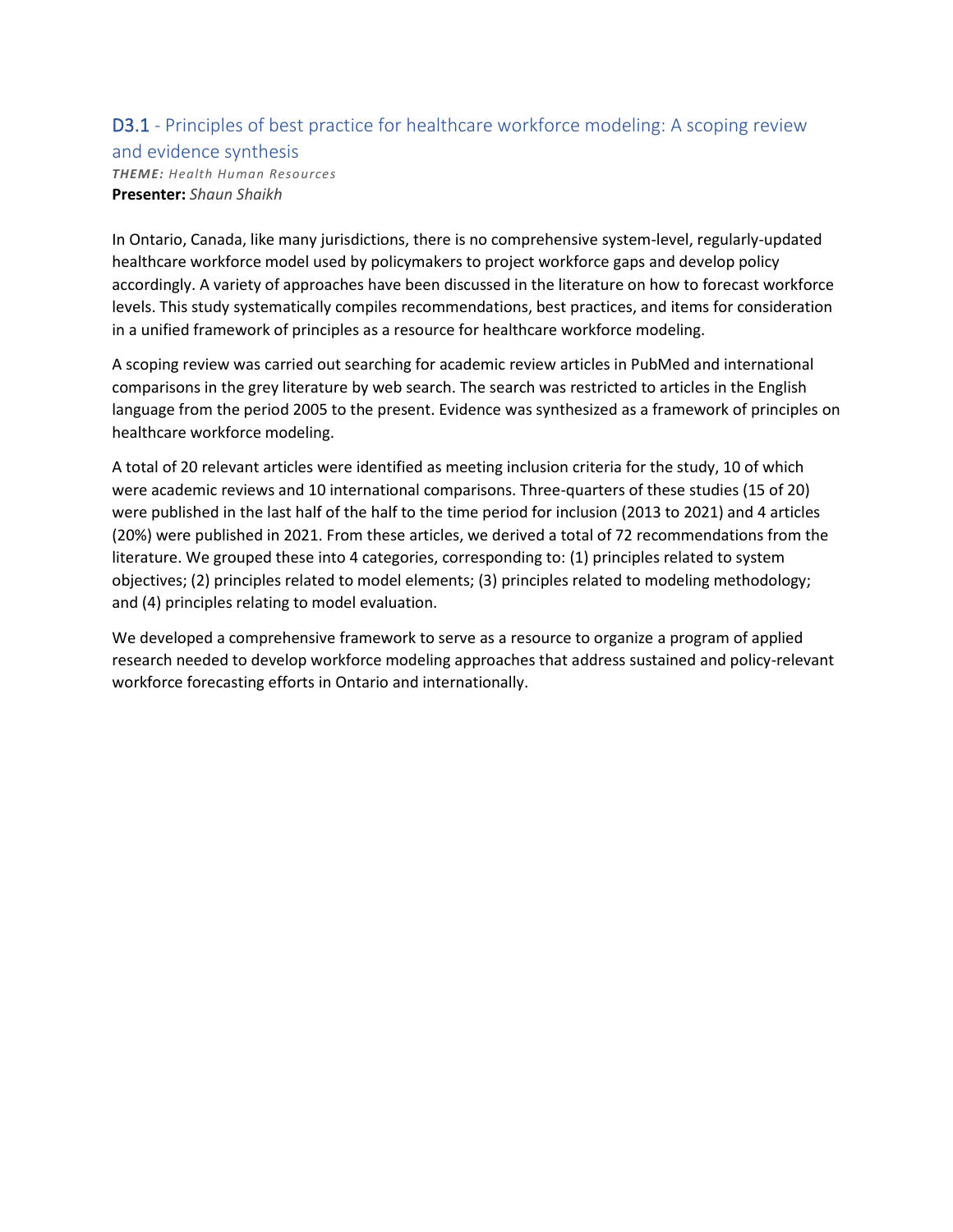# D3.1 - Principles of best practice for healthcare workforce modeling: A scoping review

and evidence synthesis

*THEME: Health Human Resources* **Presenter:** *Shaun Shaikh*

In Ontario, Canada, like many jurisdictions, there is no comprehensive system-level, regularly-updated healthcare workforce model used by policymakers to project workforce gaps and develop policy accordingly. A variety of approaches have been discussed in the literature on how to forecast workforce levels. This study systematically compiles recommendations, best practices, and items for consideration in a unified framework of principles as a resource for healthcare workforce modeling.

A scoping review was carried out searching for academic review articles in PubMed and international comparisons in the grey literature by web search. The search was restricted to articles in the English language from the period 2005 to the present. Evidence was synthesized as a framework of principles on healthcare workforce modeling.

A total of 20 relevant articles were identified as meeting inclusion criteria for the study, 10 of which were academic reviews and 10 international comparisons. Three-quarters of these studies (15 of 20) were published in the last half of the half to the time period for inclusion (2013 to 2021) and 4 articles (20%) were published in 2021. From these articles, we derived a total of 72 recommendations from the literature. We grouped these into 4 categories, corresponding to: (1) principles related to system objectives; (2) principles related to model elements; (3) principles related to modeling methodology; and (4) principles relating to model evaluation.

We developed a comprehensive framework to serve as a resource to organize a program of applied research needed to develop workforce modeling approaches that address sustained and policy-relevant workforce forecasting efforts in Ontario and internationally.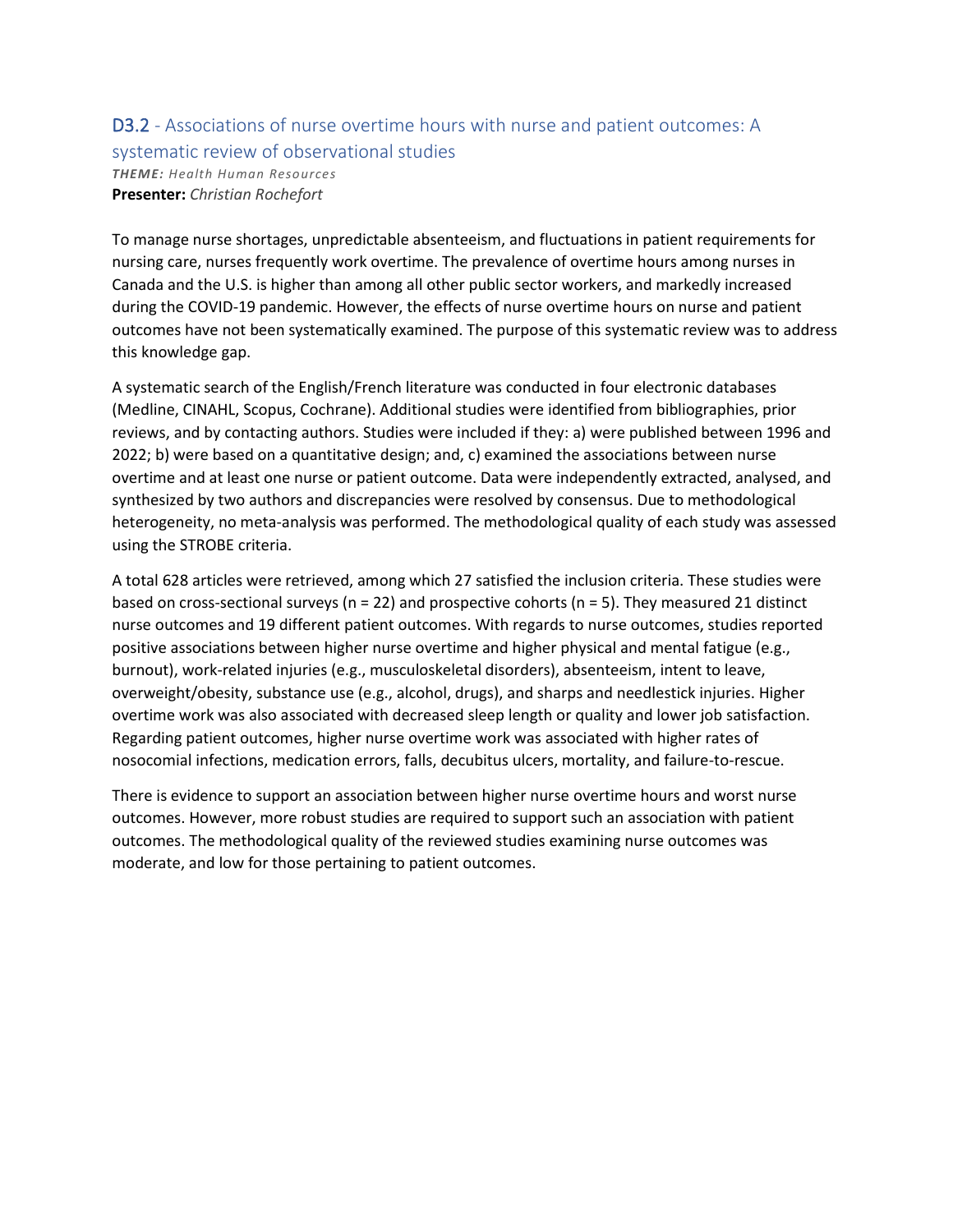### D3.2 - Associations of nurse overtime hours with nurse and patient outcomes: A systematic review of observational studies *THEME: Health Human Resources*

**Presenter:** *Christian Rochefort*

To manage nurse shortages, unpredictable absenteeism, and fluctuations in patient requirements for nursing care, nurses frequently work overtime. The prevalence of overtime hours among nurses in Canada and the U.S. is higher than among all other public sector workers, and markedly increased during the COVID-19 pandemic. However, the effects of nurse overtime hours on nurse and patient outcomes have not been systematically examined. The purpose of this systematic review was to address this knowledge gap.

A systematic search of the English/French literature was conducted in four electronic databases (Medline, CINAHL, Scopus, Cochrane). Additional studies were identified from bibliographies, prior reviews, and by contacting authors. Studies were included if they: a) were published between 1996 and 2022; b) were based on a quantitative design; and, c) examined the associations between nurse overtime and at least one nurse or patient outcome. Data were independently extracted, analysed, and synthesized by two authors and discrepancies were resolved by consensus. Due to methodological heterogeneity, no meta-analysis was performed. The methodological quality of each study was assessed using the STROBE criteria.

A total 628 articles were retrieved, among which 27 satisfied the inclusion criteria. These studies were based on cross-sectional surveys ( $n = 22$ ) and prospective cohorts ( $n = 5$ ). They measured 21 distinct nurse outcomes and 19 different patient outcomes. With regards to nurse outcomes, studies reported positive associations between higher nurse overtime and higher physical and mental fatigue (e.g., burnout), work-related injuries (e.g., musculoskeletal disorders), absenteeism, intent to leave, overweight/obesity, substance use (e.g., alcohol, drugs), and sharps and needlestick injuries. Higher overtime work was also associated with decreased sleep length or quality and lower job satisfaction. Regarding patient outcomes, higher nurse overtime work was associated with higher rates of nosocomial infections, medication errors, falls, decubitus ulcers, mortality, and failure-to-rescue.

There is evidence to support an association between higher nurse overtime hours and worst nurse outcomes. However, more robust studies are required to support such an association with patient outcomes. The methodological quality of the reviewed studies examining nurse outcomes was moderate, and low for those pertaining to patient outcomes.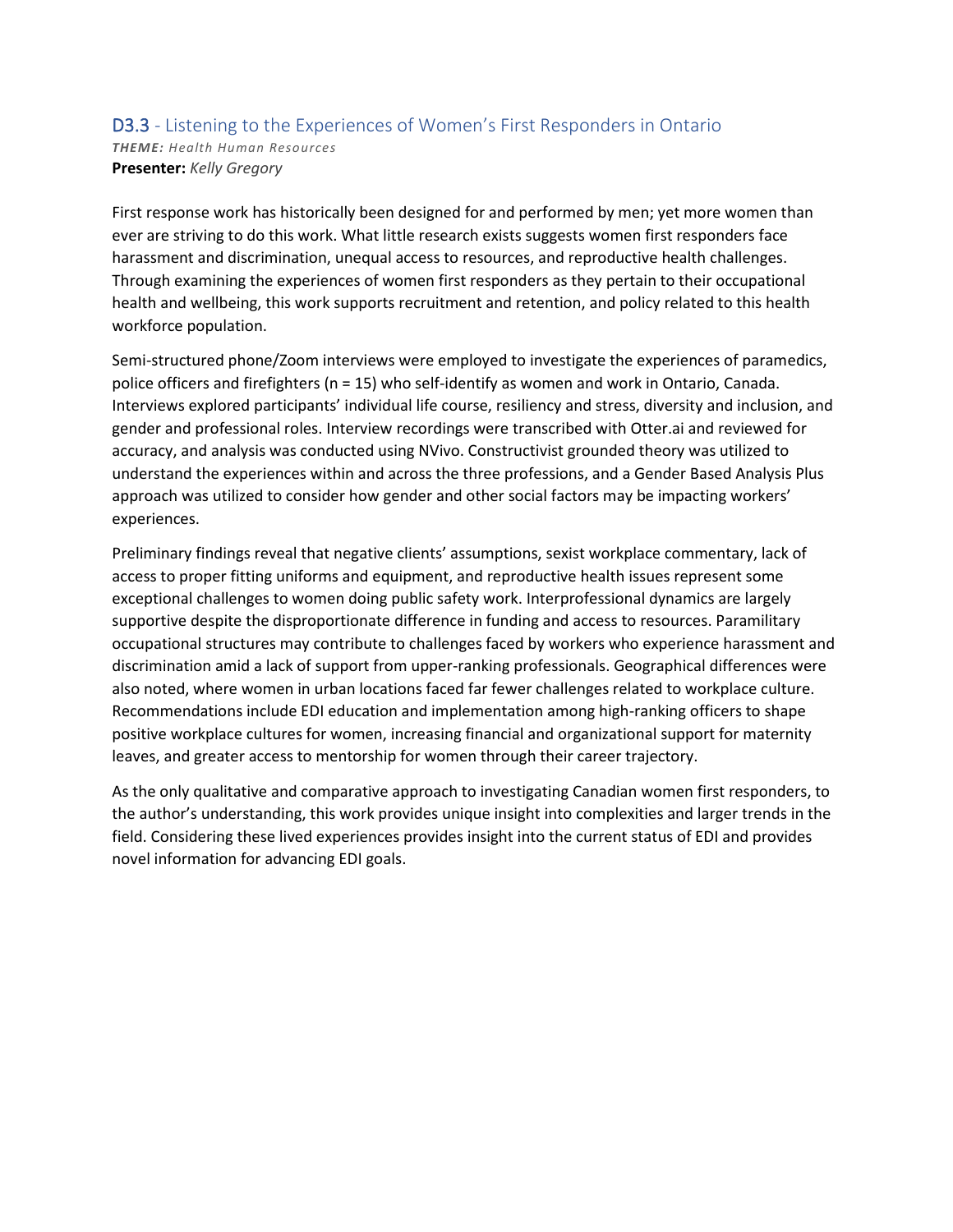#### D3.3 - Listening to the Experiences of Women's First Responders in Ontario *THEME: Health Human Resources* **Presenter:** *Kelly Gregory*

First response work has historically been designed for and performed by men; yet more women than ever are striving to do this work. What little research exists suggests women first responders face harassment and discrimination, unequal access to resources, and reproductive health challenges. Through examining the experiences of women first responders as they pertain to their occupational health and wellbeing, this work supports recruitment and retention, and policy related to this health workforce population.

Semi-structured phone/Zoom interviews were employed to investigate the experiences of paramedics, police officers and firefighters (n = 15) who self-identify as women and work in Ontario, Canada. Interviews explored participants' individual life course, resiliency and stress, diversity and inclusion, and gender and professional roles. Interview recordings were transcribed with Otter.ai and reviewed for accuracy, and analysis was conducted using NVivo. Constructivist grounded theory was utilized to understand the experiences within and across the three professions, and a Gender Based Analysis Plus approach was utilized to consider how gender and other social factors may be impacting workers' experiences.

Preliminary findings reveal that negative clients' assumptions, sexist workplace commentary, lack of access to proper fitting uniforms and equipment, and reproductive health issues represent some exceptional challenges to women doing public safety work. Interprofessional dynamics are largely supportive despite the disproportionate difference in funding and access to resources. Paramilitary occupational structures may contribute to challenges faced by workers who experience harassment and discrimination amid a lack of support from upper-ranking professionals. Geographical differences were also noted, where women in urban locations faced far fewer challenges related to workplace culture. Recommendations include EDI education and implementation among high-ranking officers to shape positive workplace cultures for women, increasing financial and organizational support for maternity leaves, and greater access to mentorship for women through their career trajectory.

As the only qualitative and comparative approach to investigating Canadian women first responders, to the author's understanding, this work provides unique insight into complexities and larger trends in the field. Considering these lived experiences provides insight into the current status of EDI and provides novel information for advancing EDI goals.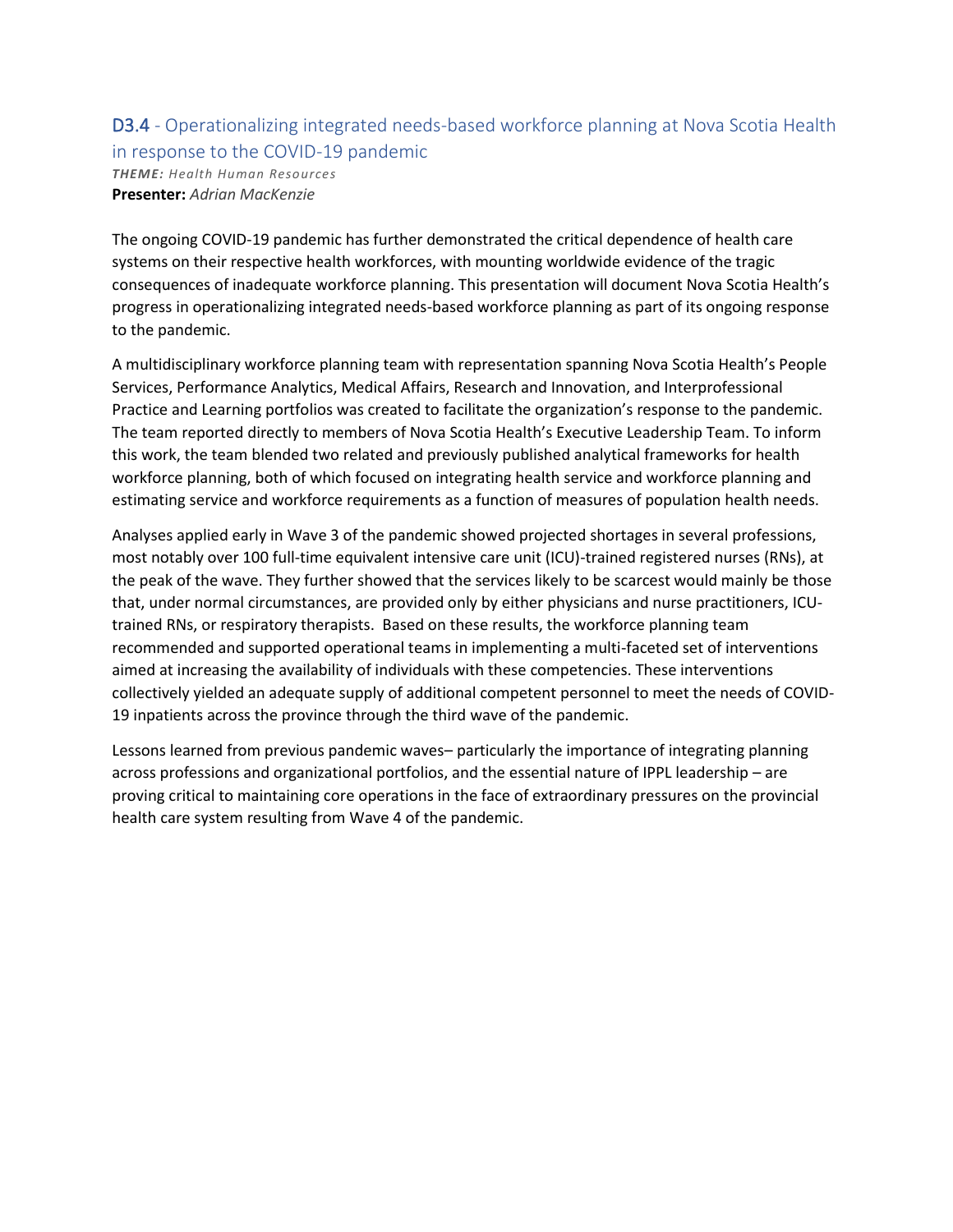# D3.4 - Operationalizing integrated needs-based workforce planning at Nova Scotia Health in response to the COVID-19 pandemic

*THEME: Health Human Resources* **Presenter:** *Adrian MacKenzie*

The ongoing COVID-19 pandemic has further demonstrated the critical dependence of health care systems on their respective health workforces, with mounting worldwide evidence of the tragic consequences of inadequate workforce planning. This presentation will document Nova Scotia Health's progress in operationalizing integrated needs-based workforce planning as part of its ongoing response to the pandemic.

A multidisciplinary workforce planning team with representation spanning Nova Scotia Health's People Services, Performance Analytics, Medical Affairs, Research and Innovation, and Interprofessional Practice and Learning portfolios was created to facilitate the organization's response to the pandemic. The team reported directly to members of Nova Scotia Health's Executive Leadership Team. To inform this work, the team blended two related and previously published analytical frameworks for health workforce planning, both of which focused on integrating health service and workforce planning and estimating service and workforce requirements as a function of measures of population health needs.

Analyses applied early in Wave 3 of the pandemic showed projected shortages in several professions, most notably over 100 full-time equivalent intensive care unit (ICU)-trained registered nurses (RNs), at the peak of the wave. They further showed that the services likely to be scarcest would mainly be those that, under normal circumstances, are provided only by either physicians and nurse practitioners, ICUtrained RNs, or respiratory therapists. Based on these results, the workforce planning team recommended and supported operational teams in implementing a multi-faceted set of interventions aimed at increasing the availability of individuals with these competencies. These interventions collectively yielded an adequate supply of additional competent personnel to meet the needs of COVID-19 inpatients across the province through the third wave of the pandemic.

Lessons learned from previous pandemic waves– particularly the importance of integrating planning across professions and organizational portfolios, and the essential nature of IPPL leadership – are proving critical to maintaining core operations in the face of extraordinary pressures on the provincial health care system resulting from Wave 4 of the pandemic.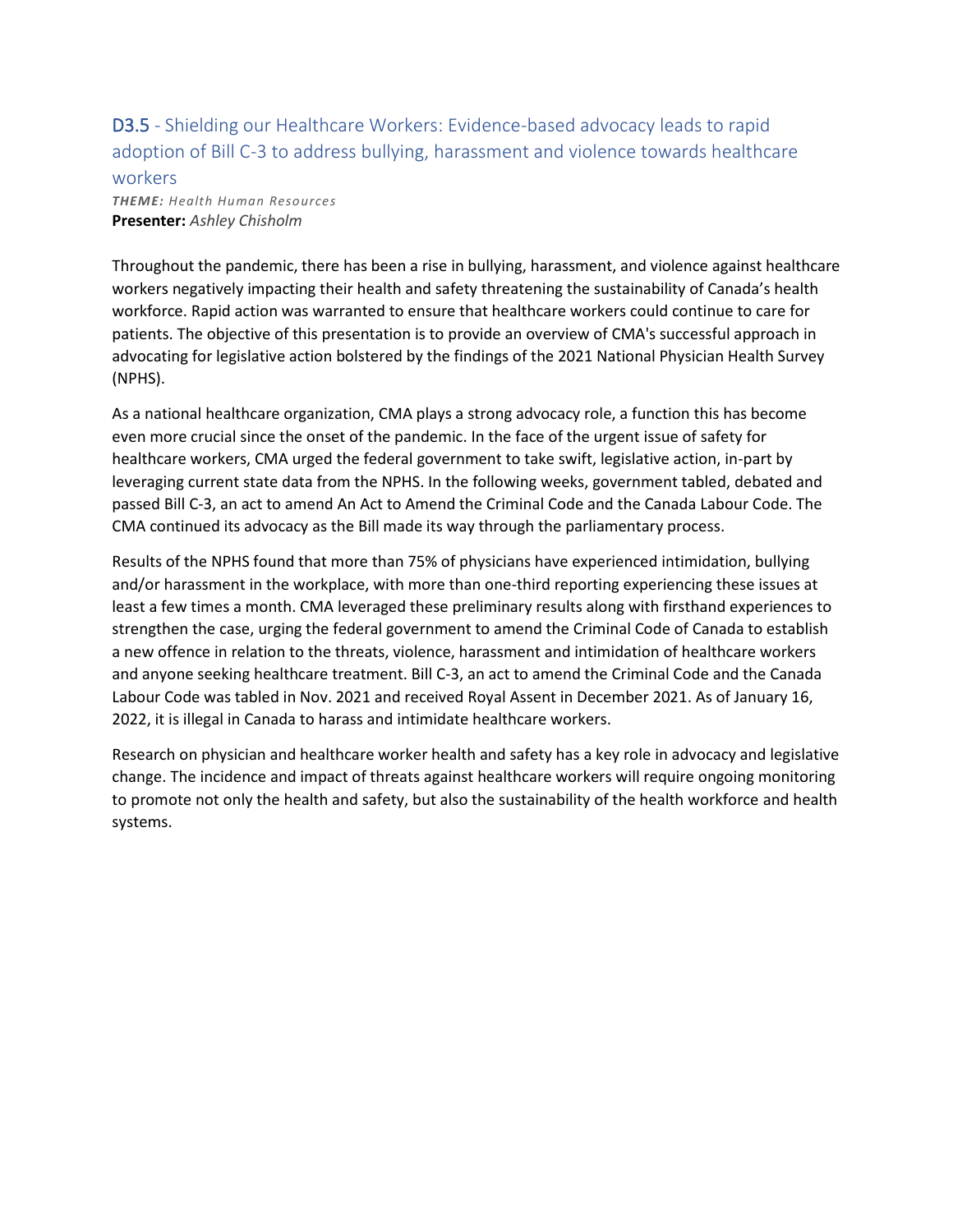D3.5 - Shielding our Healthcare Workers: Evidence-based advocacy leads to rapid adoption of Bill C-3 to address bullying, harassment and violence towards healthcare workers

*THEME: Health Human Resources* **Presenter:** *Ashley Chisholm*

Throughout the pandemic, there has been a rise in bullying, harassment, and violence against healthcare workers negatively impacting their health and safety threatening the sustainability of Canada's health workforce. Rapid action was warranted to ensure that healthcare workers could continue to care for patients. The objective of this presentation is to provide an overview of CMA's successful approach in advocating for legislative action bolstered by the findings of the 2021 National Physician Health Survey (NPHS).

As a national healthcare organization, CMA plays a strong advocacy role, a function this has become even more crucial since the onset of the pandemic. In the face of the urgent issue of safety for healthcare workers, CMA urged the federal government to take swift, legislative action, in-part by leveraging current state data from the NPHS. In the following weeks, government tabled, debated and passed Bill C-3, an act to amend An Act to Amend the Criminal Code and the Canada Labour Code. The CMA continued its advocacy as the Bill made its way through the parliamentary process.

Results of the NPHS found that more than 75% of physicians have experienced intimidation, bullying and/or harassment in the workplace, with more than one-third reporting experiencing these issues at least a few times a month. CMA leveraged these preliminary results along with firsthand experiences to strengthen the case, urging the federal government to amend the Criminal Code of Canada to establish a new offence in relation to the threats, violence, harassment and intimidation of healthcare workers and anyone seeking healthcare treatment. Bill C-3, an act to amend the Criminal Code and the Canada Labour Code was tabled in Nov. 2021 and received Royal Assent in December 2021. As of January 16, 2022, it is illegal in Canada to harass and intimidate healthcare workers.

Research on physician and healthcare worker health and safety has a key role in advocacy and legislative change. The incidence and impact of threats against healthcare workers will require ongoing monitoring to promote not only the health and safety, but also the sustainability of the health workforce and health systems.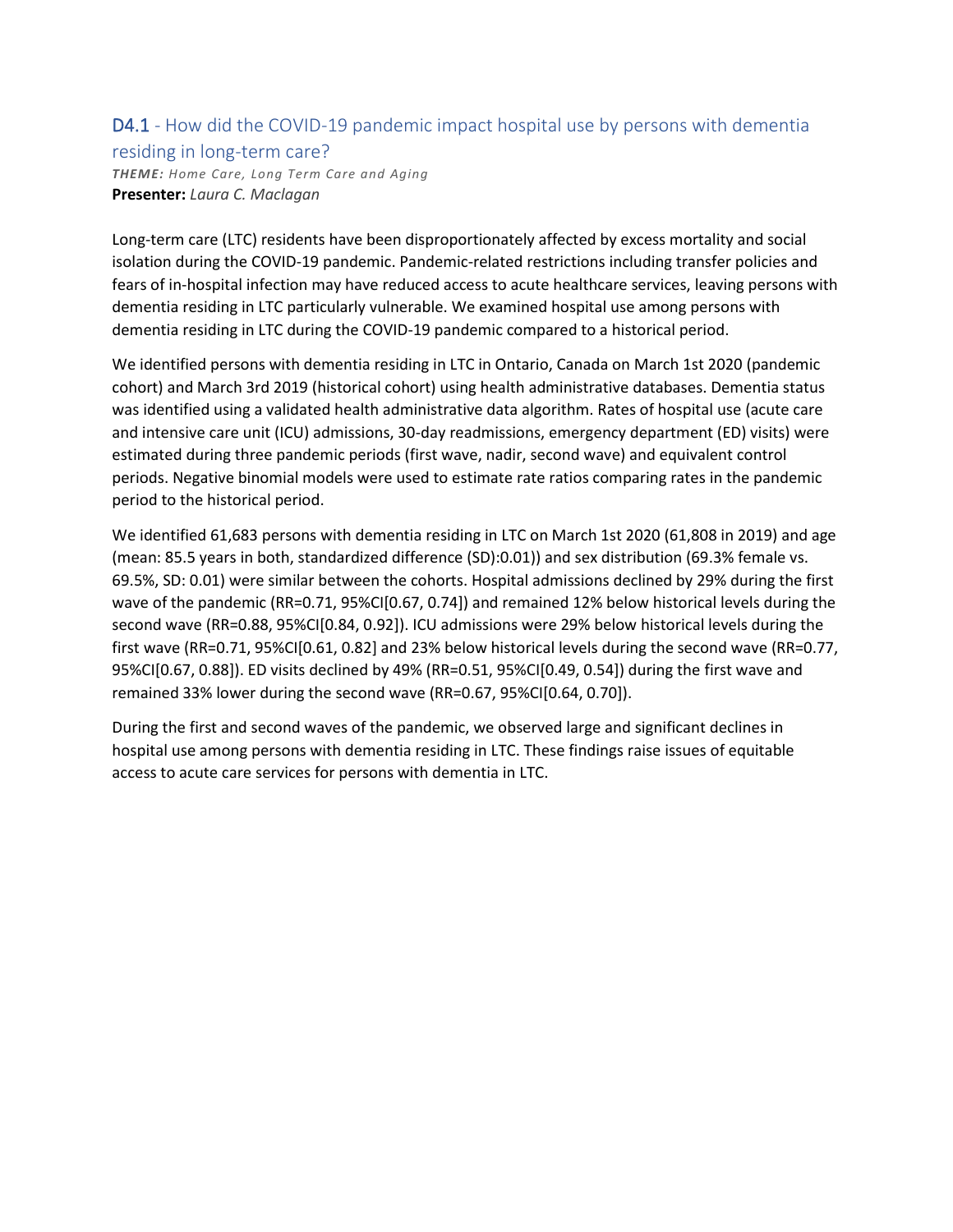#### D4.1 - How did the COVID-19 pandemic impact hospital use by persons with dementia

#### residing in long-term care?

*THEME: Home Care, Long Term Care and Aging* **Presenter:** *Laura C. Maclagan*

Long-term care (LTC) residents have been disproportionately affected by excess mortality and social isolation during the COVID-19 pandemic. Pandemic-related restrictions including transfer policies and fears of in-hospital infection may have reduced access to acute healthcare services, leaving persons with dementia residing in LTC particularly vulnerable. We examined hospital use among persons with dementia residing in LTC during the COVID-19 pandemic compared to a historical period.

We identified persons with dementia residing in LTC in Ontario, Canada on March 1st 2020 (pandemic cohort) and March 3rd 2019 (historical cohort) using health administrative databases. Dementia status was identified using a validated health administrative data algorithm. Rates of hospital use (acute care and intensive care unit (ICU) admissions, 30-day readmissions, emergency department (ED) visits) were estimated during three pandemic periods (first wave, nadir, second wave) and equivalent control periods. Negative binomial models were used to estimate rate ratios comparing rates in the pandemic period to the historical period.

We identified 61,683 persons with dementia residing in LTC on March 1st 2020 (61,808 in 2019) and age (mean: 85.5 years in both, standardized difference (SD):0.01)) and sex distribution (69.3% female vs. 69.5%, SD: 0.01) were similar between the cohorts. Hospital admissions declined by 29% during the first wave of the pandemic (RR=0.71, 95%CI[0.67, 0.74]) and remained 12% below historical levels during the second wave (RR=0.88, 95%CI[0.84, 0.92]). ICU admissions were 29% below historical levels during the first wave (RR=0.71, 95%CI[0.61, 0.82] and 23% below historical levels during the second wave (RR=0.77, 95%CI[0.67, 0.88]). ED visits declined by 49% (RR=0.51, 95%CI[0.49, 0.54]) during the first wave and remained 33% lower during the second wave (RR=0.67, 95%CI[0.64, 0.70]).

During the first and second waves of the pandemic, we observed large and significant declines in hospital use among persons with dementia residing in LTC. These findings raise issues of equitable access to acute care services for persons with dementia in LTC.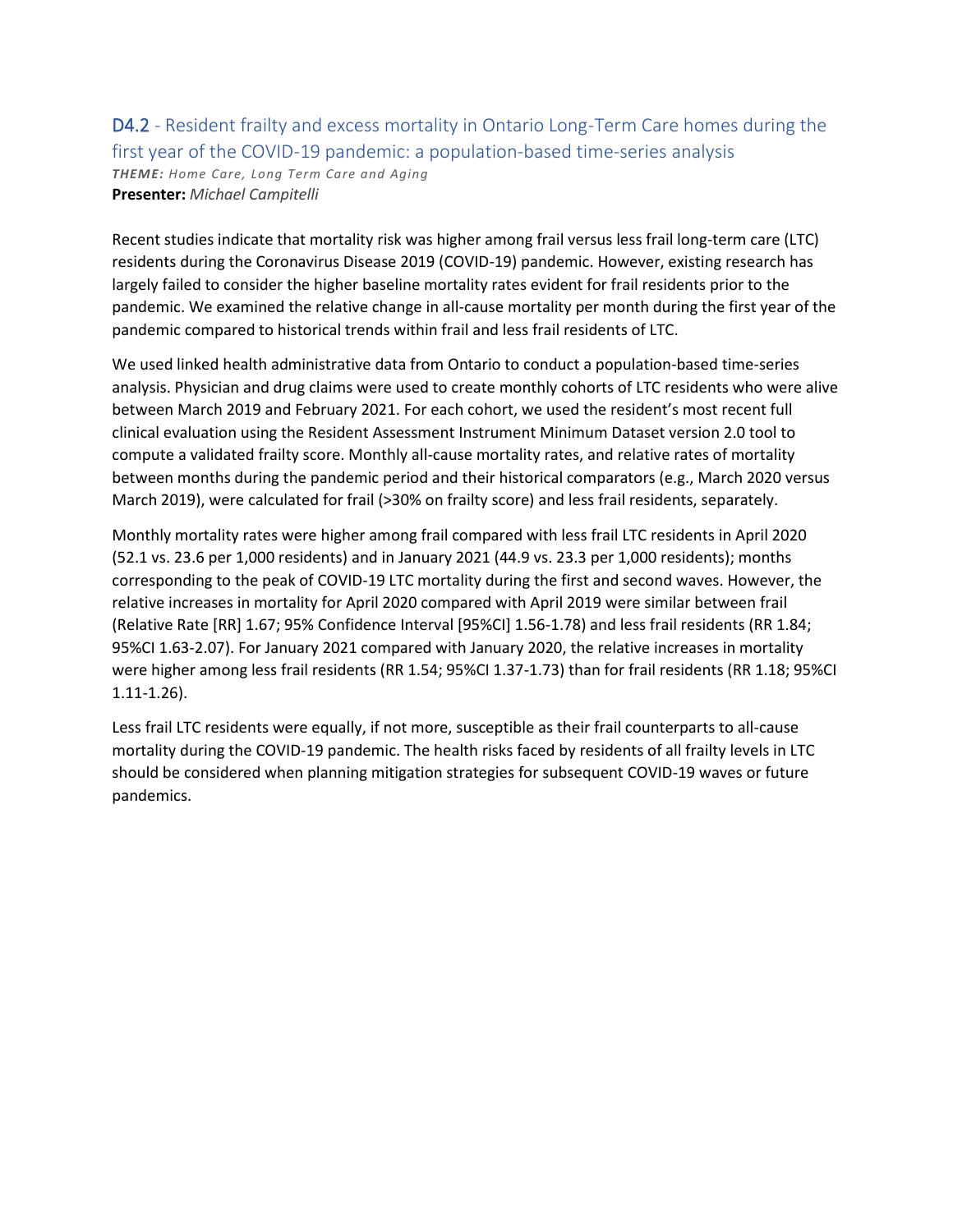#### D4.2 - Resident frailty and excess mortality in Ontario Long-Term Care homes during the first year of the COVID-19 pandemic: a population-based time-series analysis *THEME: Home Care, Long Term Care and Aging* **Presenter:** *Michael Campitelli*

Recent studies indicate that mortality risk was higher among frail versus less frail long-term care (LTC) residents during the Coronavirus Disease 2019 (COVID-19) pandemic. However, existing research has largely failed to consider the higher baseline mortality rates evident for frail residents prior to the pandemic. We examined the relative change in all-cause mortality per month during the first year of the pandemic compared to historical trends within frail and less frail residents of LTC.

We used linked health administrative data from Ontario to conduct a population-based time-series analysis. Physician and drug claims were used to create monthly cohorts of LTC residents who were alive between March 2019 and February 2021. For each cohort, we used the resident's most recent full clinical evaluation using the Resident Assessment Instrument Minimum Dataset version 2.0 tool to compute a validated frailty score. Monthly all-cause mortality rates, and relative rates of mortality between months during the pandemic period and their historical comparators (e.g., March 2020 versus March 2019), were calculated for frail (>30% on frailty score) and less frail residents, separately.

Monthly mortality rates were higher among frail compared with less frail LTC residents in April 2020 (52.1 vs. 23.6 per 1,000 residents) and in January 2021 (44.9 vs. 23.3 per 1,000 residents); months corresponding to the peak of COVID-19 LTC mortality during the first and second waves. However, the relative increases in mortality for April 2020 compared with April 2019 were similar between frail (Relative Rate [RR] 1.67; 95% Confidence Interval [95%CI] 1.56-1.78) and less frail residents (RR 1.84; 95%CI 1.63-2.07). For January 2021 compared with January 2020, the relative increases in mortality were higher among less frail residents (RR 1.54; 95%CI 1.37-1.73) than for frail residents (RR 1.18; 95%CI 1.11-1.26).

Less frail LTC residents were equally, if not more, susceptible as their frail counterparts to all-cause mortality during the COVID-19 pandemic. The health risks faced by residents of all frailty levels in LTC should be considered when planning mitigation strategies for subsequent COVID-19 waves or future pandemics.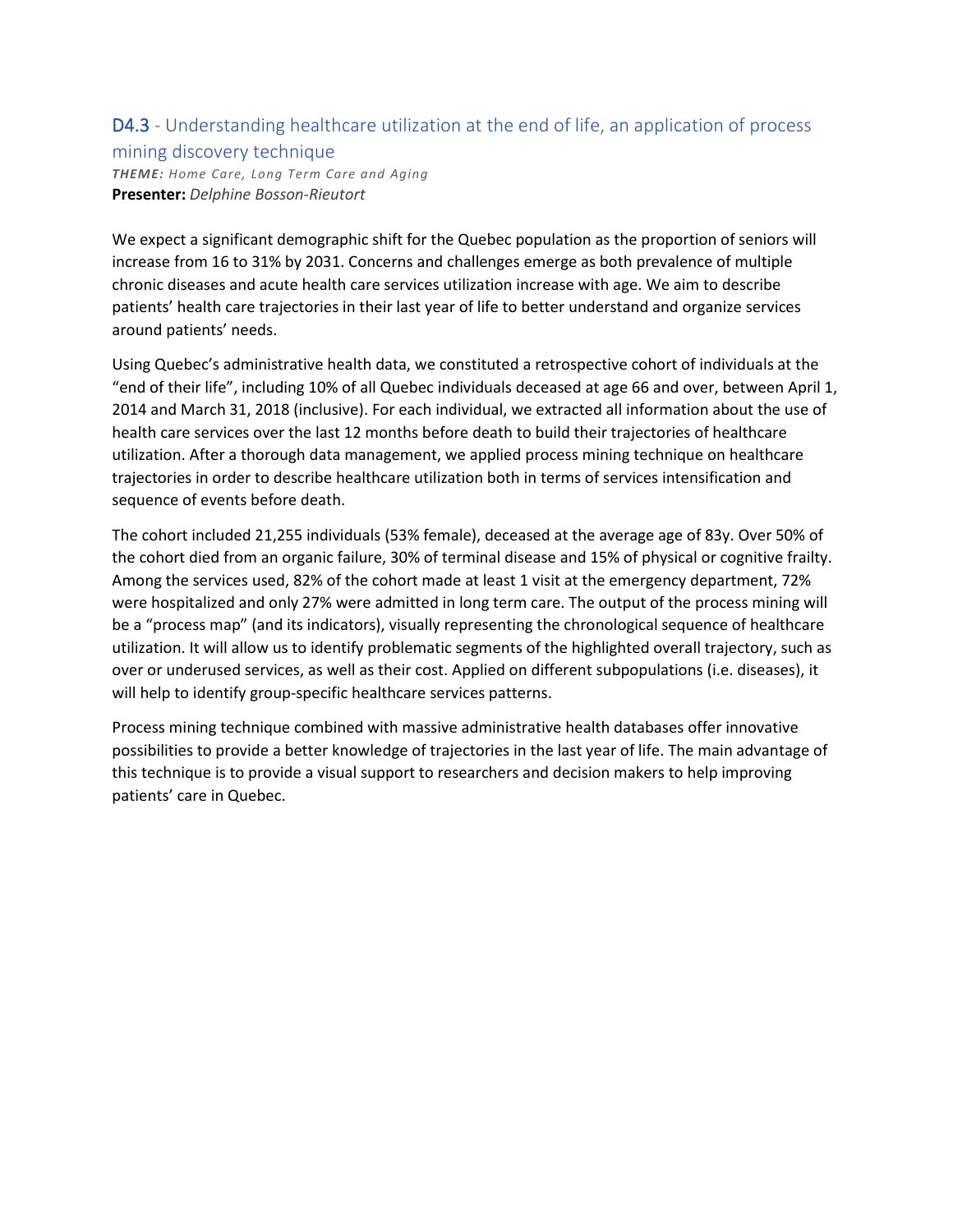### D4.3 - Understanding healthcare utilization at the end of life, an application of process

### mining discovery technique

*THEME: Home Care, Long Term Care and Aging* **Presenter:** *Delphine Bosson-Rieutort*

We expect a significant demographic shift for the Quebec population as the proportion of seniors will increase from 16 to 31% by 2031. Concerns and challenges emerge as both prevalence of multiple chronic diseases and acute health care services utilization increase with age. We aim to describe patients' health care trajectories in their last year of life to better understand and organize services around patients' needs.

Using Quebec's administrative health data, we constituted a retrospective cohort of individuals at the "end of their life", including 10% of all Quebec individuals deceased at age 66 and over, between April 1, 2014 and March 31, 2018 (inclusive). For each individual, we extracted all information about the use of health care services over the last 12 months before death to build their trajectories of healthcare utilization. After a thorough data management, we applied process mining technique on healthcare trajectories in order to describe healthcare utilization both in terms of services intensification and sequence of events before death.

The cohort included 21,255 individuals (53% female), deceased at the average age of 83y. Over 50% of the cohort died from an organic failure, 30% of terminal disease and 15% of physical or cognitive frailty. Among the services used, 82% of the cohort made at least 1 visit at the emergency department, 72% were hospitalized and only 27% were admitted in long term care. The output of the process mining will be a "process map" (and its indicators), visually representing the chronological sequence of healthcare utilization. It will allow us to identify problematic segments of the highlighted overall trajectory, such as over or underused services, as well as their cost. Applied on different subpopulations (i.e. diseases), it will help to identify group-specific healthcare services patterns.

Process mining technique combined with massive administrative health databases offer innovative possibilities to provide a better knowledge of trajectories in the last year of life. The main advantage of this technique is to provide a visual support to researchers and decision makers to help improving patients' care in Quebec.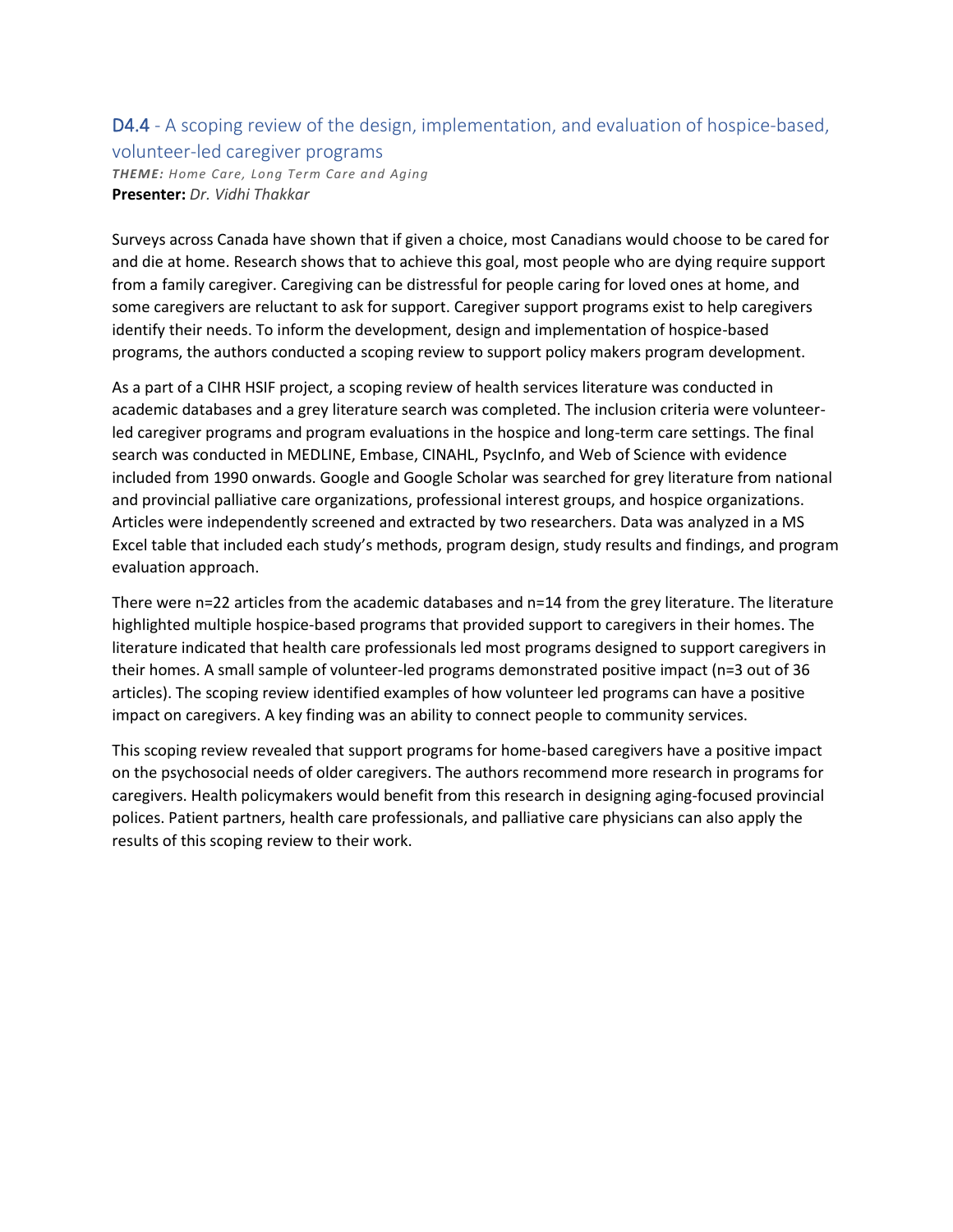# D4.4 - A scoping review of the design, implementation, and evaluation of hospice-based,

#### volunteer-led caregiver programs

*THEME: Home Care, Long Term Care and Aging* **Presenter:** *Dr. Vidhi Thakkar*

Surveys across Canada have shown that if given a choice, most Canadians would choose to be cared for and die at home. Research shows that to achieve this goal, most people who are dying require support from a family caregiver. Caregiving can be distressful for people caring for loved ones at home, and some caregivers are reluctant to ask for support. Caregiver support programs exist to help caregivers identify their needs. To inform the development, design and implementation of hospice-based programs, the authors conducted a scoping review to support policy makers program development.

As a part of a CIHR HSIF project, a scoping review of health services literature was conducted in academic databases and a grey literature search was completed. The inclusion criteria were volunteerled caregiver programs and program evaluations in the hospice and long-term care settings. The final search was conducted in MEDLINE, Embase, CINAHL, PsycInfo, and Web of Science with evidence included from 1990 onwards. Google and Google Scholar was searched for grey literature from national and provincial palliative care organizations, professional interest groups, and hospice organizations. Articles were independently screened and extracted by two researchers. Data was analyzed in a MS Excel table that included each study's methods, program design, study results and findings, and program evaluation approach.

There were n=22 articles from the academic databases and n=14 from the grey literature. The literature highlighted multiple hospice-based programs that provided support to caregivers in their homes. The literature indicated that health care professionals led most programs designed to support caregivers in their homes. A small sample of volunteer-led programs demonstrated positive impact (n=3 out of 36 articles). The scoping review identified examples of how volunteer led programs can have a positive impact on caregivers. A key finding was an ability to connect people to community services.

This scoping review revealed that support programs for home-based caregivers have a positive impact on the psychosocial needs of older caregivers. The authors recommend more research in programs for caregivers. Health policymakers would benefit from this research in designing aging-focused provincial polices. Patient partners, health care professionals, and palliative care physicians can also apply the results of this scoping review to their work.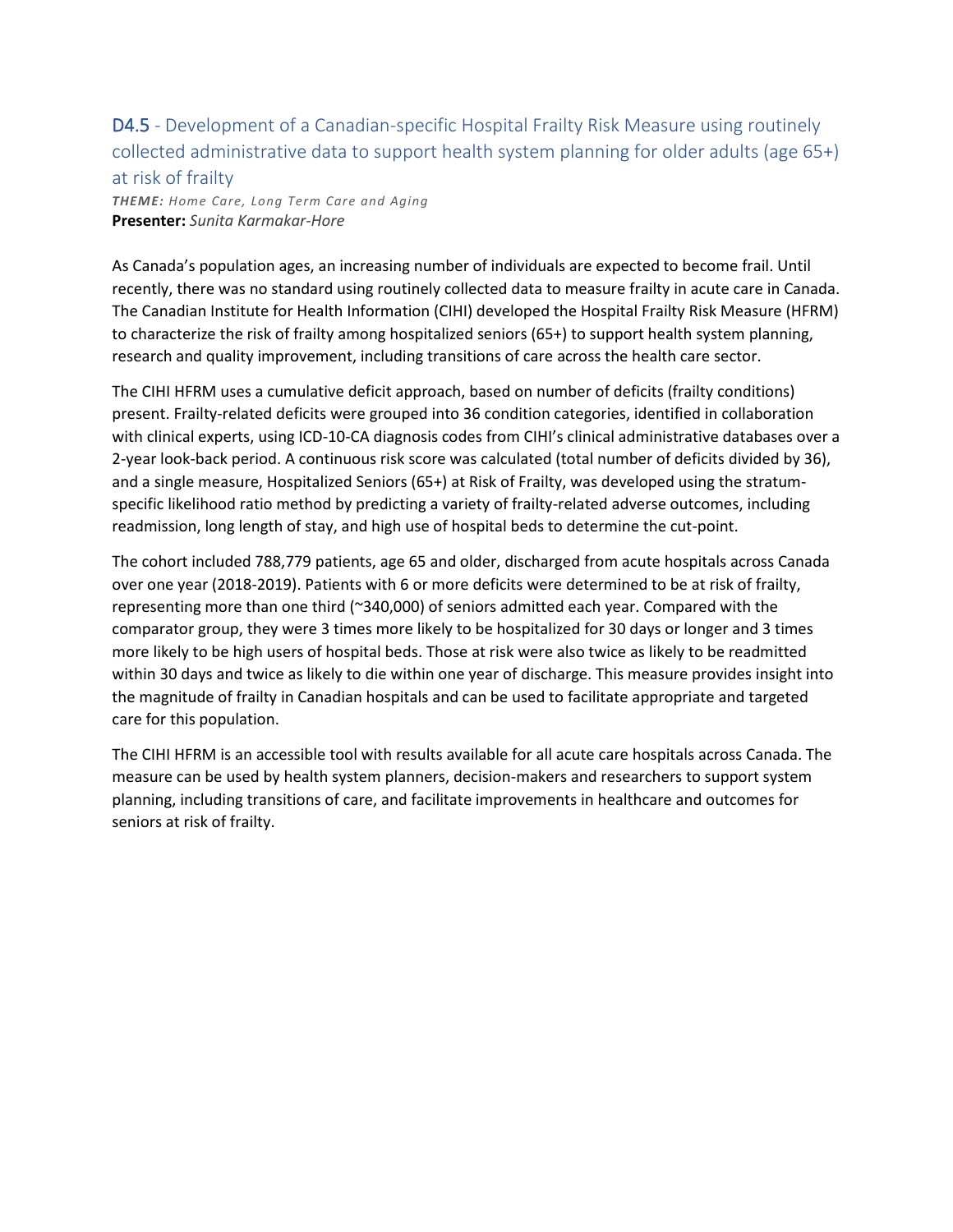# D4.5 - Development of a Canadian-specific Hospital Frailty Risk Measure using routinely collected administrative data to support health system planning for older adults (age 65+) at risk of frailty

*THEME: Home Care, Long Term Care and Aging* **Presenter:** *Sunita Karmakar-Hore*

As Canada's population ages, an increasing number of individuals are expected to become frail. Until recently, there was no standard using routinely collected data to measure frailty in acute care in Canada. The Canadian Institute for Health Information (CIHI) developed the Hospital Frailty Risk Measure (HFRM) to characterize the risk of frailty among hospitalized seniors (65+) to support health system planning, research and quality improvement, including transitions of care across the health care sector.

The CIHI HFRM uses a cumulative deficit approach, based on number of deficits (frailty conditions) present. Frailty-related deficits were grouped into 36 condition categories, identified in collaboration with clinical experts, using ICD-10-CA diagnosis codes from CIHI's clinical administrative databases over a 2-year look-back period. A continuous risk score was calculated (total number of deficits divided by 36), and a single measure, Hospitalized Seniors (65+) at Risk of Frailty, was developed using the stratumspecific likelihood ratio method by predicting a variety of frailty-related adverse outcomes, including readmission, long length of stay, and high use of hospital beds to determine the cut-point.

The cohort included 788,779 patients, age 65 and older, discharged from acute hospitals across Canada over one year (2018-2019). Patients with 6 or more deficits were determined to be at risk of frailty, representing more than one third (~340,000) of seniors admitted each year. Compared with the comparator group, they were 3 times more likely to be hospitalized for 30 days or longer and 3 times more likely to be high users of hospital beds. Those at risk were also twice as likely to be readmitted within 30 days and twice as likely to die within one year of discharge. This measure provides insight into the magnitude of frailty in Canadian hospitals and can be used to facilitate appropriate and targeted care for this population.

The CIHI HFRM is an accessible tool with results available for all acute care hospitals across Canada. The measure can be used by health system planners, decision-makers and researchers to support system planning, including transitions of care, and facilitate improvements in healthcare and outcomes for seniors at risk of frailty.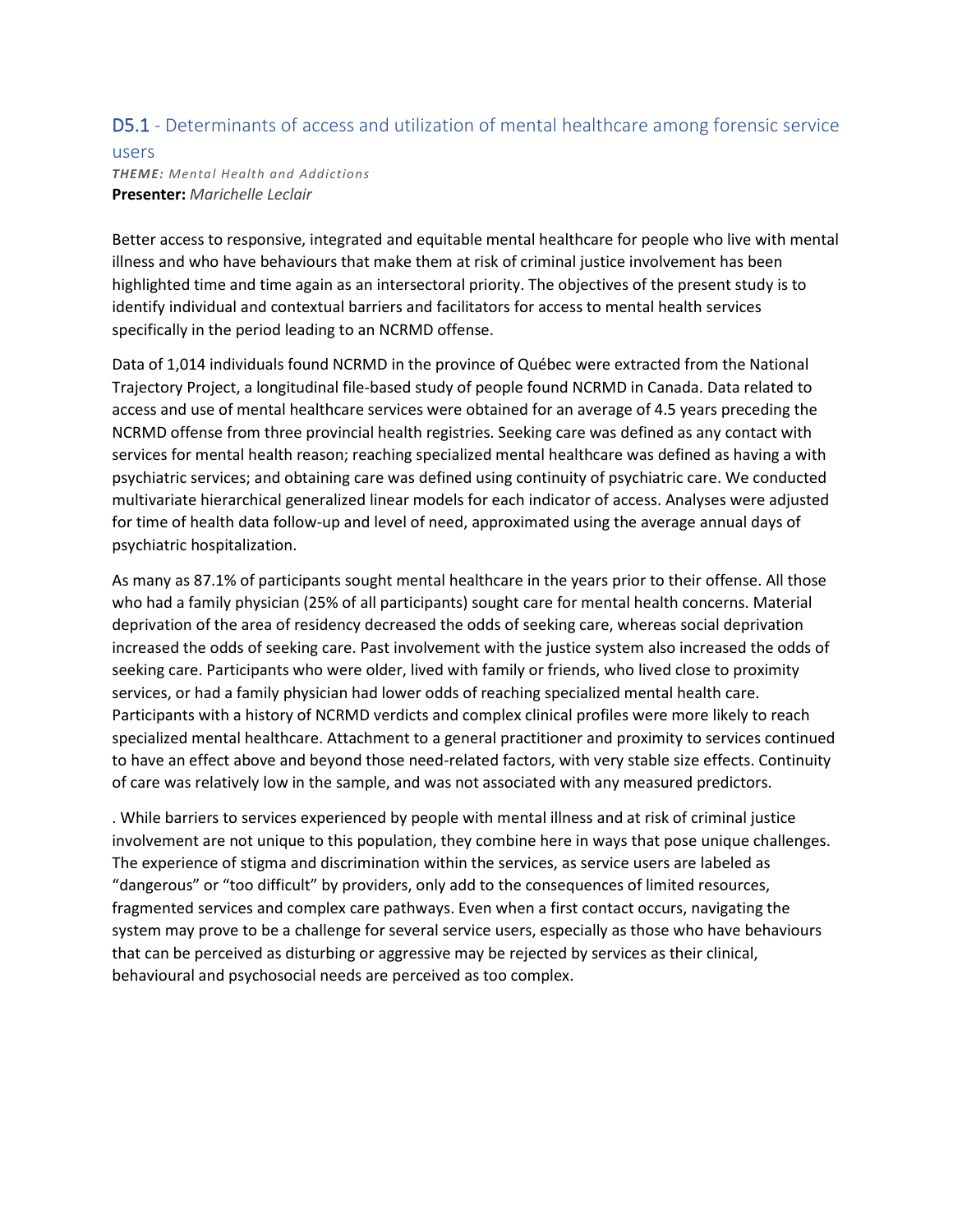## D5.1 - Determinants of access and utilization of mental healthcare among forensic service

### users *THEME: Mental Health and Addictions* **Presenter:** *Marichelle Leclair*

Better access to responsive, integrated and equitable mental healthcare for people who live with mental illness and who have behaviours that make them at risk of criminal justice involvement has been highlighted time and time again as an intersectoral priority. The objectives of the present study is to identify individual and contextual barriers and facilitators for access to mental health services specifically in the period leading to an NCRMD offense.

Data of 1,014 individuals found NCRMD in the province of Québec were extracted from the National Trajectory Project, a longitudinal file-based study of people found NCRMD in Canada. Data related to access and use of mental healthcare services were obtained for an average of 4.5 years preceding the NCRMD offense from three provincial health registries. Seeking care was defined as any contact with services for mental health reason; reaching specialized mental healthcare was defined as having a with psychiatric services; and obtaining care was defined using continuity of psychiatric care. We conducted multivariate hierarchical generalized linear models for each indicator of access. Analyses were adjusted for time of health data follow-up and level of need, approximated using the average annual days of psychiatric hospitalization.

As many as 87.1% of participants sought mental healthcare in the years prior to their offense. All those who had a family physician (25% of all participants) sought care for mental health concerns. Material deprivation of the area of residency decreased the odds of seeking care, whereas social deprivation increased the odds of seeking care. Past involvement with the justice system also increased the odds of seeking care. Participants who were older, lived with family or friends, who lived close to proximity services, or had a family physician had lower odds of reaching specialized mental health care. Participants with a history of NCRMD verdicts and complex clinical profiles were more likely to reach specialized mental healthcare. Attachment to a general practitioner and proximity to services continued to have an effect above and beyond those need-related factors, with very stable size effects. Continuity of care was relatively low in the sample, and was not associated with any measured predictors.

. While barriers to services experienced by people with mental illness and at risk of criminal justice involvement are not unique to this population, they combine here in ways that pose unique challenges. The experience of stigma and discrimination within the services, as service users are labeled as "dangerous" or "too difficult" by providers, only add to the consequences of limited resources, fragmented services and complex care pathways. Even when a first contact occurs, navigating the system may prove to be a challenge for several service users, especially as those who have behaviours that can be perceived as disturbing or aggressive may be rejected by services as their clinical, behavioural and psychosocial needs are perceived as too complex.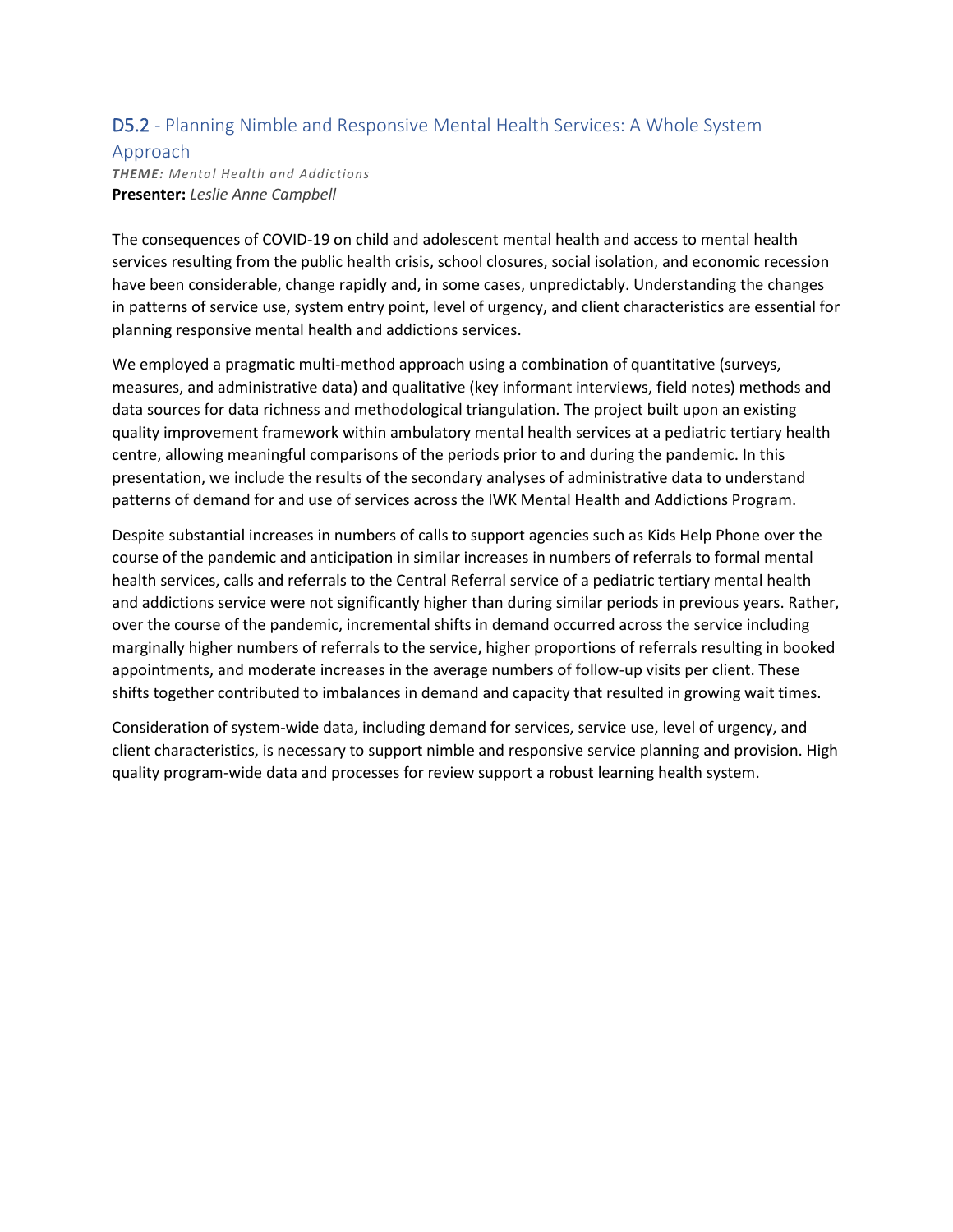### D5.2 - Planning Nimble and Responsive Mental Health Services: A Whole System

### Approach

*THEME: Mental Health and Addictions* **Presenter:** *Leslie Anne Campbell*

The consequences of COVID-19 on child and adolescent mental health and access to mental health services resulting from the public health crisis, school closures, social isolation, and economic recession have been considerable, change rapidly and, in some cases, unpredictably. Understanding the changes in patterns of service use, system entry point, level of urgency, and client characteristics are essential for planning responsive mental health and addictions services.

We employed a pragmatic multi-method approach using a combination of quantitative (surveys, measures, and administrative data) and qualitative (key informant interviews, field notes) methods and data sources for data richness and methodological triangulation. The project built upon an existing quality improvement framework within ambulatory mental health services at a pediatric tertiary health centre, allowing meaningful comparisons of the periods prior to and during the pandemic. In this presentation, we include the results of the secondary analyses of administrative data to understand patterns of demand for and use of services across the IWK Mental Health and Addictions Program.

Despite substantial increases in numbers of calls to support agencies such as Kids Help Phone over the course of the pandemic and anticipation in similar increases in numbers of referrals to formal mental health services, calls and referrals to the Central Referral service of a pediatric tertiary mental health and addictions service were not significantly higher than during similar periods in previous years. Rather, over the course of the pandemic, incremental shifts in demand occurred across the service including marginally higher numbers of referrals to the service, higher proportions of referrals resulting in booked appointments, and moderate increases in the average numbers of follow-up visits per client. These shifts together contributed to imbalances in demand and capacity that resulted in growing wait times.

Consideration of system-wide data, including demand for services, service use, level of urgency, and client characteristics, is necessary to support nimble and responsive service planning and provision. High quality program-wide data and processes for review support a robust learning health system.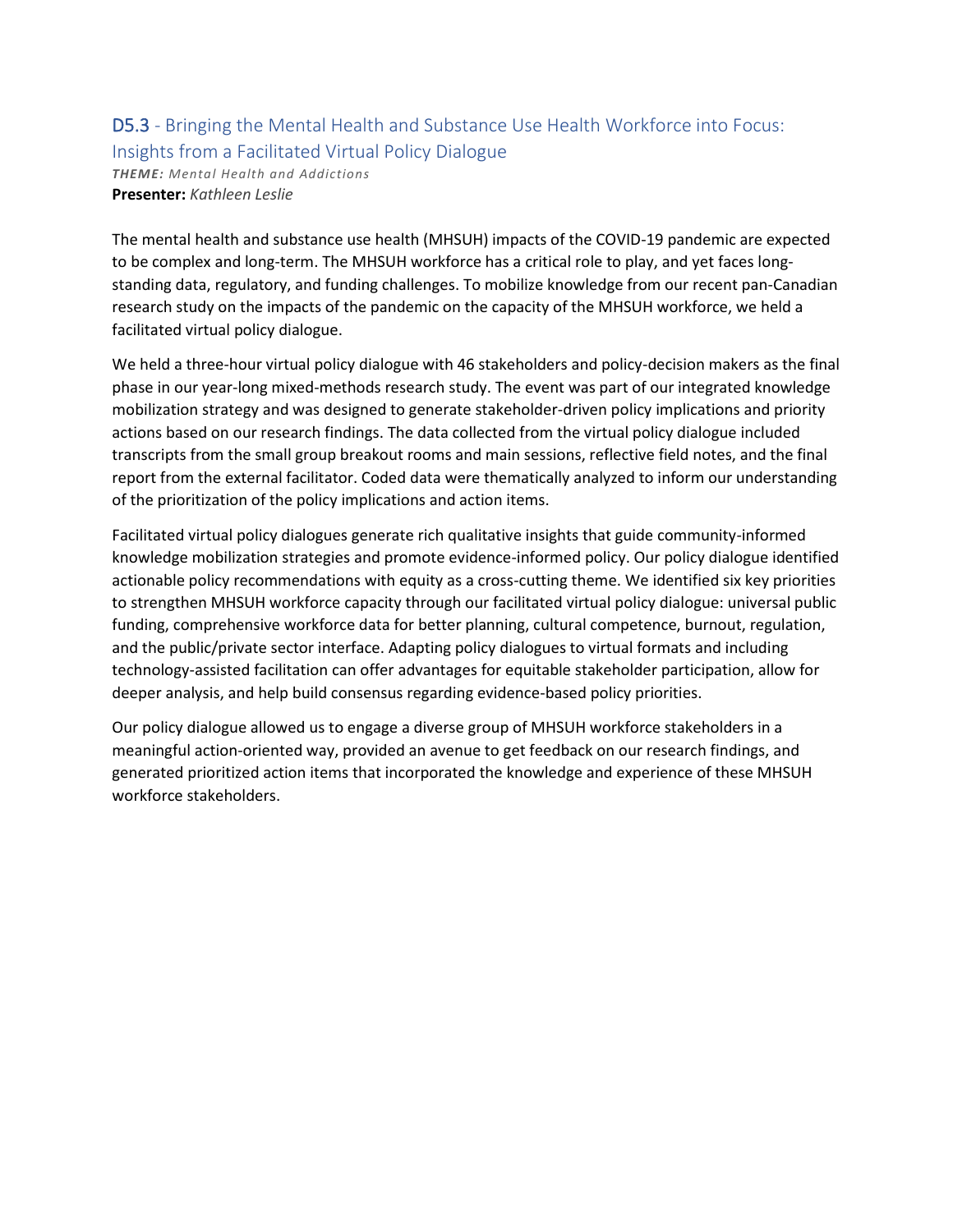## D5.3 - Bringing the Mental Health and Substance Use Health Workforce into Focus: Insights from a Facilitated Virtual Policy Dialogue *THEME: Mental Health and Addictions* **Presenter:** *Kathleen Leslie*

The mental health and substance use health (MHSUH) impacts of the COVID-19 pandemic are expected to be complex and long-term. The MHSUH workforce has a critical role to play, and yet faces longstanding data, regulatory, and funding challenges. To mobilize knowledge from our recent pan-Canadian research study on the impacts of the pandemic on the capacity of the MHSUH workforce, we held a facilitated virtual policy dialogue.

We held a three-hour virtual policy dialogue with 46 stakeholders and policy-decision makers as the final phase in our year-long mixed-methods research study. The event was part of our integrated knowledge mobilization strategy and was designed to generate stakeholder-driven policy implications and priority actions based on our research findings. The data collected from the virtual policy dialogue included transcripts from the small group breakout rooms and main sessions, reflective field notes, and the final report from the external facilitator. Coded data were thematically analyzed to inform our understanding of the prioritization of the policy implications and action items.

Facilitated virtual policy dialogues generate rich qualitative insights that guide community-informed knowledge mobilization strategies and promote evidence-informed policy. Our policy dialogue identified actionable policy recommendations with equity as a cross-cutting theme. We identified six key priorities to strengthen MHSUH workforce capacity through our facilitated virtual policy dialogue: universal public funding, comprehensive workforce data for better planning, cultural competence, burnout, regulation, and the public/private sector interface. Adapting policy dialogues to virtual formats and including technology-assisted facilitation can offer advantages for equitable stakeholder participation, allow for deeper analysis, and help build consensus regarding evidence-based policy priorities.

Our policy dialogue allowed us to engage a diverse group of MHSUH workforce stakeholders in a meaningful action-oriented way, provided an avenue to get feedback on our research findings, and generated prioritized action items that incorporated the knowledge and experience of these MHSUH workforce stakeholders.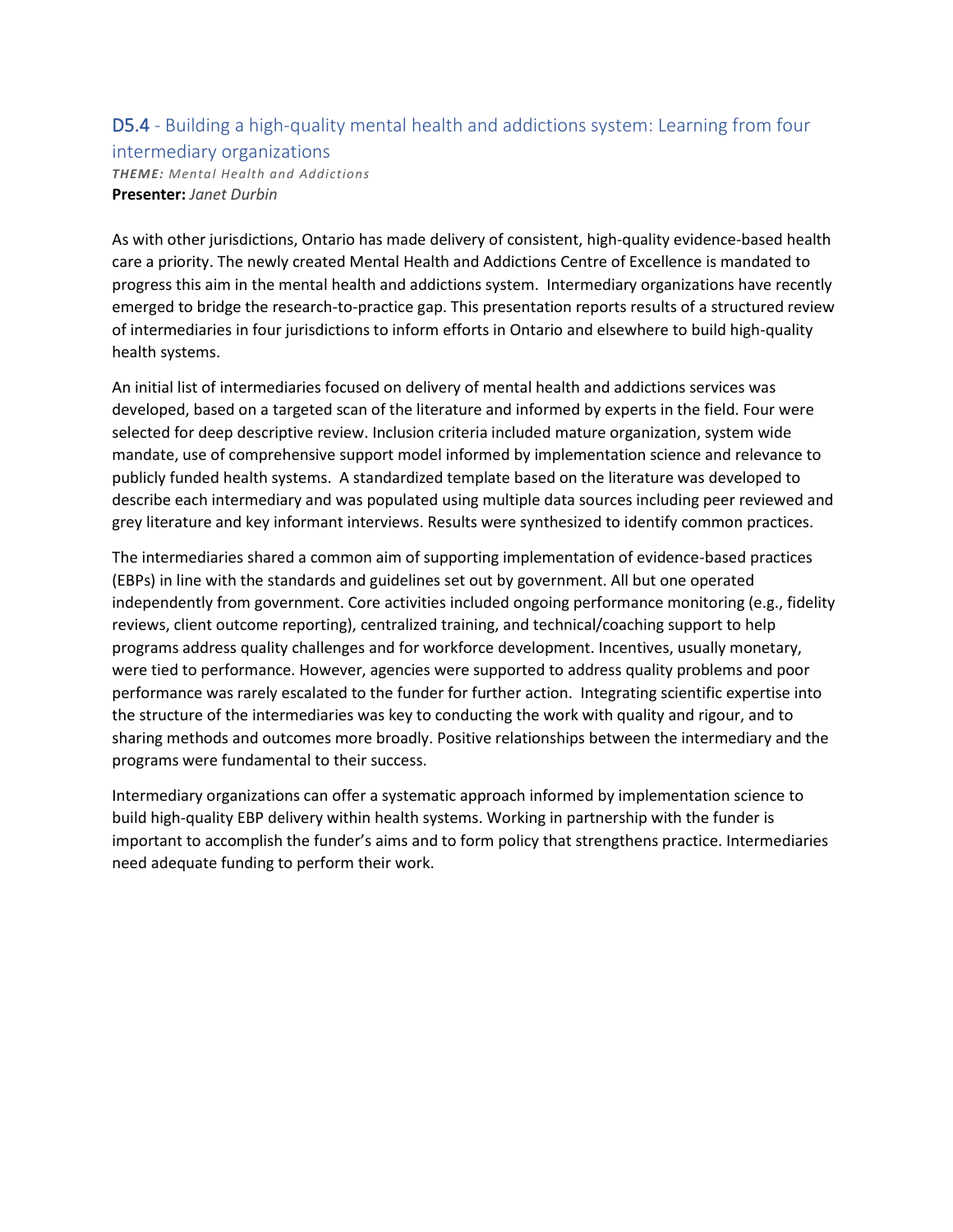## D5.4 - Building a high-quality mental health and addictions system: Learning from four

intermediary organizations *THEME: Mental Health and Addictions* **Presenter:** *Janet Durbin*

As with other jurisdictions, Ontario has made delivery of consistent, high-quality evidence-based health care a priority. The newly created Mental Health and Addictions Centre of Excellence is mandated to progress this aim in the mental health and addictions system. Intermediary organizations have recently emerged to bridge the research-to-practice gap. This presentation reports results of a structured review of intermediaries in four jurisdictions to inform efforts in Ontario and elsewhere to build high-quality health systems.

An initial list of intermediaries focused on delivery of mental health and addictions services was developed, based on a targeted scan of the literature and informed by experts in the field. Four were selected for deep descriptive review. Inclusion criteria included mature organization, system wide mandate, use of comprehensive support model informed by implementation science and relevance to publicly funded health systems. A standardized template based on the literature was developed to describe each intermediary and was populated using multiple data sources including peer reviewed and grey literature and key informant interviews. Results were synthesized to identify common practices.

The intermediaries shared a common aim of supporting implementation of evidence-based practices (EBPs) in line with the standards and guidelines set out by government. All but one operated independently from government. Core activities included ongoing performance monitoring (e.g., fidelity reviews, client outcome reporting), centralized training, and technical/coaching support to help programs address quality challenges and for workforce development. Incentives, usually monetary, were tied to performance. However, agencies were supported to address quality problems and poor performance was rarely escalated to the funder for further action. Integrating scientific expertise into the structure of the intermediaries was key to conducting the work with quality and rigour, and to sharing methods and outcomes more broadly. Positive relationships between the intermediary and the programs were fundamental to their success.

Intermediary organizations can offer a systematic approach informed by implementation science to build high-quality EBP delivery within health systems. Working in partnership with the funder is important to accomplish the funder's aims and to form policy that strengthens practice. Intermediaries need adequate funding to perform their work.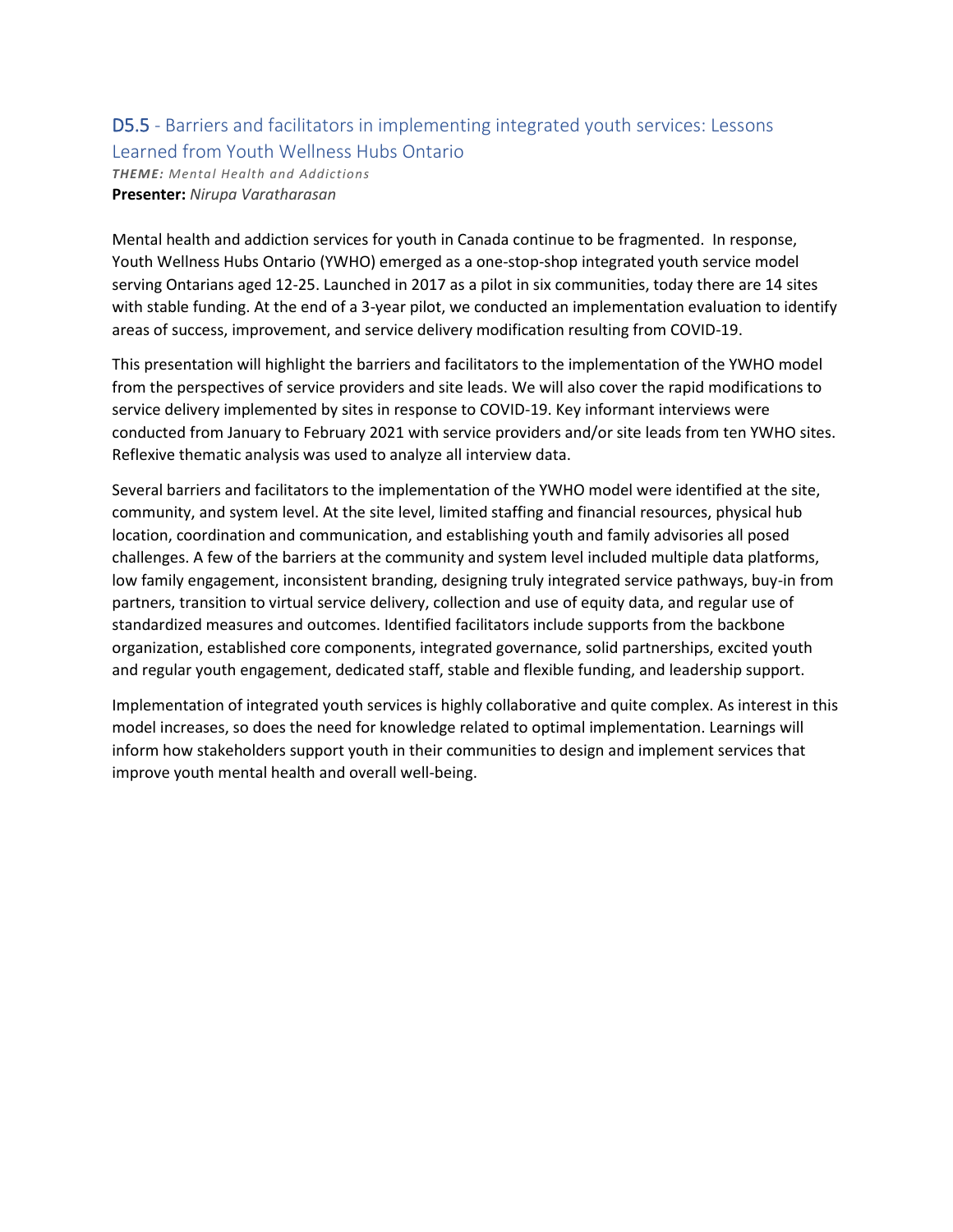# D5.5 - Barriers and facilitators in implementing integrated youth services: Lessons Learned from Youth Wellness Hubs Ontario

*THEME: Mental Health and Addictions* **Presenter:** *Nirupa Varatharasan*

Mental health and addiction services for youth in Canada continue to be fragmented. In response, Youth Wellness Hubs Ontario (YWHO) emerged as a one-stop-shop integrated youth service model serving Ontarians aged 12-25. Launched in 2017 as a pilot in six communities, today there are 14 sites with stable funding. At the end of a 3-year pilot, we conducted an implementation evaluation to identify areas of success, improvement, and service delivery modification resulting from COVID-19.

This presentation will highlight the barriers and facilitators to the implementation of the YWHO model from the perspectives of service providers and site leads. We will also cover the rapid modifications to service delivery implemented by sites in response to COVID-19. Key informant interviews were conducted from January to February 2021 with service providers and/or site leads from ten YWHO sites. Reflexive thematic analysis was used to analyze all interview data.

Several barriers and facilitators to the implementation of the YWHO model were identified at the site, community, and system level. At the site level, limited staffing and financial resources, physical hub location, coordination and communication, and establishing youth and family advisories all posed challenges. A few of the barriers at the community and system level included multiple data platforms, low family engagement, inconsistent branding, designing truly integrated service pathways, buy-in from partners, transition to virtual service delivery, collection and use of equity data, and regular use of standardized measures and outcomes. Identified facilitators include supports from the backbone organization, established core components, integrated governance, solid partnerships, excited youth and regular youth engagement, dedicated staff, stable and flexible funding, and leadership support.

Implementation of integrated youth services is highly collaborative and quite complex. As interest in this model increases, so does the need for knowledge related to optimal implementation. Learnings will inform how stakeholders support youth in their communities to design and implement services that improve youth mental health and overall well-being.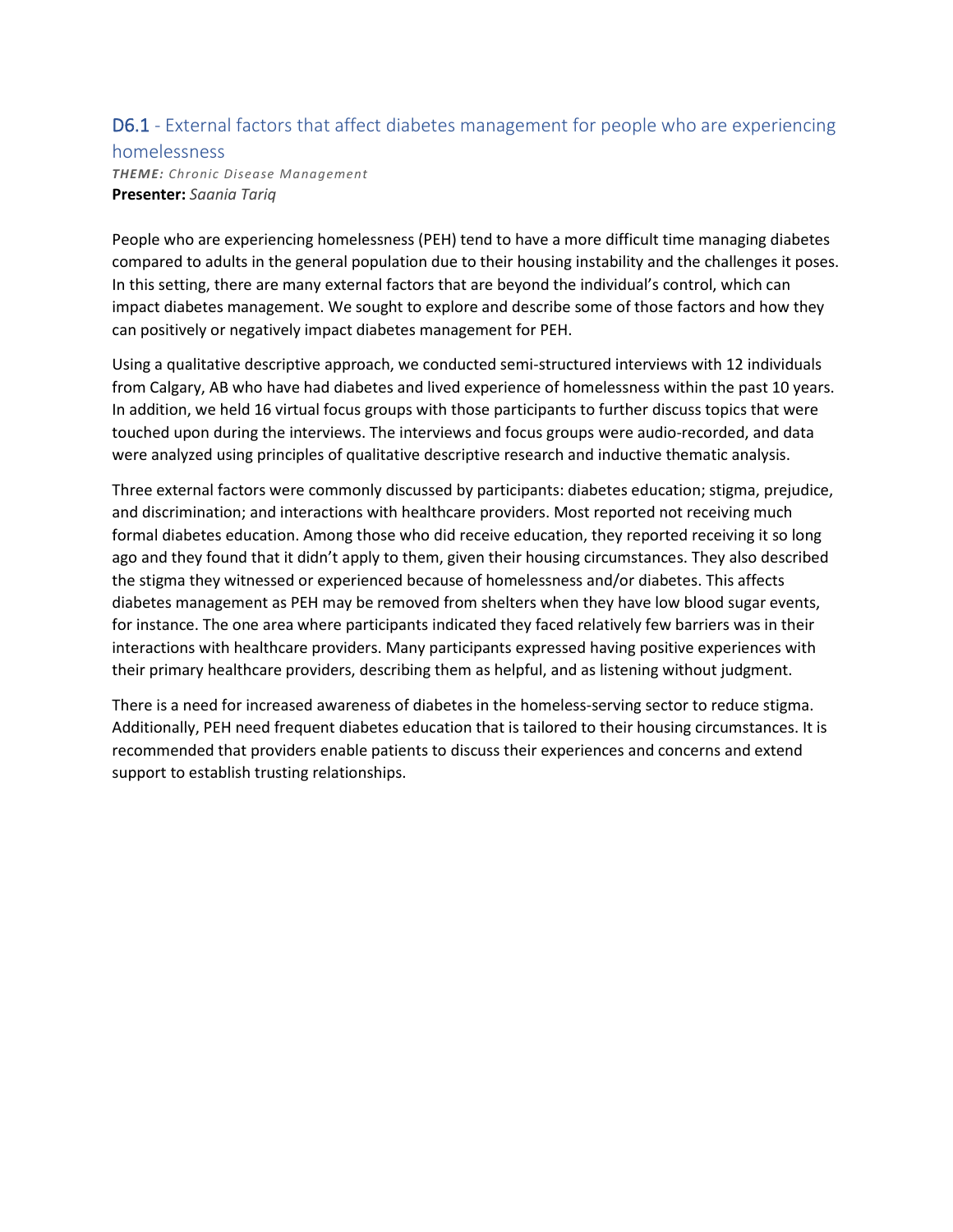## D6.1 - External factors that affect diabetes management for people who are experiencing

### homelessness *THEME: Chronic Disease Management* **Presenter:** *Saania Tariq*

People who are experiencing homelessness (PEH) tend to have a more difficult time managing diabetes compared to adults in the general population due to their housing instability and the challenges it poses. In this setting, there are many external factors that are beyond the individual's control, which can impact diabetes management. We sought to explore and describe some of those factors and how they can positively or negatively impact diabetes management for PEH.

Using a qualitative descriptive approach, we conducted semi-structured interviews with 12 individuals from Calgary, AB who have had diabetes and lived experience of homelessness within the past 10 years. In addition, we held 16 virtual focus groups with those participants to further discuss topics that were touched upon during the interviews. The interviews and focus groups were audio-recorded, and data were analyzed using principles of qualitative descriptive research and inductive thematic analysis.

Three external factors were commonly discussed by participants: diabetes education; stigma, prejudice, and discrimination; and interactions with healthcare providers. Most reported not receiving much formal diabetes education. Among those who did receive education, they reported receiving it so long ago and they found that it didn't apply to them, given their housing circumstances. They also described the stigma they witnessed or experienced because of homelessness and/or diabetes. This affects diabetes management as PEH may be removed from shelters when they have low blood sugar events, for instance. The one area where participants indicated they faced relatively few barriers was in their interactions with healthcare providers. Many participants expressed having positive experiences with their primary healthcare providers, describing them as helpful, and as listening without judgment.

There is a need for increased awareness of diabetes in the homeless-serving sector to reduce stigma. Additionally, PEH need frequent diabetes education that is tailored to their housing circumstances. It is recommended that providers enable patients to discuss their experiences and concerns and extend support to establish trusting relationships.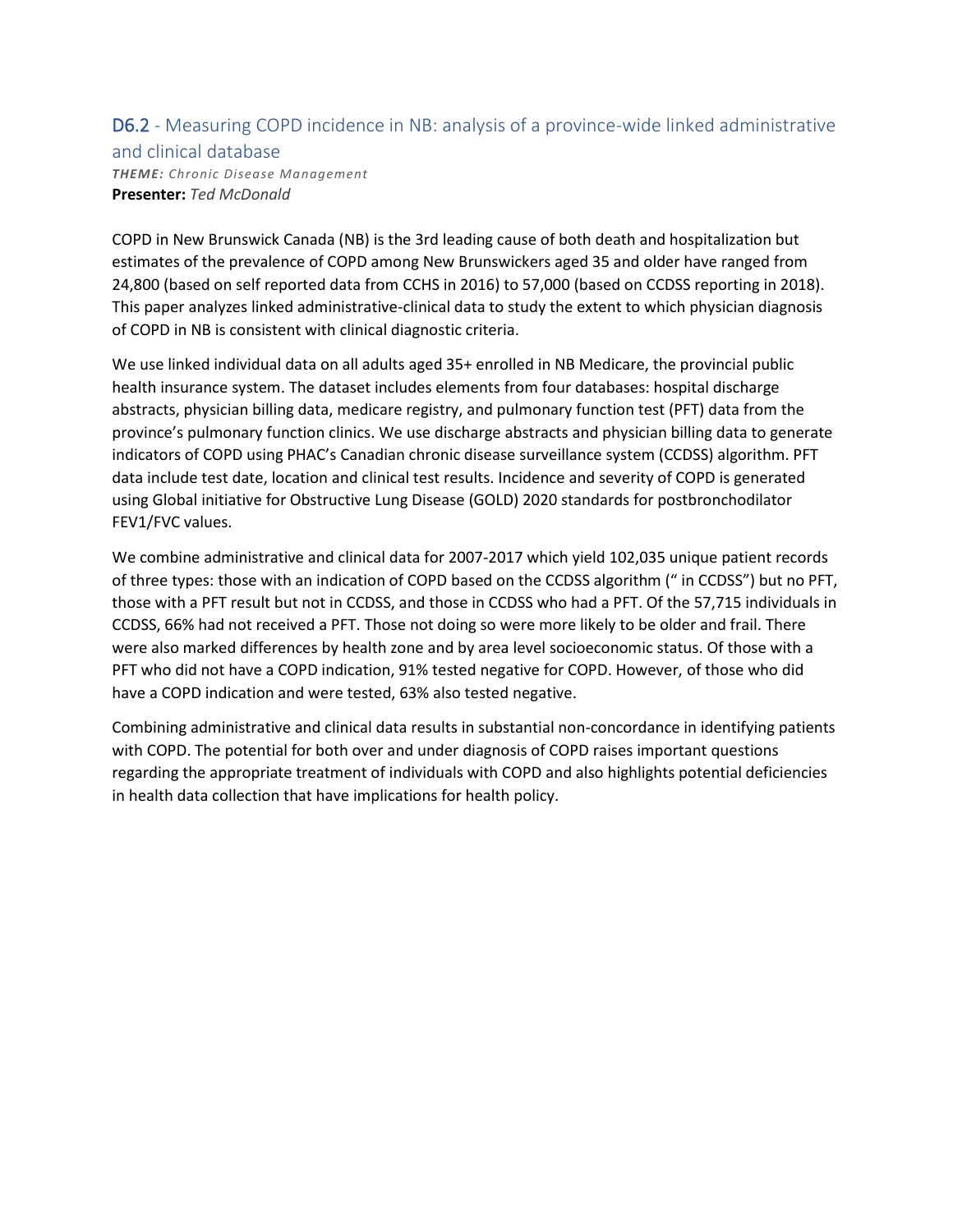# D6.2 - Measuring COPD incidence in NB: analysis of a province-wide linked administrative

and clinical database

*THEME: Chronic Disease Management* **Presenter:** *Ted McDonald*

COPD in New Brunswick Canada (NB) is the 3rd leading cause of both death and hospitalization but estimates of the prevalence of COPD among New Brunswickers aged 35 and older have ranged from 24,800 (based on self reported data from CCHS in 2016) to 57,000 (based on CCDSS reporting in 2018). This paper analyzes linked administrative-clinical data to study the extent to which physician diagnosis of COPD in NB is consistent with clinical diagnostic criteria.

We use linked individual data on all adults aged 35+ enrolled in NB Medicare, the provincial public health insurance system. The dataset includes elements from four databases: hospital discharge abstracts, physician billing data, medicare registry, and pulmonary function test (PFT) data from the province's pulmonary function clinics. We use discharge abstracts and physician billing data to generate indicators of COPD using PHAC's Canadian chronic disease surveillance system (CCDSS) algorithm. PFT data include test date, location and clinical test results. Incidence and severity of COPD is generated using Global initiative for Obstructive Lung Disease (GOLD) 2020 standards for postbronchodilator FEV1/FVC values.

We combine administrative and clinical data for 2007-2017 which yield 102,035 unique patient records of three types: those with an indication of COPD based on the CCDSS algorithm (" in CCDSS") but no PFT, those with a PFT result but not in CCDSS, and those in CCDSS who had a PFT. Of the 57,715 individuals in CCDSS, 66% had not received a PFT. Those not doing so were more likely to be older and frail. There were also marked differences by health zone and by area level socioeconomic status. Of those with a PFT who did not have a COPD indication, 91% tested negative for COPD. However, of those who did have a COPD indication and were tested, 63% also tested negative.

Combining administrative and clinical data results in substantial non-concordance in identifying patients with COPD. The potential for both over and under diagnosis of COPD raises important questions regarding the appropriate treatment of individuals with COPD and also highlights potential deficiencies in health data collection that have implications for health policy.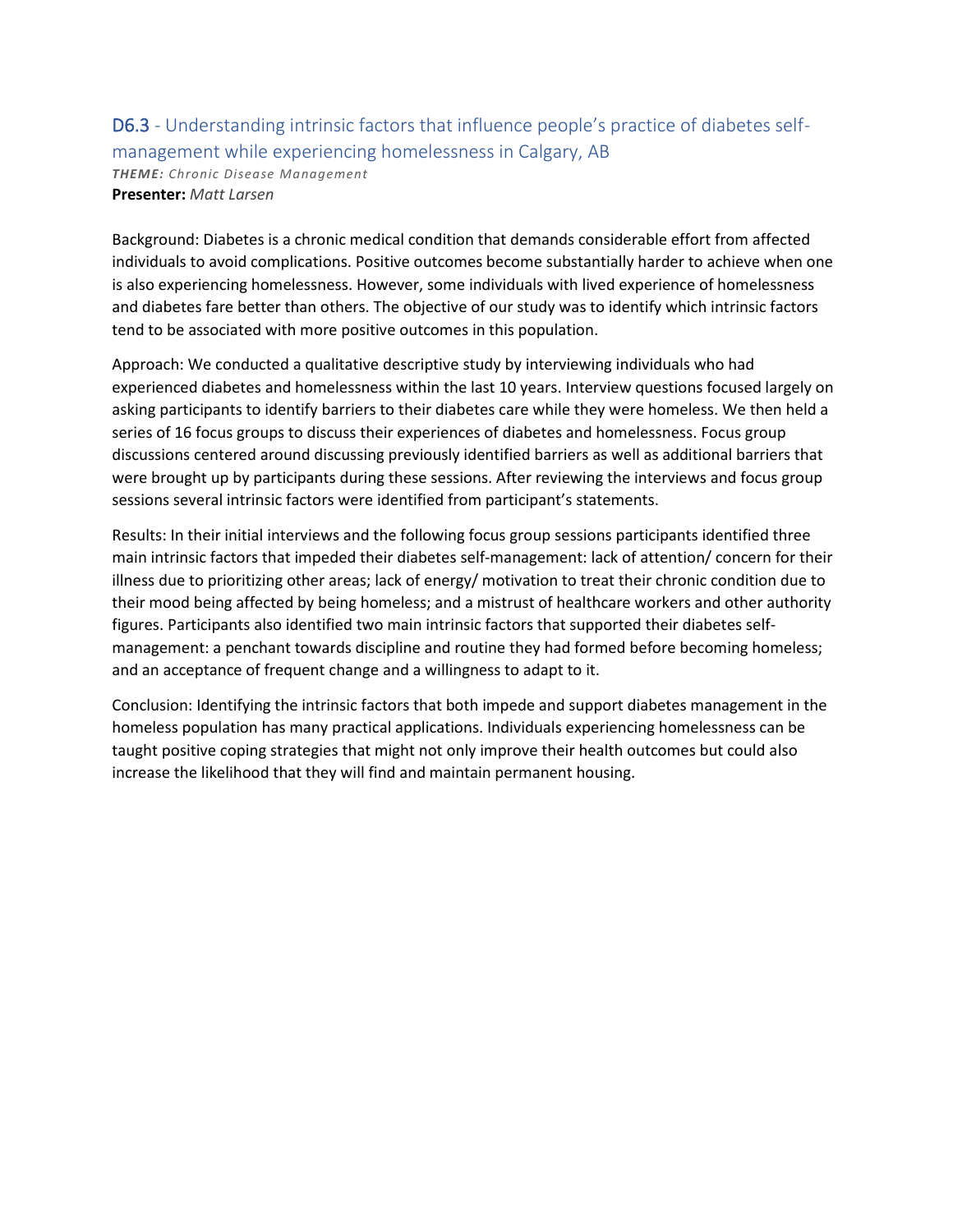## D6.3 - Understanding intrinsic factors that influence people's practice of diabetes selfmanagement while experiencing homelessness in Calgary, AB *THEME: Chronic Disease Management*

**Presenter:** *Matt Larsen*

Background: Diabetes is a chronic medical condition that demands considerable effort from affected individuals to avoid complications. Positive outcomes become substantially harder to achieve when one is also experiencing homelessness. However, some individuals with lived experience of homelessness and diabetes fare better than others. The objective of our study was to identify which intrinsic factors tend to be associated with more positive outcomes in this population.

Approach: We conducted a qualitative descriptive study by interviewing individuals who had experienced diabetes and homelessness within the last 10 years. Interview questions focused largely on asking participants to identify barriers to their diabetes care while they were homeless. We then held a series of 16 focus groups to discuss their experiences of diabetes and homelessness. Focus group discussions centered around discussing previously identified barriers as well as additional barriers that were brought up by participants during these sessions. After reviewing the interviews and focus group sessions several intrinsic factors were identified from participant's statements.

Results: In their initial interviews and the following focus group sessions participants identified three main intrinsic factors that impeded their diabetes self-management: lack of attention/ concern for their illness due to prioritizing other areas; lack of energy/ motivation to treat their chronic condition due to their mood being affected by being homeless; and a mistrust of healthcare workers and other authority figures. Participants also identified two main intrinsic factors that supported their diabetes selfmanagement: a penchant towards discipline and routine they had formed before becoming homeless; and an acceptance of frequent change and a willingness to adapt to it.

Conclusion: Identifying the intrinsic factors that both impede and support diabetes management in the homeless population has many practical applications. Individuals experiencing homelessness can be taught positive coping strategies that might not only improve their health outcomes but could also increase the likelihood that they will find and maintain permanent housing.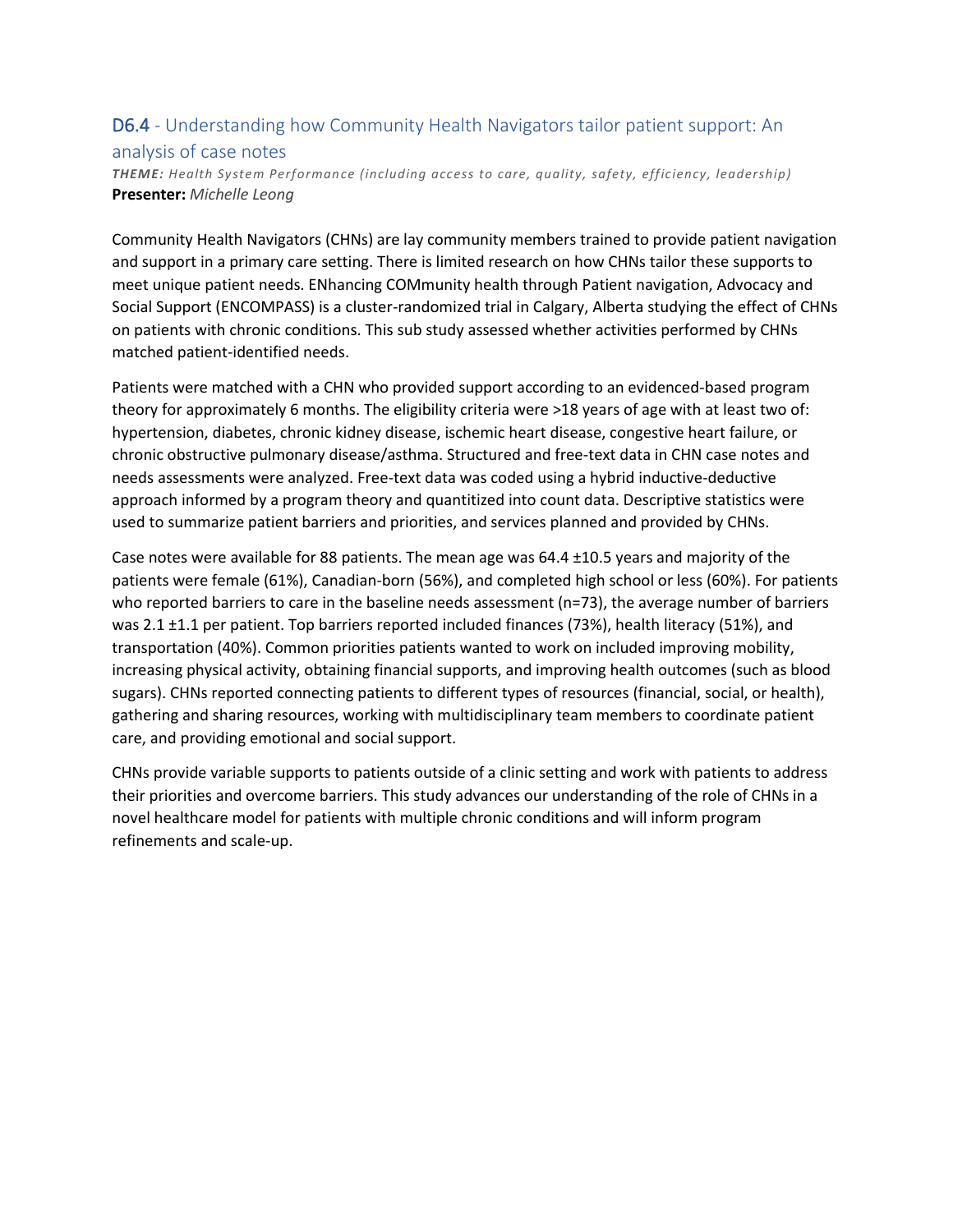# D6.4 - Understanding how Community Health Navigators tailor patient support: An

### analysis of case notes

*THEME: Health System Performance (including access to care, quality, safety, efficiency, leadership)* **Presenter:** *Michelle Leong*

Community Health Navigators (CHNs) are lay community members trained to provide patient navigation and support in a primary care setting. There is limited research on how CHNs tailor these supports to meet unique patient needs. ENhancing COMmunity health through Patient navigation, Advocacy and Social Support (ENCOMPASS) is a cluster-randomized trial in Calgary, Alberta studying the effect of CHNs on patients with chronic conditions. This sub study assessed whether activities performed by CHNs matched patient-identified needs.

Patients were matched with a CHN who provided support according to an evidenced-based program theory for approximately 6 months. The eligibility criteria were >18 years of age with at least two of: hypertension, diabetes, chronic kidney disease, ischemic heart disease, congestive heart failure, or chronic obstructive pulmonary disease/asthma. Structured and free-text data in CHN case notes and needs assessments were analyzed. Free-text data was coded using a hybrid inductive-deductive approach informed by a program theory and quantitized into count data. Descriptive statistics were used to summarize patient barriers and priorities, and services planned and provided by CHNs.

Case notes were available for 88 patients. The mean age was 64.4 ±10.5 years and majority of the patients were female (61%), Canadian-born (56%), and completed high school or less (60%). For patients who reported barriers to care in the baseline needs assessment (n=73), the average number of barriers was 2.1 ±1.1 per patient. Top barriers reported included finances (73%), health literacy (51%), and transportation (40%). Common priorities patients wanted to work on included improving mobility, increasing physical activity, obtaining financial supports, and improving health outcomes (such as blood sugars). CHNs reported connecting patients to different types of resources (financial, social, or health), gathering and sharing resources, working with multidisciplinary team members to coordinate patient care, and providing emotional and social support.

CHNs provide variable supports to patients outside of a clinic setting and work with patients to address their priorities and overcome barriers. This study advances our understanding of the role of CHNs in a novel healthcare model for patients with multiple chronic conditions and will inform program refinements and scale-up.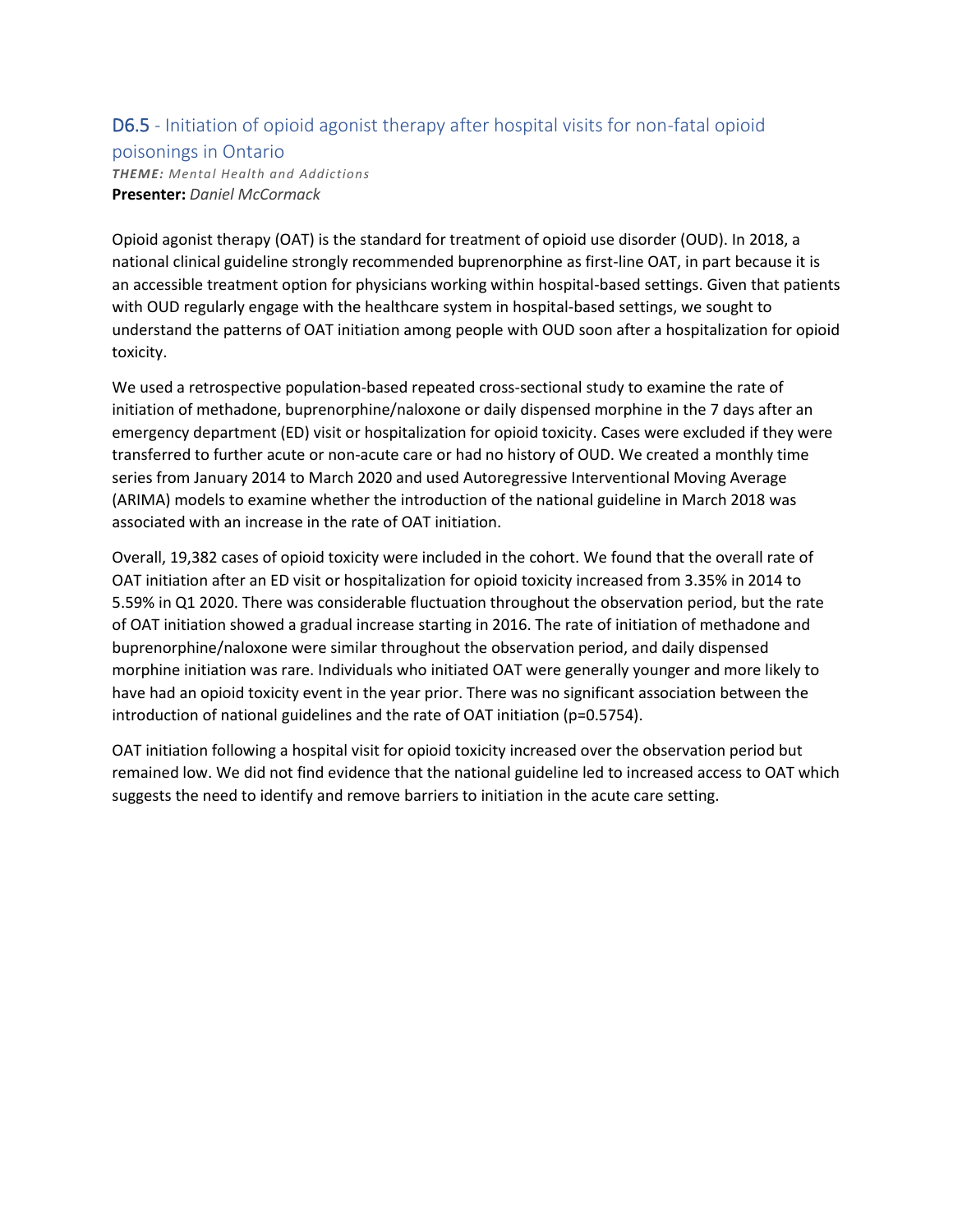### D6.5 - Initiation of opioid agonist therapy after hospital visits for non-fatal opioid

#### poisonings in Ontario

*THEME: Mental Health and Addictions* **Presenter:** *Daniel McCormack*

Opioid agonist therapy (OAT) is the standard for treatment of opioid use disorder (OUD). In 2018, a national clinical guideline strongly recommended buprenorphine as first-line OAT, in part because it is an accessible treatment option for physicians working within hospital-based settings. Given that patients with OUD regularly engage with the healthcare system in hospital-based settings, we sought to understand the patterns of OAT initiation among people with OUD soon after a hospitalization for opioid toxicity.

We used a retrospective population-based repeated cross-sectional study to examine the rate of initiation of methadone, buprenorphine/naloxone or daily dispensed morphine in the 7 days after an emergency department (ED) visit or hospitalization for opioid toxicity. Cases were excluded if they were transferred to further acute or non-acute care or had no history of OUD. We created a monthly time series from January 2014 to March 2020 and used Autoregressive Interventional Moving Average (ARIMA) models to examine whether the introduction of the national guideline in March 2018 was associated with an increase in the rate of OAT initiation.

Overall, 19,382 cases of opioid toxicity were included in the cohort. We found that the overall rate of OAT initiation after an ED visit or hospitalization for opioid toxicity increased from 3.35% in 2014 to 5.59% in Q1 2020. There was considerable fluctuation throughout the observation period, but the rate of OAT initiation showed a gradual increase starting in 2016. The rate of initiation of methadone and buprenorphine/naloxone were similar throughout the observation period, and daily dispensed morphine initiation was rare. Individuals who initiated OAT were generally younger and more likely to have had an opioid toxicity event in the year prior. There was no significant association between the introduction of national guidelines and the rate of OAT initiation (p=0.5754).

OAT initiation following a hospital visit for opioid toxicity increased over the observation period but remained low. We did not find evidence that the national guideline led to increased access to OAT which suggests the need to identify and remove barriers to initiation in the acute care setting.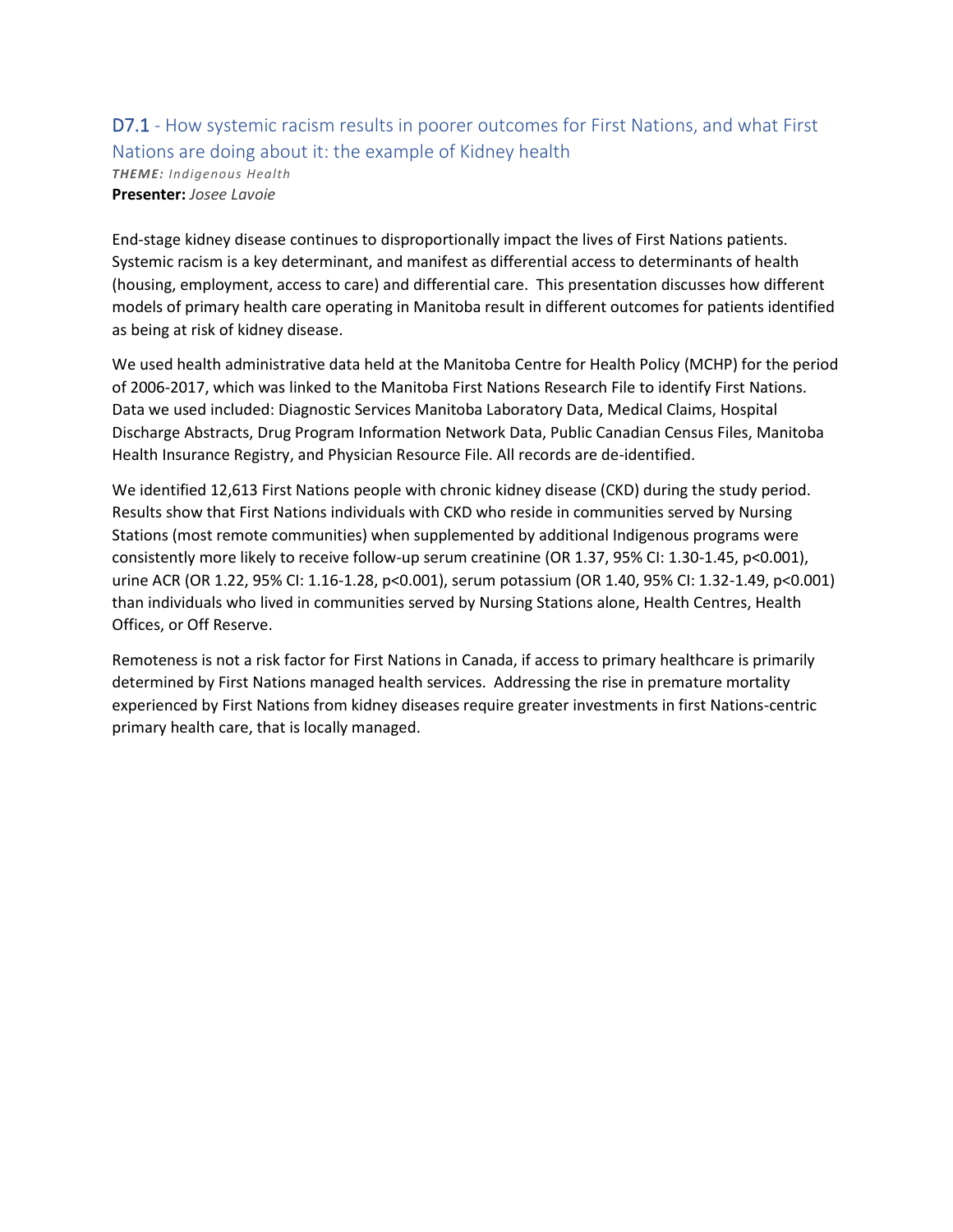# D7.1 - How systemic racism results in poorer outcomes for First Nations, and what First Nations are doing about it: the example of Kidney health

*THEME: Indigenous Health* **Presenter:** *Josee Lavoie*

End-stage kidney disease continues to disproportionally impact the lives of First Nations patients. Systemic racism is a key determinant, and manifest as differential access to determinants of health (housing, employment, access to care) and differential care. This presentation discusses how different models of primary health care operating in Manitoba result in different outcomes for patients identified as being at risk of kidney disease.

We used health administrative data held at the Manitoba Centre for Health Policy (MCHP) for the period of 2006-2017, which was linked to the Manitoba First Nations Research File to identify First Nations. Data we used included: Diagnostic Services Manitoba Laboratory Data, Medical Claims, Hospital Discharge Abstracts, Drug Program Information Network Data, Public Canadian Census Files, Manitoba Health Insurance Registry, and Physician Resource File. All records are de-identified.

We identified 12,613 First Nations people with chronic kidney disease (CKD) during the study period. Results show that First Nations individuals with CKD who reside in communities served by Nursing Stations (most remote communities) when supplemented by additional Indigenous programs were consistently more likely to receive follow-up serum creatinine (OR 1.37, 95% CI: 1.30-1.45, p<0.001), urine ACR (OR 1.22, 95% CI: 1.16-1.28, p<0.001), serum potassium (OR 1.40, 95% CI: 1.32-1.49, p<0.001) than individuals who lived in communities served by Nursing Stations alone, Health Centres, Health Offices, or Off Reserve.

Remoteness is not a risk factor for First Nations in Canada, if access to primary healthcare is primarily determined by First Nations managed health services. Addressing the rise in premature mortality experienced by First Nations from kidney diseases require greater investments in first Nations-centric primary health care, that is locally managed.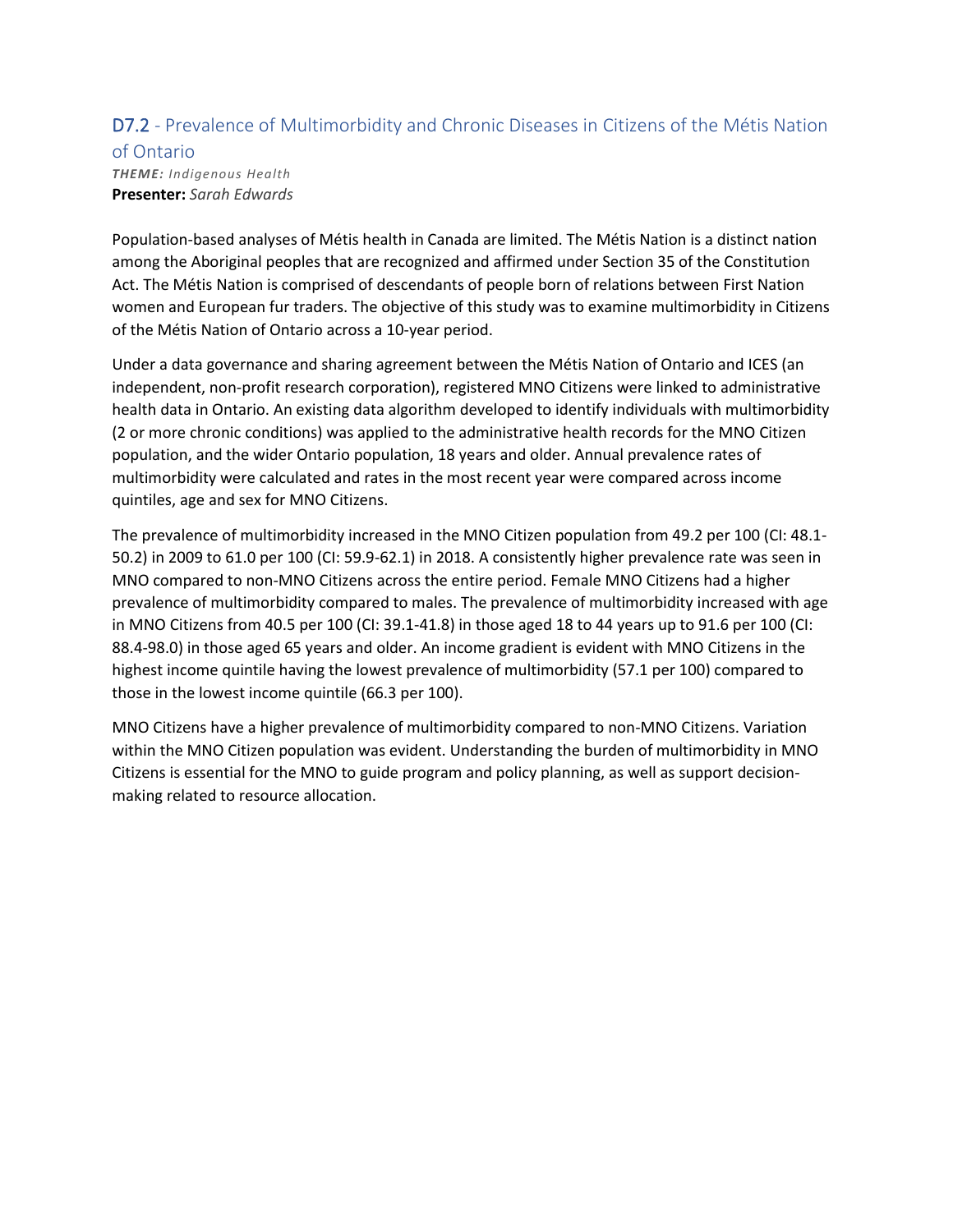### D7.2 - Prevalence of Multimorbidity and Chronic Diseases in Citizens of the Métis Nation

### of Ontario *THEME: Indigenous Health* **Presenter:** *Sarah Edwards*

Population-based analyses of Métis health in Canada are limited. The Métis Nation is a distinct nation among the Aboriginal peoples that are recognized and affirmed under Section 35 of the Constitution Act. The Métis Nation is comprised of descendants of people born of relations between First Nation women and European fur traders. The objective of this study was to examine multimorbidity in Citizens of the Métis Nation of Ontario across a 10-year period.

Under a data governance and sharing agreement between the Métis Nation of Ontario and ICES (an independent, non-profit research corporation), registered MNO Citizens were linked to administrative health data in Ontario. An existing data algorithm developed to identify individuals with multimorbidity (2 or more chronic conditions) was applied to the administrative health records for the MNO Citizen population, and the wider Ontario population, 18 years and older. Annual prevalence rates of multimorbidity were calculated and rates in the most recent year were compared across income quintiles, age and sex for MNO Citizens.

The prevalence of multimorbidity increased in the MNO Citizen population from 49.2 per 100 (CI: 48.1- 50.2) in 2009 to 61.0 per 100 (CI: 59.9-62.1) in 2018. A consistently higher prevalence rate was seen in MNO compared to non-MNO Citizens across the entire period. Female MNO Citizens had a higher prevalence of multimorbidity compared to males. The prevalence of multimorbidity increased with age in MNO Citizens from 40.5 per 100 (CI: 39.1-41.8) in those aged 18 to 44 years up to 91.6 per 100 (CI: 88.4-98.0) in those aged 65 years and older. An income gradient is evident with MNO Citizens in the highest income quintile having the lowest prevalence of multimorbidity (57.1 per 100) compared to those in the lowest income quintile (66.3 per 100).

MNO Citizens have a higher prevalence of multimorbidity compared to non-MNO Citizens. Variation within the MNO Citizen population was evident. Understanding the burden of multimorbidity in MNO Citizens is essential for the MNO to guide program and policy planning, as well as support decisionmaking related to resource allocation.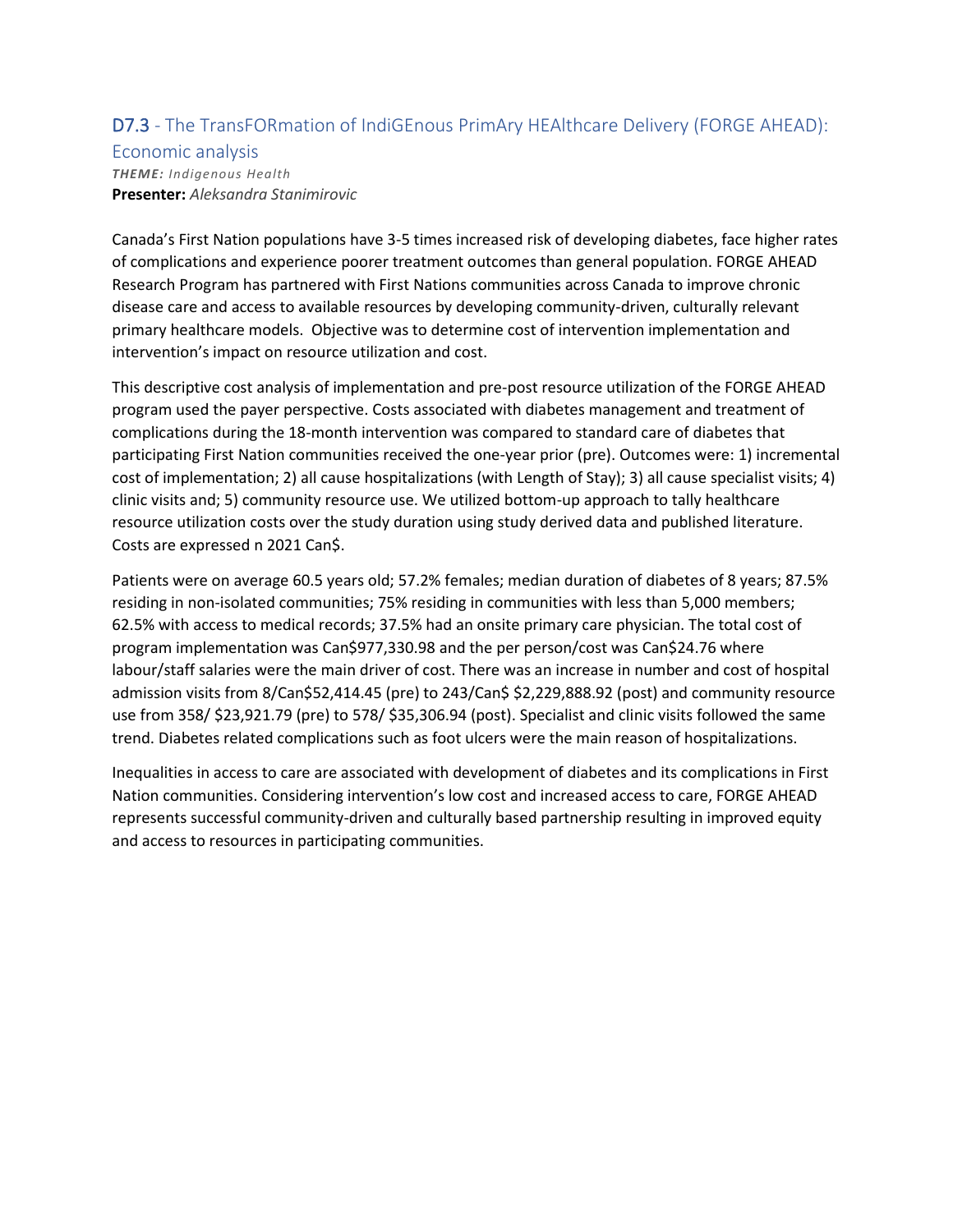## D7.3 - The TransFORmation of IndiGEnous PrimAry HEAlthcare Delivery (FORGE AHEAD):

# Economic analysis

*THEME: Indigenous Health* **Presenter:** *Aleksandra Stanimirovic*

Canada's First Nation populations have 3-5 times increased risk of developing diabetes, face higher rates of complications and experience poorer treatment outcomes than general population. FORGE AHEAD Research Program has partnered with First Nations communities across Canada to improve chronic disease care and access to available resources by developing community-driven, culturally relevant primary healthcare models. Objective was to determine cost of intervention implementation and intervention's impact on resource utilization and cost.

This descriptive cost analysis of implementation and pre-post resource utilization of the FORGE AHEAD program used the payer perspective. Costs associated with diabetes management and treatment of complications during the 18-month intervention was compared to standard care of diabetes that participating First Nation communities received the one-year prior (pre). Outcomes were: 1) incremental cost of implementation; 2) all cause hospitalizations (with Length of Stay); 3) all cause specialist visits; 4) clinic visits and; 5) community resource use. We utilized bottom-up approach to tally healthcare resource utilization costs over the study duration using study derived data and published literature. Costs are expressed n 2021 Can\$.

Patients were on average 60.5 years old; 57.2% females; median duration of diabetes of 8 years; 87.5% residing in non-isolated communities; 75% residing in communities with less than 5,000 members; 62.5% with access to medical records; 37.5% had an onsite primary care physician. The total cost of program implementation was Can\$977,330.98 and the per person/cost was Can\$24.76 where labour/staff salaries were the main driver of cost. There was an increase in number and cost of hospital admission visits from 8/Can\$52,414.45 (pre) to 243/Can\$ \$2,229,888.92 (post) and community resource use from 358/ \$23,921.79 (pre) to 578/ \$35,306.94 (post). Specialist and clinic visits followed the same trend. Diabetes related complications such as foot ulcers were the main reason of hospitalizations.

Inequalities in access to care are associated with development of diabetes and its complications in First Nation communities. Considering intervention's low cost and increased access to care, FORGE AHEAD represents successful community-driven and culturally based partnership resulting in improved equity and access to resources in participating communities.